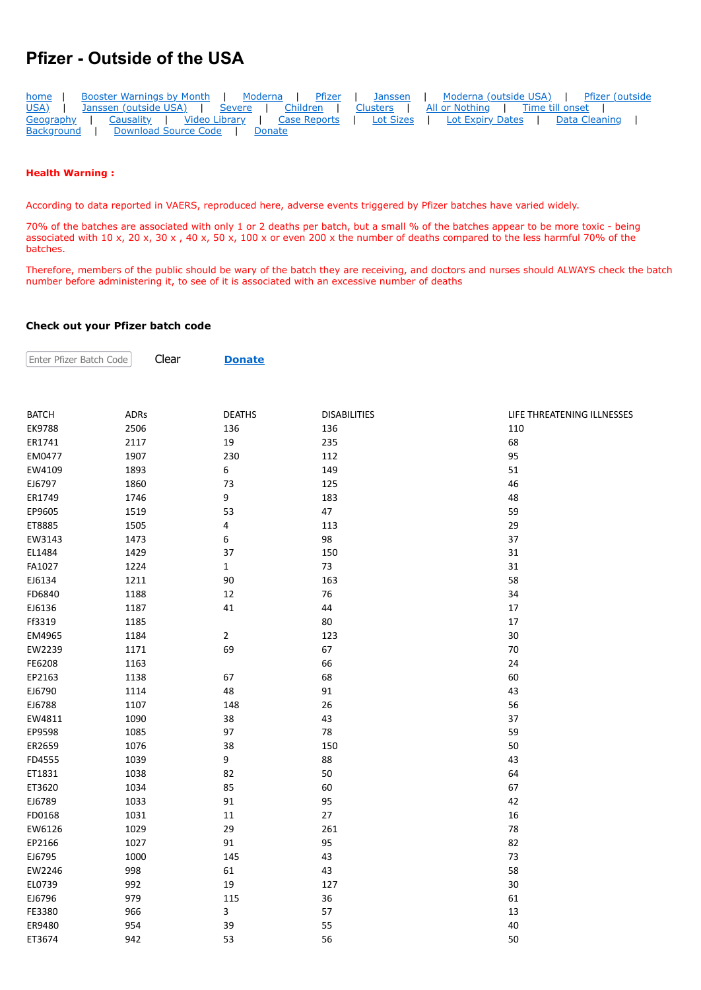## **Pfizer - Outside of the USA**

| home              | Booster Warnings by Month   Moderna   Pfizer   Janssen   Moderna (outside USA)   Pfizer (outside |                                              |
|-------------------|--------------------------------------------------------------------------------------------------|----------------------------------------------|
|                   | USA)   Janssen (outside USA)   Severe   Children   Clusters   All or Nothing   Time till onset   |                                              |
|                   | Geography   Causality   Video Library   Case Reports                                             | Lot Sizes   Lot Expiry Dates   Data Cleaning |
| <b>Background</b> | Download Source Code   Donate                                                                    |                                              |

## **Health Warning :**

According to data reported in VAERS, reproduced here, adverse events triggered by Pfizer batches have varied widely.

70% of the batches are associated with only 1 or 2 deaths per batch, but a small % of the batches appear to be more toxic - being associated with 10 x, 20 x, 30 x , 40 x, 50 x, 100 x or even 200 x the number of deaths compared to the less harmful 70% of the batches.

Therefore, members of the public should be wary of the batch they are receiving, and doctors and nurses should ALWAYS check the batch number before administering it, to see of it is associated with an excessive number of deaths

## **Check out your Pfizer batch code**

Clear **[Donate](https://howbad.info/donatecreditcard.html)**

Enter Pfizer Batch Code

| <b>BATCH</b> | <b>ADRs</b> | <b>DEATHS</b> | <b>DISABILITIES</b> | LIFE THREATENING ILLNESSES |
|--------------|-------------|---------------|---------------------|----------------------------|
| EK9788       | 2506        | 136           | 136                 | 110                        |
| ER1741       | 2117        | 19            | 235                 | 68                         |
| EM0477       | 1907        | 230           | 112                 | 95                         |
| EW4109       | 1893        | 6             | 149                 | 51                         |
| EJ6797       | 1860        | 73            | 125                 | 46                         |
| ER1749       | 1746        | 9             | 183                 | 48                         |
| EP9605       | 1519        | 53            | 47                  | 59                         |
| ET8885       | 1505        | 4             | 113                 | 29                         |
| EW3143       | 1473        | 6             | 98                  | 37                         |
| EL1484       | 1429        | 37            | 150                 | 31                         |
| FA1027       | 1224        | $\mathbf 1$   | 73                  | 31                         |
| EJ6134       | 1211        | 90            | 163                 | 58                         |
| FD6840       | 1188        | 12            | 76                  | 34                         |
| EJ6136       | 1187        | 41            | 44                  | 17                         |
| Ff3319       | 1185        |               | 80                  | 17                         |
| EM4965       | 1184        | $\mathbf{2}$  | 123                 | 30                         |
| EW2239       | 1171        | 69            | 67                  | 70                         |
| FE6208       | 1163        |               | 66                  | 24                         |
| EP2163       | 1138        | 67            | 68                  | 60                         |
| EJ6790       | 1114        | 48            | 91                  | 43                         |
| EJ6788       | 1107        | 148           | 26                  | 56                         |
| EW4811       | 1090        | 38            | 43                  | 37                         |
| EP9598       | 1085        | 97            | 78                  | 59                         |
| ER2659       | 1076        | 38            | 150                 | 50                         |
| FD4555       | 1039        | 9             | 88                  | 43                         |
| ET1831       | 1038        | 82            | 50                  | 64                         |
| ET3620       | 1034        | 85            | 60                  | 67                         |
| EJ6789       | 1033        | 91            | 95                  | 42                         |
| FD0168       | 1031        | 11            | 27                  | 16                         |
| EW6126       | 1029        | 29            | 261                 | 78                         |
| EP2166       | 1027        | 91            | 95                  | 82                         |
| EJ6795       | 1000        | 145           | 43                  | 73                         |
| EW2246       | 998         | 61            | 43                  | 58                         |
| EL0739       | 992         | 19            | 127                 | 30                         |
| EJ6796       | 979         | 115           | 36                  | 61                         |
| FE3380       | 966         | 3             | 57                  | 13                         |
| ER9480       | 954         | 39            | 55                  | 40                         |
| ET3674       | 942         | 53            | 56                  | 50                         |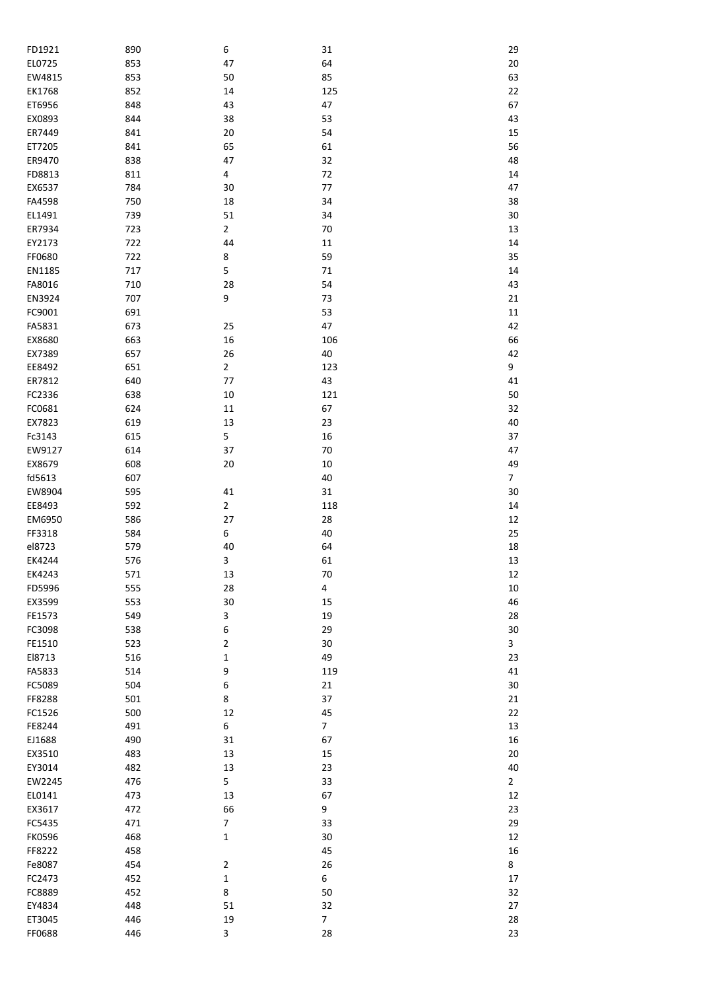| FD1921           | 890        | 6                | 31             | 29             |
|------------------|------------|------------------|----------------|----------------|
| EL0725           | 853        | 47               | 64             | $20\,$         |
| EW4815           | 853        | 50               | 85             | 63             |
| EK1768           | 852        | 14               | 125            | 22             |
| ET6956           | 848        | 43               | 47             | 67             |
| EX0893           | 844        | 38               | 53             | 43             |
| ER7449           | 841        | 20               | 54             | 15             |
| ET7205           | 841        | 65               | 61             | 56             |
| ER9470           | 838        | 47               | 32             | 48             |
| FD8813           | 811        | 4                | 72             | 14             |
| EX6537           | 784        | 30               | 77             | 47             |
| FA4598           | 750        | 18               | 34             | 38             |
| EL1491           | 739        | 51               | 34             | 30             |
| ER7934           | 723        | $\overline{2}$   | 70             | 13             |
| EY2173           | 722        | 44               | $11\,$         | 14             |
| FF0680           | 722        | 8                | 59             | 35             |
| EN1185           | 717        | 5                | $71\,$         | 14             |
| FA8016           | 710        | 28               | 54             | 43             |
| EN3924           | 707        | 9                | 73             | 21             |
| FC9001           | 691        |                  | 53             | 11             |
| FA5831           | 673        | 25               | 47             | 42             |
| EX8680           | 663        | 16               | 106            | 66             |
| EX7389           | 657        | 26               | 40             | 42             |
| EE8492           | 651        | $\overline{2}$   | 123            | 9              |
| ER7812           | 640        | 77               | 43             | 41             |
| FC2336           | 638        | 10               | 121            | 50             |
| FC0681           | 624        | $11\,$           | 67             | 32             |
| EX7823           | 619        | 13               | 23             | 40             |
| Fc3143           | 615        | 5                | 16             | 37             |
| EW9127           | 614        | 37               | 70             | 47             |
| EX8679           | 608        | 20               | $10\,$         | 49             |
| fd5613           | 607        |                  | 40             | $\overline{7}$ |
| EW8904           | 595        | 41               | 31             | 30             |
| EE8493           | 592        | $\overline{2}$   | 118            | 14             |
| EM6950           | 586        | 27<br>6          | 28             | 12             |
| FF3318           | 584        |                  | 40             | 25             |
| el8723<br>EK4244 | 579<br>576 | 40<br>3          | 64<br>61       | 18<br>13       |
| EK4243           | 571        | 13               | $70\,$         | 12             |
| FD5996           | 555        | 28               | 4              | 10             |
| EX3599           | 553        | 30               | 15             | 46             |
| FE1573           | 549        | 3                | 19             | 28             |
| FC3098           | 538        | 6                | 29             | $30\,$         |
| FE1510           | 523        | $\overline{2}$   | 30             | 3              |
| E18713           | 516        | $\mathbf 1$      | 49             | 23             |
| FA5833           | 514        | 9                | 119            | 41             |
| FC5089           | 504        | 6                | 21             | $30\,$         |
| FF8288           | 501        | 8                | 37             | 21             |
| FC1526           | 500        | 12               | 45             | 22             |
| FE8244           | 491        | 6                | $\overline{7}$ | 13             |
| EJ1688           | 490        | 31               | 67             | 16             |
| EX3510           | 483        | 13               | 15             | 20             |
| EY3014           | 482        | 13               | 23             | 40             |
| EW2245           | 476        | 5                | 33             | $\mathbf{2}$   |
| EL0141           | 473        | 13               | 67             | 12             |
| EX3617           | 472        | 66               | 9              | 23             |
| FC5435           | 471        | $\boldsymbol{7}$ | 33             | 29             |
| <b>FK0596</b>    | 468        | $\mathbf 1$      | 30             | 12             |
| FF8222           | 458        |                  | 45             | 16             |
| Fe8087           | 454        | $\overline{2}$   | 26             | 8              |
| FC2473           | 452        | $\mathbf 1$      | 6              | 17             |
| FC8889           | 452        | 8                | 50             | 32             |
| EY4834           | 448        | 51               | 32             | 27             |
| ET3045           | 446        | 19               | $\overline{7}$ | 28             |
| FF0688           | 446        | 3                | 28             | 23             |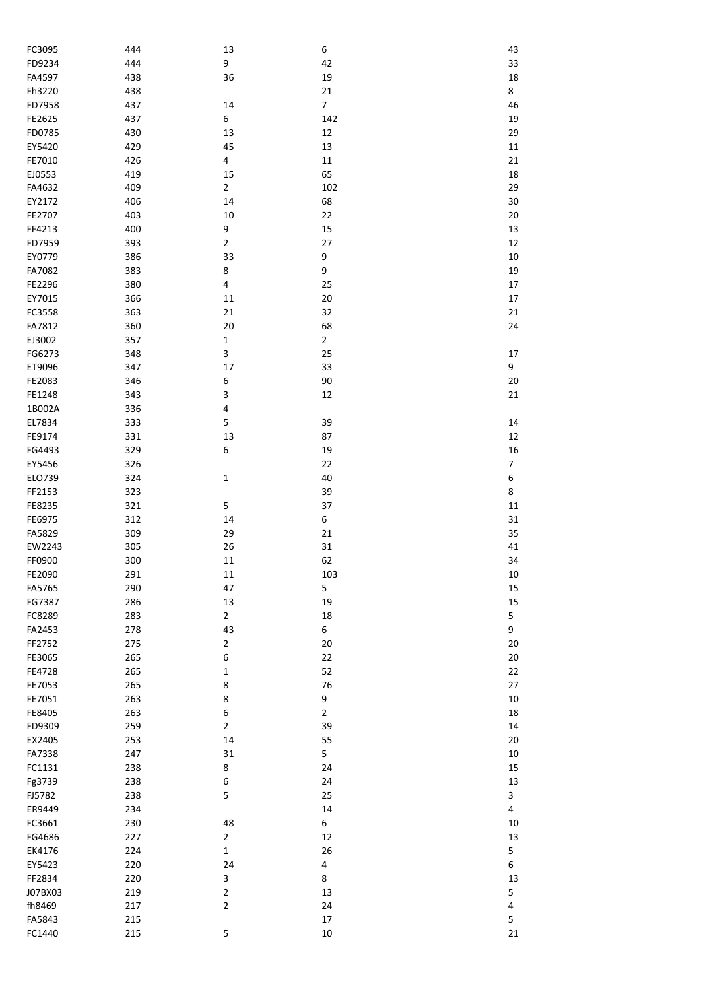| FC3095           | 444        | 13                      | 6              | 43               |
|------------------|------------|-------------------------|----------------|------------------|
| FD9234           | 444        | 9                       | 42             | 33               |
| FA4597           | 438        | 36                      | 19             | 18               |
| Fh3220           | 438        |                         | 21             | 8                |
| FD7958           | 437        | 14                      | $\overline{7}$ | 46               |
| FE2625           | 437        | 6                       | 142            | 19               |
| FD0785           | 430        | 13                      | 12             | 29               |
| EY5420           | 429        | 45                      | 13             | $11\,$           |
| FE7010           | 426        | $\pmb{4}$               | $11\,$         | 21               |
| EJ0553           | 419        | 15                      | 65             | 18               |
| FA4632           | 409        | $\mathbf 2$             | 102            | 29               |
| EY2172           | 406        | 14                      | 68             | 30               |
| FE2707           | 403        | 10                      | 22             | 20               |
| FF4213           | 400        | 9                       | 15             | 13               |
| FD7959           | 393        | $\mathbf 2$             | 27             | 12               |
| EY0779           | 386        | 33                      | 9              | 10               |
| FA7082           | 383        | 8                       | 9              | 19               |
| FE2296           | 380        | $\overline{\mathbf{4}}$ | 25             | $17\,$           |
| EY7015           | 366        | 11                      | $20\,$         | $17\,$           |
| FC3558           | 363        | 21                      | 32             | 21               |
| FA7812           | 360        | 20                      | 68             | 24               |
| EJ3002           | 357        | $\mathbf 1$             | $\overline{2}$ |                  |
| FG6273           | 348        | 3                       | 25             | 17               |
| ET9096           | 347        | 17                      | 33             | 9                |
| FE2083           | 346        | 6                       | 90             | $20\,$           |
| FE1248           | 343        | 3                       | 12             | 21               |
| 1B002A           | 336        | 4                       |                |                  |
| EL7834           | 333        | 5                       | 39             | 14               |
| FE9174           | 331        | 13                      | 87             | 12               |
| FG4493           | 329        | 6                       | 19             | 16               |
| EY5456           | 326        |                         | 22             | $\boldsymbol{7}$ |
| ELO739           | 324        | $\mathbf 1$             | 40             | 6                |
| FF2153           | 323        |                         | 39             | 8                |
| FE8235           | 321        | 5                       | 37             | 11               |
| FE6975<br>FA5829 | 312        | 14<br>29                | 6<br>21        | 31<br>35         |
| EW2243           | 309        | 26                      | 31             | 41               |
| FF0900           | 305<br>300 | $11\,$                  | 62             | 34               |
| FE2090           | 291        | $11\,$                  | 103            | 10               |
| FA5765           | 290        | 47                      | 5              | 15               |
| FG7387           | 286        | 13                      | 19             | 15               |
| FC8289           | 283        | $\overline{2}$          | 18             | 5                |
| FA2453           | 278        | 43                      | 6              | 9                |
| FF2752           | 275        | $\mathbf 2$             | $20\,$         | $20\,$           |
| FE3065           | 265        | 6                       | 22             | 20               |
| FE4728           | 265        | $\mathbf 1$             | 52             | 22               |
| FE7053           | 265        | 8                       | 76             | 27               |
| FE7051           | 263        | 8                       | 9              | 10               |
| FE8405           | 263        | 6                       | $\overline{2}$ | 18               |
| FD9309           | 259        | $\mathbf 2$             | 39             | $14\,$           |
| EX2405           | 253        | 14                      | 55             | 20               |
| FA7338           | 247        | 31                      | 5              | 10               |
| FC1131           | 238        | 8                       | 24             | 15               |
| Fg3739           | 238        | 6                       | 24             | 13               |
| FJ5782           | 238        | 5                       | 25             | 3                |
| ER9449           | 234        |                         | 14             | 4                |
| FC3661           | 230        | 48                      | 6              | 10               |
| FG4686           | 227        | $\mathbf 2$             | 12             | 13               |
| EK4176           | 224        | $\mathbf 1$             | 26             | 5                |
| EY5423           | 220        | 24                      | 4              | 6                |
| FF2834           | 220        | 3                       | 8              | 13               |
| J07BX03          | 219        | $\mathbf 2$             | 13             | 5                |
| fh8469           | 217        | $\mathbf 2$             | 24             | 4                |
| FA5843           | 215        |                         | 17             | 5                |
| FC1440           | 215        | 5                       | $10\,$         | 21               |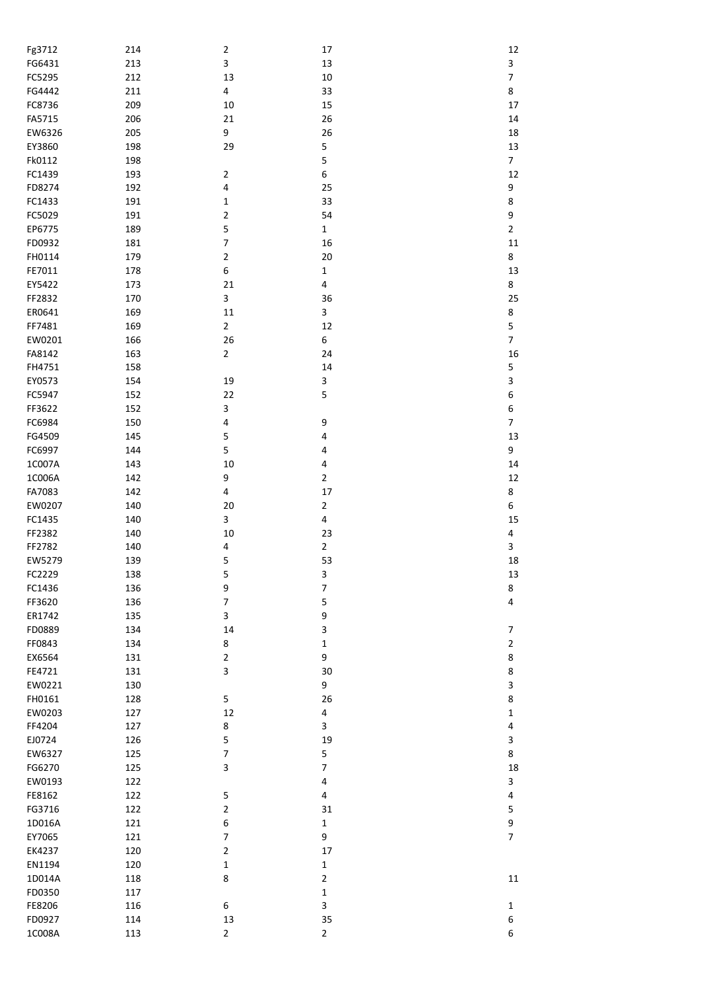| Fg3712 | 214 | $\overline{2}$          | $17\,$           | 12                       |
|--------|-----|-------------------------|------------------|--------------------------|
| FG6431 | 213 | 3                       | 13               | 3                        |
| FC5295 | 212 | 13                      | $10\,$           | $\boldsymbol{7}$         |
|        |     |                         |                  | 8                        |
| FG4442 | 211 | $\overline{\mathbf{4}}$ | 33               |                          |
| FC8736 | 209 | 10                      | 15               | $17\,$                   |
| FA5715 | 206 | 21                      | 26               | $14\,$                   |
| EW6326 | 205 | 9                       | 26               | 18                       |
|        |     |                         |                  |                          |
| EY3860 | 198 | 29                      | 5                | 13                       |
| Fk0112 | 198 |                         | 5                | $\overline{7}$           |
| FC1439 | 193 | $\overline{\mathbf{c}}$ | $\boldsymbol{6}$ | 12                       |
| FD8274 | 192 | 4                       | 25               | 9                        |
|        |     |                         |                  |                          |
| FC1433 | 191 | 1                       | 33               | 8                        |
| FC5029 | 191 | $\overline{\mathbf{c}}$ | 54               | 9                        |
| EP6775 | 189 | 5                       | $\mathbf 1$      | $\mathbf 2$              |
| FD0932 | 181 | 7                       | 16               | 11                       |
|        |     |                         |                  |                          |
| FH0114 | 179 | $\mathbf 2$             | 20               | 8                        |
| FE7011 | 178 | 6                       | $\mathbf 1$      | 13                       |
| EY5422 | 173 | 21                      | $\pmb{4}$        | 8                        |
| FF2832 |     |                         |                  |                          |
|        | 170 | 3                       | 36               | 25                       |
| ER0641 | 169 | 11                      | 3                | 8                        |
| FF7481 | 169 | $\overline{\mathbf{c}}$ | 12               | 5                        |
| EW0201 | 166 | 26                      | 6                | $\overline{\mathcal{I}}$ |
|        |     |                         |                  |                          |
| FA8142 | 163 | $\overline{2}$          | 24               | 16                       |
| FH4751 | 158 |                         | 14               | 5                        |
| EY0573 | 154 | 19                      | 3                | 3                        |
|        |     |                         | 5                | $\boldsymbol{6}$         |
| FC5947 | 152 | 22                      |                  |                          |
| FF3622 | 152 | 3                       |                  | $\boldsymbol{6}$         |
| FC6984 | 150 | 4                       | 9                | $\overline{\mathcal{I}}$ |
| FG4509 | 145 | 5                       | $\pmb{4}$        | 13                       |
|        |     |                         |                  |                          |
| FC6997 | 144 | 5                       | 4                | 9                        |
| 1C007A | 143 | 10                      | 4                | $14\,$                   |
| 1C006A | 142 | 9                       | $\overline{2}$   | 12                       |
| FA7083 | 142 | $\overline{\mathbf{4}}$ | 17               | 8                        |
|        |     |                         |                  |                          |
| EW0207 | 140 | 20                      | $\overline{2}$   | 6                        |
| FC1435 | 140 | 3                       | $\pmb{4}$        | 15                       |
| FF2382 | 140 | 10                      | 23               | 4                        |
| FF2782 |     |                         | $\overline{2}$   |                          |
|        | 140 | 4                       |                  | 3                        |
| EW5279 | 139 | 5                       | 53               | 18                       |
| FC2229 | 138 | 5                       | 3                | 13                       |
| FC1436 | 136 | 9                       | $\boldsymbol{7}$ | 8                        |
|        |     |                         |                  |                          |
| FF3620 | 136 | 7                       | 5                | $\overline{\mathbf{4}}$  |
| ER1742 | 135 | 3                       | 9                |                          |
| FD0889 | 134 | 14                      | 3                | 7                        |
| FF0843 | 134 | 8                       | $\mathbf{1}$     | $\mathbf 2$              |
|        |     |                         |                  |                          |
| EX6564 | 131 | $\overline{2}$          | 9                | 8                        |
| FE4721 | 131 | 3                       | 30               | 8                        |
| EW0221 | 130 |                         | 9                | 3                        |
| FH0161 | 128 | 5                       | 26               | 8                        |
|        |     |                         |                  |                          |
| EW0203 | 127 | 12                      | 4                | $\mathbf 1$              |
| FF4204 | 127 | 8                       | 3                | 4                        |
| EJ0724 | 126 | 5                       | 19               | 3                        |
|        |     |                         |                  |                          |
| EW6327 | 125 | $\boldsymbol{7}$        | 5                | 8                        |
| FG6270 | 125 | 3                       | $\boldsymbol{7}$ | 18                       |
| EW0193 | 122 |                         | 4                | 3                        |
| FE8162 | 122 | 5                       | 4                | 4                        |
|        |     |                         |                  |                          |
| FG3716 | 122 | $\overline{\mathbf{c}}$ | 31               | 5                        |
| 1D016A | 121 | 6                       | $\mathbf 1$      | 9                        |
| EY7065 | 121 | 7                       | 9                | $\overline{7}$           |
| EK4237 | 120 | $\overline{\mathbf{c}}$ | 17               |                          |
|        |     |                         |                  |                          |
| EN1194 | 120 | 1                       | $\mathbf 1$      |                          |
| 1D014A | 118 | 8                       | $\overline{2}$   | 11                       |
| FD0350 | 117 |                         | $\mathbf 1$      |                          |
| FE8206 | 116 | 6                       | 3                | $\mathbf{1}$             |
|        |     |                         |                  |                          |
| FD0927 | 114 | 13                      | 35               | 6                        |
| 1C008A | 113 | $\overline{2}$          | $\overline{2}$   | 6                        |
|        |     |                         |                  |                          |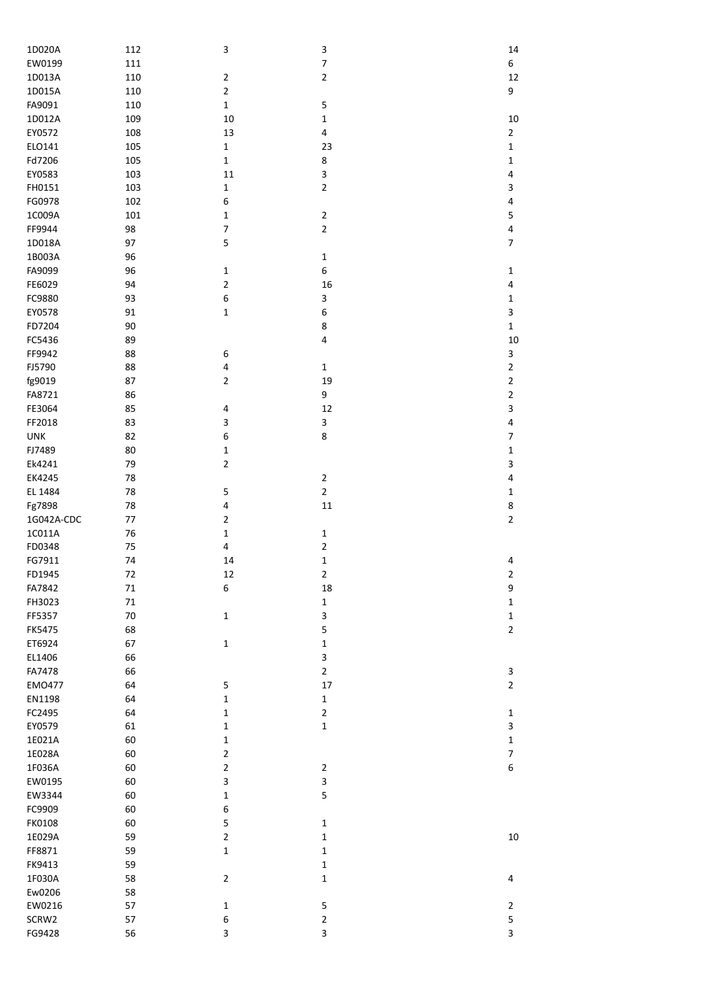| 1D020A        | 112     | 3                | 3                       | 14                      |
|---------------|---------|------------------|-------------------------|-------------------------|
| EW0199        | 111     |                  | $\overline{\mathbf{z}}$ | 6                       |
| 1D013A        | 110     | $\overline{2}$   | $\overline{\mathbf{c}}$ | 12                      |
|               |         |                  |                         |                         |
| 1D015A        | 110     | $\overline{2}$   |                         | 9                       |
| FA9091        | 110     | $\mathbf 1$      | 5                       |                         |
| 1D012A        | 109     | 10               | $\mathbf 1$             | 10                      |
| EY0572        | 108     | 13               | $\overline{\mathbf{4}}$ | $\overline{2}$          |
|               |         |                  |                         |                         |
| ELO141        | 105     | $\mathbf 1$      | 23                      | 1                       |
| Fd7206        | 105     | $\mathbf 1$      | 8                       | 1                       |
| EY0583        | 103     | $11\,$           | 3                       | $\overline{\mathbf{4}}$ |
| FH0151        | 103     | $\mathbf 1$      | $\overline{2}$          | 3                       |
|               |         |                  |                         |                         |
| FG0978        | 102     | 6                |                         | $\pmb{4}$               |
| 1C009A        | 101     | $\mathbf 1$      | $\mathbf 2$             | 5                       |
| FF9944        | 98      | $\boldsymbol{7}$ | $\overline{2}$          | $\overline{\mathbf{4}}$ |
| 1D018A        | 97      | 5                |                         | $\overline{7}$          |
|               |         |                  |                         |                         |
| 1B003A        | 96      |                  | $\mathbf 1$             |                         |
| FA9099        | 96      | $\mathbf 1$      | 6                       | $\mathbf 1$             |
| FE6029        | 94      | $\overline{2}$   | 16                      | 4                       |
| FC9880        | 93      | 6                | 3                       | $\mathbf 1$             |
|               |         |                  |                         |                         |
| EY0578        | 91      | $\mathbf 1$      | 6                       | 3                       |
| FD7204        | 90      |                  | 8                       | $\mathbf{1}$            |
| FC5436        | 89      |                  | $\pmb{4}$               | 10                      |
|               |         |                  |                         |                         |
| FF9942        | 88      | 6                |                         | 3                       |
| FJ5790        | 88      | 4                | $\mathbf 1$             | $\overline{2}$          |
| fg9019        | 87      | $\overline{2}$   | 19                      | $\mathbf 2$             |
| FA8721        | 86      |                  | 9                       | $\mathbf 2$             |
|               |         |                  |                         |                         |
| FE3064        | 85      | 4                | 12                      | 3                       |
| FF2018        | 83      | 3                | 3                       | $\pmb{4}$               |
| <b>UNK</b>    | 82      | 6                | 8                       | $\boldsymbol{7}$        |
| FJ7489        | 80      | $\mathbf 1$      |                         | $\mathbf 1$             |
|               |         |                  |                         |                         |
| Ek4241        | 79      | $\mathbf 2$      |                         | 3                       |
| EK4245        | 78      |                  | $\mathbf 2$             | $\overline{\mathbf{4}}$ |
| EL 1484       | 78      | 5                | $\overline{2}$          | $\mathbf 1$             |
|               |         |                  |                         |                         |
| Fg7898        | 78      | 4                | $11\,$                  | 8                       |
| 1G042A-CDC    | $77 \,$ | $\mathbf 2$      |                         | $\overline{2}$          |
| 1C011A        | 76      | $\mathbf 1$      | $\mathbf 1$             |                         |
| FD0348        | 75      | 4                | $\mathbf 2$             |                         |
|               |         |                  |                         |                         |
| FG7911        | 74      | 14               | $\mathbf 1$             | 4                       |
| FD1945        | 72      | 12               | $\overline{2}$          | $\mathbf 2$             |
| FA7842        | $71\,$  | 6                | 18                      | 9                       |
| FH3023        | $71\,$  |                  | $\mathbf 1$             | $\mathbf 1$             |
|               |         |                  |                         |                         |
| FF5357        | 70      | $\mathbf 1$      | 3                       | $\mathbf 1$             |
| <b>FK5475</b> | 68      |                  | 5                       | $\overline{2}$          |
| ET6924        | 67      | $\mathbf 1$      | $\mathbf 1$             |                         |
| EL1406        | 66      |                  | 3                       |                         |
|               |         |                  |                         |                         |
| FA7478        | 66      |                  | $\overline{2}$          | 3                       |
| EM0477        | 64      | 5                | 17                      | $\overline{2}$          |
| EN1198        | 64      | $\mathbf 1$      | $\mathbf 1$             |                         |
| FC2495        |         |                  |                         |                         |
|               | 64      | $\mathbf 1$      | $\overline{2}$          | $\mathbf{1}$            |
| EY0579        | 61      | $\mathbf{1}$     | $\mathbf 1$             | 3                       |
| 1E021A        | 60      | $\mathbf 1$      |                         | $\mathbf 1$             |
| 1E028A        | 60      | $\mathbf 2$      |                         | $\boldsymbol{7}$        |
|               |         |                  |                         |                         |
| 1F036A        | 60      | $\mathbf 2$      | $\overline{2}$          | $\boldsymbol{6}$        |
| EW0195        | 60      | 3                | 3                       |                         |
| EW3344        | 60      | $\mathbf 1$      | 5                       |                         |
| FC9909        | 60      | 6                |                         |                         |
|               |         |                  |                         |                         |
| FK0108        | 60      | 5                | $\mathbf 1$             |                         |
| 1E029A        | 59      | $\overline{2}$   | $\mathbf 1$             | $10\,$                  |
| FF8871        | 59      | $\mathbf 1$      | $\mathbf 1$             |                         |
| FK9413        | 59      |                  | 1                       |                         |
|               |         |                  |                         |                         |
| 1F030A        | 58      | $\overline{2}$   | $\mathbf 1$             | 4                       |
| Ew0206        | 58      |                  |                         |                         |
| EW0216        | 57      | $\mathbf 1$      | 5                       | $\overline{2}$          |
| SCRW2         | 57      | 6                | $\overline{2}$          |                         |
|               |         |                  |                         | 5                       |
| FG9428        | 56      | 3                | 3                       | 3                       |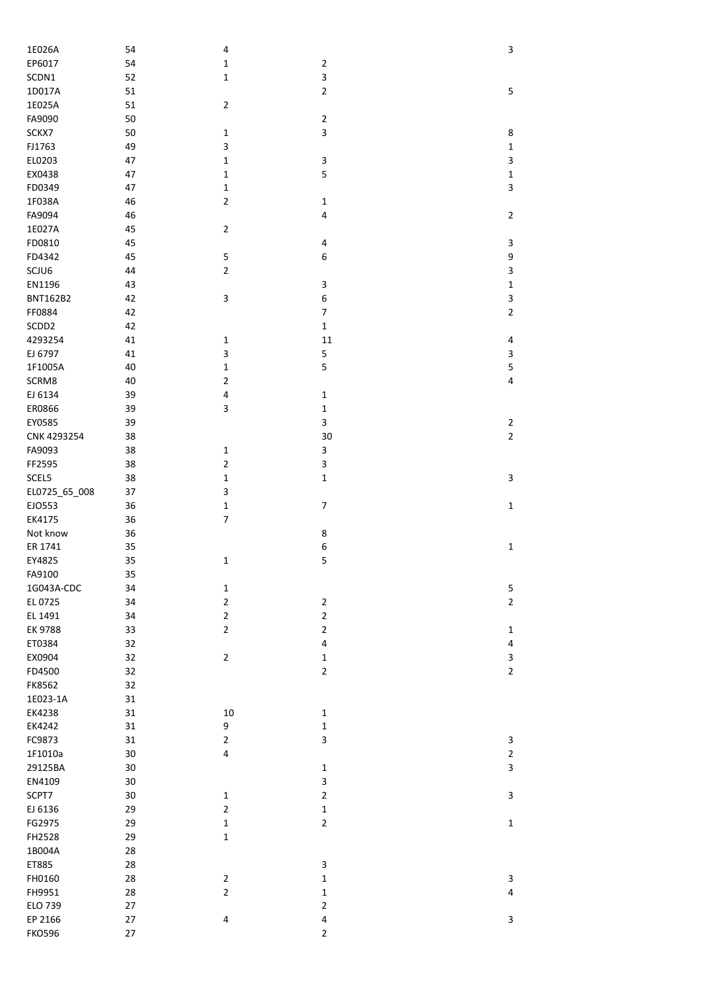| 1E026A            | 54     | 4                        |                          | 3                       |
|-------------------|--------|--------------------------|--------------------------|-------------------------|
| EP6017            | 54     | $\mathbf 1$              | $\mathbf 2$              |                         |
| SCDN1             | 52     | $\mathbf 1$              | 3                        |                         |
| 1D017A            | 51     |                          | $\mathbf 2$              | 5                       |
| 1E025A            | 51     | $\overline{2}$           |                          |                         |
| FA9090            | 50     |                          | $\mathbf 2$              |                         |
| SCKX7             | 50     | $\mathbf{1}$             | $\mathsf 3$              | 8                       |
| FJ1763            | 49     | 3                        |                          | $\mathbf 1$             |
| EL0203            | 47     | $\mathbf 1$              | 3                        | 3                       |
| EX0438            | 47     | $\mathbf 1$              | 5                        | $\mathbf 1$             |
| FD0349            | 47     | $\mathbf 1$              |                          | 3                       |
| 1F038A            | 46     | $\overline{2}$           | $\mathbf{1}$             |                         |
| FA9094            | 46     |                          | $\pmb{4}$                | $\overline{2}$          |
| 1E027A            | 45     | $\overline{2}$           |                          |                         |
| FD0810            | 45     |                          |                          |                         |
|                   |        |                          | 4                        | 3                       |
| FD4342            | 45     | 5                        | 6                        | 9                       |
| SCJU6             | 44     | $\mathbf 2$              |                          | 3                       |
| EN1196            | 43     |                          | 3                        | $\mathbf 1$             |
| <b>BNT162B2</b>   | 42     | 3                        | 6                        | 3                       |
| FF0884            | 42     |                          | $\overline{\phantom{a}}$ | $\overline{2}$          |
| SCDD <sub>2</sub> | 42     |                          | $\mathbf 1$              |                         |
| 4293254           | 41     | $\mathbf 1$              | 11                       | 4                       |
| EJ 6797           | 41     | $\mathsf 3$              | 5                        | 3                       |
| 1F1005A           | 40     | $\mathbf 1$              | 5                        | 5                       |
| SCRM8             | 40     | $\mathbf 2$              |                          | 4                       |
| EJ 6134           | 39     | $\overline{\mathbf{4}}$  | $\mathbf 1$              |                         |
| ER0866            | 39     | 3                        | $\mathbf 1$              |                         |
|                   |        |                          |                          |                         |
| EY0585            | 39     |                          | 3                        | $\overline{\mathbf{c}}$ |
| CNK 4293254       | 38     |                          | 30                       | $\overline{2}$          |
| FA9093            | 38     | $\mathbf{1}$             | 3                        |                         |
| FF2595            | 38     | $\mathbf 2$              | 3                        |                         |
| SCEL5             | 38     | $\mathbf 1$              | $\mathbf 1$              | 3                       |
| EL0725_65_008     | 37     | 3                        |                          |                         |
| EJO553            | 36     | $\mathbf 1$              | $\overline{7}$           | $\mathbf 1$             |
| EK4175            | 36     | $\overline{\phantom{a}}$ |                          |                         |
| Not know          | 36     |                          | 8                        |                         |
| ER 1741           | 35     |                          | 6                        | $\mathbf 1$             |
| EY4825            | 35     | $\mathbf 1$              | 5                        |                         |
| FA9100            | 35     |                          |                          |                         |
| 1G043A-CDC        | 34     | $\mathbf 1$              |                          | 5                       |
| EL 0725           | 34     | $\overline{2}$           | $\mathbf 2$              | $\overline{2}$          |
|                   |        |                          |                          |                         |
| EL 1491           | 34     | $\mathbf 2$              | $\mathbf 2$              |                         |
| EK 9788           | 33     | $\mathbf 2$              | $\mathbf 2$              | $\mathbf{1}$            |
| ET0384            | 32     |                          | $\pmb{4}$                | 4                       |
| EX0904            | 32     | $\overline{2}$           | $\mathbf 1$              | 3                       |
| FD4500            | 32     |                          | $\mathbf 2$              | $\overline{2}$          |
| FK8562            | 32     |                          |                          |                         |
| 1E023-1A          | 31     |                          |                          |                         |
| EK4238            | 31     | $10\,$                   | $\mathbf 1$              |                         |
| EK4242            | 31     | 9                        | $\mathbf 1$              |                         |
| FC9873            | 31     | $\mathbf 2$              | 3                        | 3                       |
| 1F1010a           | 30     | $\overline{\mathbf{4}}$  |                          | $\overline{\mathbf{c}}$ |
| 29125BA           | 30     |                          | $\mathbf 1$              | 3                       |
| EN4109            | $30\,$ |                          | 3                        |                         |
|                   |        |                          |                          |                         |
| SCPT7             | $30\,$ | $\mathbf{1}$             | $\mathbf 2$              | 3                       |
| EJ 6136           | 29     | $\mathbf 2$              | $\mathbf 1$              |                         |
| FG2975            | 29     | $\mathbf 1$              | $\mathbf 2$              | $\mathbf 1$             |
| FH2528            | 29     | $\mathbf 1$              |                          |                         |
| 1B004A            | 28     |                          |                          |                         |
| ET885             | 28     |                          | 3                        |                         |
| FH0160            | 28     | $\overline{2}$           | $\mathbf 1$              | 3                       |
| FH9951            | 28     | $\mathbf 2$              | $\mathbf 1$              | 4                       |
| ELO 739           | 27     |                          | $\mathbf 2$              |                         |
| EP 2166           | 27     | 4                        | $\overline{\mathbf{4}}$  | 3                       |
| <b>FKO596</b>     | 27     |                          | $\mathbf 2$              |                         |
|                   |        |                          |                          |                         |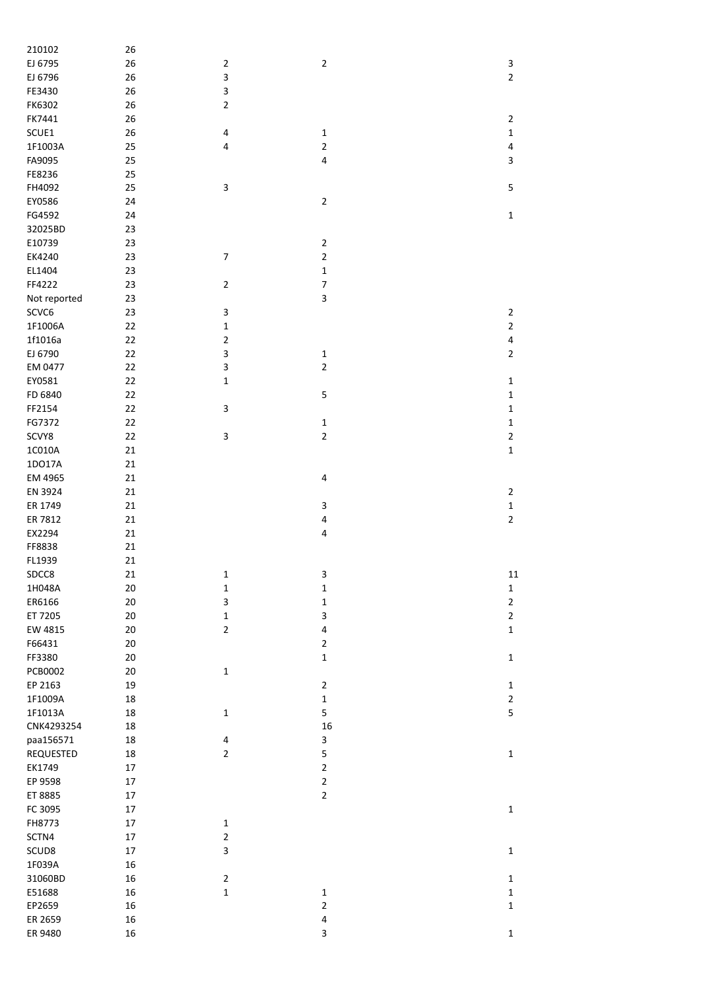| 210102             | 26       |                         |                              |                |
|--------------------|----------|-------------------------|------------------------------|----------------|
| EJ 6795            | 26       | $\overline{2}$          | $\mathbf 2$                  | 3              |
| EJ 6796            | 26       | 3                       |                              | $\mathbf 2$    |
| FE3430             | 26       | 3                       |                              |                |
| FK6302             | 26       | $\overline{2}$          |                              |                |
| FK7441             | 26       |                         |                              | $\mathbf 2$    |
|                    |          |                         |                              |                |
| SCUE1              | 26       | 4                       | $\mathbf 1$                  | $\mathbf 1$    |
| 1F1003A            | 25       | 4                       | $\overline{2}$               | $\pmb{4}$      |
| FA9095             | 25       |                         | $\pmb{4}$                    | 3              |
| FE8236             | 25       |                         |                              |                |
| FH4092             | 25       | 3                       |                              | $\mathsf S$    |
| EY0586             | 24       |                         | $\mathbf 2$                  |                |
| FG4592             | 24       |                         |                              | $\mathbf 1$    |
| 32025BD            | 23       |                         |                              |                |
| E10739             | 23       |                         | $\overline{2}$               |                |
| EK4240             | 23       | $\overline{7}$          | $\mathbf 2$                  |                |
|                    |          |                         |                              |                |
| EL1404             | 23       |                         | $\mathbf 1$                  |                |
| FF4222             | 23       | $\overline{2}$          | $\overline{\mathcal{I}}$     |                |
| Not reported       | 23       |                         | 3                            |                |
| SCVC6              | 23       | 3                       |                              | $\mathbf 2$    |
| 1F1006A            | 22       | $\mathbf 1$             |                              | $\mathbf 2$    |
| 1f1016a            | 22       | $\overline{\mathbf{c}}$ |                              | $\pmb{4}$      |
| EJ 6790            | 22       | 3                       | $\mathbf 1$                  | $\mathbf 2$    |
| EM 0477            | 22       | 3                       | $\overline{2}$               |                |
| EY0581             | 22       | 1                       |                              | $\mathbf 1$    |
| FD 6840            | 22       |                         | 5                            | $\mathbf 1$    |
| FF2154             |          | 3                       |                              |                |
|                    | 22       |                         |                              | $\mathbf 1$    |
| FG7372             | 22       |                         | $\mathbf 1$                  | $\mathbf 1$    |
| SCVY8              | 22       | 3                       | $\overline{2}$               | $\mathbf 2$    |
| $1C010A$           | 21       |                         |                              | $\mathbf 1$    |
| 1DO17A             | 21       |                         |                              |                |
| EM 4965            | 21       |                         | 4                            |                |
|                    |          |                         |                              |                |
| EN 3924            | 21       |                         |                              | $\mathbf 2$    |
|                    |          |                         |                              |                |
| ER 1749            | 21       |                         | 3                            | $\mathbf 1$    |
| ER 7812            | 21       |                         | 4                            | $\mathbf 2$    |
| EX2294             | 21       |                         | 4                            |                |
| FF8838             | 21       |                         |                              |                |
| FL1939             | 21       |                         |                              |                |
| SDCC8              | 21       | 1                       | 3                            | 11             |
| 1H048A             | $20\,$   | $\mathbf 1$             | $\mathbf 1$                  | $\mathbf 1$    |
| ER6166             | $20\,$   | 3                       | $\mathbf 1$                  | $\overline{2}$ |
| ET 7205            | $20\,$   | $\mathbf 1$             | 3                            | $\mathbf 2$    |
| EW 4815            | $20\,$   | $\overline{2}$          | $\overline{\mathbf{4}}$      | $\mathbf 1$    |
| F66431             | $20\,$   |                         | $\overline{2}$               |                |
|                    |          |                         |                              |                |
| FF3380             | $20\,$   |                         | $\mathbf 1$                  | $\mathbf 1$    |
| PCB0002            | $20\,$   | $\mathbf 1$             |                              |                |
| EP 2163            | 19       |                         | $\mathbf 2$                  | $\mathbf 1$    |
| 1F1009A            | 18       |                         | $\mathbf 1$                  | $\mathbf{2}$   |
| 1F1013A            | 18       | $\mathbf{1}$            | 5                            | 5              |
| CNK4293254         | 18       |                         | 16                           |                |
| paa156571          | 18       | 4                       | 3                            |                |
| REQUESTED          | 18       | $\overline{2}$          | 5                            | $\mathbf 1$    |
| EK1749             | 17       |                         | $\mathbf 2$                  |                |
| EP 9598            | 17       |                         | $\mathbf 2$                  |                |
| ET 8885            | 17       |                         | $\overline{2}$               |                |
|                    |          |                         |                              |                |
| FC 3095            | $17\,$   |                         |                              | $\mathbf 1$    |
| FH8773             | $17\,$   | $\mathbf 1$             |                              |                |
| SCTN4              | 17       | $\overline{2}$          |                              |                |
| SCUD8              | $17\,$   | 3                       |                              | $\mathbf 1$    |
| 1F039A             | 16       |                         |                              |                |
| 31060BD            | 16       | $\overline{2}$          |                              | $\mathbf 1$    |
| E51688             | 16       | $\mathbf 1$             | $\mathbf 1$                  | $\mathbf 1$    |
| EP2659             | 16       |                         | $\overline{2}$               | $\mathbf 1$    |
| ER 2659<br>ER 9480 | 16<br>16 |                         | $\overline{\mathbf{4}}$<br>3 |                |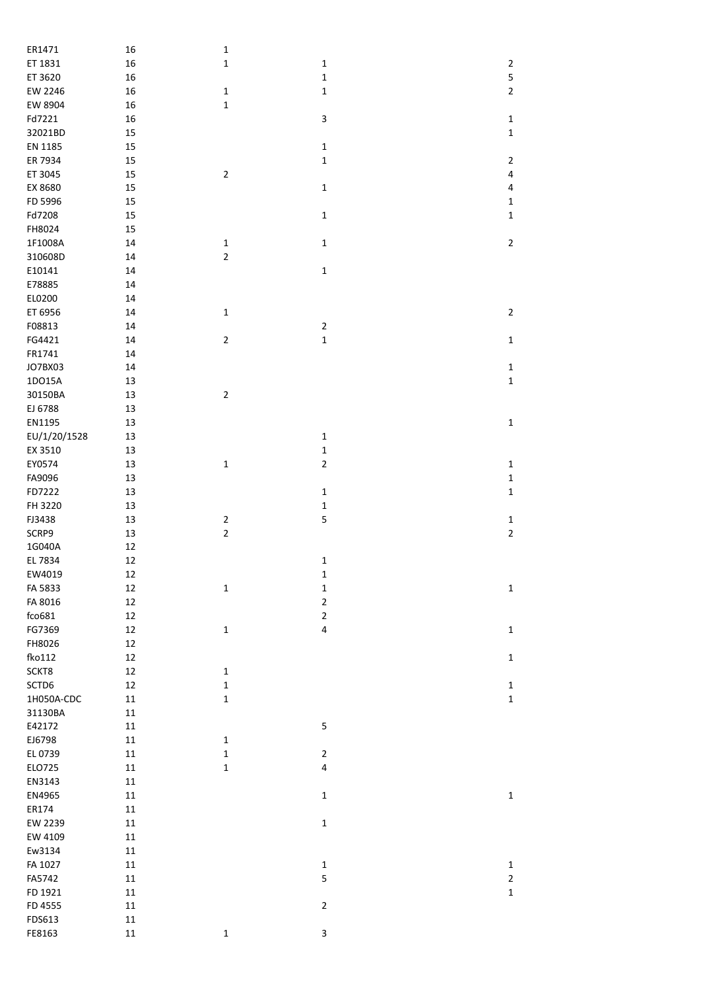| ER1471       | 16         | $\mathbf 1$    |                         |                |
|--------------|------------|----------------|-------------------------|----------------|
| ET 1831      | 16         | $\mathbf 1$    | $\mathbf 1$             | $\sqrt{2}$     |
| ET 3620      | 16         |                | $\mathbf 1$             | 5              |
| EW 2246      | 16         | $\mathbf 1$    | $\mathbf 1$             | $\overline{2}$ |
| EW 8904      | 16         | $\mathbf 1$    |                         |                |
| Fd7221       | 16         |                | 3                       | $\mathbf 1$    |
| 32021BD      | 15         |                |                         | $\mathbf 1$    |
| EN 1185      | 15         |                | $\mathbf 1$             |                |
| ER 7934      | 15         |                | $\mathbf 1$             | $\mathbf 2$    |
| ET 3045      | 15         | $\mathbf 2$    |                         | $\pmb{4}$      |
| EX 8680      | 15         |                | $\mathbf 1$             | 4              |
| FD 5996      | 15         |                |                         | $\mathbf 1$    |
| Fd7208       | 15         |                | $\mathbf 1$             | $\mathbf 1$    |
| FH8024       | 15         |                |                         |                |
| 1F1008A      | 14         | $\mathbf 1$    | $\mathbf 1$             | $\mathbf 2$    |
| 310608D      | 14         | $\mathbf 2$    |                         |                |
| E10141       |            |                | $\mathbf 1$             |                |
|              | 14         |                |                         |                |
| E78885       | 14         |                |                         |                |
| EL0200       | 14         |                |                         |                |
| ET 6956      | 14         | $\mathbf 1$    |                         | $\mathbf 2$    |
| F08813       | 14         |                | $\mathbf 2$             |                |
| FG4421       | 14         | $\mathbf 2$    | $\mathbf 1$             | $\mathbf 1$    |
| FR1741       | 14         |                |                         |                |
| JO7BX03      | 14         |                |                         | $\mathbf 1$    |
| 1DO15A       | 13         |                |                         | $\mathbf 1$    |
| 30150BA      | 13         | $\mathbf 2$    |                         |                |
| EJ 6788      | 13         |                |                         |                |
| EN1195       | 13         |                |                         | $\mathbf 1$    |
| EU/1/20/1528 | 13         |                | $\mathbf 1$             |                |
| EX 3510      | 13         |                | $\mathbf 1$             |                |
| EY0574       | 13         | $\mathbf 1$    | $\mathbf 2$             | $\mathbf 1$    |
| FA9096       | 13         |                |                         | $\mathbf 1$    |
| FD7222       | 13         |                | $\mathbf 1$             | $\mathbf 1$    |
| FH 3220      | 13         |                | $\mathbf 1$             |                |
| FJ3438       | 13         | $\mathbf 2$    | 5                       | $\mathbf 1$    |
| SCRP9        | 13         | $\overline{c}$ |                         | $\mathbf 2$    |
| 1G040A       | 12         |                |                         |                |
| EL 7834      | 12         |                | $\mathbf 1$             |                |
| EW4019       | 12         |                |                         |                |
|              |            |                | 1                       |                |
| FA 5833      | 12         | $\mathbf 1$    | $\mathbf 1$             | $\mathbf 1$    |
| FA 8016      | 12         |                | $\mathbf 2$             |                |
| fco681       | 12         |                | $\overline{2}$          |                |
| FG7369       | 12         | $\mathbf 1$    | $\overline{\mathbf{4}}$ | $\mathbf 1$    |
| FH8026       | 12         |                |                         |                |
| fko112       | 12         |                |                         | $\mathbf 1$    |
| SCKT8        | 12         | $\mathbf 1$    |                         |                |
| SCTD6        | 12         | $\mathbf 1$    |                         | $\mathbf 1$    |
| 1H050A-CDC   | 11         | $\mathbf 1$    |                         | $\mathbf 1$    |
| 31130BA      | $11\,$     |                |                         |                |
| E42172       | 11         |                | 5                       |                |
| EJ6798       | $11\,$     | $\mathbf 1$    |                         |                |
| EL 0739      | $11\,$     | $\mathbf 1$    | $\mathbf 2$             |                |
| ELO725       | $11\,$     | $\mathbf 1$    | $\overline{\mathbf{4}}$ |                |
| EN3143       | $11\,$     |                |                         |                |
| EN4965       | $11\,$     |                | $\mathbf 1$             | $\mathbf 1$    |
| ER174        | 11         |                |                         |                |
| EW 2239      | $11\,$     |                | $\mathbf 1$             |                |
| EW 4109      | $11\,$     |                |                         |                |
| Ew3134       | $11\,$     |                |                         |                |
| FA 1027      | $11\,$     |                |                         |                |
|              |            |                | $\mathbf 1$             | $\mathbf 1$    |
| FA5742       | $11\,$     |                | 5                       | $\mathbf 2$    |
| FD 1921      | 11         |                |                         | $\mathbf 1$    |
| FD 4555      | $11\,$     |                | $\mathbf 2$             |                |
| FDS613       | ${\bf 11}$ |                |                         |                |
| FE8163       | $11\,$     | $\mathbf 1$    | 3                       |                |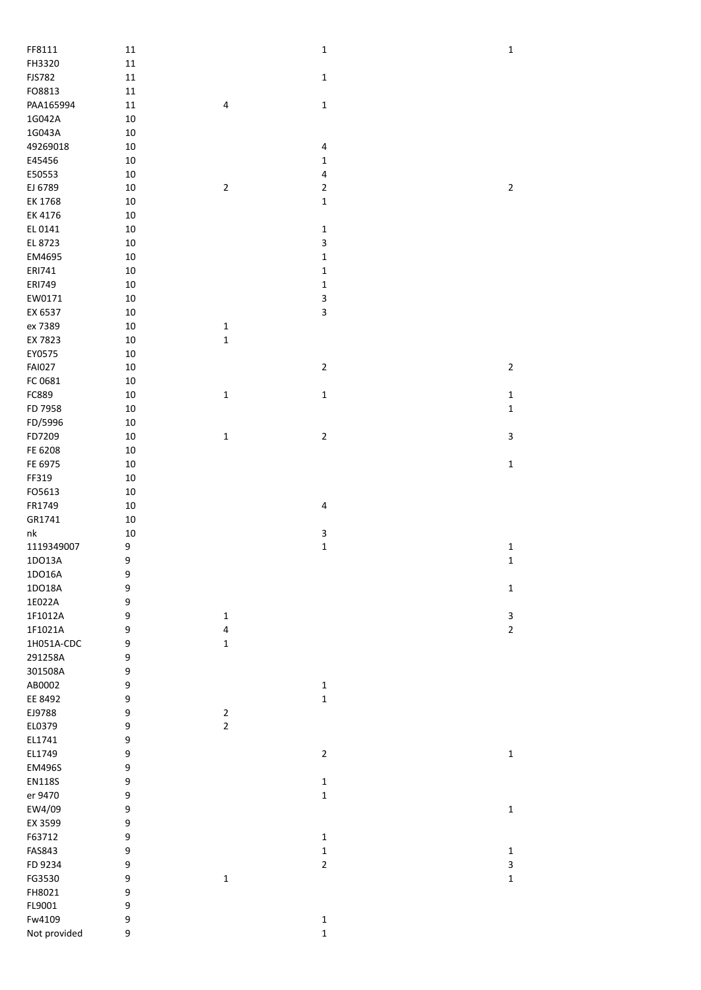| FF8111                 | ${\bf 11}$       |              | $\mathbf 1$                | $\mathbf 1$    |
|------------------------|------------------|--------------|----------------------------|----------------|
| FH3320                 | $11\,$           |              |                            |                |
| <b>FJS782</b>          | $11\,$           |              | $\mathbf 1$                |                |
| FO8813                 | $11\,$           |              |                            |                |
| PAA165994              | $11\,$           | 4            | $\mathbf 1$                |                |
| 1G042A                 | 10               |              |                            |                |
| 1G043A                 | 10               |              |                            |                |
| 49269018               | 10               |              | $\pmb{4}$                  |                |
| E45456                 | 10               |              | $\mathbf 1$                |                |
| E50553                 | 10               |              | $\overline{\mathbf{4}}$    |                |
| EJ 6789                | 10               | $\mathbf 2$  | $\mathbf 2$                | $\overline{2}$ |
| EK 1768                | 10               |              | $\mathbf 1$                |                |
| EK 4176                | 10               |              |                            |                |
| EL 0141                | 10               |              | $\mathbf 1$                |                |
| EL 8723                | 10               |              | 3                          |                |
| EM4695                 | 10               |              | $\mathbf 1$                |                |
| ERI741                 | 10               |              | $\mathbf 1$                |                |
| <b>ERI749</b>          | 10               |              | $\mathbf 1$                |                |
| EW0171                 | 10               |              | 3                          |                |
| EX 6537                | 10               |              | 3                          |                |
| ex 7389                | 10               | $\mathbf 1$  |                            |                |
|                        |                  |              |                            |                |
| EX 7823                | 10               | $\mathbf 1$  |                            |                |
| EY0575                 | 10               |              |                            |                |
| <b>FAI027</b>          | $10\,$           |              | $\mathbf 2$                | $\overline{2}$ |
| FC 0681                | $10\,$           |              |                            |                |
| FC889                  | $10\,$           | $\mathbf 1$  | $\mathbf 1$                | $\mathbf 1$    |
| FD 7958                | 10               |              |                            | $\mathbf 1$    |
| FD/5996                | 10               |              |                            |                |
| FD7209                 | 10               | $\mathbf 1$  | $\mathbf 2$                | $\mathsf 3$    |
| FE 6208                | 10               |              |                            |                |
| FE 6975                | 10               |              |                            | $\mathbf 1$    |
| FF319                  | 10               |              |                            |                |
| FO5613                 | $10\,$           |              |                            |                |
| FR1749                 | $10\,$           |              | 4                          |                |
| GR1741                 | 10               |              |                            |                |
| ${\sf nk}$             | 10               |              | 3                          |                |
| 1119349007             | 9                |              | $\mathbf 1$                | $\mathbf 1$    |
| 1DO13A                 | 9                |              |                            | $\mathbf 1$    |
| 1DO16A                 | 9                |              |                            |                |
| 1DO18A                 | $\boldsymbol{9}$ |              |                            | $\mathbf 1$    |
| 1E022A                 | 9                |              |                            |                |
| 1F1012A                | 9                | $\mathbf{1}$ |                            | 3              |
| 1F1021A                | 9                | 4            |                            | $\overline{2}$ |
| 1H051A-CDC             | 9                | $\mathbf 1$  |                            |                |
| 291258A                | 9                |              |                            |                |
| 301508A                | 9                |              |                            |                |
| AB0002                 | 9                |              | 1                          |                |
| EE 8492                | 9                |              | $\mathbf 1$                |                |
| EJ9788                 | 9                | $\sqrt{2}$   |                            |                |
| EL0379                 | 9                | $\mathbf 2$  |                            |                |
| EL1741                 | 9                |              |                            |                |
| EL1749                 | 9                |              | $\mathbf 2$                | $\mathbf 1$    |
| EM496S                 | 9                |              |                            |                |
| <b>EN118S</b>          | 9                |              | $\mathbf 1$                |                |
| er 9470                | 9                |              | $\mathbf 1$                |                |
| EW4/09                 | 9                |              |                            | $\mathbf 1$    |
| EX 3599                | 9                |              |                            |                |
| F63712                 | 9                |              |                            |                |
|                        |                  |              | 1                          |                |
|                        |                  |              |                            |                |
| FAS843                 | 9                |              | 1                          | $\mathbf 1$    |
| FD 9234                | 9                |              | $\mathbf 2$                | 3              |
| FG3530                 | 9                | $\mathbf 1$  |                            | $\mathbf 1$    |
| FH8021                 | 9                |              |                            |                |
| FL9001                 | 9                |              |                            |                |
| Fw4109<br>Not provided | 9<br>9           |              | $\mathbf 1$<br>$\mathbf 1$ |                |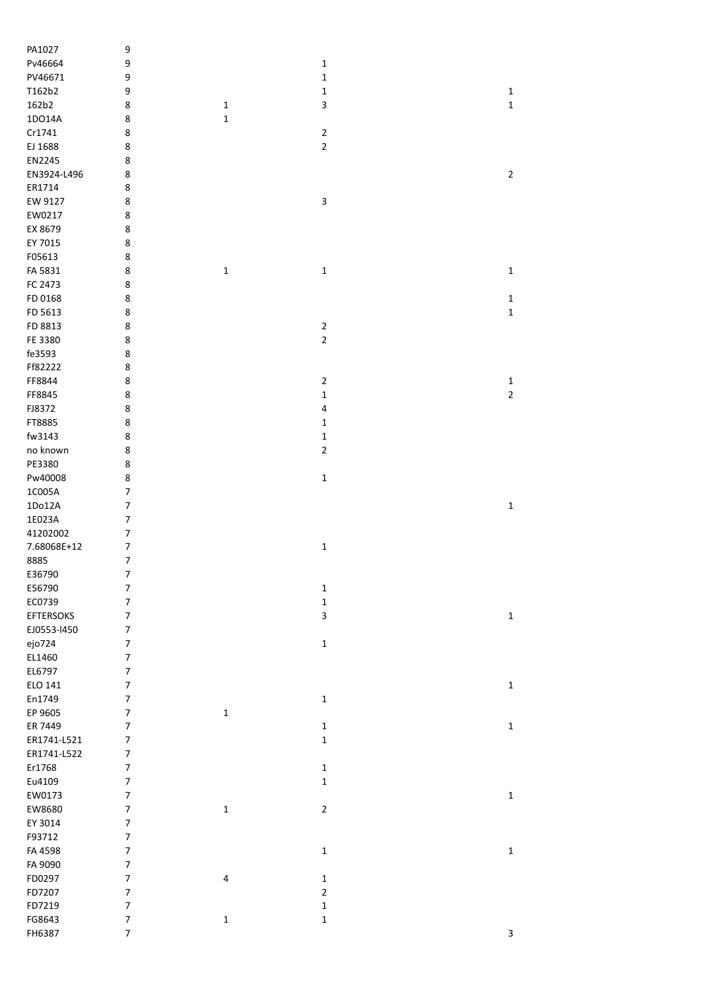| PA1027           | 9                        |             |                         |             |
|------------------|--------------------------|-------------|-------------------------|-------------|
| Pv46664          | 9                        |             | $\mathbf 1$             |             |
| PV46671          | 9                        |             | $\mathbf 1$             |             |
| T162b2           | 9                        |             | $\mathbf 1$             | $\mathbf 1$ |
| 162b2            | 8                        | $\mathbf 1$ | 3                       | $\mathbf 1$ |
| 1DO14A           | 8                        | $\mathbf 1$ |                         |             |
| Cr1741           | 8                        |             | $\overline{\mathbf{c}}$ |             |
|                  |                          |             | $\overline{2}$          |             |
| EJ 1688          | 8                        |             |                         |             |
| EN2245           | 8                        |             |                         |             |
| EN3924-L496      | 8                        |             |                         | $\mathbf 2$ |
| ER1714           | 8                        |             |                         |             |
| EW 9127          | 8                        |             | 3                       |             |
| EW0217           | 8                        |             |                         |             |
| EX 8679          | 8                        |             |                         |             |
| EY 7015          | 8                        |             |                         |             |
| F05613           | 8                        |             |                         |             |
| FA 5831          | 8                        | $\mathbf 1$ | $\mathbf 1$             | $\mathbf 1$ |
| FC 2473          | 8                        |             |                         |             |
| FD 0168          | 8                        |             |                         | $\mathbf 1$ |
| FD 5613          | 8                        |             |                         | $\mathbf 1$ |
| FD 8813          | 8                        |             | $\mathbf{2}$            |             |
|                  |                          |             |                         |             |
| FE 3380          | 8                        |             | $\overline{2}$          |             |
| fe3593           | 8                        |             |                         |             |
| Ff82222          | 8                        |             |                         |             |
| FF8844           | 8                        |             | $\mathbf 2$             | $\mathbf 1$ |
| FF8845           | 8                        |             | $\mathbf 1$             | $\mathbf 2$ |
| FJ8372           | 8                        |             | $\pmb{4}$               |             |
| FT8885           | 8                        |             | $\mathbf 1$             |             |
| fw3143           | 8                        |             | $\mathbf 1$             |             |
| no known         | 8                        |             | $\mathbf 2$             |             |
| PE3380           | 8                        |             |                         |             |
| Pw40008          | 8                        |             | $\mathbf 1$             |             |
| 1C005A           | $\overline{7}$           |             |                         |             |
| 1Do12A           |                          |             |                         |             |
|                  | $\overline{7}$           |             |                         | $\mathbf 1$ |
| 1E023A           | $\overline{7}$           |             |                         |             |
| 41202002         | 7                        |             |                         |             |
| 7.68068E+12      | 7                        |             | $\mathbf 1$             |             |
| 8885             | $\overline{7}$           |             |                         |             |
| E36790           | 7                        |             |                         |             |
| E56790           | $\boldsymbol{7}$         |             | $\mathbf 1$             |             |
| EC0739           | $\overline{\mathcal{I}}$ |             | $\mathbf 1$             |             |
| <b>EFTERSOKS</b> | $\overline{7}$           |             | $\mathsf 3$             | $\mathbf 1$ |
| EJ0553-1450      | $\boldsymbol{7}$         |             |                         |             |
| ejo724           | $\overline{7}$           |             | $\mathbf 1$             |             |
| EL1460           | $\boldsymbol{7}$         |             |                         |             |
| EL6797           | $\boldsymbol{7}$         |             |                         |             |
| ELO 141          | $\overline{7}$           |             |                         | $\mathbf 1$ |
| En1749           | $\overline{7}$           |             | $\mathbf 1$             |             |
| EP 9605          | $\boldsymbol{7}$         | $\mathbf 1$ |                         |             |
|                  |                          |             |                         |             |
| ER 7449          | $\boldsymbol{7}$         |             | $\mathbf 1$             | $\mathbf 1$ |
| ER1741-L521      | $\boldsymbol{7}$         |             | $\mathbf 1$             |             |
| ER1741-L522      | $\boldsymbol{7}$         |             |                         |             |
| Er1768           | $\overline{7}$           |             | $\mathbf 1$             |             |
| Eu4109           | $\overline{7}$           |             | $\mathbf 1$             |             |
| EW0173           | $\overline{7}$           |             |                         | $\mathbf 1$ |
| EW8680           | $\overline{7}$           | $\mathbf 1$ | $\mathbf 2$             |             |
| EY 3014          | $\overline{7}$           |             |                         |             |
| F93712           | $\overline{7}$           |             |                         |             |
| FA 4598          | $\overline{7}$           |             | $\mathbf 1$             | $\mathbf 1$ |
| FA 9090          | $\overline{7}$           |             |                         |             |
| FD0297           | $\overline{7}$           | 4           | $\mathbf 1$             |             |
| FD7207           | $\overline{7}$           |             | $\mathbf 2$             |             |
| FD7219           | $\boldsymbol{7}$         |             | $\mathbf 1$             |             |
| FG8643           | $\boldsymbol{7}$         | $\mathbf 1$ | $\mathbf 1$             |             |
| FH6387           | $\overline{7}$           |             |                         | 3           |
|                  |                          |             |                         |             |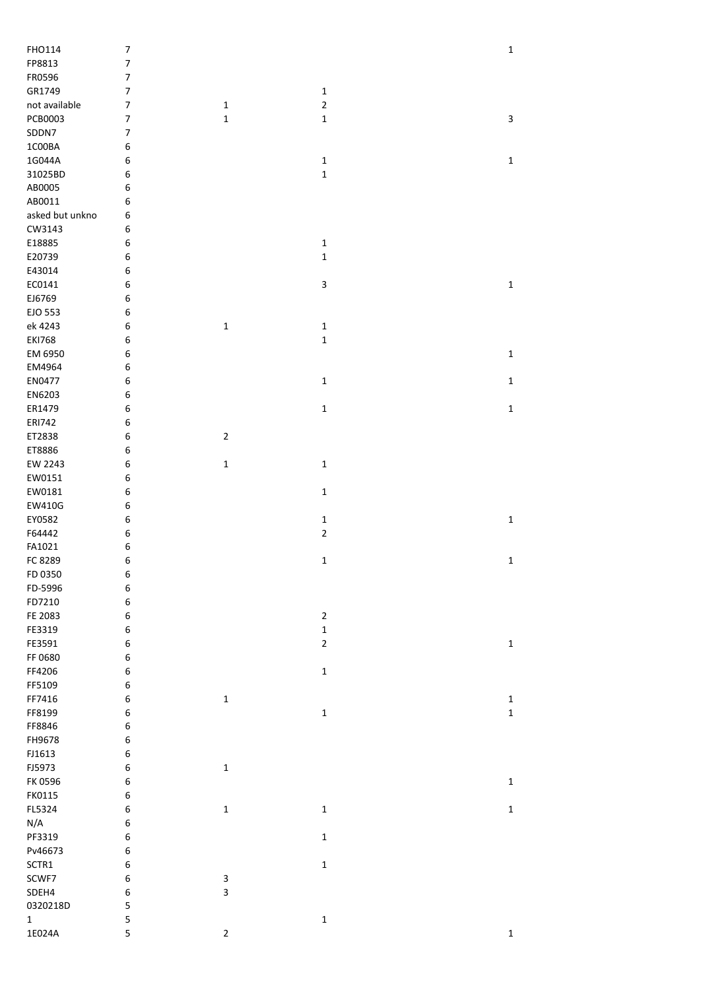| FHO114          | $\boldsymbol{7}$ |             |                | $\mathbf 1$ |
|-----------------|------------------|-------------|----------------|-------------|
| FP8813          | $\boldsymbol{7}$ |             |                |             |
| FR0596          | $\boldsymbol{7}$ |             |                |             |
| GR1749          | $\boldsymbol{7}$ |             | $\mathbf 1$    |             |
| not available   | $\boldsymbol{7}$ | $\mathbf 1$ | $\overline{2}$ |             |
| PCB0003         | $\overline{7}$   | $\mathbf 1$ | $\mathbf 1$    | 3           |
| SDDN7           | $\overline{7}$   |             |                |             |
| 1C00BA          | 6                |             |                |             |
| 1G044A          | 6                |             | $\mathbf 1$    | $\mathbf 1$ |
| 31025BD         | 6                |             | $\mathbf 1$    |             |
| AB0005          | 6                |             |                |             |
| AB0011          | 6                |             |                |             |
|                 |                  |             |                |             |
| asked but unkno | 6                |             |                |             |
| CW3143          | 6                |             |                |             |
| E18885          | 6                |             | $\mathbf 1$    |             |
| E20739          | 6                |             | $\mathbf 1$    |             |
| E43014          | 6                |             |                |             |
| EC0141          | 6                |             | 3              | $\mathbf 1$ |
| EJ6769          | 6                |             |                |             |
| EJO 553         | 6                |             |                |             |
| ek 4243         | $\boldsymbol{6}$ | $\mathbf 1$ | $\mathbf 1$    |             |
| <b>EKI768</b>   | $\boldsymbol{6}$ |             | $\mathbf 1$    |             |
| EM 6950         | $\boldsymbol{6}$ |             |                | $\mathbf 1$ |
| EM4964          | $\boldsymbol{6}$ |             |                |             |
| EN0477          | $\boldsymbol{6}$ |             | $\mathbf 1$    | $\mathbf 1$ |
| EN6203          | 6                |             |                |             |
| ER1479          | 6                |             | $\mathbf 1$    | $\mathbf 1$ |
| ERI742          | 6                |             |                |             |
| ET2838          | 6                | $\mathbf 2$ |                |             |
|                 | 6                |             |                |             |
| ET8886          |                  |             |                |             |
| EW 2243         | 6                | $\mathbf 1$ | $\mathbf 1$    |             |
| EW0151          | 6                |             |                |             |
| EW0181          | $\boldsymbol{6}$ |             | $\mathbf 1$    |             |
| EW410G          | $\boldsymbol{6}$ |             |                |             |
| EY0582          | 6                |             | $\mathbf 1$    | $\mathbf 1$ |
| F64442          | 6                |             | $\mathbf 2$    |             |
| FA1021          | $\boldsymbol{6}$ |             |                |             |
| FC 8289         | 6                |             | $\mathbf 1$    | $\mathbf 1$ |
| FD 0350         | 6                |             |                |             |
| FD-5996         | $\boldsymbol{6}$ |             |                |             |
| FD7210          | $\boldsymbol{6}$ |             |                |             |
| FE 2083         | $\boldsymbol{6}$ |             | $\overline{2}$ |             |
| FE3319          | $\boldsymbol{6}$ |             | $\mathbf 1$    |             |
| FE3591          | $\boldsymbol{6}$ |             | $\overline{2}$ | $\mathbf 1$ |
| FF 0680         | $\boldsymbol{6}$ |             |                |             |
| FF4206          | $\boldsymbol{6}$ |             | $\mathbf 1$    |             |
| FF5109          | $\boldsymbol{6}$ |             |                |             |
| FF7416          | $\boldsymbol{6}$ | $\mathbf 1$ |                | $\mathbf 1$ |
|                 | $\boldsymbol{6}$ |             |                |             |
| FF8199          |                  |             | $\mathbf 1$    | $\mathbf 1$ |
| FF8846          | 6                |             |                |             |
| FH9678          | $\boldsymbol{6}$ |             |                |             |
| FJ1613          | $\boldsymbol{6}$ |             |                |             |
| FJ5973          | $\boldsymbol{6}$ | $\mathbf 1$ |                |             |
| FK 0596         | $\boldsymbol{6}$ |             |                | $\mathbf 1$ |
| FK0115          | $\boldsymbol{6}$ |             |                |             |
| FL5324          | 6                | $\mathbf 1$ | $\mathbf 1$    | $\mathbf 1$ |
| N/A             | $\boldsymbol{6}$ |             |                |             |
| PF3319          | $\boldsymbol{6}$ |             | $\mathbf 1$    |             |
| Pv46673         | $\boldsymbol{6}$ |             |                |             |
| SCTR1           | $\boldsymbol{6}$ |             | $\mathbf 1$    |             |
| SCWF7           | $\boldsymbol{6}$ | 3           |                |             |
| SDEH4           | $\boldsymbol{6}$ | 3           |                |             |
| 0320218D        | ${\mathsf 5}$    |             |                |             |
| $\mathbf{1}$    | 5                |             | $\mathbf 1$    |             |
| 1E024A          | 5                | $\mathbf 2$ |                | $\mathbf 1$ |
|                 |                  |             |                |             |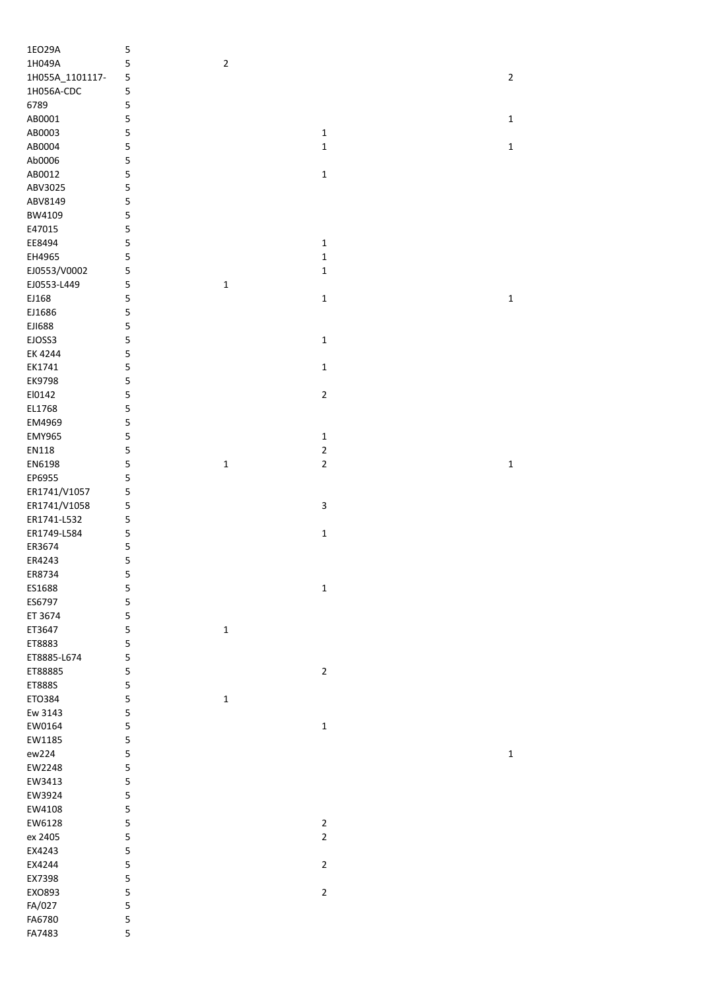| 1EO29A           | 5      |                |                |              |
|------------------|--------|----------------|----------------|--------------|
| 1H049A           | 5      | $\overline{2}$ |                |              |
| 1H055A_1101117-  | 5      |                |                | $\mathbf 2$  |
| 1H056A-CDC       | 5      |                |                |              |
| 6789             | 5      |                |                |              |
| AB0001           | 5      |                |                | $\mathbf 1$  |
| AB0003           | 5      |                | $\mathbf 1$    |              |
|                  |        |                |                |              |
| AB0004           | 5      |                | $\mathbf 1$    | $\mathbf{1}$ |
| Ab0006           | 5      |                |                |              |
| AB0012           | 5      |                | $\mathbf 1$    |              |
| ABV3025          | 5      |                |                |              |
| ABV8149          | 5      |                |                |              |
| BW4109           | 5      |                |                |              |
| E47015           | 5      |                |                |              |
| EE8494           | 5      |                | $\mathbf 1$    |              |
| EH4965           | 5      |                | $\mathbf 1$    |              |
|                  |        |                | $\mathbf 1$    |              |
| EJ0553/V0002     | 5      |                |                |              |
| EJ0553-L449      | 5      | $\mathbf 1$    |                |              |
| EJ168            | 5      |                | $\mathbf 1$    | $\mathbf 1$  |
| EJ1686           | 5      |                |                |              |
| EJ1688           | 5      |                |                |              |
| EJOSS3           | 5      |                | $\mathbf 1$    |              |
| EK 4244          | 5      |                |                |              |
| EK1741           | 5      |                | $\mathbf 1$    |              |
| EK9798           | 5      |                |                |              |
|                  |        |                |                |              |
| El0142           | 5      |                | $\mathbf 2$    |              |
| EL1768           | 5      |                |                |              |
| EM4969           | 5      |                |                |              |
| <b>EMY965</b>    | 5      |                | $\mathbf 1$    |              |
| EN118            | 5      |                | $\mathbf 2$    |              |
| EN6198           | 5      | $\mathbf 1$    | $\mathbf 2$    | $\mathbf 1$  |
| EP6955           | 5      |                |                |              |
|                  |        |                |                |              |
|                  |        |                |                |              |
| ER1741/V1057     | 5      |                |                |              |
| ER1741/V1058     | 5      |                | 3              |              |
| ER1741-L532      | 5      |                |                |              |
| ER1749-L584      | 5      |                | $\mathbf 1$    |              |
| ER3674           | 5      |                |                |              |
| ER4243           | 5      |                |                |              |
| ER8734           | 5      |                |                |              |
| ES1688           |        |                | $\mathbf 1$    |              |
|                  | 5      |                |                |              |
| ES6797           | 5      |                |                |              |
| ET 3674          | 5      |                |                |              |
| ET3647           | 5      | $\mathbf 1$    |                |              |
| ET8883           | 5      |                |                |              |
| ET8885-L674      | 5      |                |                |              |
| ET88885          | 5      |                | $\mathbf 2$    |              |
| ET888S           | 5      |                |                |              |
| ETO384           | 5      | $\mathbf 1$    |                |              |
| Ew 3143          | 5      |                |                |              |
| EW0164           |        |                |                |              |
|                  | 5      |                | $\mathbf 1$    |              |
| EW1185           | 5      |                |                |              |
| ew224            | 5      |                |                | $\mathbf 1$  |
| EW2248           | 5      |                |                |              |
| EW3413           | 5      |                |                |              |
| EW3924           | 5      |                |                |              |
| EW4108           | 5      |                |                |              |
| EW6128           | 5      |                | $\overline{c}$ |              |
| ex 2405          | 5      |                | $\overline{2}$ |              |
| EX4243           | 5      |                |                |              |
| EX4244           | 5      |                | $\overline{2}$ |              |
|                  |        |                |                |              |
| EX7398           | 5      |                |                |              |
| EXO893           | 5      |                | $\mathbf 2$    |              |
| FA/027           | 5      |                |                |              |
| FA6780<br>FA7483 | 5<br>5 |                |                |              |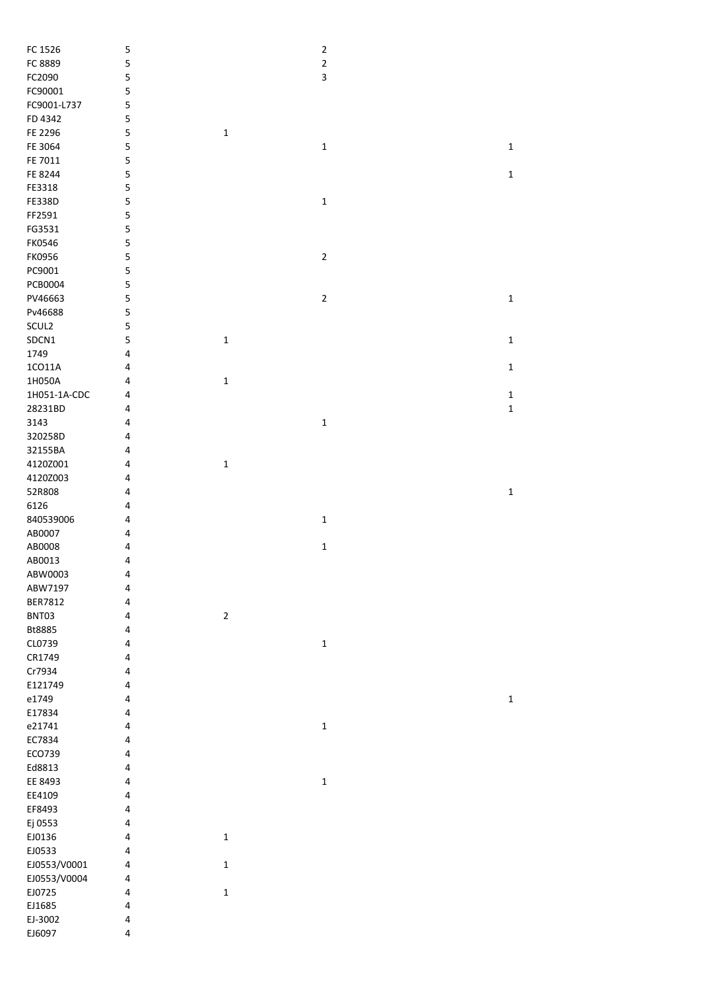| FC 1526       | 5         |             | $\overline{2}$ |             |
|---------------|-----------|-------------|----------------|-------------|
| FC 8889       | 5         |             | $\overline{2}$ |             |
| FC2090        | 5         |             | 3              |             |
| FC90001       | 5         |             |                |             |
| FC9001-L737   | 5         |             |                |             |
| FD 4342       | 5         |             |                |             |
|               | 5         |             |                |             |
| FE 2296       |           | $\mathbf 1$ |                |             |
| FE 3064       | 5         |             | $\mathbf 1$    | $\mathbf 1$ |
| FE 7011       | 5         |             |                |             |
| FE 8244       | 5         |             |                | $\mathbf 1$ |
| FE3318        | 5         |             |                |             |
| <b>FE338D</b> | 5         |             | $\mathbf 1$    |             |
| FF2591        | 5         |             |                |             |
| FG3531        | 5         |             |                |             |
| <b>FK0546</b> | 5         |             |                |             |
| FK0956        |           |             | $\mathbf 2$    |             |
|               | 5         |             |                |             |
| PC9001        | 5         |             |                |             |
| PCB0004       | 5         |             |                |             |
| PV46663       | 5         |             | $\overline{2}$ | $\mathbf 1$ |
| Pv46688       | 5         |             |                |             |
| SCUL2         | 5         |             |                |             |
| SDCN1         | 5         | $\mathbf 1$ |                | $\mathbf 1$ |
| 1749          | 4         |             |                |             |
| 1CO11A        | 4         |             |                | $\mathbf 1$ |
|               |           |             |                |             |
| 1H050A        | 4         | $\mathbf 1$ |                |             |
| 1H051-1A-CDC  | 4         |             |                | $\mathbf 1$ |
| 28231BD       | 4         |             |                | $\mathbf 1$ |
| 3143          | 4         |             | $\mathbf 1$    |             |
| 320258D       | 4         |             |                |             |
| 32155BA       | 4         |             |                |             |
| 4120Z001      | 4         | $\mathbf 1$ |                |             |
| 4120Z003      | 4         |             |                |             |
| 52R808        | 4         |             |                | $\mathbf 1$ |
|               |           |             |                |             |
| 6126          | 4         |             |                |             |
| 840539006     | 4         |             | $\mathbf 1$    |             |
| AB0007        | 4         |             |                |             |
| AB0008        | 4         |             | $\mathbf 1$    |             |
| AB0013        | 4         |             |                |             |
| ABW0003       | 4         |             |                |             |
| ABW7197       | $\pmb{4}$ |             |                |             |
| BER7812       | 4         |             |                |             |
| BNT03         | 4         | $\mathbf 2$ |                |             |
|               |           |             |                |             |
| Bt8885        | 4         |             |                |             |
| CL0739        | 4         |             | $\mathbf 1$    |             |
| CR1749        | 4         |             |                |             |
| Cr7934        | 4         |             |                |             |
| E121749       | 4         |             |                |             |
| e1749         | 4         |             |                | $\mathbf 1$ |
| E17834        | 4         |             |                |             |
| e21741        | 4         |             | $\mathbf 1$    |             |
| EC7834        | 4         |             |                |             |
|               |           |             |                |             |
| ECO739        | 4         |             |                |             |
| Ed8813        | $\pmb{4}$ |             |                |             |
| EE 8493       | 4         |             | $\mathbf 1$    |             |
| EE4109        | 4         |             |                |             |
| EF8493        | 4         |             |                |             |
| Ej 0553       | $\pmb{4}$ |             |                |             |
| EJ0136        | 4         | $\mathbf 1$ |                |             |
| EJ0533        | 4         |             |                |             |
| EJ0553/V0001  | 4         | $\mathbf 1$ |                |             |
|               |           |             |                |             |
| EJ0553/V0004  | 4         |             |                |             |
| EJ0725        | 4         | $\mathbf 1$ |                |             |
| EJ1685        | $\pmb{4}$ |             |                |             |
| EJ-3002       | 4         |             |                |             |
| EJ6097        | $\pmb{4}$ |             |                |             |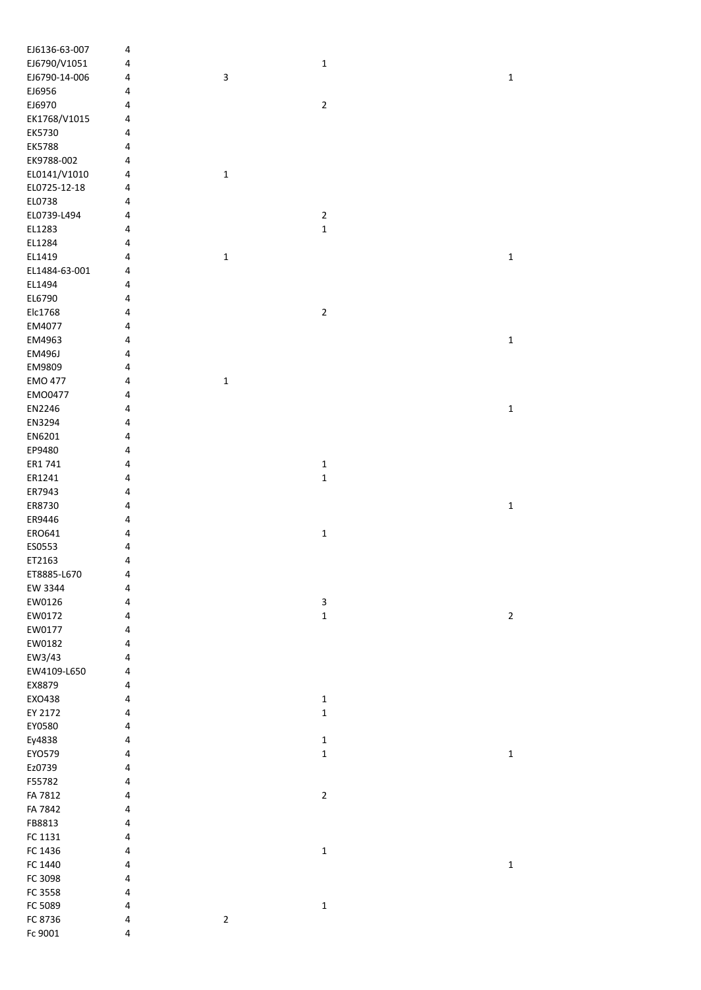| EJ6136-63-007  | 4         |             |                         |             |
|----------------|-----------|-------------|-------------------------|-------------|
| EJ6790/V1051   | 4         |             | $\mathbf 1$             |             |
| EJ6790-14-006  | 4         | 3           |                         | $\mathbf 1$ |
| EJ6956         | 4         |             |                         |             |
| EJ6970         | 4         |             | $\mathbf 2$             |             |
| EK1768/V1015   | 4         |             |                         |             |
|                |           |             |                         |             |
| EK5730         | 4         |             |                         |             |
| <b>EK5788</b>  | 4         |             |                         |             |
| EK9788-002     | 4         |             |                         |             |
| EL0141/V1010   | 4         | $\mathbf 1$ |                         |             |
| EL0725-12-18   | 4         |             |                         |             |
| EL0738         | 4         |             |                         |             |
| EL0739-L494    | 4         |             | $\overline{\mathbf{c}}$ |             |
| EL1283         | 4         |             | $\mathbf 1$             |             |
| EL1284         | 4         |             |                         |             |
| EL1419         | 4         | $\mathbf 1$ |                         | $\mathbf 1$ |
| EL1484-63-001  | 4         |             |                         |             |
| EL1494         | 4         |             |                         |             |
| EL6790         | 4         |             |                         |             |
| Elc1768        | 4         |             | $\overline{\mathbf{c}}$ |             |
| EM4077         | 4         |             |                         |             |
| EM4963         | 4         |             |                         | $\mathbf 1$ |
|                |           |             |                         |             |
| <b>EM496J</b>  | 4         |             |                         |             |
| EM9809         | 4         |             |                         |             |
| <b>EMO 477</b> | 4         | $\mathbf 1$ |                         |             |
| EM00477        | 4         |             |                         |             |
| EN2246         | 4         |             |                         | $\mathbf 1$ |
| EN3294         | 4         |             |                         |             |
| EN6201         | 4         |             |                         |             |
| EP9480         | 4         |             |                         |             |
| ER1 741        | 4         |             | $\mathbf 1$             |             |
| ER1241         | 4         |             | $\mathbf 1$             |             |
| ER7943         | 4         |             |                         |             |
| ER8730         | 4         |             |                         | $\mathbf 1$ |
| ER9446         | 4         |             |                         |             |
| ERO641         | 4         |             | $\mathbf 1$             |             |
| ES0553         | 4         |             |                         |             |
| ET2163         | 4         |             |                         |             |
|                |           |             |                         |             |
| ET8885-L670    | 4         |             |                         |             |
| EW 3344        | 4         |             |                         |             |
| EW0126         | 4         |             | 3                       |             |
| EW0172         | 4         |             | $\mathbf 1$             | $\mathbf 2$ |
| EW0177         | 4         |             |                         |             |
| EW0182         | 4         |             |                         |             |
| EW3/43         | 4         |             |                         |             |
| EW4109-L650    | 4         |             |                         |             |
| EX8879         | 4         |             |                         |             |
| EXO438         | 4         |             | $\mathbf 1$             |             |
| EY 2172        | 4         |             | $\mathbf 1$             |             |
| EY0580         | 4         |             |                         |             |
| Ey4838         | 4         |             | $\mathbf 1$             |             |
| EYO579         | 4         |             | $\mathbf 1$             | $\mathbf 1$ |
| Ez0739         | 4         |             |                         |             |
| F55782         | 4         |             |                         |             |
| FA 7812        | 4         |             | $\mathbf 2$             |             |
| FA 7842        | 4         |             |                         |             |
| FB8813         | 4         |             |                         |             |
| FC 1131        | 4         |             |                         |             |
| FC 1436        | 4         |             | $\mathbf 1$             |             |
| FC 1440        | 4         |             |                         | $\mathbf 1$ |
|                |           |             |                         |             |
| FC 3098        | 4         |             |                         |             |
| FC 3558        | 4         |             |                         |             |
| FC 5089        | 4         |             | $\mathbf 1$             |             |
| FC 8736        | 4         | $\mathbf 2$ |                         |             |
| Fc 9001        | $\pmb{4}$ |             |                         |             |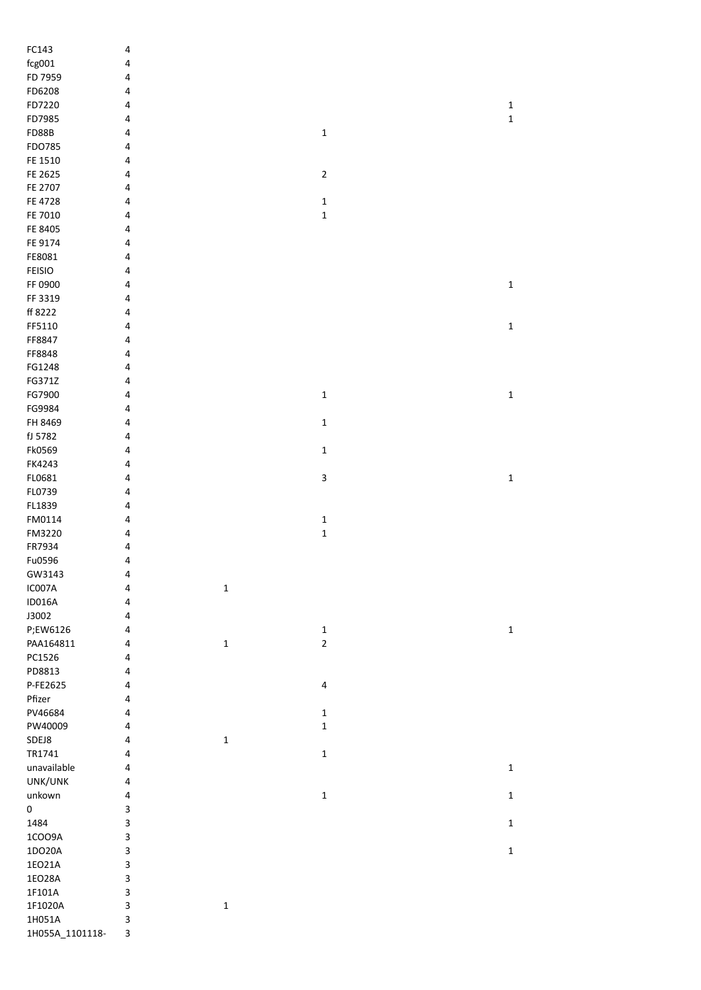| FC143           | 4                       |             |                           |  |             |
|-----------------|-------------------------|-------------|---------------------------|--|-------------|
| fcg001          | 4                       |             |                           |  |             |
| FD 7959         | 4                       |             |                           |  |             |
| FD6208          | 4                       |             |                           |  |             |
| FD7220          | 4                       |             |                           |  | $\mathbf 1$ |
| FD7985          | 4                       |             |                           |  | $\mathbf 1$ |
| <b>FD88B</b>    | 4                       |             | $\mathbf 1$               |  |             |
| FDO785          | 4                       |             |                           |  |             |
|                 |                         |             |                           |  |             |
| FE 1510         | 4                       |             |                           |  |             |
| FE 2625         | 4                       |             | $\mathbf 2$               |  |             |
| FE 2707         | 4                       |             |                           |  |             |
| FE 4728         | 4                       |             | $\mathbf 1$               |  |             |
| FE 7010         | 4                       |             | $\mathbf 1$               |  |             |
| FE 8405         | 4                       |             |                           |  |             |
| FE 9174         | 4                       |             |                           |  |             |
| FE8081          | 4                       |             |                           |  |             |
| <b>FEISIO</b>   | 4                       |             |                           |  |             |
| FF 0900         | 4                       |             |                           |  | $\mathbf 1$ |
|                 |                         |             |                           |  |             |
| FF 3319         | 4                       |             |                           |  |             |
| ff 8222         | 4                       |             |                           |  |             |
| FF5110          | 4                       |             |                           |  | $\mathbf 1$ |
| FF8847          | 4                       |             |                           |  |             |
| FF8848          | 4                       |             |                           |  |             |
| FG1248          | 4                       |             |                           |  |             |
| FG371Z          | 4                       |             |                           |  |             |
| FG7900          | 4                       |             | $\mathbf 1$               |  | $\mathbf 1$ |
| FG9984          | 4                       |             |                           |  |             |
| FH 8469         |                         |             |                           |  |             |
|                 | 4                       |             | $\mathbf 1$               |  |             |
| fJ 5782         | 4                       |             |                           |  |             |
| Fk0569          | 4                       |             | $\mathbf 1$               |  |             |
| FK4243          | 4                       |             |                           |  |             |
| FL0681          | 4                       |             | $\ensuremath{\mathsf{3}}$ |  | $\mathbf 1$ |
| FL0739          | 4                       |             |                           |  |             |
| FL1839          | 4                       |             |                           |  |             |
| FM0114          | 4                       |             | $\mathbf 1$               |  |             |
| FM3220          | 4                       |             | $\mathbf 1$               |  |             |
| FR7934          | 4                       |             |                           |  |             |
|                 |                         |             |                           |  |             |
| Fu0596          | 4                       |             |                           |  |             |
| GW3143          | 4                       |             |                           |  |             |
| IC007A          | 4                       | $\mathbf 1$ |                           |  |             |
| <b>ID016A</b>   | $\overline{\mathbf{4}}$ |             |                           |  |             |
| J3002           | 4                       |             |                           |  |             |
| P;EW6126        | 4                       |             | $\mathbf 1$               |  | $\mathbf 1$ |
| PAA164811       | 4                       | $\mathbf 1$ | $\mathbf 2$               |  |             |
| PC1526          | 4                       |             |                           |  |             |
| PD8813          | 4                       |             |                           |  |             |
| P-FE2625        | 4                       |             | 4                         |  |             |
|                 |                         |             |                           |  |             |
| Pfizer          | 4                       |             |                           |  |             |
| PV46684         | 4                       |             | $\mathbf 1$               |  |             |
| PW40009         | 4                       |             | $\mathbf 1$               |  |             |
| SDEJ8           | $\overline{4}$          | $\mathbf 1$ |                           |  |             |
| TR1741          | 4                       |             | $\mathbf 1$               |  |             |
| unavailable     | $\overline{\mathbf{4}}$ |             |                           |  | $\mathbf 1$ |
| UNK/UNK         | 4                       |             |                           |  |             |
| unkown          | 4                       |             | $\mathbf 1$               |  | $\mathbf 1$ |
| $\pmb{0}$       | 3                       |             |                           |  |             |
|                 |                         |             |                           |  |             |
| 1484            | 3                       |             |                           |  | $\mathbf 1$ |
| 1COO9A          | 3                       |             |                           |  |             |
| 1DO20A          | 3                       |             |                           |  | $\mathbf 1$ |
| 1EO21A          | 3                       |             |                           |  |             |
| 1EO28A          | 3                       |             |                           |  |             |
| 1F101A          | 3                       |             |                           |  |             |
| 1F1020A         | 3                       | $\mathbf 1$ |                           |  |             |
| 1H051A          | 3                       |             |                           |  |             |
| 1H055A_1101118- | 3                       |             |                           |  |             |
|                 |                         |             |                           |  |             |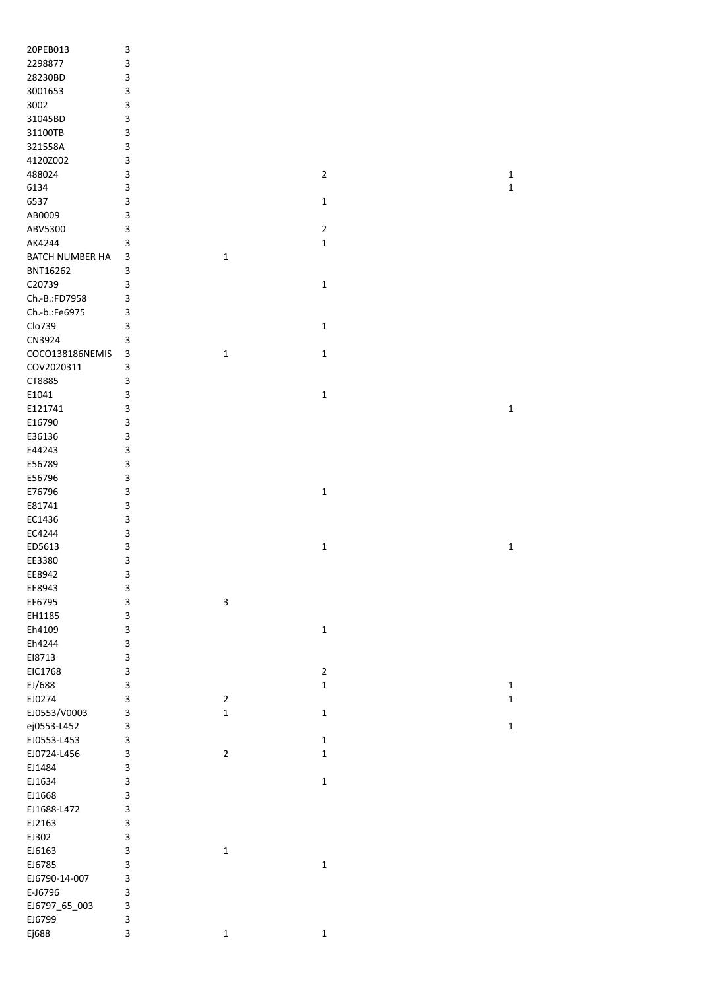| 20PEB013        | $\ensuremath{\mathsf{3}}$ |                           |                |              |
|-----------------|---------------------------|---------------------------|----------------|--------------|
| 2298877         | 3                         |                           |                |              |
|                 |                           |                           |                |              |
| 28230BD         | 3                         |                           |                |              |
| 3001653         | 3                         |                           |                |              |
| 3002            | 3                         |                           |                |              |
| 31045BD         | 3                         |                           |                |              |
| 31100TB         | 3                         |                           |                |              |
| 321558A         | 3                         |                           |                |              |
| 4120Z002        | 3                         |                           |                |              |
| 488024          | 3                         |                           | $\overline{2}$ | $\mathbf 1$  |
| 6134            | 3                         |                           |                | $\mathbf 1$  |
| 6537            | 3                         |                           | $\mathbf 1$    |              |
|                 |                           |                           |                |              |
| AB0009          | 3                         |                           |                |              |
| ABV5300         | 3                         |                           | $\overline{2}$ |              |
| AK4244          | 3                         |                           | $\mathbf 1$    |              |
| BATCH NUMBER HA | 3                         | $\mathbf 1$               |                |              |
| BNT16262        | 3                         |                           |                |              |
| C20739          | 3                         |                           | $\mathbf{1}$   |              |
| Ch.-B.:FD7958   | 3                         |                           |                |              |
| Ch.-b.:Fe6975   | 3                         |                           |                |              |
| Clo739          | 3                         |                           | $\mathbf 1$    |              |
|                 |                           |                           |                |              |
| CN3924          | 3                         |                           |                |              |
| COCO138186NEMIS | 3                         | 1                         | 1              |              |
| COV2020311      | 3                         |                           |                |              |
| CT8885          | 3                         |                           |                |              |
| E1041           | 3                         |                           | 1              |              |
| E121741         | 3                         |                           |                | $\mathbf 1$  |
| E16790          | 3                         |                           |                |              |
| E36136          | 3                         |                           |                |              |
| E44243          | 3                         |                           |                |              |
| E56789          | 3                         |                           |                |              |
|                 |                           |                           |                |              |
| E56796          | 3                         |                           |                |              |
| E76796          | 3                         |                           | $\mathbf 1$    |              |
| E81741          | 3                         |                           |                |              |
| EC1436          | 3                         |                           |                |              |
| EC4244          | 3                         |                           |                |              |
| ED5613          | 3                         |                           | $\mathbf 1$    | $\mathbf 1$  |
| EE3380          | 3                         |                           |                |              |
| EE8942          | 3                         |                           |                |              |
| EE8943          | 3                         |                           |                |              |
| EF6795          | 3                         | $\ensuremath{\mathsf{3}}$ |                |              |
|                 |                           |                           |                |              |
| EH1185          | 3                         |                           |                |              |
| Eh4109          | 3                         |                           | $\mathbf 1$    |              |
| Eh4244          | 3                         |                           |                |              |
| E18713          | 3                         |                           |                |              |
| EIC1768         | 3                         |                           | $\overline{2}$ |              |
| EJ/688          | 3                         |                           | $\mathbf 1$    | $\mathbf{1}$ |
| EJ0274          | 3                         | $\overline{2}$            |                | $\mathbf 1$  |
| EJ0553/V0003    | 3                         | $\mathbf 1$               | $\mathbf{1}$   |              |
| ej0553-L452     | 3                         |                           |                | $\mathbf 1$  |
| EJ0553-L453     |                           |                           | $\mathbf 1$    |              |
|                 | 3                         |                           |                |              |
| EJ0724-L456     | 3                         | $\overline{2}$            | $\mathbf 1$    |              |
| EJ1484          | 3                         |                           |                |              |
| EJ1634          | 3                         |                           | 1              |              |
| EJ1668          | 3                         |                           |                |              |
| EJ1688-L472     | 3                         |                           |                |              |
| EJ2163          | 3                         |                           |                |              |
| EJ302           | 3                         |                           |                |              |
| EJ6163          | 3                         | $\mathbf 1$               |                |              |
| EJ6785          | 3                         |                           | $\mathbf 1$    |              |
|                 |                           |                           |                |              |
| EJ6790-14-007   | 3                         |                           |                |              |
| E-J6796         | 3                         |                           |                |              |
| EJ6797_65_003   | 3                         |                           |                |              |
| EJ6799          | 3                         |                           |                |              |
| Ej688           | 3                         | $\mathbf 1$               | $\mathbf 1$    |              |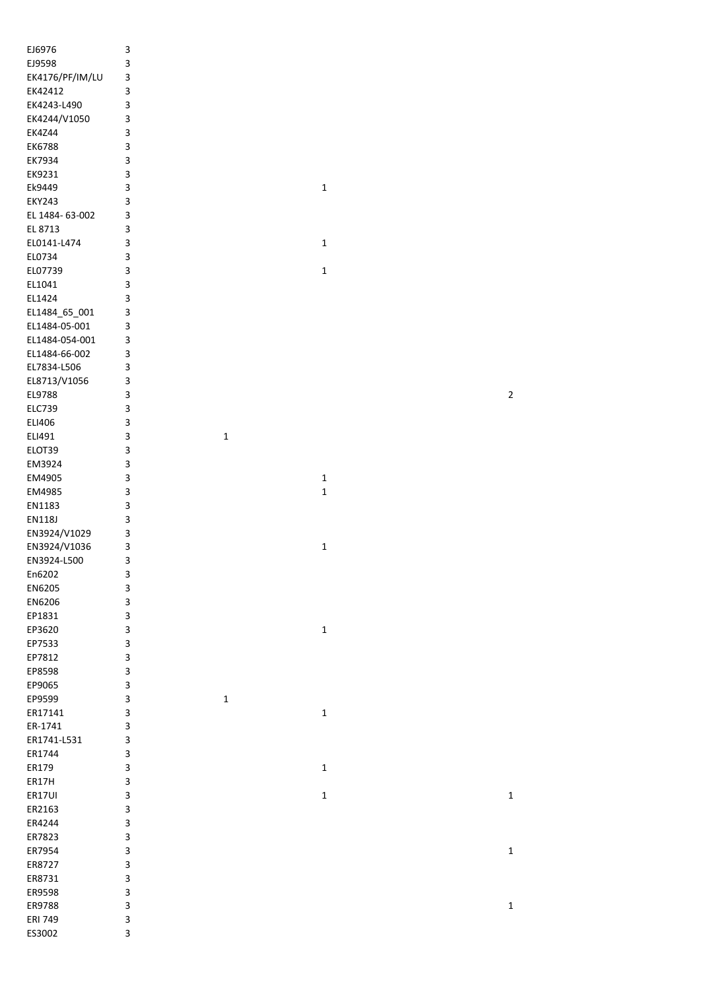| EJ6976          | 3 |             |             |             |
|-----------------|---|-------------|-------------|-------------|
| EJ9598          | 3 |             |             |             |
| EK4176/PF/IM/LU | 3 |             |             |             |
| EK42412         | 3 |             |             |             |
|                 |   |             |             |             |
| EK4243-L490     | 3 |             |             |             |
| EK4244/V1050    | 3 |             |             |             |
| <b>EK4Z44</b>   | 3 |             |             |             |
| EK6788          | 3 |             |             |             |
| EK7934          | 3 |             |             |             |
|                 |   |             |             |             |
| EK9231          | 3 |             |             |             |
| Ek9449          | 3 |             | $\mathbf 1$ |             |
| <b>EKY243</b>   | 3 |             |             |             |
| EL 1484- 63-002 | 3 |             |             |             |
| EL 8713         | 3 |             |             |             |
|                 |   |             |             |             |
| EL0141-L474     | 3 |             | $\mathbf 1$ |             |
| EL0734          | 3 |             |             |             |
| EL07739         | 3 |             | $\mathbf 1$ |             |
| EL1041          | 3 |             |             |             |
| EL1424          | 3 |             |             |             |
|                 |   |             |             |             |
| EL1484_65_001   | 3 |             |             |             |
| EL1484-05-001   | 3 |             |             |             |
| EL1484-054-001  | 3 |             |             |             |
| EL1484-66-002   | 3 |             |             |             |
|                 |   |             |             |             |
| EL7834-L506     | 3 |             |             |             |
| EL8713/V1056    | 3 |             |             |             |
| EL9788          | 3 |             |             | $\mathbf 2$ |
| <b>ELC739</b>   | 3 |             |             |             |
| ELI406          | 3 |             |             |             |
| ELI491          | 3 | $\mathbf 1$ |             |             |
| ELOT39          | 3 |             |             |             |
|                 |   |             |             |             |
| EM3924          | 3 |             |             |             |
| EM4905          | 3 |             | $\mathbf 1$ |             |
| EM4985          | 3 |             | $\mathbf 1$ |             |
| EN1183          | 3 |             |             |             |
| <b>EN118J</b>   | 3 |             |             |             |
| EN3924/V1029    | 3 |             |             |             |
|                 |   |             |             |             |
| EN3924/V1036    | 3 |             | $\mathbf 1$ |             |
| EN3924-L500     | 3 |             |             |             |
| En6202          | 3 |             |             |             |
| EN6205          | 3 |             |             |             |
| EN6206          | 3 |             |             |             |
| EP1831          | 3 |             |             |             |
|                 |   |             |             |             |
| EP3620          | 3 |             | $\mathbf 1$ |             |
| EP7533          | 3 |             |             |             |
| EP7812          | 3 |             |             |             |
| EP8598          | 3 |             |             |             |
| EP9065          | 3 |             |             |             |
| EP9599          | 3 | $\mathbf 1$ |             |             |
|                 |   |             |             |             |
| ER17141         | 3 |             | $\mathbf 1$ |             |
| ER-1741         | 3 |             |             |             |
| ER1741-L531     | 3 |             |             |             |
| ER1744          | 3 |             |             |             |
| ER179           | 3 |             | $\mathbf 1$ |             |
| ER17H           | 3 |             |             |             |
|                 |   |             |             |             |
| ER17UI          | 3 |             | $\mathbf 1$ | $\mathbf 1$ |
| ER2163          | 3 |             |             |             |
| ER4244          | 3 |             |             |             |
| ER7823          | 3 |             |             |             |
| ER7954          | 3 |             |             | $\mathbf 1$ |
|                 | 3 |             |             |             |
| ER8727          |   |             |             |             |
| ER8731          | 3 |             |             |             |
| ER9598          | 3 |             |             |             |
| ER9788          | 3 |             |             | $\mathbf 1$ |
| <b>ERI 749</b>  | 3 |             |             |             |
| ES3002          | 3 |             |             |             |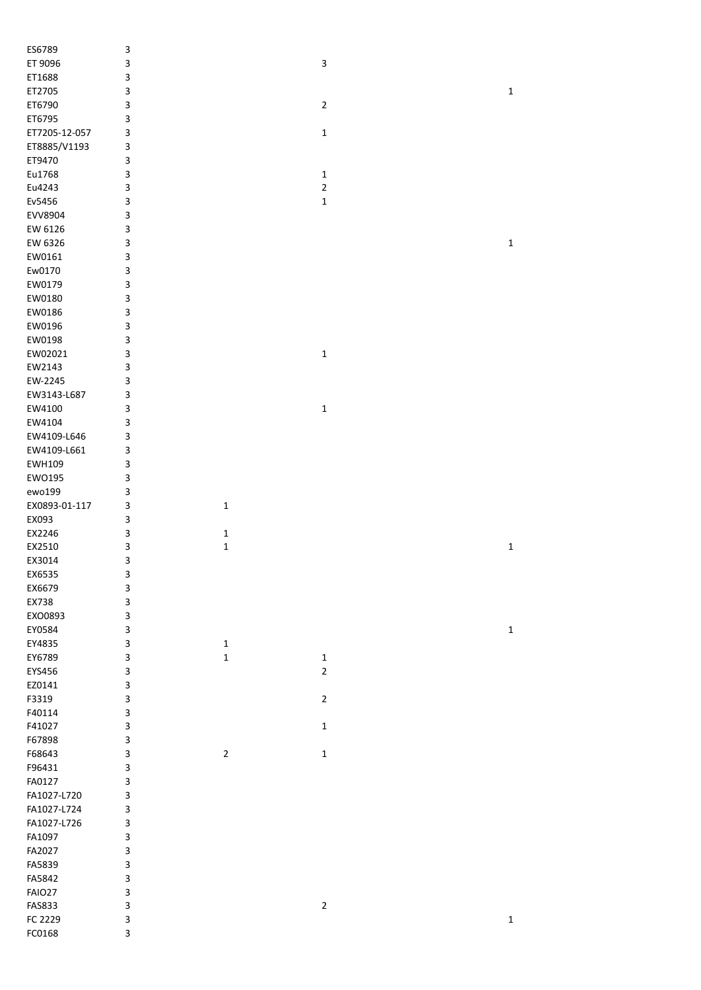| ES6789        | $\ensuremath{\mathsf{3}}$ |                |                         |              |
|---------------|---------------------------|----------------|-------------------------|--------------|
| ET 9096       | 3                         |                | 3                       |              |
| ET1688        | 3                         |                |                         |              |
| ET2705        | 3                         |                |                         | $\mathbf 1$  |
| ET6790        | 3                         |                | $\overline{2}$          |              |
| ET6795        | 3                         |                |                         |              |
| ET7205-12-057 | 3                         |                | $\mathbf{1}$            |              |
| ET8885/V1193  | 3                         |                |                         |              |
| ET9470        | 3                         |                |                         |              |
| Eu1768        | 3                         |                | 1                       |              |
| Eu4243        | 3                         |                | $\overline{2}$          |              |
| Ev5456        | 3                         |                | 1                       |              |
| EVV8904       | 3                         |                |                         |              |
| EW 6126       | 3                         |                |                         |              |
| EW 6326       | 3                         |                |                         | $\mathbf{1}$ |
| EW0161        | 3                         |                |                         |              |
| Ew0170        | 3                         |                |                         |              |
|               |                           |                |                         |              |
| EW0179        | 3                         |                |                         |              |
| EW0180        | 3                         |                |                         |              |
| EW0186        | 3                         |                |                         |              |
| EW0196        | 3                         |                |                         |              |
| EW0198        | 3                         |                |                         |              |
| EW02021       | 3                         |                | $\mathbf{1}$            |              |
| EW2143        | 3                         |                |                         |              |
| EW-2245       | 3                         |                |                         |              |
| EW3143-L687   | 3                         |                |                         |              |
| EW4100        | 3                         |                | $\mathbf{1}$            |              |
| EW4104        | 3                         |                |                         |              |
| EW4109-L646   | 3                         |                |                         |              |
| EW4109-L661   | 3                         |                |                         |              |
| EWH109        | 3                         |                |                         |              |
| EW0195        | 3                         |                |                         |              |
| ewo199        | 3                         |                |                         |              |
| EX0893-01-117 | 3                         | $\mathbf 1$    |                         |              |
| EX093         | 3                         |                |                         |              |
| EX2246        | 3                         | $\mathbf 1$    |                         |              |
| EX2510        | 3                         | $\mathbf 1$    |                         | $\mathbf 1$  |
| EX3014        | 3                         |                |                         |              |
| EX6535        | 3                         |                |                         |              |
| EX6679        | 3                         |                |                         |              |
| EX738         | 3                         |                |                         |              |
| EXO0893       | 3                         |                |                         |              |
| EY0584        | 3                         |                |                         | $\mathbf 1$  |
| EY4835        | 3                         | $\mathbf 1$    |                         |              |
|               |                           |                |                         |              |
| EY6789        | 3                         | $\mathbf 1$    | $\mathbf 1$             |              |
| EYS456        | 3                         |                | $\overline{2}$          |              |
| EZ0141        | 3                         |                |                         |              |
| F3319         | 3                         |                | $\overline{2}$          |              |
| F40114        | 3                         |                |                         |              |
| F41027        | 3                         |                | 1                       |              |
| F67898        | 3                         |                |                         |              |
| F68643        | 3                         | $\overline{2}$ | $\mathbf 1$             |              |
| F96431        | 3                         |                |                         |              |
| FA0127        | 3                         |                |                         |              |
| FA1027-L720   | 3                         |                |                         |              |
| FA1027-L724   | 3                         |                |                         |              |
| FA1027-L726   | 3                         |                |                         |              |
| FA1097        | 3                         |                |                         |              |
| FA2027        | 3                         |                |                         |              |
| FA5839        | 3                         |                |                         |              |
| FA5842        | 3                         |                |                         |              |
| <b>FAIO27</b> | 3                         |                |                         |              |
| <b>FAS833</b> | 3                         |                | $\overline{\mathbf{c}}$ |              |
|               |                           |                |                         |              |
| FC 2229       | 3                         |                |                         | $\mathbf 1$  |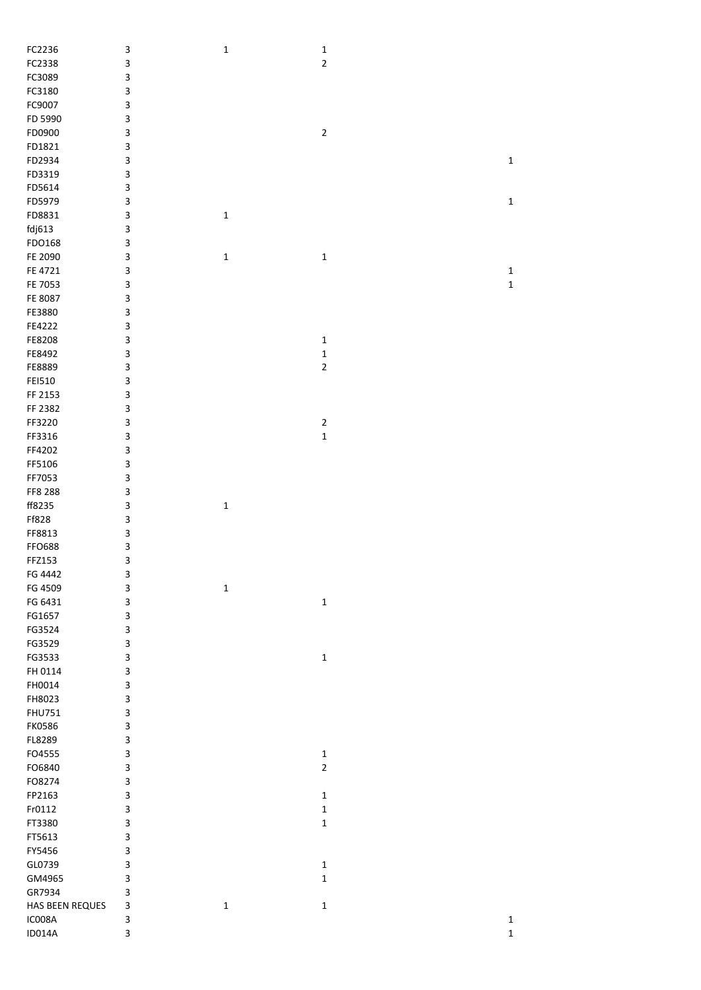| FC2236          | 3      | $\mathbf 1$ | $\mathbf 1$    |                            |
|-----------------|--------|-------------|----------------|----------------------------|
| FC2338          | 3      |             | $\mathbf 2$    |                            |
| FC3089          | 3      |             |                |                            |
|                 |        |             |                |                            |
| FC3180          | 3      |             |                |                            |
| FC9007          | 3      |             |                |                            |
| FD 5990         | 3      |             |                |                            |
|                 |        |             |                |                            |
| FD0900          | 3      |             | $\mathbf 2$    |                            |
| FD1821          | 3      |             |                |                            |
| FD2934          | 3      |             |                | $\mathbf 1$                |
|                 | 3      |             |                |                            |
| FD3319          |        |             |                |                            |
| FD5614          | 3      |             |                |                            |
| FD5979          | 3      |             |                | $\mathbf 1$                |
| FD8831          | 3      | $\mathbf 1$ |                |                            |
|                 |        |             |                |                            |
| fdj613          | 3      |             |                |                            |
| FDO168          | 3      |             |                |                            |
| FE 2090         | 3      | $\mathbf 1$ | $\mathbf 1$    |                            |
| FE 4721         | 3      |             |                |                            |
|                 |        |             |                | $\mathbf 1$                |
| FE 7053         | 3      |             |                | $\mathbf 1$                |
| FE 8087         | 3      |             |                |                            |
| FE3880          | 3      |             |                |                            |
|                 |        |             |                |                            |
| FE4222          | 3      |             |                |                            |
| FE8208          | 3      |             | $\mathbf 1$    |                            |
| FE8492          | 3      |             | $\mathbf 1$    |                            |
|                 |        |             |                |                            |
| FE8889          | 3      |             | $\overline{2}$ |                            |
| FEI510          | 3      |             |                |                            |
| FF 2153         | 3      |             |                |                            |
|                 |        |             |                |                            |
| FF 2382         | 3      |             |                |                            |
| FF3220          | 3      |             | $\mathbf{2}$   |                            |
| FF3316          | 3      |             | $\mathbf 1$    |                            |
| FF4202          | 3      |             |                |                            |
|                 |        |             |                |                            |
| FF5106          | 3      |             |                |                            |
| FF7053          | 3      |             |                |                            |
| FF8 288         | 3      |             |                |                            |
|                 |        |             |                |                            |
| ff8235          | 3      | $\mathbf 1$ |                |                            |
| Ff828           | 3      |             |                |                            |
| FF8813          | 3      |             |                |                            |
|                 |        |             |                |                            |
| <b>FFO688</b>   | 3      |             |                |                            |
| FFZ153          | 3      |             |                |                            |
| FG 4442         | 3      |             |                |                            |
|                 |        |             |                |                            |
| FG 4509         | 3      | $\mathbf 1$ |                |                            |
| FG 6431         | 3      |             | $\mathbf 1$    |                            |
| FG1657          | 3      |             |                |                            |
| FG3524          |        |             |                |                            |
|                 | 3      |             |                |                            |
| FG3529          | 3      |             |                |                            |
| FG3533          | 3      |             | $\mathbf 1$    |                            |
| FH 0114         | 3      |             |                |                            |
|                 |        |             |                |                            |
| FH0014          | 3      |             |                |                            |
| FH8023          | 3      |             |                |                            |
| <b>FHU751</b>   | 3      |             |                |                            |
|                 |        |             |                |                            |
| <b>FK0586</b>   | 3      |             |                |                            |
| FL8289          | 3      |             |                |                            |
| FO4555          | 3      |             | $\mathbf 1$    |                            |
| FO6840          | 3      |             | $\mathbf 2$    |                            |
|                 |        |             |                |                            |
| FO8274          | 3      |             |                |                            |
| FP2163          | 3      |             | $\mathbf 1$    |                            |
| Fr0112          | 3      |             | $\mathbf 1$    |                            |
|                 |        |             |                |                            |
| FT3380          | 3      |             | $\mathbf 1$    |                            |
| FT5613          | 3      |             |                |                            |
| FY5456          | 3      |             |                |                            |
|                 |        |             |                |                            |
| GL0739          | 3      |             | $\mathbf 1$    |                            |
| GM4965          | 3      |             | $\mathbf 1$    |                            |
|                 |        |             |                |                            |
|                 |        |             |                |                            |
| GR7934          | 3      |             |                |                            |
| HAS BEEN REQUES | 3      | $\mathbf 1$ | $\mathbf 1$    |                            |
| IC008A          | 3<br>3 |             |                | $\mathbf 1$<br>$\mathbf 1$ |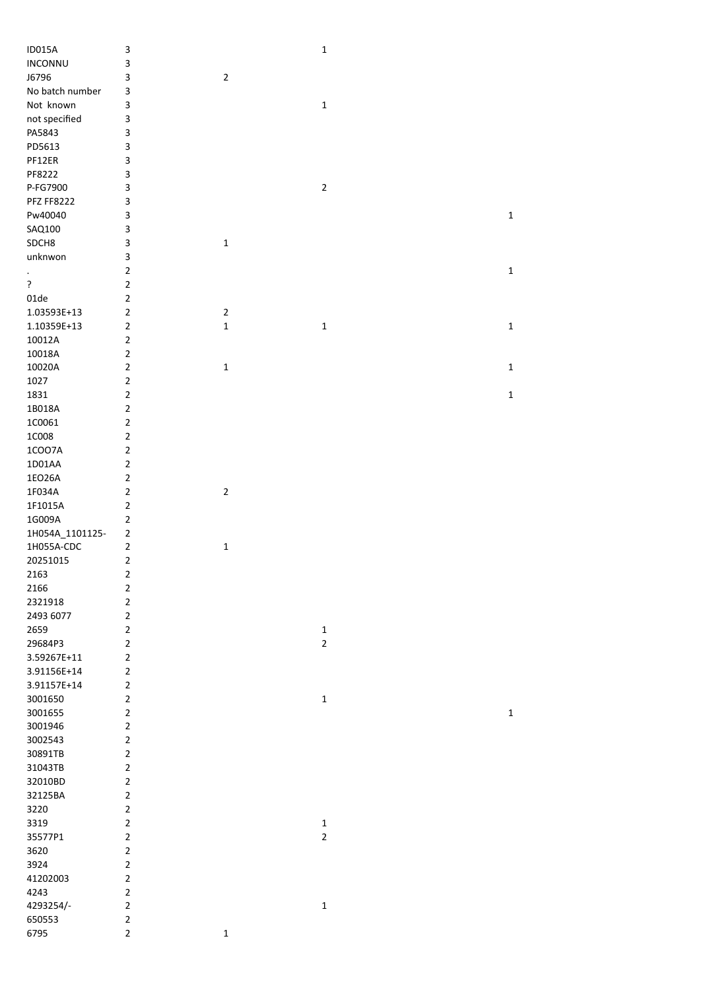| <b>ID015A</b>      | 3                             |             | $\mathbf 1$    |             |
|--------------------|-------------------------------|-------------|----------------|-------------|
| INCONNU            | 3                             |             |                |             |
| J6796              | 3                             | $\mathbf 2$ |                |             |
| No batch number    | 3                             |             |                |             |
| Not known          | 3                             |             | $\mathbf 1$    |             |
| not specified      | 3                             |             |                |             |
| PA5843             | 3                             |             |                |             |
| PD5613             | 3                             |             |                |             |
| PF12ER             | 3                             |             |                |             |
| PF8222             | 3                             |             |                |             |
| P-FG7900           | 3                             |             | $\mathbf 2$    |             |
| <b>PFZ FF8222</b>  | 3                             |             |                |             |
| Pw40040            | 3                             |             |                | $\mathbf 1$ |
| SAQ100             | 3                             |             |                |             |
| SDCH8              | 3                             | $\mathbf 1$ |                |             |
| unknwon            | 3                             |             |                |             |
| $\bullet$          | $\overline{2}$                |             |                | $\mathbf 1$ |
| ?                  | $\overline{2}$                |             |                |             |
| 01de               | $\mathbf 2$                   |             |                |             |
| 1.03593E+13        | $\mathbf 2$                   | $\mathbf 2$ |                |             |
| 1.10359E+13        | $\mathbf 2$                   | $\mathbf 1$ | $\mathbf 1$    | $\mathbf 1$ |
| 10012A             | $\overline{2}$                |             |                |             |
| 10018A             | $\mathbf 2$                   |             |                |             |
| 10020A             | $\overline{2}$                | $\mathbf 1$ |                | $\mathbf 1$ |
| 1027               | $\overline{2}$                |             |                |             |
| 1831               | $\overline{2}$                |             |                | $\mathbf 1$ |
| 1B018A             | $\overline{2}$                |             |                |             |
| 1C0061             | $\overline{2}$                |             |                |             |
| 1C008              | $\overline{2}$                |             |                |             |
| 1COO7A             | $\overline{2}$                |             |                |             |
| 1D01AA             | $\overline{2}$                |             |                |             |
| 1EO26A             | $\overline{2}$                |             |                |             |
| 1F034A             | $\mathbf 2$                   | $\mathbf 2$ |                |             |
| 1F1015A            | $\overline{2}$                |             |                |             |
| 1G009A             | $\overline{2}$                |             |                |             |
| 1H054A_1101125-    | $\overline{2}$                |             |                |             |
| 1H055A-CDC         | $\mathbf 2$                   | $\mathbf 1$ |                |             |
| 20251015           | $\mathbf 2$                   |             |                |             |
| 2163               | $\overline{\mathbf{c}}$       |             |                |             |
| 2166               | $\mathbf 2$                   |             |                |             |
| 2321918            | $\overline{2}$                |             |                |             |
| 2493 6077          | $\overline{2}$                |             |                |             |
| 2659               | $\overline{2}$                |             | $\mathbf{1}$   |             |
| 29684P3            | $\overline{2}$                |             | $\mathbf 2$    |             |
| 3.59267E+11        | $\mathbf 2$                   |             |                |             |
| 3.91156E+14        | $\mathbf 2$                   |             |                |             |
| 3.91157E+14        | $\mathbf 2$<br>$\overline{2}$ |             |                |             |
| 3001650            | $\overline{2}$                |             | $\mathbf 1$    |             |
| 3001655            | $\overline{2}$                |             |                | $\mathbf 1$ |
| 3001946<br>3002543 | $\overline{2}$                |             |                |             |
| 30891TB            | $\overline{2}$                |             |                |             |
| 31043TB            | $\overline{2}$                |             |                |             |
| 32010BD            | $\overline{2}$                |             |                |             |
| 32125BA            | $\overline{2}$                |             |                |             |
| 3220               | $\overline{2}$                |             |                |             |
| 3319               | $\overline{2}$                |             | $\mathbf{1}$   |             |
| 35577P1            | $\overline{2}$                |             | $\overline{2}$ |             |
| 3620               | $\overline{2}$                |             |                |             |
| 3924               | $\overline{2}$                |             |                |             |
| 41202003           | $\overline{2}$                |             |                |             |
| 4243               | $\overline{2}$                |             |                |             |
| 4293254/-          | $\overline{2}$                |             | $\mathbf 1$    |             |
| 650553             | $\overline{2}$                |             |                |             |
| 6795               | $\overline{2}$                | $\mathbf 1$ |                |             |
|                    |                               |             |                |             |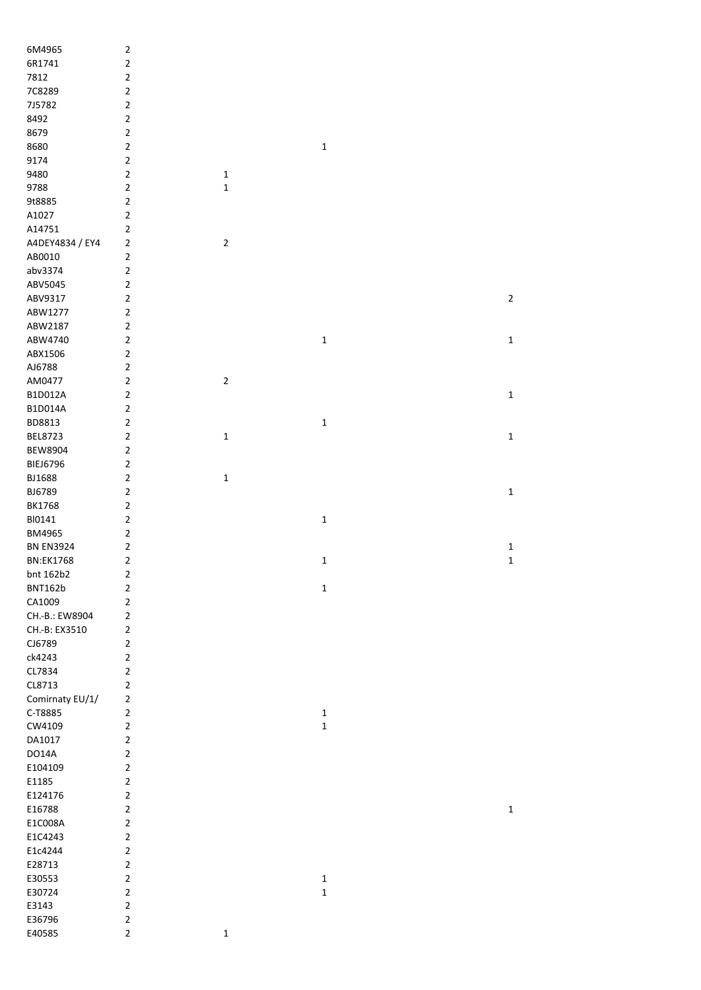| 6M4965            | $\mathbf 2$                   |                |              |  |                |
|-------------------|-------------------------------|----------------|--------------|--|----------------|
| 6R1741            | $\mathbf 2$                   |                |              |  |                |
| 7812              | $\mathbf 2$                   |                |              |  |                |
| 7C8289            | $\mathbf 2$                   |                |              |  |                |
| 7J5782            | $\overline{2}$                |                |              |  |                |
| 8492              | $\overline{2}$                |                |              |  |                |
| 8679              | $\overline{2}$                |                |              |  |                |
| 8680              | $\mathbf 2$                   |                | $\mathbf 1$  |  |                |
| 9174              | $\mathbf 2$                   |                |              |  |                |
| 9480              | $\mathbf 2$                   | $\mathbf 1$    |              |  |                |
| 9788              | $\overline{2}$                | $\mathbf 1$    |              |  |                |
| 9t8885            | $\mathbf 2$                   |                |              |  |                |
| A1027             | $\mathbf 2$                   |                |              |  |                |
| A14751            | $\mathbf 2$                   |                |              |  |                |
| A4DEY4834 / EY4   | $\overline{2}$                | $\overline{2}$ |              |  |                |
| AB0010            | $\overline{2}$                |                |              |  |                |
| abv3374           | $\mathbf 2$                   |                |              |  |                |
| ABV5045           | $\mathbf 2$                   |                |              |  |                |
| ABV9317           | $\mathbf 2$                   |                |              |  | $\overline{2}$ |
| ABW1277           | $\mathbf 2$                   |                |              |  |                |
| ABW2187           | $\mathbf 2$                   |                |              |  |                |
| ABW4740           | $\mathbf 2$                   |                | 1            |  | $\mathbf 1$    |
| ABX1506           | $\mathbf 2$                   |                |              |  |                |
| AJ6788            | $\overline{2}$                |                |              |  |                |
| AM0477<br>B1D012A | $\overline{2}$<br>$\mathbf 2$ | $\mathbf 2$    |              |  | $\mathbf 1$    |
| B1D014A           | $\overline{2}$                |                |              |  |                |
| BD8813            | $\overline{2}$                |                |              |  |                |
| BEL8723           | $\mathbf 2$                   | $\mathbf 1$    | 1            |  | $\mathbf 1$    |
| <b>BEW8904</b>    | $\mathbf 2$                   |                |              |  |                |
| <b>BIEJ6796</b>   | $\mathbf 2$                   |                |              |  |                |
| BJ1688            | $\mathbf 2$                   | $\mathbf 1$    |              |  |                |
| BJ6789            | $\overline{2}$                |                |              |  | $\mathbf 1$    |
| <b>BK1768</b>     | $\overline{2}$                |                |              |  |                |
| BI0141            | $\mathbf 2$                   |                | $\mathbf 1$  |  |                |
| BM4965            | $\mathbf 2$                   |                |              |  |                |
| <b>BN EN3924</b>  | $\mathbf 2$                   |                |              |  | $\mathbf 1$    |
| <b>BN:EK1768</b>  | $\mathbf 2$                   |                | $\mathbf 1$  |  | $\mathbf 1$    |
| bnt 162b2         | 2                             |                |              |  |                |
| <b>BNT162b</b>    | $\mathbf 2$                   |                | $\mathbf 1$  |  |                |
| CA1009            | $\mathbf 2$                   |                |              |  |                |
| CH.-B.: EW8904    | $\overline{2}$                |                |              |  |                |
| CH .- B: EX3510   | $\overline{2}$                |                |              |  |                |
| CJ6789            | $\overline{2}$                |                |              |  |                |
| ck4243            | $\mathbf 2$                   |                |              |  |                |
| CL7834            | $\mathbf 2$                   |                |              |  |                |
| CL8713            | $\mathbf 2$                   |                |              |  |                |
| Comirnaty EU/1/   | $\overline{2}$                |                |              |  |                |
| C-T8885           | $\overline{2}$                |                | $\mathbf{1}$ |  |                |
| CW4109            | $\mathbf 2$                   |                | $\mathbf 1$  |  |                |
| DA1017            | $\overline{2}$                |                |              |  |                |
| <b>DO14A</b>      | $\overline{2}$                |                |              |  |                |
| E104109           | $\overline{2}$                |                |              |  |                |
| E1185             | $\overline{2}$                |                |              |  |                |
| E124176           | $\overline{2}$                |                |              |  |                |
| E16788            | $\mathbf 2$                   |                |              |  | $\mathbf 1$    |
| E1C008A           | $\overline{2}$                |                |              |  |                |
| E1C4243           | $\mathbf 2$                   |                |              |  |                |
| E1c4244           | $\overline{2}$                |                |              |  |                |
| E28713            | $\overline{2}$                |                |              |  |                |
| E30553            | $\overline{2}$                |                | $\mathbf{1}$ |  |                |
| E30724            | $\mathbf 2$                   |                | $\mathbf 1$  |  |                |
| E3143             | $\mathbf 2$                   |                |              |  |                |
| E36796            | $\mathbf 2$                   |                |              |  |                |
| E40585            | $\mathbf 2$                   | $\mathbf 1$    |              |  |                |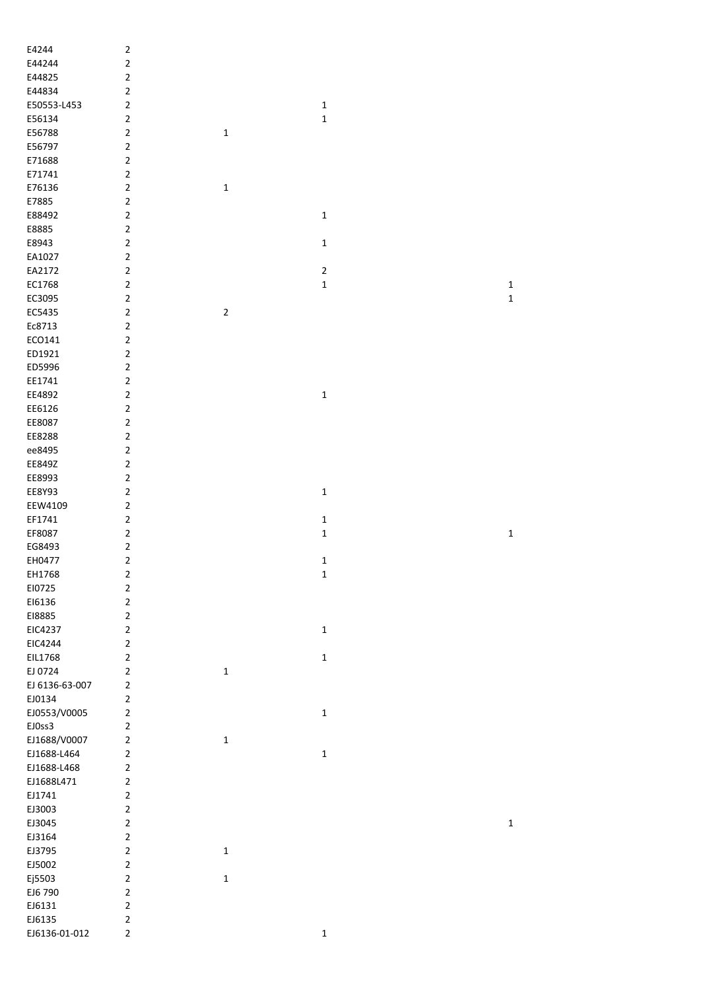| E4244          | $\overline{2}$ |             |             |             |
|----------------|----------------|-------------|-------------|-------------|
| E44244         | $\overline{2}$ |             |             |             |
| E44825         | $\overline{2}$ |             |             |             |
| E44834         | $\overline{2}$ |             |             |             |
| E50553-L453    | $\overline{2}$ |             | $\mathbf 1$ |             |
| E56134         | $\overline{2}$ |             | $\mathbf 1$ |             |
| E56788         | $\overline{2}$ |             |             |             |
|                | $\overline{2}$ | $\mathbf 1$ |             |             |
| E56797         |                |             |             |             |
| E71688         | $\overline{2}$ |             |             |             |
| E71741         | $\overline{2}$ |             |             |             |
| E76136         | $\overline{2}$ | $\mathbf 1$ |             |             |
| E7885          | $\overline{2}$ |             |             |             |
| E88492         | $\overline{2}$ |             | $\mathbf 1$ |             |
| E8885          | $\overline{2}$ |             |             |             |
| E8943          | $\overline{2}$ |             | $\mathbf 1$ |             |
| EA1027         | $\overline{2}$ |             |             |             |
| EA2172         | $\overline{2}$ |             | $\sqrt{2}$  |             |
| EC1768         | $\overline{2}$ |             | $\mathbf 1$ | $\mathbf 1$ |
| EC3095         | $\overline{2}$ |             |             | $\mathbf 1$ |
| EC5435         | $\overline{2}$ | $\mathbf 2$ |             |             |
| Ec8713         | $\overline{2}$ |             |             |             |
| ECO141         | $\overline{2}$ |             |             |             |
| ED1921         | $\overline{2}$ |             |             |             |
| ED5996         | $\overline{2}$ |             |             |             |
| EE1741         | $\overline{2}$ |             |             |             |
| EE4892         | $\overline{2}$ |             | $\mathbf 1$ |             |
| EE6126         | $\overline{2}$ |             |             |             |
| EE8087         | $\overline{2}$ |             |             |             |
| EE8288         | $\overline{2}$ |             |             |             |
|                | $\overline{2}$ |             |             |             |
| ee8495         |                |             |             |             |
| EE849Z         | $\overline{2}$ |             |             |             |
| EE8993         | $\overline{2}$ |             |             |             |
| EE8Y93         | $\overline{2}$ |             | $\mathbf 1$ |             |
| EEW4109        | $\overline{2}$ |             |             |             |
| EF1741         | $\overline{2}$ |             | $\mathbf 1$ |             |
| EF8087         | $\overline{2}$ |             | $\mathbf 1$ | $\mathbf 1$ |
| EG8493         | $\overline{2}$ |             |             |             |
| EH0477         | $\overline{2}$ |             | $\mathbf 1$ |             |
| EH1768         | $\mathbf 2$    |             | $\mathbf 1$ |             |
| EI0725         | $\overline{2}$ |             |             |             |
| E16136         | $\overline{2}$ |             |             |             |
| E18885         | $\overline{2}$ |             |             |             |
| EIC4237        | $\overline{2}$ |             | $\mathbf 1$ |             |
| EIC4244        | $\overline{2}$ |             |             |             |
| EIL1768        | $\overline{2}$ |             | $\mathbf 1$ |             |
| EJ 0724        | $\overline{2}$ | $\mathbf 1$ |             |             |
| EJ 6136-63-007 | $\overline{2}$ |             |             |             |
| EJ0134         | $\overline{2}$ |             |             |             |
| EJ0553/V0005   | $\mathbf 2$    |             | $\mathbf 1$ |             |
| EJOss3         | $\overline{2}$ |             |             |             |
| EJ1688/V0007   | $\overline{2}$ | $\mathbf 1$ |             |             |
| EJ1688-L464    | $\overline{2}$ |             | $\mathbf 1$ |             |
| EJ1688-L468    | $\overline{2}$ |             |             |             |
| EJ1688L471     | $\overline{2}$ |             |             |             |
|                |                |             |             |             |
| EJ1741         | $\overline{2}$ |             |             |             |
| EJ3003         | $\overline{2}$ |             |             |             |
| EJ3045         | $\overline{2}$ |             |             | $\mathbf 1$ |
| EJ3164         | $\overline{2}$ |             |             |             |
| EJ3795         | $\overline{2}$ | $\mathbf 1$ |             |             |
| EJ5002         | $\overline{2}$ |             |             |             |
| Ej5503         | $\overline{2}$ | $\mathbf 1$ |             |             |
| EJ6 790        | $\overline{2}$ |             |             |             |
| EJ6131         | $\mathbf 2$    |             |             |             |
| EJ6135         | $\overline{2}$ |             |             |             |
| EJ6136-01-012  | $\overline{2}$ |             | $\mathbf 1$ |             |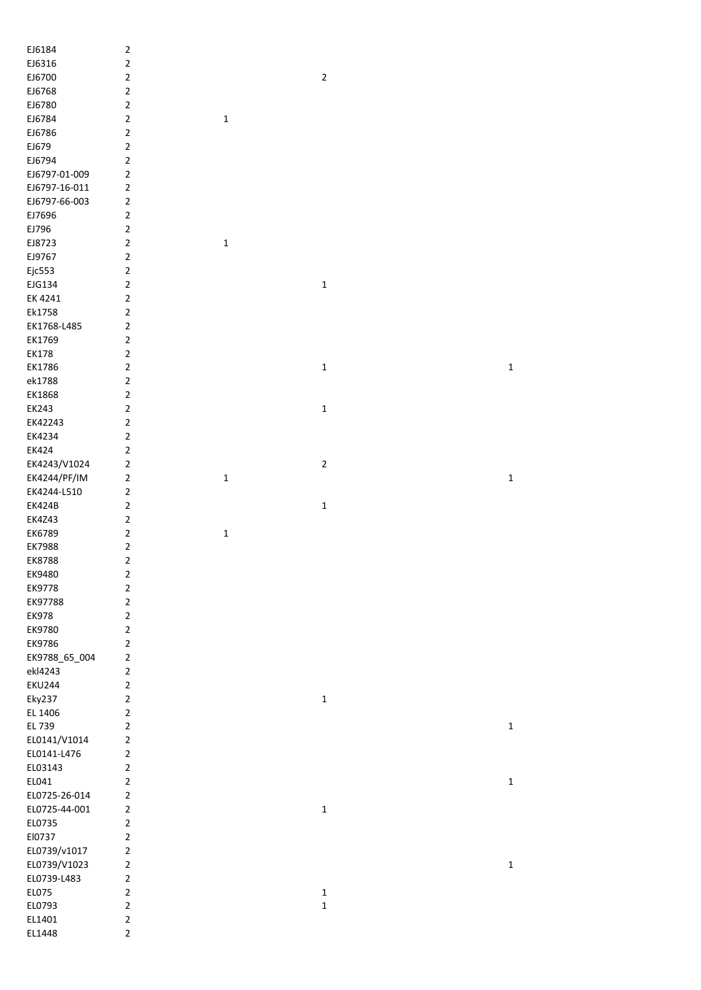| EJ6184           | $\overline{2}$                   |             |             |             |
|------------------|----------------------------------|-------------|-------------|-------------|
| EJ6316           | $\overline{c}$                   |             |             |             |
| EJ6700           | $\overline{c}$                   |             | $\mathbf 2$ |             |
| EJ6768           | $\mathbf 2$                      |             |             |             |
| EJ6780           | $\mathbf 2$                      |             |             |             |
| EJ6784           | $\mathbf 2$                      | $\mathbf 1$ |             |             |
| EJ6786           | $\overline{\mathbf{c}}$          |             |             |             |
| EJ679            | $\mathbf 2$                      |             |             |             |
| EJ6794           | $\overline{\mathbf{c}}$          |             |             |             |
| EJ6797-01-009    | $\overline{\mathbf{c}}$          |             |             |             |
| EJ6797-16-011    | $\overline{\mathbf{c}}$          |             |             |             |
| EJ6797-66-003    | $\overline{2}$                   |             |             |             |
| EJ7696           | $\mathbf 2$                      |             |             |             |
| EJ796            | $\mathbf 2$                      |             |             |             |
| EJ8723           | $\mathbf 2$                      | $\mathbf 1$ |             |             |
| EJ9767           | $\mathbf 2$                      |             |             |             |
| Ejc553           | $\mathbf 2$                      |             |             |             |
| EJG134           | $\overline{2}$                   |             | $\mathbf 1$ |             |
| EK 4241          | $\mathbf 2$                      |             |             |             |
| Ek1758           | $\overline{c}$                   |             |             |             |
| EK1768-L485      | $\overline{2}$                   |             |             |             |
|                  | $\overline{2}$                   |             |             |             |
| EK1769           | $\overline{2}$                   |             |             |             |
| <b>EK178</b>     | $\overline{2}$                   |             |             |             |
| EK1786           |                                  |             | $\mathbf 1$ | $\mathbf 1$ |
| ek1788           | $\overline{2}$                   |             |             |             |
| EK1868           | $\overline{2}$                   |             |             |             |
| EK243            | $\mathbf 2$                      |             | $\mathbf 1$ |             |
| EK42243          | $\overline{2}$                   |             |             |             |
| EK4234           | $\mathbf 2$                      |             |             |             |
| EK424            | $\overline{\mathbf{c}}$          |             |             |             |
| EK4243/V1024     | $\mathbf 2$                      |             | $\mathbf 2$ |             |
| EK4244/PF/IM     | $\overline{\mathbf{c}}$          | $\mathbf 1$ |             | $\mathbf 1$ |
|                  |                                  |             |             |             |
| EK4244-L510      | $\overline{\mathbf{c}}$          |             |             |             |
| <b>EK424B</b>    | $\mathbf 2$                      |             | $\mathbf 1$ |             |
| <b>EK4Z43</b>    | $\overline{2}$                   |             |             |             |
| EK6789           | $\mathbf 2$                      | $\mathbf 1$ |             |             |
| EK7988           | $\overline{\mathbf{c}}$          |             |             |             |
| EK8788           | $\mathbf 2$                      |             |             |             |
| EK9480           | $\overline{2}$                   |             |             |             |
| EK9778           | $\overline{2}$                   |             |             |             |
| EK97788          | $\overline{2}$                   |             |             |             |
| <b>EK978</b>     | $\overline{2}$                   |             |             |             |
|                  |                                  |             |             |             |
| EK9780           | $\mathbf 2$                      |             |             |             |
| EK9786           | $\overline{c}$                   |             |             |             |
| EK9788_65_004    | $\overline{2}$                   |             |             |             |
| ekl4243          | $\overline{2}$                   |             |             |             |
| <b>EKU244</b>    | $\overline{2}$                   |             |             |             |
| Eky237           | $\overline{c}$                   |             | $\mathbf 1$ |             |
| EL 1406          | $\overline{c}$                   |             |             |             |
| EL 739           | $\overline{c}$                   |             |             | $\mathbf 1$ |
| EL0141/V1014     | $\overline{\mathbf{c}}$          |             |             |             |
| EL0141-L476      | $\overline{\mathbf{c}}$          |             |             |             |
| EL03143          | $\overline{2}$                   |             |             |             |
| EL041            | $\mathbf 2$                      |             |             | $\mathbf 1$ |
| EL0725-26-014    | $\overline{\mathbf{c}}$          |             |             |             |
| EL0725-44-001    | $\overline{\mathbf{c}}$          |             | $\mathbf 1$ |             |
| EL0735           | $\overline{2}$                   |             |             |             |
| El0737           | $\overline{2}$                   |             |             |             |
| EL0739/v1017     | $\overline{\mathbf{c}}$          |             |             |             |
| EL0739/V1023     | $\overline{\mathbf{c}}$          |             |             | $\mathbf 1$ |
| EL0739-L483      | $\mathbf 2$                      |             |             |             |
| EL075            | $\overline{2}$                   |             | $\mathbf 1$ |             |
| EL0793           | $\mathbf 2$                      |             | $\mathbf 1$ |             |
| EL1401<br>EL1448 | $\overline{2}$<br>$\overline{2}$ |             |             |             |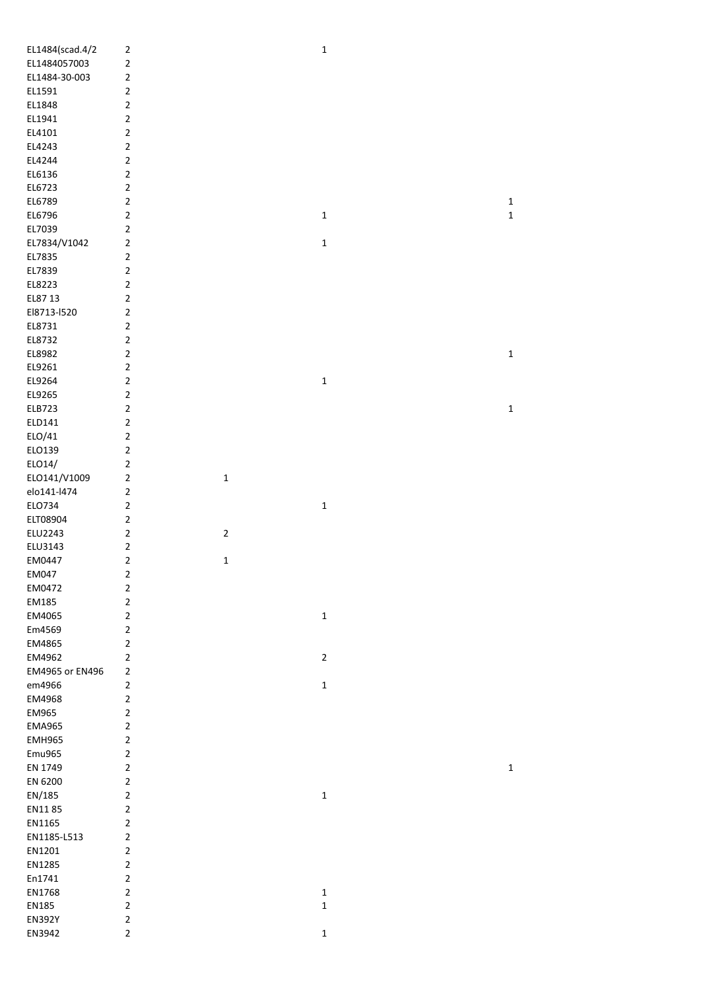| EL1484(scad.4/2 | $\mathbf 2$    |              | $\mathbf 1$  |             |
|-----------------|----------------|--------------|--------------|-------------|
| EL1484057003    | $\mathbf 2$    |              |              |             |
| EL1484-30-003   | $\mathbf 2$    |              |              |             |
| EL1591          | $\overline{2}$ |              |              |             |
| EL1848          | $\overline{2}$ |              |              |             |
| EL1941          | $\overline{2}$ |              |              |             |
| EL4101          | $\mathbf 2$    |              |              |             |
| EL4243          | $\overline{2}$ |              |              |             |
| EL4244          | $\overline{2}$ |              |              |             |
|                 | $\overline{2}$ |              |              |             |
| EL6136          |                |              |              |             |
| EL6723          | $\mathbf 2$    |              |              |             |
| EL6789          | $\overline{2}$ |              |              | $\mathbf 1$ |
| EL6796          | $\mathbf 2$    |              | $\mathbf 1$  | $\mathbf 1$ |
| EL7039          | $\overline{2}$ |              |              |             |
| EL7834/V1042    | $\overline{2}$ |              | $\mathbf 1$  |             |
| EL7835          | $\mathbf 2$    |              |              |             |
| EL7839          | $\mathbf 2$    |              |              |             |
| EL8223          | $\mathbf 2$    |              |              |             |
| EL87 13         | $\mathbf 2$    |              |              |             |
| El8713-I520     | $\mathbf 2$    |              |              |             |
| EL8731          | $\overline{2}$ |              |              |             |
| EL8732          | $\mathbf 2$    |              |              |             |
|                 | $\overline{2}$ |              |              |             |
| EL8982          |                |              |              | $\mathbf 1$ |
| EL9261          | $\mathbf 2$    |              |              |             |
| EL9264          | $\overline{2}$ |              | $\mathbf 1$  |             |
| EL9265          | $\overline{2}$ |              |              |             |
| ELB723          | $\overline{2}$ |              |              | $\mathbf 1$ |
| ELD141          | $\mathbf 2$    |              |              |             |
| ELO/41          | $\overline{2}$ |              |              |             |
| ELO139          | $\overline{2}$ |              |              |             |
| ELO14/          | $\overline{2}$ |              |              |             |
| ELO141/V1009    | $\mathbf 2$    | $\mathbf 1$  |              |             |
| elo141-l474     | $\mathbf 2$    |              |              |             |
| ELO734          | $\overline{2}$ |              | $\mathbf 1$  |             |
| ELT08904        | $\overline{2}$ |              |              |             |
|                 | $\overline{2}$ |              |              |             |
| ELU2243         |                | $\mathbf 2$  |              |             |
| ELU3143         | $\mathbf 2$    |              |              |             |
| EM0447          | $\overline{2}$ | $\mathbf{1}$ |              |             |
| EM047           | $\mathbf 2$    |              |              |             |
| EM0472          | $\mathbf 2$    |              |              |             |
| EM185           | $\mathbf 2$    |              |              |             |
| EM4065          | $\overline{2}$ |              | $\mathbf 1$  |             |
| Em4569          | $\overline{2}$ |              |              |             |
| EM4865          | $\overline{2}$ |              |              |             |
| EM4962          | $\mathbf 2$    |              | $\mathbf{2}$ |             |
| EM4965 or EN496 | $\overline{2}$ |              |              |             |
| em4966          | $\mathbf 2$    |              | $\mathbf 1$  |             |
| EM4968          | $\overline{2}$ |              |              |             |
|                 |                |              |              |             |
| EM965           | $\mathbf 2$    |              |              |             |
| <b>EMA965</b>   | $\overline{2}$ |              |              |             |
| <b>EMH965</b>   | $\overline{2}$ |              |              |             |
| Emu965          | $\overline{2}$ |              |              |             |
| EN 1749         | $\overline{2}$ |              |              | $\mathbf 1$ |
| EN 6200         | $\overline{2}$ |              |              |             |
| EN/185          | $\overline{2}$ |              | $\mathbf 1$  |             |
| EN1185          | $\overline{2}$ |              |              |             |
| EN1165          | $\overline{2}$ |              |              |             |
| EN1185-L513     | $\mathbf 2$    |              |              |             |
| EN1201          | $\mathbf 2$    |              |              |             |
| EN1285          | $\mathbf 2$    |              |              |             |
| En1741          | $\overline{2}$ |              |              |             |
|                 |                |              |              |             |
| EN1768          | $\mathbf 2$    |              | $\mathbf 1$  |             |
| EN185           | $\mathbf 2$    |              | $\mathbf 1$  |             |
| <b>EN392Y</b>   | $\mathbf 2$    |              |              |             |
| EN3942          | $\overline{2}$ |              | $\mathbf 1$  |             |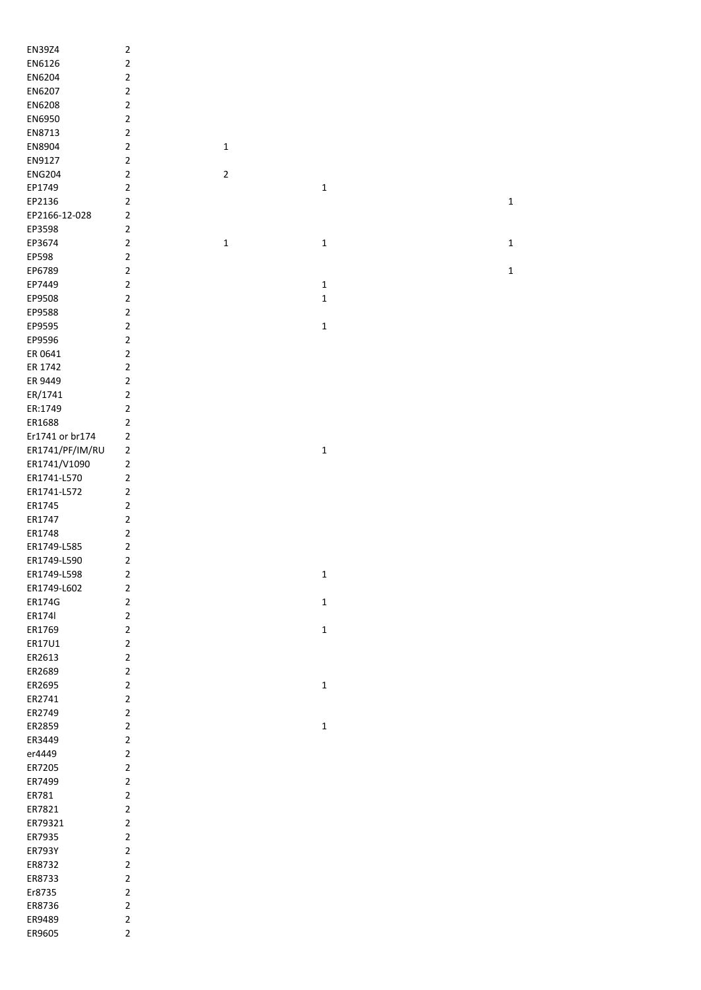| EN39Z4          | $\mathbf 2$    |                |              |             |
|-----------------|----------------|----------------|--------------|-------------|
| EN6126          | $\overline{2}$ |                |              |             |
| EN6204          | $\overline{2}$ |                |              |             |
| EN6207          | $\overline{2}$ |                |              |             |
| EN6208          | $\overline{2}$ |                |              |             |
| EN6950          | $\overline{2}$ |                |              |             |
| EN8713          | $\overline{2}$ |                |              |             |
| EN8904          | $\overline{2}$ | $\mathbf 1$    |              |             |
| EN9127          | $\overline{2}$ |                |              |             |
| <b>ENG204</b>   | $\overline{2}$ | $\overline{2}$ |              |             |
| EP1749          | $\overline{2}$ |                | $\mathbf 1$  |             |
| EP2136          | $\overline{2}$ |                |              | $\mathbf 1$ |
| EP2166-12-028   | $\overline{2}$ |                |              |             |
|                 |                |                |              |             |
| EP3598          | $\overline{2}$ |                |              |             |
| EP3674          | $\overline{2}$ | $\mathbf 1$    | $\mathbf 1$  | $\mathbf 1$ |
| EP598           | $\overline{2}$ |                |              |             |
| EP6789          | $\overline{2}$ |                |              | $\mathbf 1$ |
| EP7449          | $\overline{2}$ |                | $\mathbf 1$  |             |
| EP9508          | $\overline{2}$ |                | $\mathbf 1$  |             |
| EP9588          | $\overline{2}$ |                |              |             |
| EP9595          | $\overline{2}$ |                | $\mathbf 1$  |             |
| EP9596          | $\overline{2}$ |                |              |             |
| ER 0641         | $\overline{2}$ |                |              |             |
| ER 1742         | $\overline{2}$ |                |              |             |
| ER 9449         | $\overline{2}$ |                |              |             |
| ER/1741         | $\overline{2}$ |                |              |             |
| ER:1749         | $\overline{2}$ |                |              |             |
| ER1688          | $\overline{2}$ |                |              |             |
| Er1741 or br174 | $\overline{2}$ |                |              |             |
| ER1741/PF/IM/RU | $\overline{2}$ |                | $\mathbf 1$  |             |
| ER1741/V1090    | $\overline{2}$ |                |              |             |
| ER1741-L570     | $\overline{2}$ |                |              |             |
| ER1741-L572     | $\overline{2}$ |                |              |             |
| ER1745          | $\overline{2}$ |                |              |             |
| ER1747          | $\overline{2}$ |                |              |             |
| ER1748          | $\overline{2}$ |                |              |             |
| ER1749-L585     | $\overline{2}$ |                |              |             |
| ER1749-L590     | $\overline{2}$ |                |              |             |
| ER1749-L598     | $\overline{2}$ |                | $\mathbf{1}$ |             |
| ER1749-L602     | $\overline{2}$ |                |              |             |
| ER174G          | $\overline{2}$ |                | $\mathbf 1$  |             |
| ER1741          | $\overline{2}$ |                |              |             |
| ER1769          | $\overline{2}$ |                | $\mathbf 1$  |             |
| ER17U1          | $\overline{2}$ |                |              |             |
| ER2613          | $\overline{2}$ |                |              |             |
| ER2689          | $\overline{2}$ |                |              |             |
| ER2695          | $\overline{2}$ |                | $\mathbf 1$  |             |
| ER2741          | $\overline{2}$ |                |              |             |
| ER2749          | $\overline{2}$ |                |              |             |
| ER2859          | $\overline{2}$ |                | $\mathbf 1$  |             |
| ER3449          | $\overline{2}$ |                |              |             |
| er4449          | $\overline{2}$ |                |              |             |
| ER7205          | $\overline{2}$ |                |              |             |
| ER7499          | $\overline{2}$ |                |              |             |
| ER781           | $\overline{2}$ |                |              |             |
| ER7821          | $\overline{2}$ |                |              |             |
| ER79321         | $\overline{2}$ |                |              |             |
| ER7935          | $\overline{2}$ |                |              |             |
| ER793Y          | $\overline{2}$ |                |              |             |
| ER8732          | $\overline{2}$ |                |              |             |
|                 |                |                |              |             |
| ER8733          | $\overline{2}$ |                |              |             |
| Er8735          | $\overline{2}$ |                |              |             |
| ER8736          | $\overline{2}$ |                |              |             |
| ER9489          | $\overline{2}$ |                |              |             |
| ER9605          | $\overline{2}$ |                |              |             |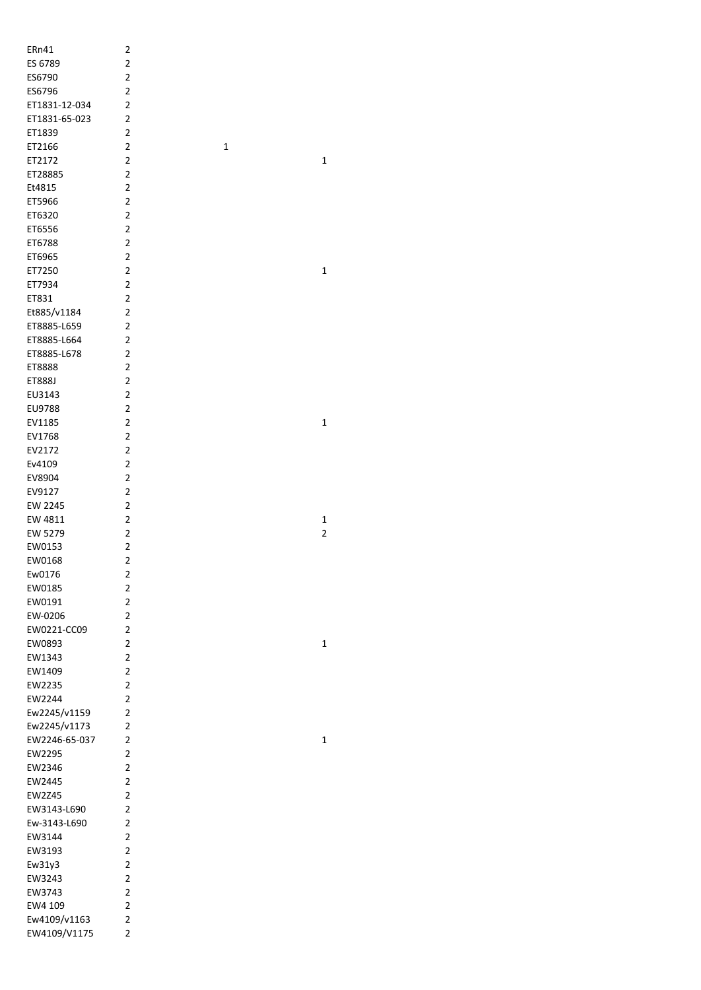| ERn41         | 2                       |   |                |
|---------------|-------------------------|---|----------------|
| ES 6789       | $\overline{2}$          |   |                |
| ES6790        | $\overline{2}$          |   |                |
| ES6796        | $\overline{2}$          |   |                |
|               | $\overline{2}$          |   |                |
| ET1831-12-034 |                         |   |                |
| ET1831-65-023 | $\overline{2}$          |   |                |
| ET1839        | 2                       |   |                |
| ET2166        | $\overline{2}$          | 1 |                |
| ET2172        | 2                       |   | $\mathbf{1}$   |
|               | $\overline{2}$          |   |                |
| ET28885       |                         |   |                |
| Et4815        | $\overline{2}$          |   |                |
| ET5966        | $\overline{2}$          |   |                |
| ET6320        | $\overline{2}$          |   |                |
| ET6556        | $\overline{2}$          |   |                |
| ET6788        | $\overline{2}$          |   |                |
|               |                         |   |                |
| ET6965        | $\overline{2}$          |   |                |
| ET7250        | $\overline{2}$          |   | 1              |
| ET7934        | 2                       |   |                |
| ET831         | 2                       |   |                |
| Et885/v1184   | $\overline{2}$          |   |                |
| ET8885-L659   | $\overline{2}$          |   |                |
|               |                         |   |                |
| ET8885-L664   | $\overline{2}$          |   |                |
| ET8885-L678   | $\overline{2}$          |   |                |
| ET8888        | $\overline{2}$          |   |                |
| ET888J        | $\overline{2}$          |   |                |
| EU3143        | $\overline{2}$          |   |                |
| EU9788        | $\overline{2}$          |   |                |
|               |                         |   |                |
| EV1185        | $\overline{2}$          |   | 1              |
| EV1768        | $\overline{2}$          |   |                |
| EV2172        | $\overline{2}$          |   |                |
| Ev4109        | 2                       |   |                |
| EV8904        | $\overline{2}$          |   |                |
| EV9127        | $\overline{2}$          |   |                |
| EW 2245       | $\overline{2}$          |   |                |
|               |                         |   |                |
| EW 4811       | $\overline{2}$          |   | 1              |
| EW 5279       | $\overline{2}$          |   | $\overline{2}$ |
| EW0153        | $\overline{\mathbf{c}}$ |   |                |
| EW0168        | $\overline{\mathbf{c}}$ |   |                |
| Ew0176        | 2                       |   |                |
| EW0185        | $\overline{\mathbf{c}}$ |   |                |
|               |                         |   |                |
| EW0191        | $\overline{2}$          |   |                |
| EW-0206       | 2                       |   |                |
| EW0221-CC09   | 2                       |   |                |
| EW0893        | 2                       |   | 1              |
| EW1343        | 2                       |   |                |
| EW1409        | 2                       |   |                |
| EW2235        |                         |   |                |
|               | $\overline{2}$          |   |                |
| EW2244        | 2                       |   |                |
| Ew2245/v1159  | 2                       |   |                |
| Ew2245/v1173  | $\overline{2}$          |   |                |
| EW2246-65-037 | $\overline{2}$          |   | 1              |
| EW2295        | $\overline{2}$          |   |                |
| EW2346        | $\overline{2}$          |   |                |
|               |                         |   |                |
| EW2445        | 2                       |   |                |
| EW2Z45        | 2                       |   |                |
| EW3143-L690   | 2                       |   |                |
| Ew-3143-L690  | 2                       |   |                |
| EW3144        | 2                       |   |                |
| EW3193        | 2                       |   |                |
|               | $\overline{2}$          |   |                |
| Ew31y3        |                         |   |                |
| EW3243        | 2                       |   |                |
| EW3743        | $\overline{2}$          |   |                |
| EW4 109       | 2                       |   |                |
| Ew4109/v1163  | $\overline{2}$          |   |                |
| EW4109/V1175  | $\overline{2}$          |   |                |
|               |                         |   |                |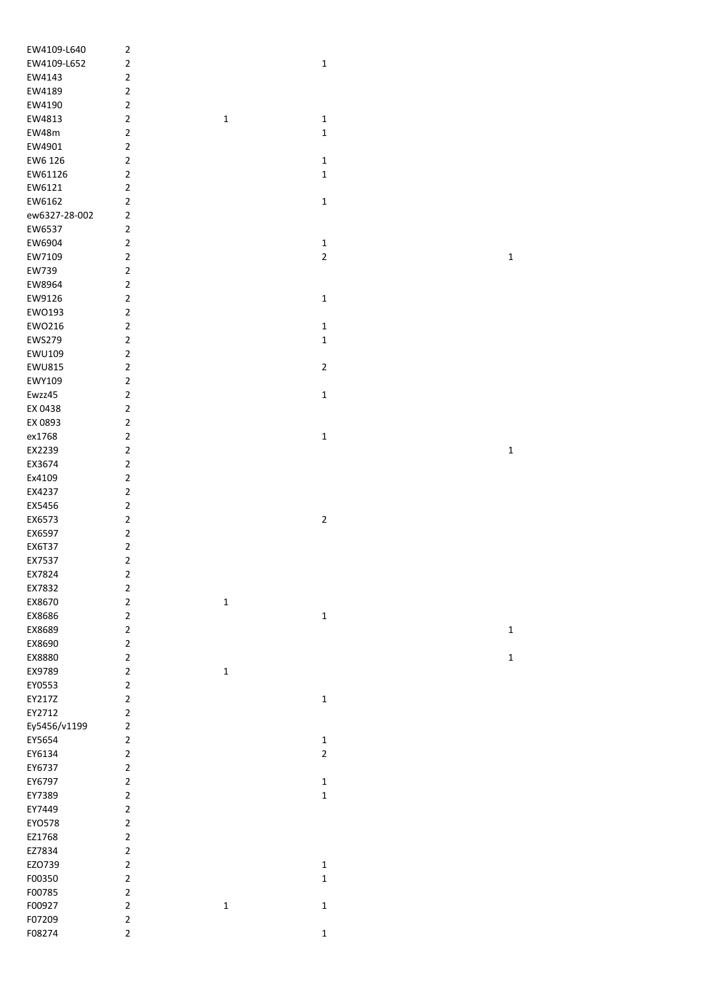| EW4109-L640   | 2                       |             |                         |
|---------------|-------------------------|-------------|-------------------------|
| EW4109-L652   | $\overline{2}$          |             | $\mathbf 1$             |
| EW4143        | $\overline{2}$          |             |                         |
| EW4189        | $\overline{2}$          |             |                         |
| EW4190        | $\overline{2}$          |             |                         |
| EW4813        | $\overline{2}$          | $\mathbf 1$ | $\mathbf 1$             |
| EW48m         | $\overline{2}$          |             | $\mathbf 1$             |
|               | $\overline{2}$          |             |                         |
| EW4901        |                         |             |                         |
| EW6 126       | $\overline{2}$          |             | $\mathbf 1$             |
| EW61126       | $\overline{2}$          |             | $\mathbf 1$             |
| EW6121        | $\overline{2}$          |             |                         |
| EW6162        | $\overline{2}$          |             | $\mathbf 1$             |
| ew6327-28-002 | $\overline{2}$          |             |                         |
| EW6537        | $\overline{2}$          |             |                         |
| EW6904        | $\overline{2}$          |             | $\mathbf 1$             |
| EW7109        | $\overline{2}$          |             | $\overline{\mathbf{c}}$ |
| EW739         | $\overline{2}$          |             |                         |
| EW8964        | $\mathbf 2$             |             |                         |
| EW9126        | $\overline{2}$          |             | $\mathbf 1$             |
| EWO193        | $\mathbf 2$             |             |                         |
| EW0216        | $\mathbf 2$             |             | $\mathbf 1$             |
| <b>EWS279</b> | $\mathbf 2$             |             | $\mathbf 1$             |
| EWU109        | $\mathbf 2$             |             |                         |
| <b>EWU815</b> | $\overline{2}$          |             | $\overline{2}$          |
|               |                         |             |                         |
| EWY109        | $\mathbf 2$             |             |                         |
| Ewzz45        | $\overline{2}$          |             | $\mathbf 1$             |
| EX 0438       | $\overline{2}$          |             |                         |
| EX 0893       | $\overline{2}$          |             |                         |
| ex1768        | $\mathbf 2$             |             | $\mathbf 1$             |
| EX2239        | $\overline{2}$          |             |                         |
| EX3674        | $\overline{2}$          |             |                         |
| Ex4109        | $\overline{2}$          |             |                         |
| EX4237        | $\overline{2}$          |             |                         |
| EX5456        | $\overline{2}$          |             |                         |
| EX6573        | $\mathbf 2$             |             | $\mathbf 2$             |
| EX6597        | $\mathbf 2$             |             |                         |
| <b>EX6T37</b> | $\mathbf 2$             |             |                         |
| EX7537        | $\overline{2}$          |             |                         |
| EX7824        | $\overline{\mathbf{c}}$ |             |                         |
| EX7832        | $\overline{\mathbf{c}}$ |             |                         |
| EX8670        | $\overline{2}$          | $\mathbf 1$ |                         |
| EX8686        | $\overline{2}$          |             | $\mathbf 1$             |
| EX8689        | $\overline{2}$          |             |                         |
| EX8690        | $\overline{2}$          |             |                         |
| EX8880        | $\mathbf 2$             |             |                         |
| EX9789        | $\mathbf 2$             | $\mathbf 1$ |                         |
| EY0553        | $\overline{2}$          |             |                         |
| EY217Z        | $\mathbf 2$             |             | $\mathbf 1$             |
|               | $\mathbf 2$             |             |                         |
| EY2712        |                         |             |                         |
| Ey5456/v1199  | $\overline{2}$          |             |                         |
| EY5654        | $\overline{2}$          |             | $\mathbf 1$             |
| EY6134        | $\overline{2}$          |             | $\overline{2}$          |
| EY6737        | $\mathbf 2$             |             |                         |
| EY6797        | $\overline{2}$          |             | $\mathbf 1$             |
| EY7389        | $\overline{2}$          |             | $\mathbf 1$             |
| EY7449        | $\overline{2}$          |             |                         |
| EYO578        | $\overline{2}$          |             |                         |
| EZ1768        | $\mathbf 2$             |             |                         |
| EZ7834        | $\overline{2}$          |             |                         |
| EZO739        | $\overline{2}$          |             | $\mathbf 1$             |
| F00350        | $\overline{2}$          |             | $\mathbf 1$             |
| F00785        | $\overline{2}$          |             |                         |
| F00927        | $\overline{2}$          | $\mathbf 1$ | $\mathbf 1$             |
| F07209        | $\overline{2}$          |             |                         |
| F08274        | $\overline{2}$          |             | $\mathbf 1$             |
|               |                         |             |                         |

1

1

1

1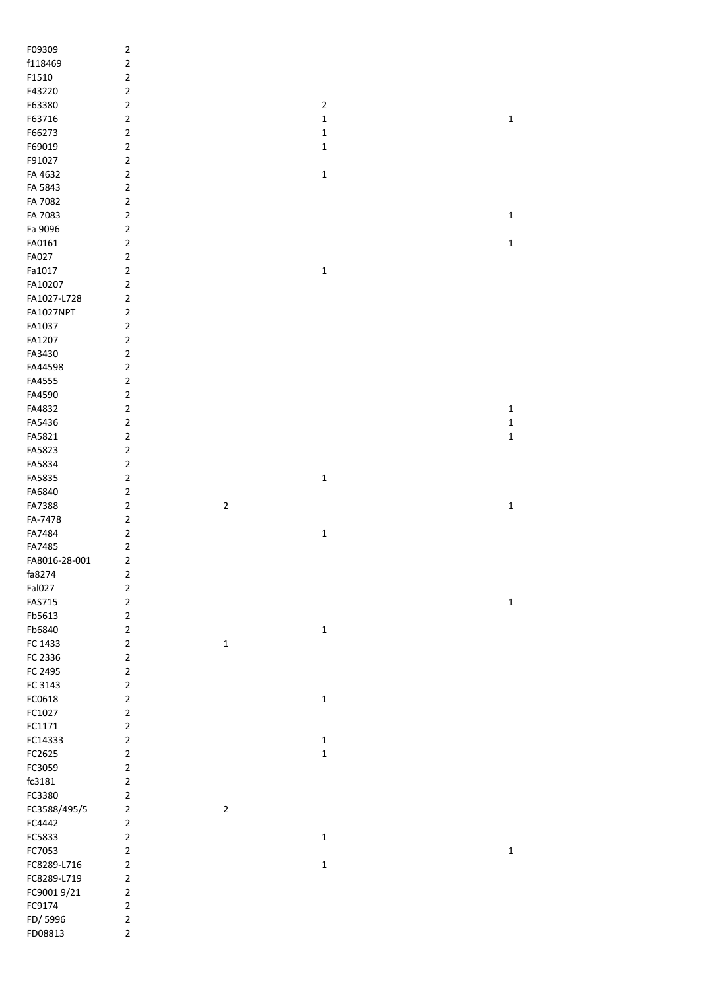| F09309             | $\mathbf 2$                   |                |                |             |
|--------------------|-------------------------------|----------------|----------------|-------------|
| f118469            | 2                             |                |                |             |
| F1510              | $\mathbf 2$                   |                |                |             |
| F43220             | $\mathbf 2$                   |                |                |             |
| F63380             | $\mathbf 2$                   |                | $\overline{2}$ |             |
| F63716             | $\mathbf 2$                   |                | $\mathbf 1$    | $\mathbf 1$ |
| F66273             | $\mathbf 2$                   |                | $\mathbf 1$    |             |
| F69019             | $\overline{2}$                |                | 1              |             |
| F91027             | $\overline{2}$                |                |                |             |
| FA 4632            | $\overline{2}$                |                | $\mathbf 1$    |             |
| FA 5843            | $\overline{2}$                |                |                |             |
| FA 7082            | $\overline{2}$                |                |                |             |
| FA 7083            | $\overline{2}$                |                |                | $\mathbf 1$ |
| Fa 9096            | $\overline{2}$                |                |                |             |
| FA0161             | $\overline{2}$                |                |                | $\mathbf 1$ |
|                    |                               |                |                |             |
| FA027              | $\overline{2}$                |                |                |             |
| Fa1017             | $\mathbf 2$                   |                | $\mathbf 1$    |             |
| FA10207            | $\mathbf 2$                   |                |                |             |
| FA1027-L728        | $\overline{2}$                |                |                |             |
| FA1027NPT          | $\mathbf 2$                   |                |                |             |
| FA1037             | $\mathbf 2$                   |                |                |             |
| FA1207             | $\overline{2}$                |                |                |             |
| FA3430             | $\mathbf 2$                   |                |                |             |
| FA44598            | $\mathbf 2$                   |                |                |             |
| FA4555             | $\mathbf 2$                   |                |                |             |
| FA4590             | $\mathbf 2$                   |                |                |             |
| FA4832             | $\mathbf 2$                   |                |                | $\mathbf 1$ |
| FA5436             | $\mathbf 2$                   |                |                | $\mathbf 1$ |
| FA5821             | $\mathbf 2$                   |                |                | $\mathbf 1$ |
| FA5823             | $\mathbf 2$                   |                |                |             |
| FA5834             | $\mathbf 2$                   |                |                |             |
| FA5835             | $\mathbf 2$                   |                | $\mathbf 1$    |             |
| FA6840             | $\overline{2}$                |                |                |             |
| FA7388             | $\overline{2}$                | $\overline{2}$ |                | $\mathbf 1$ |
| FA-7478            | $\mathbf 2$                   |                |                |             |
| FA7484             | $\overline{2}$                |                | $\mathbf 1$    |             |
| FA7485             | $\overline{2}$                |                |                |             |
| FA8016-28-001      | 2                             |                |                |             |
| fa8274             | 2                             |                |                |             |
| Fal027             | $\mathbf 2$                   |                |                |             |
| <b>FAS715</b>      | $\mathbf 2$                   |                |                | $\mathbf 1$ |
| Fb5613             | $\mathbf 2$                   |                |                |             |
|                    |                               |                |                |             |
| Fb6840             | $\overline{2}$                |                | $\mathbf 1$    |             |
| FC 1433            | $\mathbf 2$                   | $\mathbf 1$    |                |             |
| FC 2336            | $\overline{2}$                |                |                |             |
| FC 2495            | $\overline{2}$                |                |                |             |
| FC 3143            | $\overline{2}$                |                |                |             |
| FC0618             | $\overline{2}$                |                | $\mathbf 1$    |             |
| FC1027             | $\mathbf 2$                   |                |                |             |
| FC1171             |                               |                |                |             |
| FC14333            | $\mathbf 2$                   |                |                |             |
|                    | $\mathbf 2$                   |                | $\mathbf 1$    |             |
| FC2625             | $\mathbf 2$                   |                | $\mathbf 1$    |             |
| FC3059             | $\mathbf 2$                   |                |                |             |
| fc3181             | $\mathbf 2$                   |                |                |             |
| FC3380             | $\mathbf 2$                   |                |                |             |
| FC3588/495/5       | $\mathbf 2$                   | $\mathbf 2$    |                |             |
| FC4442             | $\mathbf 2$                   |                |                |             |
| FC5833             | $\overline{2}$                |                |                |             |
|                    | $\overline{2}$                |                | $\mathbf 1$    |             |
| FC7053             |                               |                |                | $\mathbf 1$ |
| FC8289-L716        | $\mathbf 2$                   |                | $\mathbf 1$    |             |
| FC8289-L719        | $\mathbf 2$                   |                |                |             |
| FC90019/21         | $\mathbf 2$                   |                |                |             |
| FC9174             | $\mathbf 2$                   |                |                |             |
| FD/5996<br>FD08813 | $\mathbf 2$<br>$\overline{2}$ |                |                |             |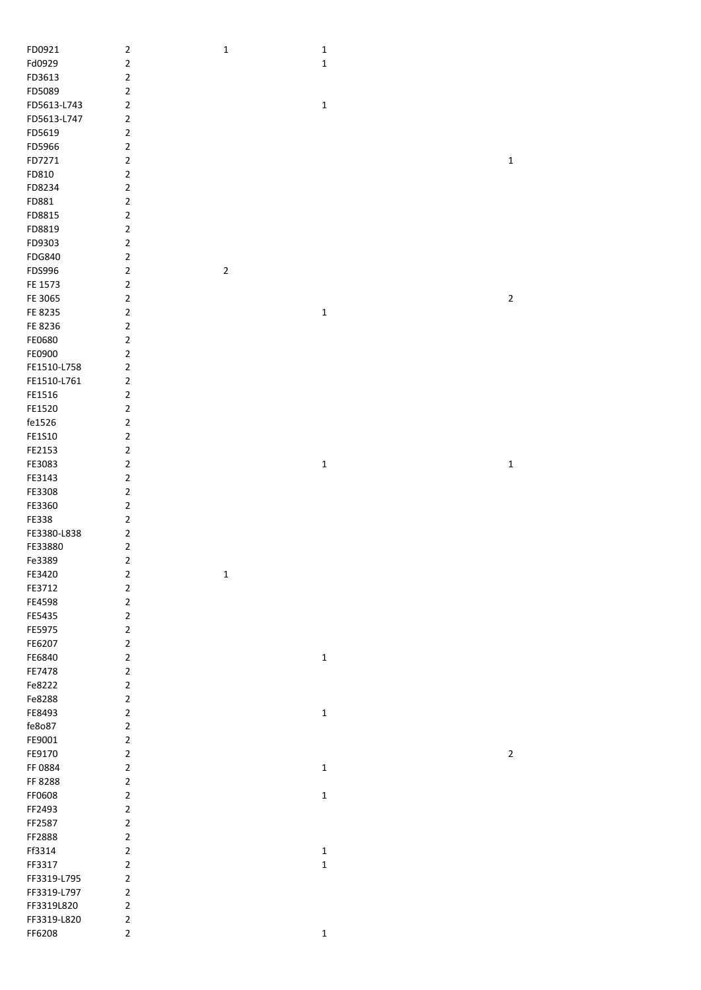| FD0921        | $\sqrt{2}$  | $\mathbf 1$ | $\mathbf 1$  |                         |
|---------------|-------------|-------------|--------------|-------------------------|
| Fd0929        | $\mathbf 2$ |             | $\mathbf 1$  |                         |
| FD3613        | $\sqrt{2}$  |             |              |                         |
| FD5089        | $\mathbf 2$ |             |              |                         |
| FD5613-L743   | $\sqrt{2}$  |             | $\mathbf 1$  |                         |
|               |             |             |              |                         |
| FD5613-L747   | $\mathbf 2$ |             |              |                         |
| FD5619        | $\mathbf 2$ |             |              |                         |
| FD5966        | $\mathbf 2$ |             |              |                         |
| FD7271        | $\mathbf 2$ |             |              | $\mathbf 1$             |
| FD810         | $\mathbf 2$ |             |              |                         |
|               |             |             |              |                         |
| FD8234        | $\mathbf 2$ |             |              |                         |
| FD881         | $\mathbf 2$ |             |              |                         |
| FD8815        | $\mathbf 2$ |             |              |                         |
| FD8819        | $\mathbf 2$ |             |              |                         |
| FD9303        | $\mathbf 2$ |             |              |                         |
|               |             |             |              |                         |
| <b>FDG840</b> | $\mathbf 2$ |             |              |                         |
| FDS996        | $\mathbf 2$ | $\mathbf 2$ |              |                         |
| FE 1573       | $\mathbf 2$ |             |              |                         |
| FE 3065       | $\mathbf 2$ |             |              | $\overline{\mathbf{c}}$ |
| FE 8235       | $\mathbf 2$ |             | $\mathbf 1$  |                         |
|               |             |             |              |                         |
| FE 8236       | $\mathbf 2$ |             |              |                         |
| FE0680        | $\mathbf 2$ |             |              |                         |
| FE0900        | $\mathbf 2$ |             |              |                         |
| FE1510-L758   | $\mathbf 2$ |             |              |                         |
| FE1510-L761   | $\sqrt{2}$  |             |              |                         |
| FE1516        | $\mathbf 2$ |             |              |                         |
|               |             |             |              |                         |
| FE1520        | $\mathbf 2$ |             |              |                         |
| fe1526        | $\mathbf 2$ |             |              |                         |
| FE1S10        | $\mathbf 2$ |             |              |                         |
| FE2153        | $\sqrt{2}$  |             |              |                         |
| FE3083        | $\mathbf 2$ |             | $\mathbf{1}$ | $\mathbf 1$             |
| FE3143        | $\mathbf 2$ |             |              |                         |
| FE3308        | $\mathbf 2$ |             |              |                         |
|               |             |             |              |                         |
| FE3360        | $\mathbf 2$ |             |              |                         |
| FE338         | $\mathbf 2$ |             |              |                         |
| FE3380-L838   | $\mathbf 2$ |             |              |                         |
| FE33880       | $\mathbf 2$ |             |              |                         |
| Fe3389        | $\mathbf 2$ |             |              |                         |
| FE3420        | $\mathbf 2$ | $\mathbf 1$ |              |                         |
|               |             |             |              |                         |
| FE3712        | $\mathbf 2$ |             |              |                         |
| FE4598        | $\mathbf 2$ |             |              |                         |
| FE5435        | $\mathbf 2$ |             |              |                         |
| FE5975        | $\mathbf 2$ |             |              |                         |
| FE6207        | $\mathbf 2$ |             |              |                         |
| FE6840        | $\mathbf 2$ |             | $\mathbf 1$  |                         |
|               |             |             |              |                         |
| FE7478        | $\mathbf 2$ |             |              |                         |
| Fe8222        | $\mathbf 2$ |             |              |                         |
| Fe8288        | $\mathbf 2$ |             |              |                         |
| FE8493        | $\mathbf 2$ |             | $\mathbf 1$  |                         |
| fe8o87        | $\sqrt{2}$  |             |              |                         |
| FE9001        | $\mathbf 2$ |             |              |                         |
|               |             |             |              |                         |
| FE9170        | $\mathbf 2$ |             |              | $\mathbf 2$             |
| FF 0884       | $\mathbf 2$ |             | $\mathbf 1$  |                         |
| FF 8288       | $\mathbf 2$ |             |              |                         |
| FF0608        | $\mathbf 2$ |             | $\mathbf 1$  |                         |
| FF2493        | $\mathbf 2$ |             |              |                         |
| FF2587        | $\mathbf 2$ |             |              |                         |
|               | $\mathbf 2$ |             |              |                         |
| FF2888        |             |             |              |                         |
| Ff3314        | $\mathbf 2$ |             | $\mathbf 1$  |                         |
| FF3317        | $\mathbf 2$ |             | $\mathbf 1$  |                         |
| FF3319-L795   | $\mathbf 2$ |             |              |                         |
| FF3319-L797   | $\mathbf 2$ |             |              |                         |
| FF3319L820    | $\mathbf 2$ |             |              |                         |
| FF3319-L820   | $\sqrt{2}$  |             |              |                         |
| FF6208        | $\mathbf 2$ |             | $\mathbf 1$  |                         |
|               |             |             |              |                         |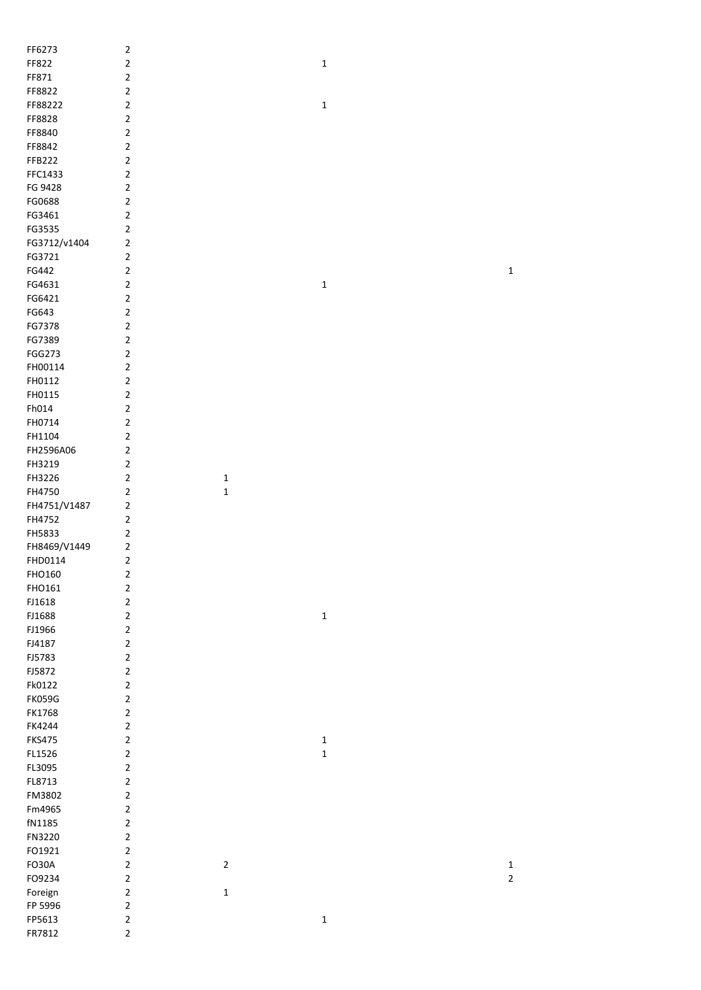| FF6273        | $\mathbf 2$    |             |             |             |
|---------------|----------------|-------------|-------------|-------------|
| FF822         | $\mathbf 2$    |             | $\mathbf 1$ |             |
| FF871         | $\mathbf 2$    |             |             |             |
| FF8822        | $\overline{2}$ |             |             |             |
| FF88222       | $\overline{2}$ |             | $\mathbf 1$ |             |
| FF8828        | $\overline{2}$ |             |             |             |
| FF8840        | $\overline{2}$ |             |             |             |
| FF8842        | $\overline{2}$ |             |             |             |
| FFB222        | $\overline{2}$ |             |             |             |
| FFC1433       | $\overline{2}$ |             |             |             |
| FG 9428       | $\overline{2}$ |             |             |             |
| FG0688        | $\mathbf 2$    |             |             |             |
| FG3461        | $\mathbf 2$    |             |             |             |
| FG3535        | $\mathbf 2$    |             |             |             |
| FG3712/v1404  | $\mathbf 2$    |             |             |             |
| FG3721        | $\mathbf 2$    |             |             |             |
| FG442         | $\overline{2}$ |             |             | $\mathbf 1$ |
| FG4631        | $\overline{2}$ |             | $\mathbf 1$ |             |
| FG6421        | $\overline{2}$ |             |             |             |
| FG643         | $\overline{2}$ |             |             |             |
| FG7378        | $\overline{2}$ |             |             |             |
| FG7389        | $\overline{2}$ |             |             |             |
| FGG273        | $\mathbf 2$    |             |             |             |
| FH00114       | $\mathbf 2$    |             |             |             |
| FH0112        | $\mathbf 2$    |             |             |             |
| FH0115        | $\overline{2}$ |             |             |             |
| Fh014         | $\overline{2}$ |             |             |             |
| FH0714        | $\overline{2}$ |             |             |             |
| FH1104        | $\overline{2}$ |             |             |             |
| FH2596A06     | $\overline{2}$ |             |             |             |
| FH3219        | $\overline{2}$ |             |             |             |
| FH3226        | $\overline{2}$ | $\mathbf 1$ |             |             |
| FH4750        | $\mathbf 2$    | $\mathbf 1$ |             |             |
| FH4751/V1487  | $\mathbf 2$    |             |             |             |
| FH4752        | $\mathbf 2$    |             |             |             |
| FH5833        | $\mathbf 2$    |             |             |             |
| FH8469/V1449  | $\overline{2}$ |             |             |             |
| FHD0114       | 2              |             |             |             |
| FHO160        | $\mathbf 2$    |             |             |             |
| FHO161        | $\mathbf 2$    |             |             |             |
| FJ1618        | $\overline{2}$ |             |             |             |
| FJ1688        | $\overline{2}$ |             | $\mathbf 1$ |             |
| FJ1966        | $\overline{2}$ |             |             |             |
| FJ4187        | $\overline{2}$ |             |             |             |
| FJ5783        | $\overline{2}$ |             |             |             |
| FJ5872        | $\overline{2}$ |             |             |             |
| Fk0122        | $\overline{2}$ |             |             |             |
| <b>FK059G</b> | $\overline{2}$ |             |             |             |
| FK1768        | $\overline{2}$ |             |             |             |
| FK4244        | $\overline{2}$ |             |             |             |
| <b>FKS475</b> | $\overline{2}$ |             | $\mathbf 1$ |             |
| FL1526        | $\overline{2}$ |             | $\mathbf 1$ |             |
| FL3095        | $\overline{2}$ |             |             |             |
| FL8713        | $\overline{2}$ |             |             |             |
| FM3802        | $\overline{2}$ |             |             |             |
| Fm4965        | $\overline{2}$ |             |             |             |
| fN1185        | $\overline{2}$ |             |             |             |
| FN3220        | $\overline{2}$ |             |             |             |
| FO1921        | $\overline{2}$ |             |             |             |
| FO30A         | $\mathbf 2$    | $\mathbf 2$ |             | $\mathbf 1$ |
| FO9234        | $\mathbf 2$    |             |             | $\mathbf 2$ |
| Foreign       | $\overline{2}$ | $\mathbf 1$ |             |             |
| FP 5996       | $\overline{2}$ |             |             |             |
| FP5613        | $\overline{2}$ |             | $\mathbf 1$ |             |
| FR7812        | $\overline{2}$ |             |             |             |
|               |                |             |             |             |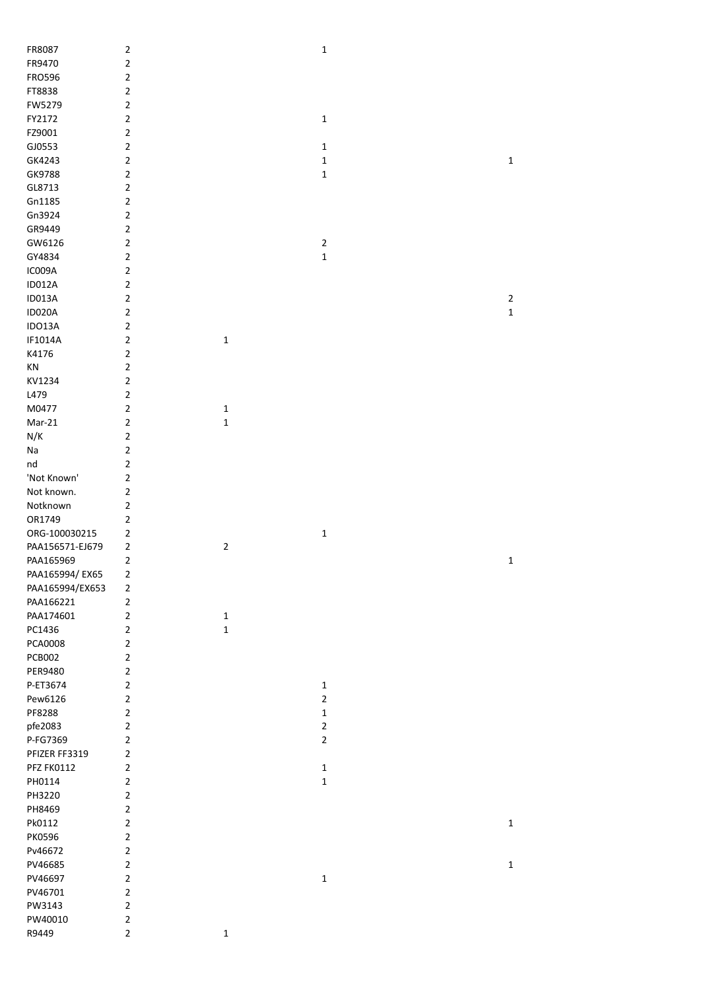| FR8087            | $\mathbf 2$             |              | $\mathbf 1$    |             |
|-------------------|-------------------------|--------------|----------------|-------------|
| FR9470            | $\mathbf 2$             |              |                |             |
| <b>FRO596</b>     | $\mathbf 2$             |              |                |             |
| FT8838            | $\mathbf 2$             |              |                |             |
| FW5279            | $\overline{\mathbf{c}}$ |              |                |             |
| FY2172            | $\overline{\mathbf{c}}$ |              | $\mathbf 1$    |             |
| FZ9001            | $\overline{\mathbf{c}}$ |              |                |             |
| GJ0553            | $\overline{\mathbf{c}}$ |              | $\mathbf 1$    |             |
| GK4243            | $\overline{\mathbf{c}}$ |              | $\mathbf 1$    | $\mathbf 1$ |
| GK9788            | $\overline{2}$          |              | $\mathbf 1$    |             |
| GL8713            | $\overline{2}$          |              |                |             |
|                   |                         |              |                |             |
| Gn1185            | $\mathbf 2$             |              |                |             |
| Gn3924            | $\mathbf 2$             |              |                |             |
| GR9449            | $\mathbf 2$             |              |                |             |
| GW6126            | $\mathbf 2$             |              | $\overline{2}$ |             |
| GY4834            | $\overline{2}$          |              | $\mathbf 1$    |             |
| IC009A            | $\mathbf 2$             |              |                |             |
| <b>ID012A</b>     | $\overline{\mathbf{c}}$ |              |                |             |
| <b>ID013A</b>     | $\overline{\mathbf{c}}$ |              |                | $\mathbf 2$ |
| <b>ID020A</b>     | $\mathbf 2$             |              |                | $\mathbf 1$ |
| IDO13A            | $\mathbf 2$             |              |                |             |
| IF1014A           | $\mathbf 2$             | $\mathbf{1}$ |                |             |
| K4176             | $\overline{\mathbf{c}}$ |              |                |             |
| KN                | $\mathbf 2$             |              |                |             |
| KV1234            | $\mathbf 2$             |              |                |             |
| L479              | $\mathbf 2$             |              |                |             |
| M0477             | $\mathbf 2$             | $\mathbf 1$  |                |             |
| $Mar-21$          | $\mathbf 2$             | $\mathbf 1$  |                |             |
| N/K               | $\mathbf 2$             |              |                |             |
| Na                | $\mathbf 2$             |              |                |             |
| nd                | $\mathbf 2$             |              |                |             |
| 'Not Known'       | $\overline{\mathbf{c}}$ |              |                |             |
| Not known.        | $\mathbf 2$             |              |                |             |
| Notknown          | $\mathbf 2$             |              |                |             |
| OR1749            | $\mathbf 2$             |              |                |             |
| ORG-100030215     | 2                       |              | $\mathbf 1$    |             |
|                   |                         |              |                |             |
| PAA156571-EJ679   | $\overline{\mathbf{c}}$ | $\mathbf{2}$ |                |             |
| PAA165969         | $\mathbf 2$             |              |                | $\mathbf 1$ |
| PAA165994/EX65    | 2                       |              |                |             |
| PAA165994/EX653   | 2                       |              |                |             |
| PAA166221         | $\overline{\mathbf{c}}$ |              |                |             |
| PAA174601         | $\overline{\mathbf{c}}$ | $\mathbf{1}$ |                |             |
| PC1436            | $\mathbf 2$             | $\mathbf 1$  |                |             |
| PCA0008           | $\mathbf 2$             |              |                |             |
| <b>PCB002</b>     | $\overline{2}$          |              |                |             |
| PER9480           | $\overline{2}$          |              |                |             |
| P-ET3674          | $\overline{2}$          |              | $\mathbf 1$    |             |
| Pew6126           | $\overline{2}$          |              | $\overline{2}$ |             |
| PF8288            | $\overline{2}$          |              | $\mathbf 1$    |             |
| pfe2083           | $\mathbf 2$             |              | $\overline{2}$ |             |
| P-FG7369          | $\mathbf 2$             |              | $\overline{2}$ |             |
| PFIZER FF3319     | $\overline{\mathbf{c}}$ |              |                |             |
| <b>PFZ FK0112</b> | $\overline{\mathbf{c}}$ |              | $\mathbf{1}$   |             |
| PH0114            | $\mathbf 2$             |              | $\mathbf 1$    |             |
| PH3220            | $\mathbf 2$             |              |                |             |
| PH8469            | $\mathbf 2$             |              |                |             |
| Pk0112            | $\overline{2}$          |              |                | $\mathbf 1$ |
| PK0596            | $\overline{2}$          |              |                |             |
| Pv46672           | $\overline{2}$          |              |                |             |
| PV46685           | $\mathbf 2$             |              |                | $\mathbf 1$ |
| PV46697           | $\overline{2}$          |              | $\mathbf 1$    |             |
| PV46701           | $\overline{2}$          |              |                |             |
| PW3143            | $\overline{2}$          |              |                |             |
| PW40010           | $\overline{2}$          |              |                |             |
| R9449             | $\mathbf 2$             | $\mathbf{1}$ |                |             |
|                   |                         |              |                |             |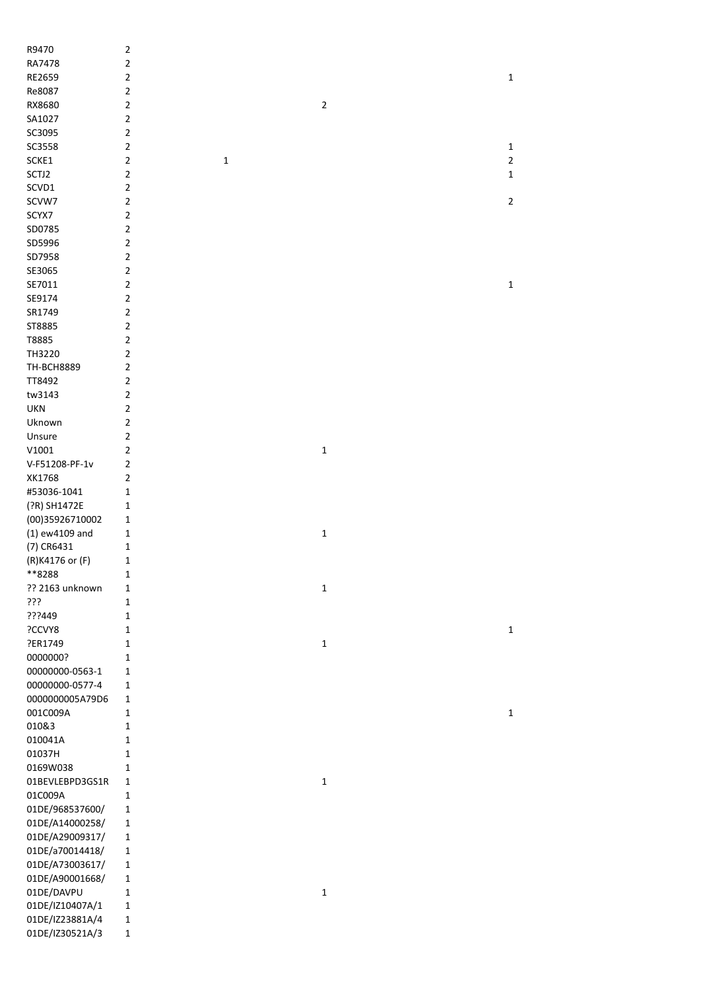| R9470             | $\mathbf 2$    |             |              |                |
|-------------------|----------------|-------------|--------------|----------------|
| RA7478            | $\overline{2}$ |             |              |                |
| RE2659            | $\mathbf 2$    |             |              | $\mathbf 1$    |
| Re8087            | $\overline{2}$ |             |              |                |
| RX8680            | $\overline{2}$ |             | $\mathbf 2$  |                |
| SA1027            | $\overline{2}$ |             |              |                |
| SC3095            | $\overline{2}$ |             |              |                |
| SC3558            | $\overline{2}$ |             |              | $\mathbf 1$    |
| SCKE1             | $\overline{2}$ | $\mathbf 1$ |              | $\overline{2}$ |
| SCTJ2             | $\overline{2}$ |             |              | 1              |
| SCVD1             | $\overline{2}$ |             |              |                |
| SCVW7             | $\overline{2}$ |             |              | $\overline{2}$ |
| SCYX7             | $\overline{2}$ |             |              |                |
| SD0785            | $\overline{2}$ |             |              |                |
| SD5996            | $\overline{2}$ |             |              |                |
| SD7958            | $\overline{2}$ |             |              |                |
| SE3065            | $\mathbf 2$    |             |              |                |
|                   |                |             |              |                |
| SE7011            | $\overline{2}$ |             |              | $\mathbf 1$    |
| SE9174            | $\overline{2}$ |             |              |                |
| SR1749            | $\overline{2}$ |             |              |                |
| ST8885            | $\mathbf 2$    |             |              |                |
| T8885             | $\mathbf 2$    |             |              |                |
| TH3220            | $\mathbf 2$    |             |              |                |
| <b>TH-BCH8889</b> | $\mathbf 2$    |             |              |                |
| TT8492            | $\mathbf 2$    |             |              |                |
| tw3143            | $\overline{2}$ |             |              |                |
| <b>UKN</b>        | $\mathbf 2$    |             |              |                |
| Uknown            | $\mathbf 2$    |             |              |                |
| Unsure            | $\mathbf 2$    |             |              |                |
| V1001             | $\overline{2}$ |             | $\mathbf 1$  |                |
| V-F51208-PF-1v    | $\overline{2}$ |             |              |                |
| XK1768            | $\overline{2}$ |             |              |                |
| #53036-1041       | 1              |             |              |                |
| (?R) SH1472E      | 1              |             |              |                |
| (00)35926710002   | 1              |             |              |                |
| (1) ew4109 and    | 1              |             | $\mathbf 1$  |                |
| (7) CR6431        | $\mathbf 1$    |             |              |                |
| (R)K4176 or (F)   | $\mathbf{1}$   |             |              |                |
| **8288            | 1              |             |              |                |
| ?? 2163 unknown   | 1              |             | $\mathbf{1}$ |                |
| ???               | $\mathbf{1}$   |             |              |                |
| ???449            | $\mathbf{1}$   |             |              |                |
| ?CCVY8            | $\mathbf{1}$   |             |              | $\mathbf 1$    |
| ?ER1749           | $\mathbf{1}$   |             | $\mathbf 1$  |                |
|                   | 1              |             |              |                |
| 0000000?          |                |             |              |                |
| 00000000-0563-1   | 1              |             |              |                |
| 00000000-0577-4   | $\mathbf{1}$   |             |              |                |
| 0000000005A79D6   | $\mathbf 1$    |             |              |                |
| 001C009A          | $\mathbf{1}$   |             |              | $\mathbf 1$    |
| 010&3             | $\mathbf{1}$   |             |              |                |
| 010041A           | 1              |             |              |                |
| 01037H            | 1              |             |              |                |
| 0169W038          | 1              |             |              |                |
| 01BEVLEBPD3GS1R   | 1              |             | $\mathbf 1$  |                |
| 01C009A           | $\mathbf 1$    |             |              |                |
| 01DE/968537600/   | $\mathbf 1$    |             |              |                |
| 01DE/A14000258/   | $\mathbf{1}$   |             |              |                |
| 01DE/A29009317/   | $\mathbf{1}$   |             |              |                |
| 01DE/a70014418/   | $\mathbf{1}$   |             |              |                |
| 01DE/A73003617/   | $\mathbf{1}$   |             |              |                |
| 01DE/A90001668/   | $\mathbf 1$    |             |              |                |
| 01DE/DAVPU        | $\mathbf 1$    |             | $\mathbf 1$  |                |
| 01DE/IZ10407A/1   | $\mathbf{1}$   |             |              |                |
| 01DE/IZ23881A/4   | $\mathbf{1}$   |             |              |                |
| 01DE/IZ30521A/3   | $\mathbf{1}$   |             |              |                |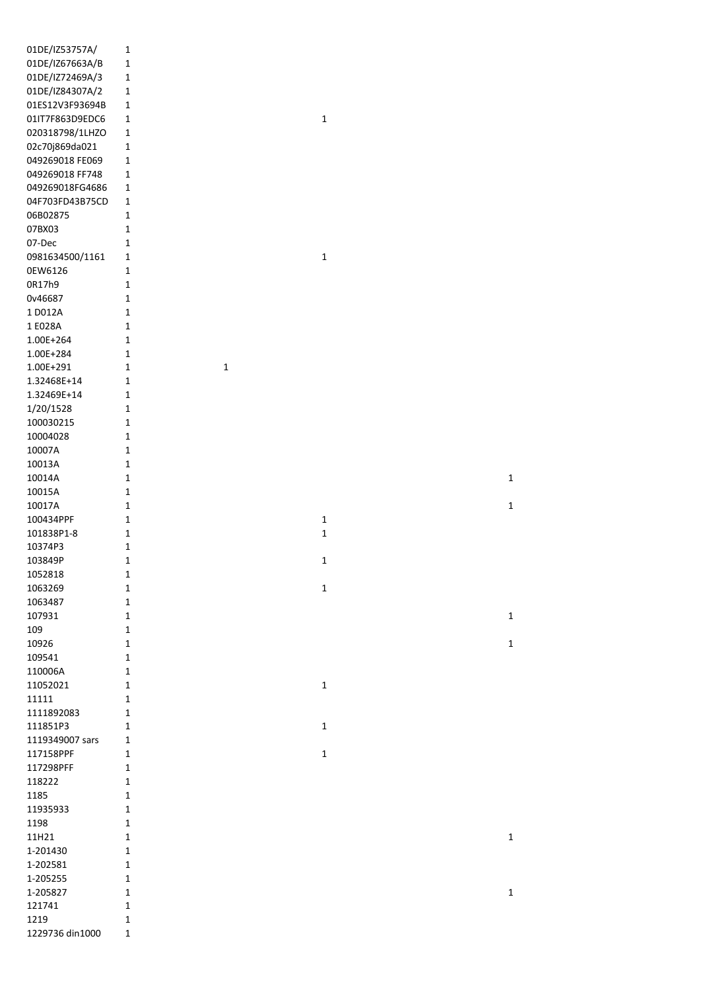| 01DE/IZ53757A/  | $\mathbf 1$  |             |              |  |  |
|-----------------|--------------|-------------|--------------|--|--|
| 01DE/IZ67663A/B | $\mathbf 1$  |             |              |  |  |
|                 |              |             |              |  |  |
| 01DE/IZ72469A/3 | $\mathbf 1$  |             |              |  |  |
| 01DE/IZ84307A/2 | $\mathbf 1$  |             |              |  |  |
| 01ES12V3F93694B | $\mathbf 1$  |             |              |  |  |
| 01IT7F863D9EDC6 | $\mathbf{1}$ |             | $\mathbf{1}$ |  |  |
| 020318798/1LHZO | $\mathbf 1$  |             |              |  |  |
| 02c70j869da021  | $\mathbf 1$  |             |              |  |  |
|                 |              |             |              |  |  |
| 049269018 FE069 | $\mathbf 1$  |             |              |  |  |
| 049269018 FF748 | $\mathbf{1}$ |             |              |  |  |
| 049269018FG4686 | $\mathbf{1}$ |             |              |  |  |
| 04F703FD43B75CD | $\mathbf 1$  |             |              |  |  |
| 06B02875        | $\mathbf 1$  |             |              |  |  |
| 07BX03          | $\mathbf{1}$ |             |              |  |  |
| 07-Dec          | $\mathbf{1}$ |             |              |  |  |
|                 |              |             |              |  |  |
| 0981634500/1161 | $\mathbf{1}$ |             | $\mathbf{1}$ |  |  |
| 0EW6126         | $\mathbf{1}$ |             |              |  |  |
| 0R17h9          | $\mathbf 1$  |             |              |  |  |
| 0v46687         | $\mathbf 1$  |             |              |  |  |
| 1 D012A         | $\mathbf{1}$ |             |              |  |  |
| 1 E028A         | $\mathbf{1}$ |             |              |  |  |
| 1.00E+264       | $\mathbf{1}$ |             |              |  |  |
|                 | $\mathbf{1}$ |             |              |  |  |
| 1.00E+284       |              |             |              |  |  |
| 1.00E+291       | $\mathbf 1$  | $\mathbf 1$ |              |  |  |
| 1.32468E+14     | $\mathbf 1$  |             |              |  |  |
| 1.32469E+14     | $\mathbf 1$  |             |              |  |  |
| 1/20/1528       | 1            |             |              |  |  |
| 100030215       | $\mathbf{1}$ |             |              |  |  |
| 10004028        | $\mathbf{1}$ |             |              |  |  |
| 10007A          | $\mathbf 1$  |             |              |  |  |
| 10013A          | $\mathbf 1$  |             |              |  |  |
|                 |              |             |              |  |  |
| 10014A          | $\mathbf 1$  |             |              |  |  |
| 10015A          | $\mathbf{1}$ |             |              |  |  |
| 10017A          | $\mathbf{1}$ |             |              |  |  |
| 100434PPF       | $\mathbf 1$  |             | $\mathbf{1}$ |  |  |
| 101838P1-8      | $\mathbf 1$  |             | $\mathbf 1$  |  |  |
| 10374P3         | $\mathbf 1$  |             |              |  |  |
| 103849P         | $\mathbf 1$  |             | $\mathbf 1$  |  |  |
| 1052818         | 1            |             |              |  |  |
| 1063269         | 1            |             | 1            |  |  |
| 1063487         | $\mathbf{1}$ |             |              |  |  |
|                 |              |             |              |  |  |
| 107931          | $\mathbf{1}$ |             |              |  |  |
| 109             | $\mathbf{1}$ |             |              |  |  |
| 10926           | $\mathbf{1}$ |             |              |  |  |
| 109541          | $\mathbf{1}$ |             |              |  |  |
| 110006A         | $\mathbf{1}$ |             |              |  |  |
| 11052021        |              |             |              |  |  |
|                 | $\mathbf{1}$ |             | $\mathbf{1}$ |  |  |
|                 |              |             |              |  |  |
| 11111           | $\mathbf{1}$ |             |              |  |  |
| 1111892083      | $\mathbf{1}$ |             |              |  |  |
| 111851P3        | 1            |             | 1            |  |  |
| 1119349007 sars | 1            |             |              |  |  |
| 117158PPF       | 1            |             | $\mathbf{1}$ |  |  |
| 117298PFF       | $\mathbf{1}$ |             |              |  |  |
| 118222          | $\mathbf{1}$ |             |              |  |  |
| 1185            | $\mathbf{1}$ |             |              |  |  |
| 11935933        | $\mathbf{1}$ |             |              |  |  |
|                 | 1            |             |              |  |  |
| 1198            |              |             |              |  |  |
| 11H21           | 1            |             |              |  |  |
| 1-201430        | $\mathbf{1}$ |             |              |  |  |
| 1-202581        | $\mathbf{1}$ |             |              |  |  |
| 1-205255        | $\mathbf{1}$ |             |              |  |  |
| 1-205827        | $\mathbf{1}$ |             |              |  |  |
| 121741          | 1            |             |              |  |  |
| 1219            | $\mathbf 1$  |             |              |  |  |

 $\mathbf{1}$ 

 $\mathbf{1}$ 

 $1$ 

 $\mathbf{1}$ 

 $\mathbf{1}$ 

 $\mathbf{1}$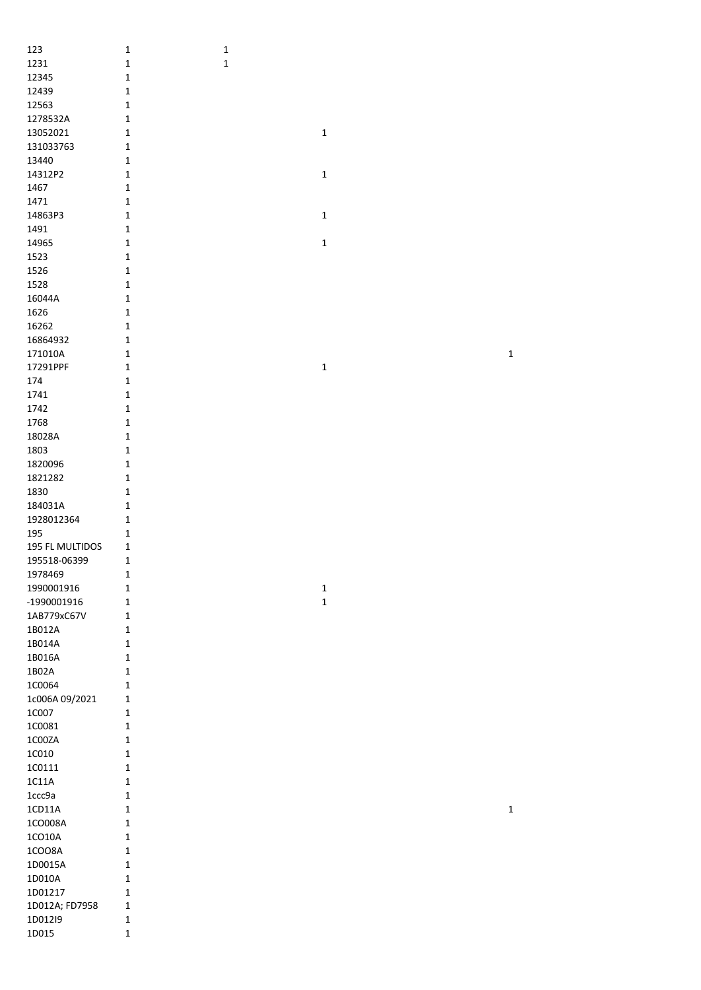| 123                | $\mathbf 1$                 | $\mathbf 1$ |             |  |              |
|--------------------|-----------------------------|-------------|-------------|--|--------------|
| 1231               | $\mathbf 1$                 | $\mathbf 1$ |             |  |              |
| 12345              | $\mathbf 1$                 |             |             |  |              |
| 12439              | $\mathbf 1$                 |             |             |  |              |
| 12563              | $\mathbf 1$                 |             |             |  |              |
| 1278532A           | $\mathbf 1$                 |             |             |  |              |
| 13052021           | $\mathbf 1$                 |             | $\mathbf 1$ |  |              |
| 131033763          | $\mathbf 1$                 |             |             |  |              |
| 13440              | $\mathbf 1$                 |             |             |  |              |
| 14312P2            | $\mathbf{1}$                |             | $\mathbf 1$ |  |              |
| 1467               | $\mathbf 1$                 |             |             |  |              |
| 1471               | $\mathbf 1$                 |             |             |  |              |
| 14863P3            | $\mathbf 1$                 |             | $\mathbf 1$ |  |              |
| 1491               | $\mathbf 1$                 |             |             |  |              |
| 14965              | $\mathbf 1$                 |             | $\mathbf 1$ |  |              |
| 1523               | $\mathbf 1$                 |             |             |  |              |
| 1526               | $\mathbf 1$                 |             |             |  |              |
| 1528               | $\mathbf 1$                 |             |             |  |              |
| 16044A             | $\mathbf 1$                 |             |             |  |              |
| 1626               | $\mathbf 1$                 |             |             |  |              |
| 16262              | $\mathbf{1}$                |             |             |  |              |
| 16864932           | $\mathbf 1$                 |             |             |  |              |
| 171010A            | $\mathbf 1$                 |             |             |  | $\mathbf 1$  |
| 17291PPF           | $\mathbf{1}$                |             | $\mathbf 1$ |  |              |
| 174                | $\mathbf 1$                 |             |             |  |              |
| 1741               | $\mathbf 1$                 |             |             |  |              |
| 1742               | $\mathbf 1$                 |             |             |  |              |
| 1768               | $\mathbf 1$                 |             |             |  |              |
| 18028A             | $\mathbf 1$                 |             |             |  |              |
| 1803               | $\mathbf 1$                 |             |             |  |              |
| 1820096<br>1821282 | $\mathbf{1}$                |             |             |  |              |
| 1830               | $\mathbf{1}$<br>$\mathbf 1$ |             |             |  |              |
| 184031A            | $\mathbf{1}$                |             |             |  |              |
| 1928012364         | $\mathbf{1}$                |             |             |  |              |
| 195                | $\mathbf{1}$                |             |             |  |              |
| 195 FL MULTIDOS    | $\mathbf{1}$                |             |             |  |              |
| 195518-06399       | $\mathbf{1}$                |             |             |  |              |
| 1978469            | $\mathbf 1$                 |             |             |  |              |
| 1990001916         | $\mathbf 1$                 |             | $\mathbf 1$ |  |              |
| -1990001916        | $\mathbf 1$                 |             | $\mathbf 1$ |  |              |
| 1AB779xC67V        | $\mathbf{1}$                |             |             |  |              |
| 1B012A             | $\mathbf{1}$                |             |             |  |              |
| 1B014A             | $\mathbf{1}$                |             |             |  |              |
| 1B016A             | $\mathbf{1}$                |             |             |  |              |
| 1B02A              | $\mathbf 1$                 |             |             |  |              |
| 1C0064             | $\mathbf 1$                 |             |             |  |              |
| 1c006A 09/2021     | $\mathbf{1}$                |             |             |  |              |
| 1C007              | $\mathbf{1}$                |             |             |  |              |
| 1C0081             | $\mathbf 1$                 |             |             |  |              |
| $1C00ZA$           | $\mathbf 1$                 |             |             |  |              |
| 1C010              | $\mathbf 1$                 |             |             |  |              |
| 1C0111             | $\mathbf 1$                 |             |             |  |              |
| $1C11A$            | $\mathbf 1$                 |             |             |  |              |
| 1ccc9a             | $\mathbf 1$                 |             |             |  |              |
| 1CD11A             | $\mathbf 1$                 |             |             |  | $\mathbf{1}$ |
| 1CO008A            | $\mathbf 1$                 |             |             |  |              |
| $1CO10A$           | $\mathbf 1$                 |             |             |  |              |
| 1CO08A             | $\mathbf 1$                 |             |             |  |              |
| 1D0015A            | $\mathbf 1$                 |             |             |  |              |
| 1D010A             | $\mathbf 1$                 |             |             |  |              |
| 1D01217            | $\mathbf 1$                 |             |             |  |              |
| 1D012A; FD7958     | $\mathbf 1$                 |             |             |  |              |
| 1D012I9            | $\mathbf 1$                 |             |             |  |              |
| 1D015              | $\mathbf 1$                 |             |             |  |              |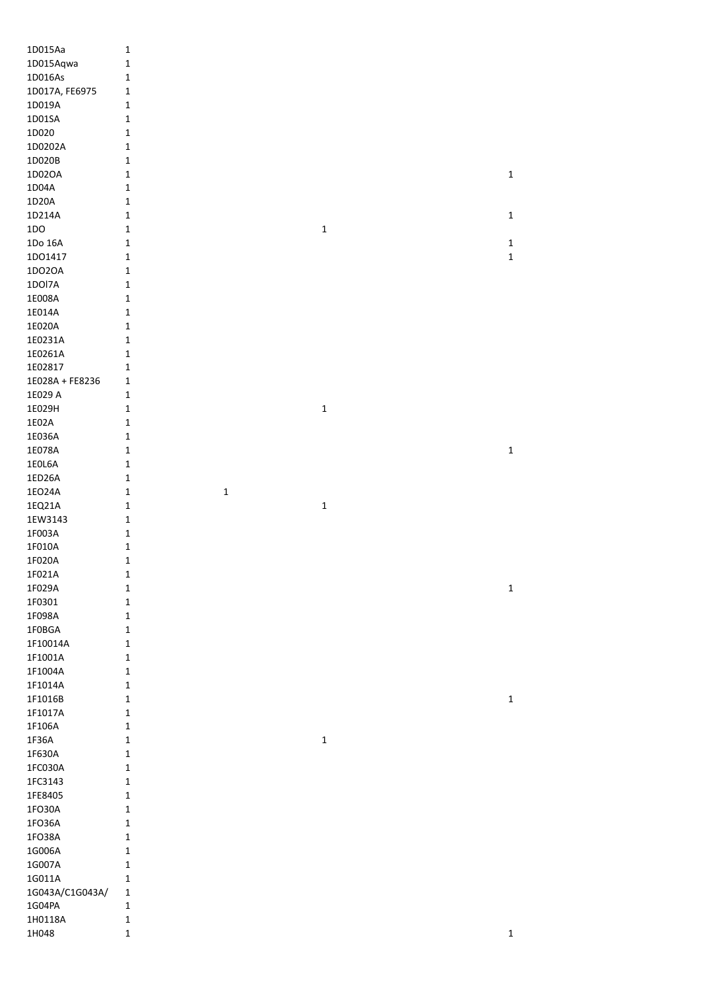| 1D015Aa          | $\mathbf 1$                |             |             |             |
|------------------|----------------------------|-------------|-------------|-------------|
| 1D015Aqwa        | $\mathbf 1$                |             |             |             |
| 1D016As          | $\mathbf 1$                |             |             |             |
| 1D017A, FE6975   | $\mathbf{1}$               |             |             |             |
| 1D019A           | $\mathbf 1$                |             |             |             |
| 1D01SA           | $\mathbf 1$                |             |             |             |
| 1D020            |                            |             |             |             |
|                  | $\mathbf 1$                |             |             |             |
| 1D0202A          | $\mathbf{1}$               |             |             |             |
| 1D020B           | $\mathbf 1$                |             |             |             |
| 1D02OA           | $\mathbf 1$                |             |             | $\mathbf 1$ |
| 1D04A            | $\mathbf 1$                |             |             |             |
| $1D20A$          | 1                          |             |             |             |
| 1D214A           | $\mathbf 1$                |             |             | $\mathbf 1$ |
| 1D <sub>O</sub>  | $\mathbf{1}$               |             | $\mathbf 1$ |             |
| 1Do 16A          | $\mathbf{1}$               |             |             | $\mathbf 1$ |
| 1DO1417          | $\mathbf{1}$               |             |             | $\mathbf 1$ |
| 1DO2OA           | $\mathbf 1$                |             |             |             |
| 1DOI7A           | $\mathbf 1$                |             |             |             |
| 1E008A           | $\mathbf 1$                |             |             |             |
|                  |                            |             |             |             |
| 1E014A           | $\mathbf 1$                |             |             |             |
| 1E020A           | $\mathbf 1$                |             |             |             |
| 1E0231A          | $\mathbf 1$                |             |             |             |
| 1E0261A          | $\mathbf 1$                |             |             |             |
| 1E02817          | 1                          |             |             |             |
| 1E028A + FE8236  | 1                          |             |             |             |
| 1E029 A          | 1                          |             |             |             |
| 1E029H           | $\mathbf 1$                |             | $\mathbf 1$ |             |
| 1E02A            | $\mathbf{1}$               |             |             |             |
| 1E036A           | $\mathbf 1$                |             |             |             |
| 1E078A           | $\mathbf 1$                |             |             | $\mathbf 1$ |
| 1E0L6A           | 1                          |             |             |             |
|                  |                            |             |             |             |
| 1ED26A           | $\mathbf 1$                |             |             |             |
| 1EO24A           | $\mathbf 1$                | $\mathbf 1$ |             |             |
| 1EQ21A           | $\mathbf 1$                |             | $\mathbf 1$ |             |
| 1EW3143          | $\mathbf 1$                |             |             |             |
| 1F003A           | $\mathbf 1$                |             |             |             |
| 1F010A           |                            |             |             |             |
|                  | $\mathbf 1$                |             |             |             |
| 1F020A           | $\mathbf 1$                |             |             |             |
|                  | 1                          |             |             |             |
| 1F021A           |                            |             |             |             |
| 1F029A           | $\mathbf 1$                |             |             | $\mathbf 1$ |
| 1F0301           | $\mathbf 1$                |             |             |             |
| 1F098A           | $\mathbf 1$                |             |             |             |
| 1F0BGA           | $\mathbf 1$                |             |             |             |
| 1F10014A         | $\mathbf 1$                |             |             |             |
| 1F1001A          | $\mathbf 1$                |             |             |             |
| 1F1004A          | $\mathbf 1$                |             |             |             |
| 1F1014A          | $\mathbf 1$                |             |             |             |
| 1F1016B          | $\mathbf{1}$               |             |             | $\mathbf 1$ |
| 1F1017A          | $\mathbf 1$                |             |             |             |
| 1F106A           | $\mathbf 1$                |             |             |             |
| 1F36A            | $\mathbf{1}$               |             | $\mathbf 1$ |             |
| 1F630A           | $\mathbf{1}$               |             |             |             |
|                  | $\mathbf{1}$               |             |             |             |
| 1FC030A          |                            |             |             |             |
| 1FC3143          | 1                          |             |             |             |
| 1FE8405          | 1                          |             |             |             |
| 1FO30A           | $\mathbf 1$                |             |             |             |
| 1FO36A           | $\mathbf{1}$               |             |             |             |
| 1FO38A           | $\mathbf{1}$               |             |             |             |
| 1G006A           | $\mathbf 1$                |             |             |             |
| 1G007A           | 1                          |             |             |             |
| 1G011A           | $\mathbf{1}$               |             |             |             |
| 1G043A/C1G043A/  | 1                          |             |             |             |
| 1G04PA           | $\mathbf 1$                |             |             |             |
| 1H0118A<br>1H048 | $\mathbf 1$<br>$\mathbf 1$ |             |             |             |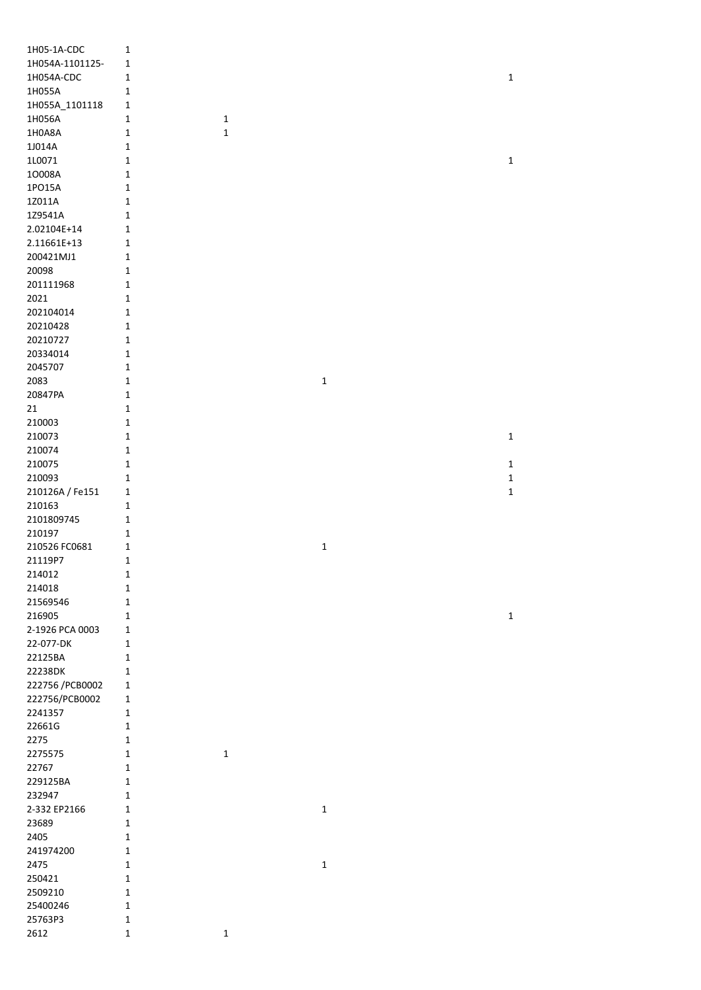| 1H05-1A-CDC      | $\mathbf 1$  |             |             |             |
|------------------|--------------|-------------|-------------|-------------|
| 1H054A-1101125-  | 1            |             |             |             |
| 1H054A-CDC       | 1            |             |             | 1           |
| 1H055A           | 1            |             |             |             |
|                  |              |             |             |             |
| 1H055A_1101118   | 1            |             |             |             |
| 1H056A           | 1            | $\mathbf 1$ |             |             |
| 1H0A8A           | $\mathbf 1$  | $\mathbf 1$ |             |             |
| 1J014A           | 1            |             |             |             |
| 1L0071           | 1            |             |             | 1           |
| 10008A           | 1            |             |             |             |
| 1PO15A           | $\mathbf 1$  |             |             |             |
| 1Z011A           | $\mathbf 1$  |             |             |             |
|                  |              |             |             |             |
| 1Z9541A          | $\mathbf 1$  |             |             |             |
| 2.02104E+14      | 1            |             |             |             |
| 2.11661E+13      | $\mathbf{1}$ |             |             |             |
| 200421MJ1        | $\mathbf{1}$ |             |             |             |
| 20098            | $\mathbf 1$  |             |             |             |
| 201111968        | $\mathbf 1$  |             |             |             |
| 2021             | $\mathbf 1$  |             |             |             |
| 202104014        | 1            |             |             |             |
|                  |              |             |             |             |
| 20210428         | $\mathbf{1}$ |             |             |             |
| 20210727         | 1            |             |             |             |
| 20334014         | 1            |             |             |             |
| 2045707          | $\mathbf{1}$ |             |             |             |
| 2083             | $\mathbf 1$  |             | $\mathbf 1$ |             |
| 20847PA          | $\mathbf 1$  |             |             |             |
| 21               | 1            |             |             |             |
| 210003           | 1            |             |             |             |
|                  |              |             |             |             |
| 210073           | $\mathbf 1$  |             |             | 1           |
| 210074           | $\mathbf 1$  |             |             |             |
| 210075           | $\mathbf 1$  |             |             | 1           |
| 210093           | $\mathbf 1$  |             |             | 1           |
| 210126A / Fe151  | 1            |             |             | 1           |
| 210163           | 1            |             |             |             |
| 2101809745       | $\mathbf{1}$ |             |             |             |
| 210197           | $\mathbf 1$  |             |             |             |
| 210526 FC0681    | 1            |             | $\mathbf 1$ |             |
| 21119P7          | 1            |             |             |             |
|                  |              |             |             |             |
| 214012           | 1            |             |             |             |
| 214018           | 1            |             |             |             |
| 21569546         | 1            |             |             |             |
| 216905           | $\mathbf 1$  |             |             | $\mathbf 1$ |
| 2-1926 PCA 0003  | 1            |             |             |             |
| 22-077-DK        | 1            |             |             |             |
| 22125BA          | 1            |             |             |             |
|                  |              |             |             |             |
| 22238DK          | $\mathbf 1$  |             |             |             |
| 222756 / PCB0002 | $\mathbf{1}$ |             |             |             |
| 222756/PCB0002   | $\mathbf{1}$ |             |             |             |
| 2241357          | $\mathbf{1}$ |             |             |             |
| 22661G           | 1            |             |             |             |
| 2275             | 1            |             |             |             |
| 2275575          | 1            | $\mathbf 1$ |             |             |
| 22767            | 1            |             |             |             |
| 229125BA         | 1            |             |             |             |
|                  |              |             |             |             |
| 232947           | $\mathbf 1$  |             |             |             |
| 2-332 EP2166     | 1            |             | $\mathbf 1$ |             |
| 23689            | 1            |             |             |             |
| 2405             | $\mathbf 1$  |             |             |             |
| 241974200        | 1            |             |             |             |
| 2475             | $\mathbf 1$  |             | $\mathbf 1$ |             |
| 250421           | $\mathbf 1$  |             |             |             |
| 2509210          | $\mathbf 1$  |             |             |             |
| 25400246         | $\mathbf{1}$ |             |             |             |
|                  |              |             |             |             |
| 25763P3          | $\mathbf{1}$ |             |             |             |
| 2612             | 1            | $\mathbf 1$ |             |             |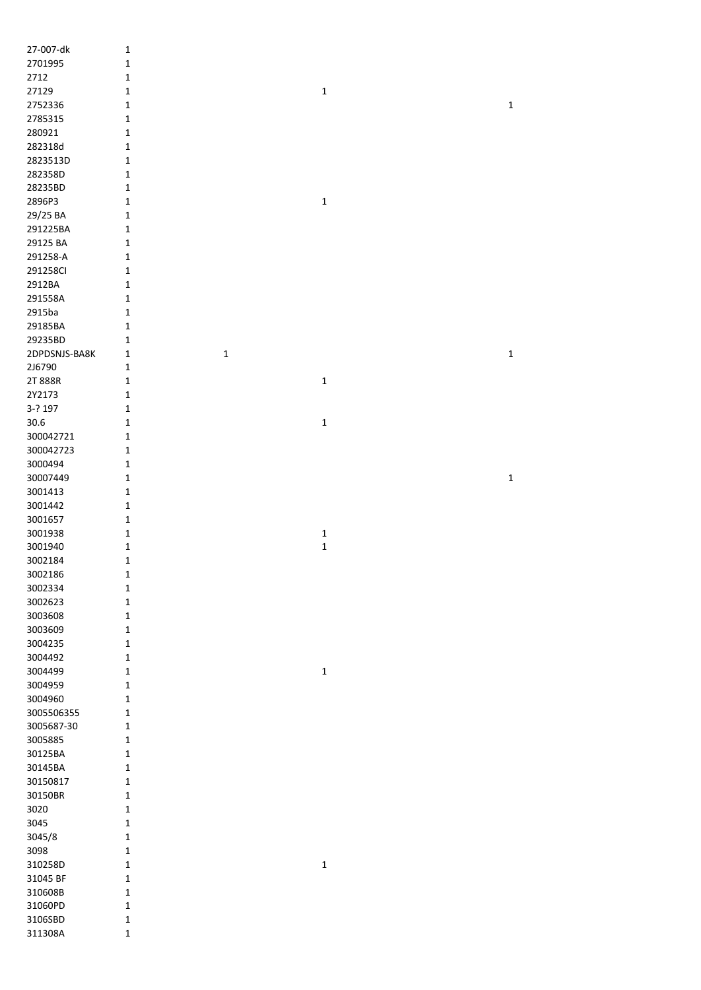| 27-007-dk          | $\mathbf 1$                |              |             |
|--------------------|----------------------------|--------------|-------------|
| 2701995            | $\mathbf 1$                |              |             |
| 2712               | $\mathbf 1$                |              |             |
| 27129              | $\mathbf 1$                | $\mathbf 1$  |             |
| 2752336            | $\mathbf 1$                |              | $\mathbf 1$ |
|                    |                            |              |             |
| 2785315            | $\mathbf{1}$               |              |             |
| 280921             | $\mathbf 1$                |              |             |
| 282318d            | $\mathbf 1$                |              |             |
| 2823513D           | $\mathbf 1$                |              |             |
| 282358D            | $\mathbf 1$                |              |             |
| 28235BD            | $\mathbf 1$                |              |             |
| 2896P3             | $\mathbf 1$                | $\mathbf 1$  |             |
| 29/25 BA           |                            |              |             |
|                    | $\mathbf 1$                |              |             |
| 291225BA           | $\mathbf 1$                |              |             |
| 29125 BA           | $\mathbf{1}$               |              |             |
| 291258-A           | $\mathbf{1}$               |              |             |
| 291258CI           | $\mathbf 1$                |              |             |
| 2912BA             | $\mathbf 1$                |              |             |
| 291558A            | $\mathbf 1$                |              |             |
| 2915ba             | $\mathbf 1$                |              |             |
| 29185BA            | $\mathbf 1$                |              |             |
|                    |                            |              |             |
| 29235BD            | $\mathbf 1$                |              |             |
| 2DPDSNJS-BA8K      | $\mathbf 1$<br>$\mathbf 1$ |              | $\mathbf 1$ |
| 2J6790             | $\mathbf 1$                |              |             |
| 2T 888R            | $\mathbf 1$                | $\mathbf 1$  |             |
| 2Y2173             | $\mathbf 1$                |              |             |
| 3-? 197            | $\mathbf 1$                |              |             |
| 30.6               | $\mathbf 1$                | $\mathbf 1$  |             |
| 300042721          |                            |              |             |
|                    | $\mathbf 1$                |              |             |
| 300042723          | $\mathbf{1}$               |              |             |
| 3000494            | $\mathbf{1}$               |              |             |
| 30007449           | $\mathbf 1$                |              | $\mathbf 1$ |
| 3001413            | $\mathbf{1}$               |              |             |
| 3001442            | $\mathbf{1}$               |              |             |
| 3001657            | $\mathbf 1$                |              |             |
| 3001938            | $\mathbf{1}$               | $\mathbf{1}$ |             |
|                    |                            |              |             |
| 3001940            | $\mathbf 1$                | $\mathbf{1}$ |             |
| 3002184            | $\mathbf 1$                |              |             |
| 3002186            |                            |              |             |
|                    | $\mathbf{1}$               |              |             |
| 3002334            | $\mathbf{1}$               |              |             |
| 3002623            | $\mathbf 1$                |              |             |
|                    | $\mathbf 1$                |              |             |
| 3003608            |                            |              |             |
| 3003609            | $\mathbf 1$                |              |             |
| 3004235            | $\mathbf 1$                |              |             |
| 3004492            | $\mathbf 1$                |              |             |
| 3004499            | $\mathbf 1$                | $\mathbf 1$  |             |
| 3004959            | $\mathbf 1$                |              |             |
| 3004960            | $\mathbf 1$                |              |             |
| 3005506355         | $\mathbf 1$                |              |             |
|                    |                            |              |             |
| 3005687-30         | $\mathbf 1$                |              |             |
| 3005885            | $\mathbf 1$                |              |             |
| 30125BA            | $\mathbf 1$                |              |             |
| 30145BA            | $\mathbf 1$                |              |             |
| 30150817           | $\mathbf 1$                |              |             |
| 30150BR            | $\mathbf 1$                |              |             |
| 3020               | $\mathbf 1$                |              |             |
| 3045               | $\mathbf 1$                |              |             |
|                    | $\mathbf 1$                |              |             |
| 3045/8             | $\mathbf 1$                |              |             |
| 3098               |                            |              |             |
| 310258D            | $\mathbf 1$                | $\mathbf 1$  |             |
| 31045 BF           | $\mathbf{1}$               |              |             |
| 310608B            | $\mathbf 1$                |              |             |
| 31060PD            | $\mathbf 1$                |              |             |
| 3106SBD<br>311308A | $\mathbf{1}$               |              |             |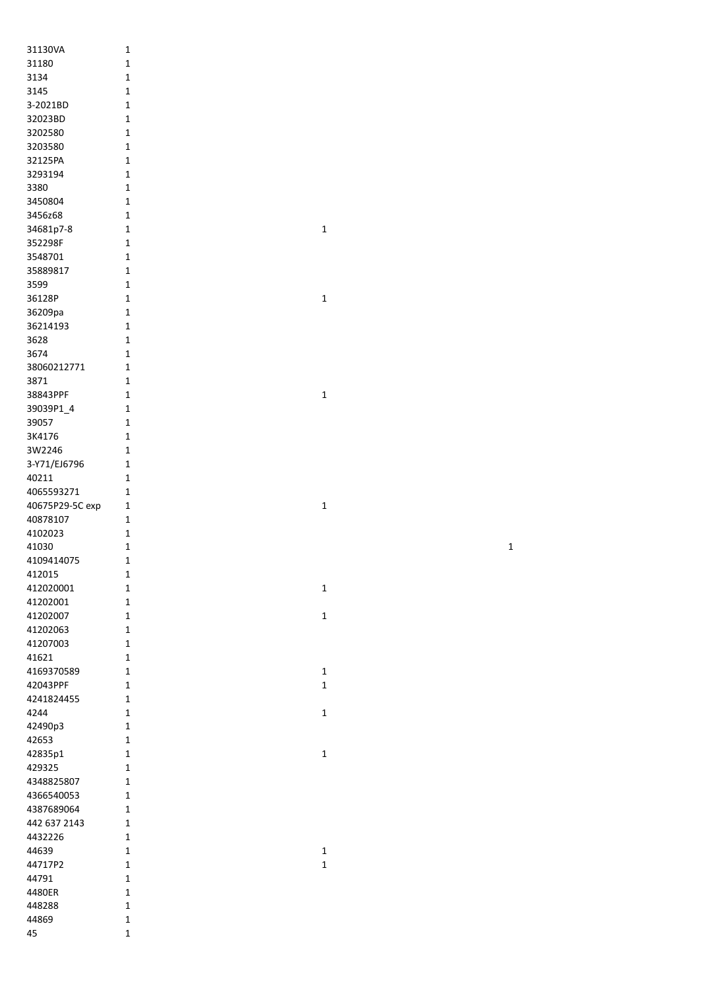| 31130VA         | 1              |
|-----------------|----------------|
| 31180           | 1              |
| 3134            | 1              |
| 3145            | 1              |
| 3-2021BD        | 1              |
| 32023BD         | 1              |
|                 |                |
| 3202580         | $\mathbf 1$    |
| 3203580         | $\mathbf 1$    |
| 32125PA         | 1              |
| 3293194         | 1              |
| 3380            | 1              |
| 3450804         | $\mathbf 1$    |
| 3456z68         | 1              |
| 34681p7-8       | 1              |
| 352298F         | 1              |
| 3548701         | $\mathbf 1$    |
| 35889817        | $\mathbf 1$    |
| 3599            | $\mathbf 1$    |
|                 | $\mathbf 1$    |
| 36128P          |                |
| 36209pa         | 1              |
| 36214193        | 1              |
| 3628            | 1              |
| 3674            | 1              |
| 38060212771     | $\mathbf{1}$   |
| 3871            | 1              |
| 38843PPF        | 1              |
| 39039P1 4       | $\mathbf 1$    |
| 39057           | 1              |
| 3K4176          | 1              |
| 3W2246          | $\mathbf{1}$   |
| 3-Y71/EJ6796    | $\mathbf 1$    |
|                 | 1              |
| 40211           |                |
| 4065593271      | 1              |
| 40675P29-5C exp | 1              |
| 40878107        | 1              |
| 4102023         | 1              |
| 41030           | 1              |
| 4109414075      | 1              |
| 412015          | 1              |
| 412020001       | 1              |
| 41202001        | 1              |
| 41202007        | 1              |
| 41202063        | 1              |
| 41207003        | 1              |
|                 | 1              |
| 41621           |                |
| 4169370589      | 1              |
| 42043PPF        | 1              |
| 4241824455      | $\overline{1}$ |
| 4244            | $\overline{1}$ |
| 42490p3         | 1              |
| 42653           | 1              |
| 42835p1         | 1              |
| 429325          | 1              |
| 4348825807      | 1              |
| 4366540053      | 1              |
| 4387689064      | 1              |
| 442 637 2143    | 1              |
| 4432226         | 1              |
|                 |                |
| 44639           | 1              |
| 44717P2         | 1              |
| 44791           | 1              |
| 4480ER          | 1              |
| 448288          | 1              |
| 44869           | 1              |
| 45              | 1              |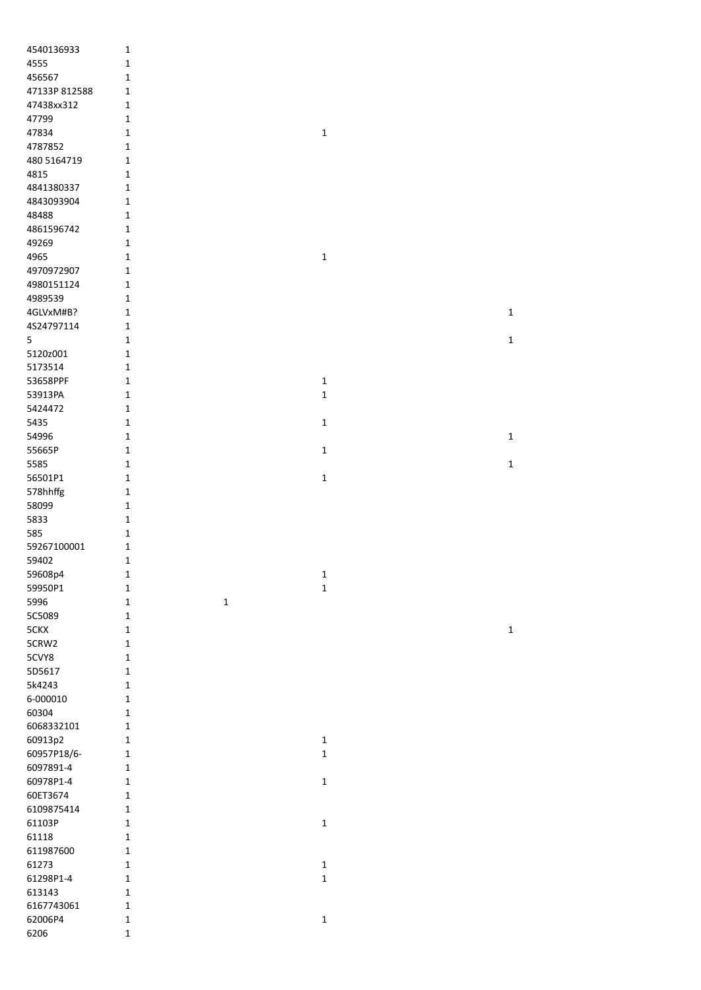| 4540136933    | $\mathbf 1$  |             |             |             |
|---------------|--------------|-------------|-------------|-------------|
| 4555          | $\mathbf 1$  |             |             |             |
| 456567        | $\mathbf{1}$ |             |             |             |
| 47133P 812588 | $\mathbf 1$  |             |             |             |
| 47438xx312    | $\mathbf 1$  |             |             |             |
| 47799         | $\mathbf 1$  |             |             |             |
| 47834         | $\mathbf 1$  |             | $\mathbf 1$ |             |
| 4787852       | $\mathbf{1}$ |             |             |             |
| 480 5164719   | $\mathbf{1}$ |             |             |             |
| 4815          | $\mathbf 1$  |             |             |             |
| 4841380337    | $\mathbf 1$  |             |             |             |
| 4843093904    | $\mathbf 1$  |             |             |             |
| 48488         | $\mathbf 1$  |             |             |             |
| 4861596742    | $\mathbf 1$  |             |             |             |
| 49269         | $\mathbf 1$  |             |             |             |
| 4965          | $\mathbf 1$  |             | $\mathbf 1$ |             |
| 4970972907    | $\mathbf 1$  |             |             |             |
| 4980151124    | $\mathbf 1$  |             |             |             |
| 4989539       | $\mathbf 1$  |             |             |             |
| 4GLVxM#B?     | $\mathbf{1}$ |             |             | $\mathbf 1$ |
| 4S24797114    | $\mathbf 1$  |             |             |             |
| 5             | $\mathbf 1$  |             |             | $\mathbf 1$ |
| 5120z001      | $\mathbf 1$  |             |             |             |
| 5173514       | $\mathbf 1$  |             |             |             |
| 53658PPF      | $\mathbf 1$  |             | $\mathbf 1$ |             |
| 53913PA       | $\mathbf{1}$ |             | $\mathbf 1$ |             |
|               | $\mathbf 1$  |             |             |             |
| 5424472       |              |             |             |             |
| 5435          | $\mathbf 1$  |             | $\mathbf 1$ |             |
| 54996         | $\mathbf 1$  |             |             | $\mathbf 1$ |
| 55665P        | $\mathbf 1$  |             | $\mathbf 1$ |             |
| 5585          | $\mathbf 1$  |             |             | $\mathbf 1$ |
| 56501P1       | $\mathbf 1$  |             | $\mathbf 1$ |             |
| 578hhffg      | $\mathbf 1$  |             |             |             |
| 58099         | $\mathbf 1$  |             |             |             |
| 5833          | $\mathbf 1$  |             |             |             |
| 585           | $\mathbf 1$  |             |             |             |
| 59267100001   | $\mathbf 1$  |             |             |             |
| 59402         | $\mathbf 1$  |             |             |             |
| 59608p4       | $\mathbf 1$  |             | $\mathbf 1$ |             |
| 59950P1       | $\mathbf 1$  |             | $\mathbf 1$ |             |
| 5996          | $\mathbf 1$  | $\mathbf 1$ |             |             |
| 5C5089        | $\mathbf 1$  |             |             |             |
| 5CKX          | $\mathbf 1$  |             |             | $\mathbf 1$ |
| 5CRW2         | $\mathbf 1$  |             |             |             |
| 5CVY8         | $\mathbf 1$  |             |             |             |
| 5D5617        | $\mathbf 1$  |             |             |             |
| 5k4243        | $\mathbf 1$  |             |             |             |
| 6-000010      | $\mathbf 1$  |             |             |             |
| 60304         | $\mathbf{1}$ |             |             |             |
| 6068332101    | $\mathbf 1$  |             |             |             |
| 60913p2       | $\mathbf 1$  |             | $\mathbf 1$ |             |
| 60957P18/6-   | $\mathbf 1$  |             | $\mathbf 1$ |             |
| 6097891-4     | $\mathbf 1$  |             |             |             |
| 60978P1-4     | $\mathbf 1$  |             | $\mathbf 1$ |             |
| 60ET3674      | $\mathbf 1$  |             |             |             |
| 6109875414    | $\mathbf 1$  |             |             |             |
| 61103P        | $\mathbf 1$  |             | $\mathbf 1$ |             |
| 61118         | $\mathbf 1$  |             |             |             |
| 611987600     | $\mathbf 1$  |             |             |             |
| 61273         | $\mathbf 1$  |             | $\mathbf 1$ |             |
| 61298P1-4     | $\mathbf 1$  |             | $\mathbf 1$ |             |
| 613143        | $\mathbf 1$  |             |             |             |
| 6167743061    | $\mathbf 1$  |             |             |             |
| 62006P4       | $\mathbf 1$  |             | $\mathbf 1$ |             |
| 6206          | $\mathbf 1$  |             |             |             |
|               |              |             |             |             |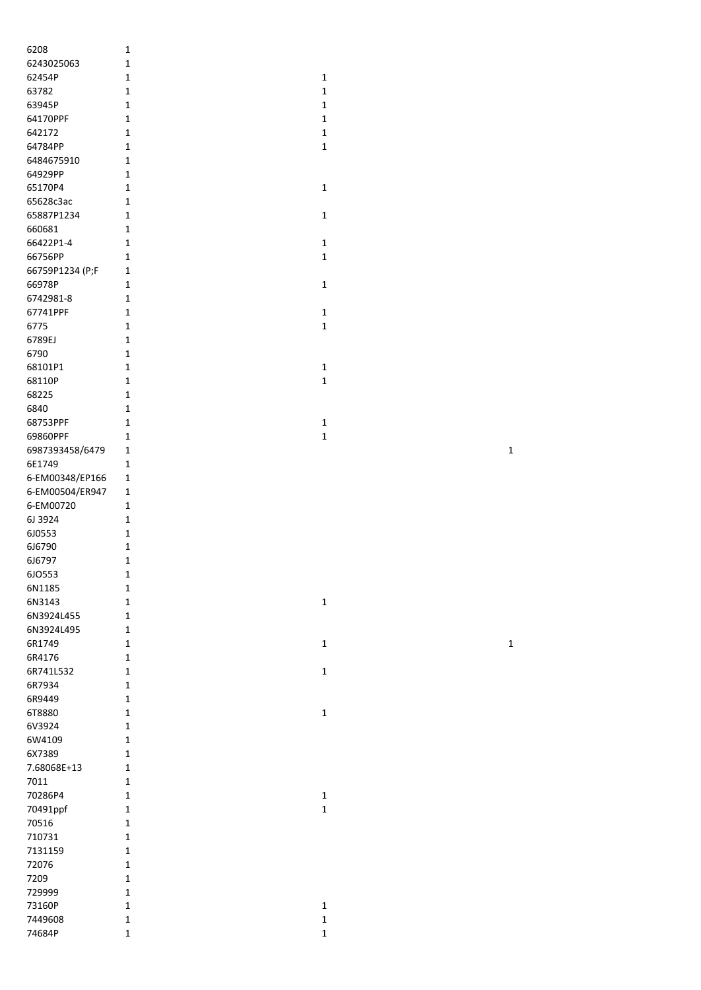| 6208            | 1            |              |
|-----------------|--------------|--------------|
| 6243025063      | $\mathbf 1$  |              |
| 62454P          | $\mathbf 1$  | 1            |
| 63782           | 1            | $\mathbf{1}$ |
| 63945P          | 1            | 1            |
| 64170PPF        | 1            | 1            |
| 642172          | 1            | $\mathbf{1}$ |
| 64784PP         | 1            | 1            |
| 6484675910      | $\mathbf 1$  |              |
| 64929PP         | 1            |              |
| 65170P4         | 1            | 1            |
| 65628c3ac       | 1            |              |
| 65887P1234      | 1            | 1            |
| 660681          | $\mathbf 1$  |              |
| 66422P1-4       | $\mathbf{1}$ | 1            |
| 66756PP         | $\mathbf{1}$ | 1            |
| 66759P1234 (P;F | $\mathbf 1$  |              |
| 66978P          | 1            | 1            |
| 6742981-8       | $\mathbf{1}$ |              |
| 67741PPF        | $\mathbf 1$  | 1            |
| 6775            | 1            | 1            |
| 6789EJ          | $\mathbf{1}$ |              |
| 6790            | $\mathbf{1}$ |              |
| 68101P1         | $\mathbf 1$  | 1            |
| 68110P          | $\mathbf{1}$ | 1            |
| 68225           | $\mathbf{1}$ |              |
| 6840            | $\mathbf{1}$ |              |
| 68753PPF        | 1            | $\mathbf 1$  |
| 69860PPF        | 1            | $\mathbf{1}$ |
| 6987393458/6479 | 1            |              |
| 6E1749          | 1            |              |
| 6-EM00348/EP166 | 1            |              |
| 6-EM00504/ER947 | 1            |              |
| 6-EM00720       | 1            |              |
| 6J 3924         | 1            |              |
| 6J0553          | $\mathbf 1$  |              |
| 6J6790          | $\mathbf 1$  |              |
| 6J6797          | 1            |              |
| 6JO553          | 1            |              |
| 6N1185          | 1            |              |
| 6N3143          | $\mathbf{1}$ | 1            |
| 6N3924L455      | $\mathbf{1}$ |              |
| 6N3924L495      | $\mathbf 1$  |              |
| 6R1749          | $\mathbf{1}$ | 1            |
| 6R4176          | 1            |              |
| 6R741L532       | $\mathbf 1$  | 1            |
| 6R7934          | $\mathbf{1}$ |              |
| 6R9449          | $\mathbf{1}$ |              |
| 6T8880          | $\mathbf{1}$ | 1            |
| 6V3924          | $\mathbf{1}$ |              |
| 6W4109          | $\mathbf{1}$ |              |
| 6X7389          | 1            |              |
| 7.68068E+13     | 1            |              |
| 7011            | 1            |              |
| 70286P4         | 1            | $\mathbf 1$  |
| 70491ppf        | $\mathbf{1}$ | 1            |
| 70516           | 1            |              |
| 710731          | 1            |              |
| 7131159         | 1            |              |
| 72076           | $\mathbf{1}$ |              |
| 7209            | $\mathbf{1}$ |              |
| 729999          | $\mathbf{1}$ |              |
| 73160P          | $\mathbf{1}$ | $\mathbf{1}$ |
| 7449608         | $\mathbf 1$  | $\mathbf 1$  |
| 74684P          | $\mathbf 1$  | 1            |
|                 |              |              |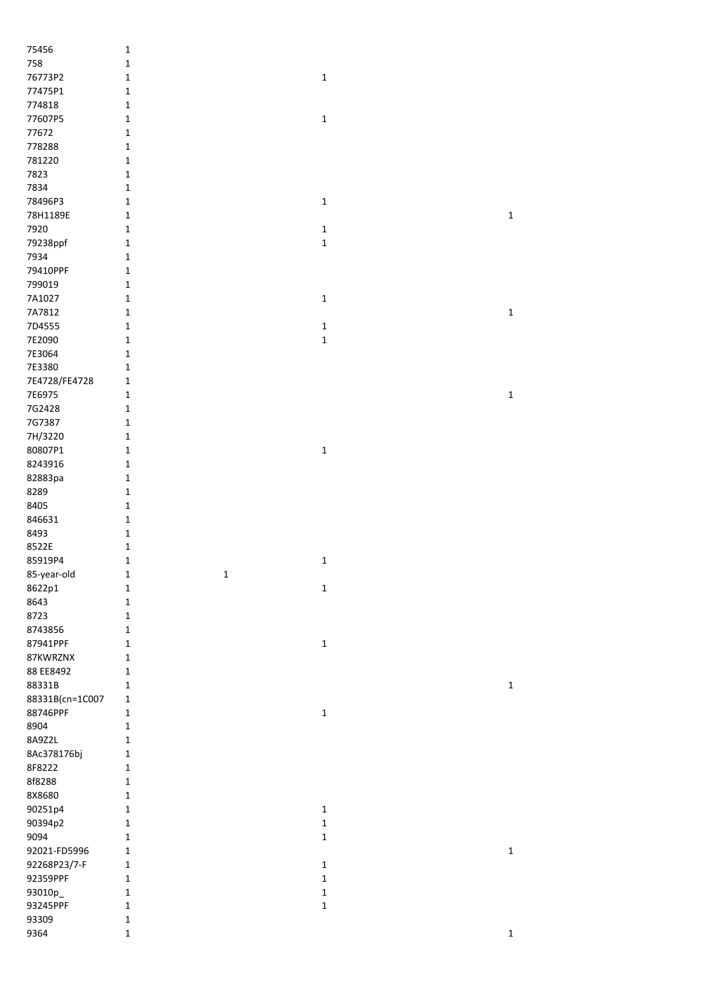| 75456           | $\mathbf 1$                |             |             |
|-----------------|----------------------------|-------------|-------------|
| 758             | $\mathbf 1$                |             |             |
|                 |                            |             |             |
| 76773P2         | $\mathbf 1$                | $\mathbf 1$ |             |
| 77475P1         | $\mathbf{1}$               |             |             |
| 774818          | $\mathbf 1$                |             |             |
| 77607P5         | $\mathbf{1}$               | $\mathbf 1$ |             |
| 77672           | $\mathbf 1$                |             |             |
| 778288          | $\mathbf 1$                |             |             |
| 781220          | $\mathbf 1$                |             |             |
| 7823            | $\mathbf 1$                |             |             |
| 7834            | $\mathbf 1$                |             |             |
| 78496P3         | $\mathbf 1$                | $\mathbf 1$ |             |
|                 |                            |             |             |
| 78H1189E        | $\mathbf 1$                |             | $\mathbf 1$ |
| 7920            | $\mathbf 1$                | $\mathbf 1$ |             |
| 79238ppf        | $\mathbf 1$                | $\mathbf 1$ |             |
| 7934            | $\mathbf 1$                |             |             |
| 79410PPF        | $\mathbf 1$                |             |             |
| 799019          | $\mathbf 1$                |             |             |
| 7A1027          | $\mathbf 1$                | $\mathbf 1$ |             |
| 7A7812          | $\mathbf 1$                |             | $\mathbf 1$ |
| 7D4555          | $\mathbf 1$                | $\mathbf 1$ |             |
| 7E2090          | $\mathbf 1$                | $\mathbf 1$ |             |
|                 |                            |             |             |
| 7E3064          | $\mathbf 1$                |             |             |
| 7E3380          | $\mathbf 1$                |             |             |
| 7E4728/FE4728   | $\mathbf{1}$               |             |             |
| 7E6975          | $\mathbf 1$                |             | $\mathbf 1$ |
| 7G2428          | $\mathbf 1$                |             |             |
| 7G7387          | $\mathbf 1$                |             |             |
| 7H/3220         | $\mathbf 1$                |             |             |
| 80807P1         | $\mathbf 1$                | $\mathbf 1$ |             |
| 8243916         | $\mathbf 1$                |             |             |
|                 |                            |             |             |
| 82883pa         | $\mathbf 1$                |             |             |
| 8289            | $\mathbf 1$                |             |             |
| 8405            | $\mathbf 1$                |             |             |
| 846631          | $\mathbf 1$                |             |             |
| 8493            | $\mathbf 1$                |             |             |
| 8522E           | $\mathbf 1$                |             |             |
| 85919P4         | $\mathbf 1$                | $\mathbf 1$ |             |
| 85-year-old     | $\mathbf 1$<br>$\mathbf 1$ |             |             |
| 8622p1          | $\mathbf 1$                | $\mathbf 1$ |             |
| 8643            | $\mathbf 1$                |             |             |
|                 |                            |             |             |
| 8723            | $\mathbf 1$                |             |             |
| 8743856         | $\mathbf 1$                |             |             |
| 87941PPF        | $\mathbf 1$                | $\mathbf 1$ |             |
| 87KWRZNX        | $\mathbf 1$                |             |             |
| 88 EE8492       | $\mathbf 1$                |             |             |
| 88331B          | $\mathbf 1$                |             | $\mathbf 1$ |
| 88331B(cn=1C007 | $\mathbf 1$                |             |             |
| 88746PPF        | $\mathbf 1$                | $\mathbf 1$ |             |
| 8904            | $\mathbf 1$                |             |             |
| 8A9Z2L          | $\mathbf 1$                |             |             |
|                 |                            |             |             |
| 8Ac378176bj     | $\mathbf 1$                |             |             |
| 8F8222          | $\mathbf{1}$               |             |             |
| 8f8288          | $\mathbf 1$                |             |             |
| 8X8680          | $\mathbf 1$                |             |             |
| 90251p4         | $\mathbf 1$                | $\mathbf 1$ |             |
| 90394p2         | $\mathbf 1$                | $\mathbf 1$ |             |
| 9094            | $\mathbf 1$                | $\mathbf 1$ |             |
| 92021-FD5996    | $\mathbf 1$                |             | $\mathbf 1$ |
| 92268P23/7-F    | $\mathbf 1$                | $\mathbf 1$ |             |
| 92359PPF        | $\mathbf 1$                | $\mathbf 1$ |             |
|                 |                            | $\mathbf 1$ |             |
| 93010p_         | $\mathbf 1$                |             |             |
| 93245PPF        | $\mathbf 1$                | $\mathbf 1$ |             |
| 93309           | $\mathbf 1$                |             |             |
| 9364            | $\mathbf 1$                |             | $\mathbf 1$ |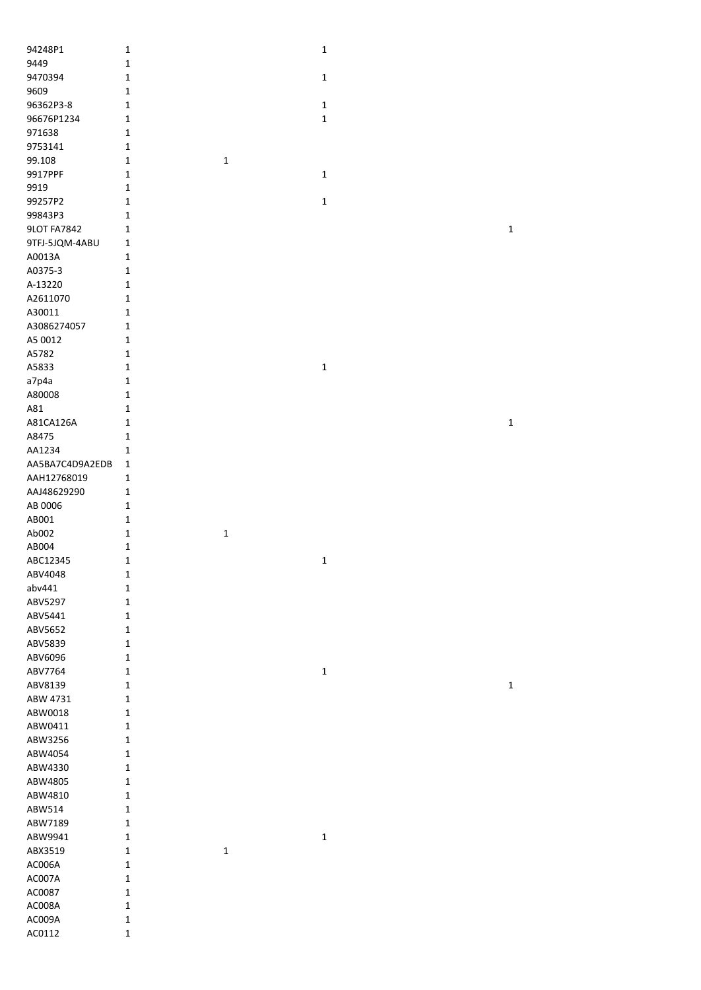| 94248P1            | 1                |             | $\mathbf 1$ |             |
|--------------------|------------------|-------------|-------------|-------------|
| 9449               | $\mathbf 1$      |             |             |             |
| 9470394            | 1                |             | $\mathbf 1$ |             |
|                    |                  |             |             |             |
| 9609               | $\mathbf 1$      |             |             |             |
| 96362P3-8          | 1                |             | $\mathbf 1$ |             |
| 96676P1234         | 1                |             | $\mathbf 1$ |             |
| 971638             | $\mathbf 1$      |             |             |             |
| 9753141            | $\mathbf{1}$     |             |             |             |
|                    |                  |             |             |             |
| 99.108             | $\mathbf{1}$     | $\mathbf 1$ |             |             |
| 9917PPF            | $\mathbf 1$      |             | $\mathbf 1$ |             |
| 9919               | $\mathbf 1$      |             |             |             |
| 99257P2            | 1                |             | $\mathbf 1$ |             |
|                    |                  |             |             |             |
| 99843P3            | 1                |             |             |             |
| <b>9LOT FA7842</b> | $\mathbf 1$      |             |             | $\mathbf 1$ |
| 9TFJ-5JQM-4ABU     | 1                |             |             |             |
| A0013A             | $\mathbf 1$      |             |             |             |
| A0375-3            | $\mathbf{1}$     |             |             |             |
|                    |                  |             |             |             |
| A-13220            | $\mathbf 1$      |             |             |             |
| A2611070           | $\mathbf 1$      |             |             |             |
| A30011             | $\mathbf 1$      |             |             |             |
| A3086274057        | $\mathbf 1$      |             |             |             |
|                    |                  |             |             |             |
| A5 0012            | $\mathbf 1$      |             |             |             |
| A5782              | $\mathbf 1$      |             |             |             |
| A5833              | $\mathbf 1$      |             | $\mathbf 1$ |             |
| a7p4a              | $\mathbf{1}$     |             |             |             |
| A80008             | $\mathbf 1$      |             |             |             |
|                    |                  |             |             |             |
| A81                | $\mathbf 1$      |             |             |             |
| A81CA126A          | $\mathbf 1$      |             |             | $\mathbf 1$ |
| A8475              | $\mathbf 1$      |             |             |             |
| AA1234             | $\mathbf 1$      |             |             |             |
| AA5BA7C4D9A2EDB    | $\mathbf 1$      |             |             |             |
| AAH12768019        | $\mathbf 1$      |             |             |             |
| AAJ48629290        | $\mathbf 1$      |             |             |             |
|                    |                  |             |             |             |
| AB 0006            | $\mathbf 1$      |             |             |             |
| AB001              | $\mathbf 1$      |             |             |             |
| Ab002              | $\mathbf 1$      | $\mathbf 1$ |             |             |
| AB004              | 1                |             |             |             |
| ABC12345           | $\mathbf 1$      |             | $\mathbf 1$ |             |
| ABV4048            | 1                |             |             |             |
| abv441             |                  |             |             |             |
|                    | $\mathbf 1$      |             |             |             |
| ABV5297            | 1                |             |             |             |
| ABV5441            | 1                |             |             |             |
| ABV5652            | 1                |             |             |             |
| ABV5839            | $\mathbf 1$      |             |             |             |
| ABV6096            | $\mathbf 1$      |             |             |             |
|                    |                  |             |             |             |
| ABV7764            |                  |             |             |             |
|                    | $\mathbf 1$      |             | $\mathbf 1$ |             |
| ABV8139            | $\mathbf 1$      |             |             | $\mathbf 1$ |
| ABW 4731           | $\mathbf 1$      |             |             |             |
| ABW0018            | $\mathbf 1$      |             |             |             |
|                    |                  |             |             |             |
| ABW0411            | $\mathbf 1$      |             |             |             |
| ABW3256            | $\mathbf 1$      |             |             |             |
| ABW4054            | $\mathbf 1$      |             |             |             |
| ABW4330            | 1                |             |             |             |
| ABW4805            | 1                |             |             |             |
| ABW4810            | $\mathbf 1$      |             |             |             |
|                    |                  |             |             |             |
| ABW514             | $\mathbf 1$      |             |             |             |
| ABW7189            | $\mathbf 1$      |             |             |             |
| ABW9941            | $\mathbf 1$      |             | $\mathbf 1$ |             |
| ABX3519            | $\mathbf 1$      | $\mathbf 1$ |             |             |
| AC006A             | 1                |             |             |             |
| AC007A             | 1                |             |             |             |
|                    | 1                |             |             |             |
| AC0087             |                  |             |             |             |
| AC008A             | $\mathbf 1$      |             |             |             |
| AC009A<br>AC0112   | 1<br>$\mathbf 1$ |             |             |             |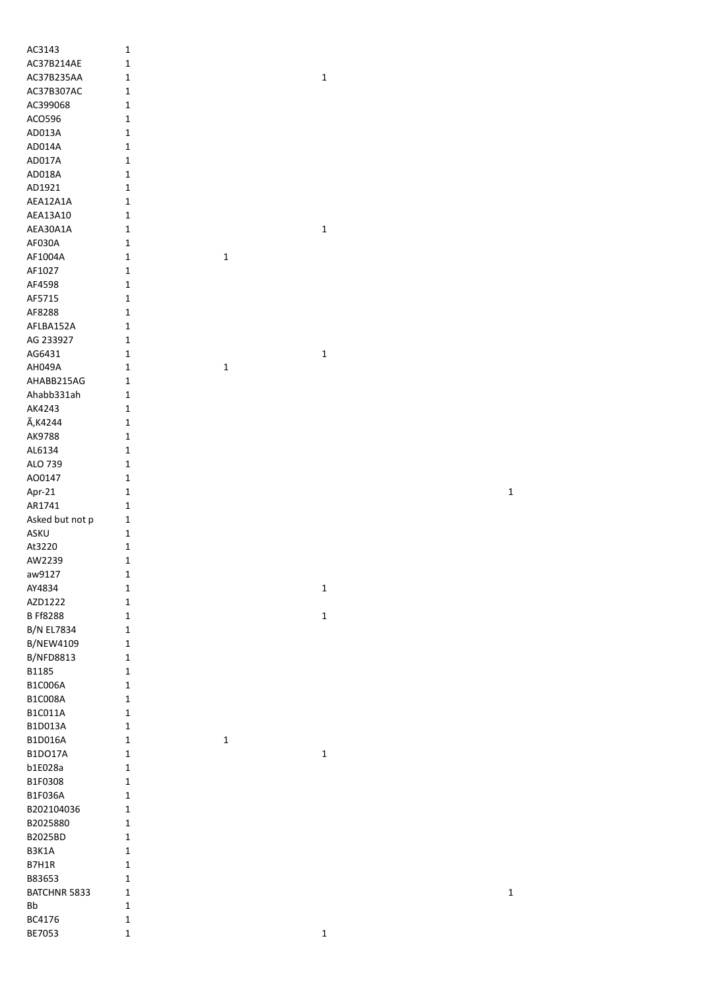| AC3143            | 1           |             |             |             |
|-------------------|-------------|-------------|-------------|-------------|
| AC37B214AE        | $\mathbf 1$ |             |             |             |
| AC37B235AA        | $\mathbf 1$ |             | $\mathbf 1$ |             |
| AC37B307AC        | $\mathbf 1$ |             |             |             |
|                   |             |             |             |             |
| AC399068          | $\mathbf 1$ |             |             |             |
| ACO596            | $\mathbf 1$ |             |             |             |
| AD013A            | $\mathbf 1$ |             |             |             |
| AD014A            | $\mathbf 1$ |             |             |             |
|                   |             |             |             |             |
| AD017A            | $\mathbf 1$ |             |             |             |
| AD018A            | $\mathbf 1$ |             |             |             |
| AD1921            | $\mathbf 1$ |             |             |             |
| AEA12A1A          | $\mathbf 1$ |             |             |             |
|                   |             |             |             |             |
| AEA13A10          | $\mathbf 1$ |             |             |             |
| AEA30A1A          | $\mathbf 1$ |             | $\mathbf 1$ |             |
| AF030A            | $\mathbf 1$ |             |             |             |
| AF1004A           | $\mathbf 1$ | $\mathbf 1$ |             |             |
|                   |             |             |             |             |
| AF1027            | $\mathbf 1$ |             |             |             |
| AF4598            | $\mathbf 1$ |             |             |             |
| AF5715            | $\mathbf 1$ |             |             |             |
| AF8288            | $\mathbf 1$ |             |             |             |
|                   |             |             |             |             |
| AFLBA152A         | $\mathbf 1$ |             |             |             |
| AG 233927         | $\mathbf 1$ |             |             |             |
| AG6431            | $\mathbf 1$ |             | $\mathbf 1$ |             |
| AH049A            | $\mathbf 1$ | $\mathbf 1$ |             |             |
|                   |             |             |             |             |
| AHABB215AG        | $\mathbf 1$ |             |             |             |
| Ahabb331ah        | $\mathbf 1$ |             |             |             |
| AK4243            | $\mathbf 1$ |             |             |             |
| Ã, K4244          | $\mathbf 1$ |             |             |             |
|                   |             |             |             |             |
| AK9788            | $\mathbf 1$ |             |             |             |
| AL6134            | $\mathbf 1$ |             |             |             |
| ALO 739           | $\mathbf 1$ |             |             |             |
| A00147            | $\mathbf 1$ |             |             |             |
|                   |             |             |             |             |
| Apr-21            | $\mathbf 1$ |             |             | 1           |
| AR1741            | $\mathbf 1$ |             |             |             |
| Asked but not p   | $\mathbf 1$ |             |             |             |
| ASKU              |             |             |             |             |
|                   |             |             |             |             |
|                   | $\mathbf 1$ |             |             |             |
| At3220            | $\mathbf 1$ |             |             |             |
| AW2239            | $\mathbf 1$ |             |             |             |
|                   |             |             |             |             |
| aw9127            | $\mathbf 1$ |             |             |             |
| AY4834            | $\mathbf 1$ |             | $\mathbf 1$ |             |
| AZD1222           | $\mathbf 1$ |             |             |             |
| <b>B Ff8288</b>   | $\mathbf 1$ |             | $\mathbf 1$ |             |
|                   |             |             |             |             |
| <b>B/N EL7834</b> | $\mathbf 1$ |             |             |             |
| <b>B/NEW4109</b>  | $\mathbf 1$ |             |             |             |
| <b>B/NFD8813</b>  | $\mathbf 1$ |             |             |             |
| B1185             | $\mathbf 1$ |             |             |             |
| B1C006A           | $\mathbf 1$ |             |             |             |
|                   |             |             |             |             |
| <b>B1C008A</b>    | $\mathbf 1$ |             |             |             |
| B1C011A           | $\mathbf 1$ |             |             |             |
| B1D013A           | $\mathbf 1$ |             |             |             |
| B1D016A           | $\mathbf 1$ | $\mathbf 1$ |             |             |
|                   |             |             |             |             |
| <b>B1DO17A</b>    | $\mathbf 1$ |             | $\mathbf 1$ |             |
| b1E028a           | $\mathbf 1$ |             |             |             |
| B1F0308           | $\mathbf 1$ |             |             |             |
| B1F036A           | $\mathbf 1$ |             |             |             |
|                   |             |             |             |             |
| B202104036        | $\mathbf 1$ |             |             |             |
| B2025880          | $\mathbf 1$ |             |             |             |
| B2025BD           | $\mathbf 1$ |             |             |             |
| B3K1A             | $\mathbf 1$ |             |             |             |
| B7H1R             | $\mathbf 1$ |             |             |             |
|                   |             |             |             |             |
| B83653            | $\mathbf 1$ |             |             |             |
| BATCHNR 5833      | $\mathbf 1$ |             |             | $\mathbf 1$ |
| Bb                | $\mathbf 1$ |             |             |             |
| BC4176            | $\mathbf 1$ |             |             |             |
| BE7053            | $\mathbf 1$ |             | $\mathbf 1$ |             |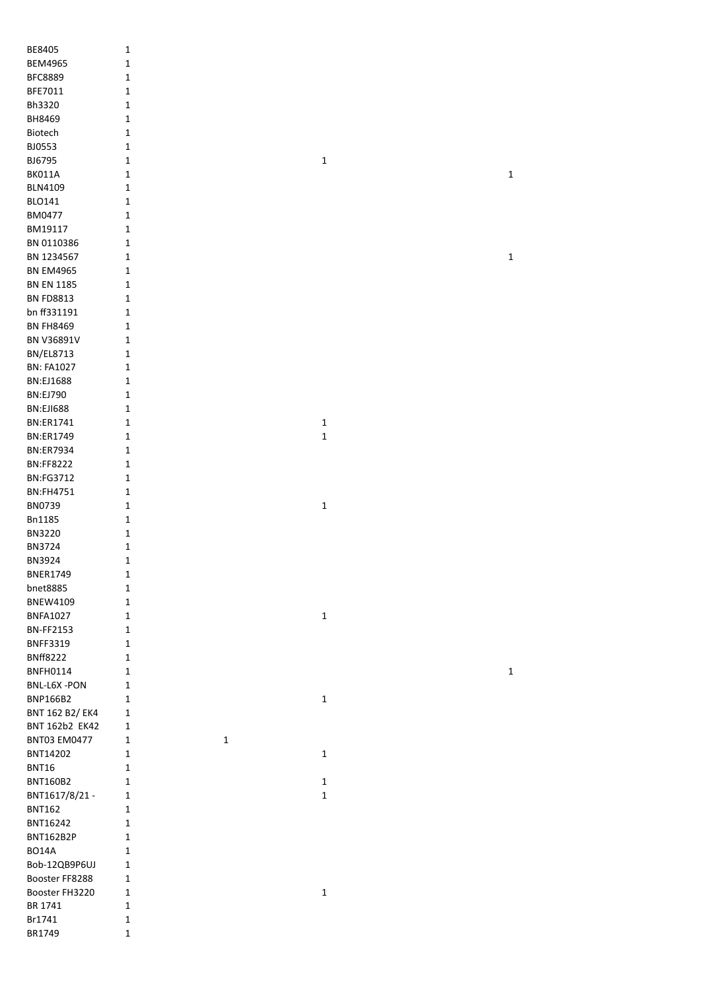| BE8405                               | 1                           |             |             |
|--------------------------------------|-----------------------------|-------------|-------------|
| <b>BEM4965</b>                       | $\mathbf 1$                 |             |             |
| <b>BFC8889</b>                       | $\mathbf 1$                 |             |             |
| BFE7011                              | $\mathbf 1$                 |             |             |
| Bh3320                               | 1                           |             |             |
| BH8469                               | 1                           |             |             |
| Biotech                              | $\mathbf 1$                 |             |             |
| BJ0553                               | $\mathbf 1$                 |             |             |
| BJ6795                               | $\mathbf 1$                 | 1           |             |
|                                      |                             |             |             |
| <b>BK011A</b>                        | $\mathbf 1$                 |             | $\mathbf 1$ |
| <b>BLN4109</b>                       | 1                           |             |             |
| <b>BLO141</b>                        | $\mathbf 1$                 |             |             |
| BM0477                               | $\mathbf 1$                 |             |             |
| BM19117                              | $\mathbf{1}$                |             |             |
| BN 0110386                           | $\mathbf 1$                 |             |             |
| BN 1234567                           | $\mathbf 1$                 |             | $\mathbf 1$ |
| <b>BN EM4965</b>                     | $\mathbf 1$                 |             |             |
| <b>BN EN 1185</b>                    | $\mathbf{1}$                |             |             |
| <b>BN FD8813</b>                     | $\mathbf 1$                 |             |             |
| bn ff331191                          | $\mathbf{1}$                |             |             |
| <b>BN FH8469</b>                     | $\mathbf 1$                 |             |             |
| BN V36891V                           | $\mathbf 1$                 |             |             |
| <b>BN/EL8713</b>                     | $\mathbf{1}$                |             |             |
| <b>BN: FA1027</b>                    | $\mathbf{1}$                |             |             |
| <b>BN:EJ1688</b>                     | $\mathbf{1}$                |             |             |
| <b>BN:EJ790</b>                      | $\mathbf{1}$                |             |             |
| <b>BN:EJI688</b>                     |                             |             |             |
|                                      | $\mathbf{1}$                |             |             |
| <b>BN:ER1741</b><br><b>BN:ER1749</b> | $\mathbf 1$                 | $\mathbf 1$ |             |
| <b>BN:ER7934</b>                     | $\mathbf{1}$                | $\mathbf 1$ |             |
| <b>BN:FF8222</b>                     | $\mathbf{1}$                |             |             |
| <b>BN:FG3712</b>                     | $\mathbf{1}$<br>$\mathbf 1$ |             |             |
| <b>BN:FH4751</b>                     | $\mathbf 1$                 |             |             |
| BN0739                               | $\mathbf 1$                 | $\mathbf 1$ |             |
| <b>Bn1185</b>                        |                             |             |             |
|                                      | $\mathbf 1$                 |             |             |
| <b>BN3220</b>                        | $\mathbf 1$                 |             |             |
| <b>BN3724</b>                        | 1                           |             |             |
| BN3924                               | 1                           |             |             |
| <b>BNER1749</b>                      | $\mathbf{1}$                |             |             |
| bnet8885                             | $\mathbf 1$                 |             |             |
| <b>BNEW4109</b>                      | $\mathbf{1}$                |             |             |
| <b>BNFA1027</b>                      | $\mathbf{1}$                | $\mathbf 1$ |             |
| <b>BN-FF2153</b>                     | $\mathbf{1}$                |             |             |
| <b>BNFF3319</b>                      | $\mathbf{1}$                |             |             |
| <b>BNff8222</b>                      | 1                           |             |             |
| <b>BNFH0114</b>                      | 1                           |             | $\mathbf 1$ |
| BNL-L6X-PON                          | $\mathbf 1$                 |             |             |
| <b>BNP166B2</b>                      | 1                           | $\mathbf 1$ |             |
| BNT 162 B2/ EK4                      | 1                           |             |             |
| BNT 162b2 EK42                       | 1                           |             |             |
| <b>BNT03 EM0477</b>                  | $\mathbf{1}$<br>$\mathbf 1$ |             |             |
| BNT14202                             | $\mathbf{1}$                | $\mathbf 1$ |             |
| <b>BNT16</b>                         | 1                           |             |             |
| <b>BNT160B2</b>                      | 1                           | $\mathbf 1$ |             |
| BNT1617/8/21 -                       | 1                           | $\mathbf 1$ |             |
| <b>BNT162</b>                        | 1                           |             |             |
| BNT16242                             | $\mathbf 1$                 |             |             |
| <b>BNT162B2P</b>                     | $\mathbf{1}$                |             |             |
| BO14A                                | 1                           |             |             |
| Bob-12QB9P6UJ                        | $\mathbf{1}$                |             |             |
| Booster FF8288                       | $\mathbf{1}$                |             |             |
| Booster FH3220                       | $\mathbf 1$                 | $\mathbf 1$ |             |
| BR 1741                              | $\mathbf 1$                 |             |             |
| Br1741                               | $\mathbf 1$                 |             |             |
| BR1749                               | $\mathbf{1}$                |             |             |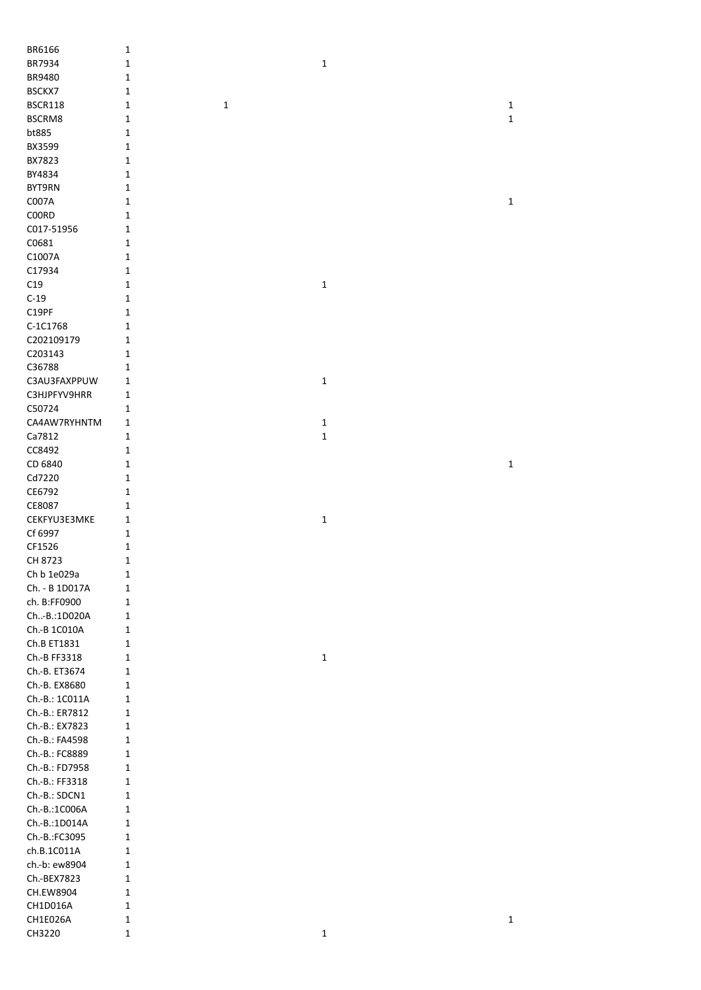| BR6166             | $\mathbf 1$                |             |             |
|--------------------|----------------------------|-------------|-------------|
| BR7934             | 1                          | $\mathbf 1$ |             |
| BR9480             | 1                          |             |             |
| BSCKX7             | $\mathbf 1$                |             |             |
| <b>BSCR118</b>     | $\mathbf 1$<br>$\mathbf 1$ |             | $\mathbf 1$ |
| BSCRM8             | 1                          |             | $\mathbf 1$ |
| bt885              | 1                          |             |             |
| BX3599             | 1                          |             |             |
| BX7823             | 1                          |             |             |
| BY4834             | 1                          |             |             |
| BYT9RN             | 1                          |             |             |
| C007A              | 1                          |             | $\mathbf 1$ |
| C00RD              | 1                          |             |             |
| C017-51956         | 1                          |             |             |
| C0681              | $\mathbf 1$                |             |             |
| C1007A             | $\mathbf 1$                |             |             |
| C17934             | 1                          |             |             |
| C19                | 1                          | $\mathbf 1$ |             |
| $C-19$             | 1                          |             |             |
| C19PF              | $\mathbf 1$                |             |             |
| C-1C1768           | $\mathbf 1$                |             |             |
| C202109179         | $\mathbf 1$                |             |             |
| C203143            | $\mathbf 1$                |             |             |
| C36788             | 1                          |             |             |
| C3AU3FAXPPUW       | $\mathbf{1}$               | $\mathbf 1$ |             |
| C3HJPFYV9HRR       | 1                          |             |             |
| C50724             | 1                          |             |             |
| CA4AW7RYHNTM       | 1                          | 1           |             |
| Ca7812             | 1                          | $\mathbf 1$ |             |
| CC8492             | 1                          |             |             |
| CD 6840            | 1                          |             | $\mathbf 1$ |
| Cd7220             | 1                          |             |             |
| CE6792             | 1                          |             |             |
| CE8087             | $\mathbf 1$                |             |             |
| CEKFYU3E3MKE       | $\mathbf{1}$               | $\mathbf 1$ |             |
| Cf 6997            | 1                          |             |             |
| CF1526             | 1                          |             |             |
| CH 8723            | $\mathbf 1$                |             |             |
| Ch b 1e029a        | 1                          |             |             |
| Ch. - B 1D017A     | $\mathbf 1$                |             |             |
| ch. B:FF0900       | $\mathbf 1$                |             |             |
| Ch-B.:1D020A       | $\mathbf 1$                |             |             |
| Ch.-B 1C010A       | $\mathbf{1}$               |             |             |
| Ch.B ET1831        | 1                          |             |             |
| Ch.-B FF3318       | $\mathbf 1$                | $\mathbf 1$ |             |
| Ch.-B. ET3674      | $\mathbf 1$                |             |             |
| Ch.-B. EX8680      | $\mathbf 1$                |             |             |
| Ch.-B.: 1C011A     | $\mathbf{1}$               |             |             |
| Ch.-B.: ER7812     | $\mathbf{1}$               |             |             |
| Ch.-B.: EX7823     | $\mathbf{1}$               |             |             |
| Ch.-B.: FA4598     | $\mathbf{1}$               |             |             |
| Ch.-B.: FC8889     | $\mathbf{1}$               |             |             |
| Ch.-B.: FD7958     | $\mathbf{1}$               |             |             |
| Ch.-B.: FF3318     | $\mathbf{1}$               |             |             |
| Ch.-B.: SDCN1      | 1                          |             |             |
| Ch.-B.:1C006A      | 1                          |             |             |
| Ch.-B.:1D014A      | $\mathbf{1}$               |             |             |
| Ch.-B.:FC3095      | $\mathbf{1}$               |             |             |
| ch.B.1C011A        | $\mathbf{1}$               |             |             |
| ch.-b: ew8904      | $\mathbf{1}$               |             |             |
| Ch.-BEX7823        | $\mathbf{1}$               |             |             |
| CH.EW8904          | 1                          |             |             |
| CH1D016A           | 1                          |             |             |
|                    |                            |             |             |
|                    |                            |             |             |
| CH1E026A<br>CH3220 | $\mathbf 1$<br>$\mathbf 1$ | $\mathbf 1$ | $\mathbf 1$ |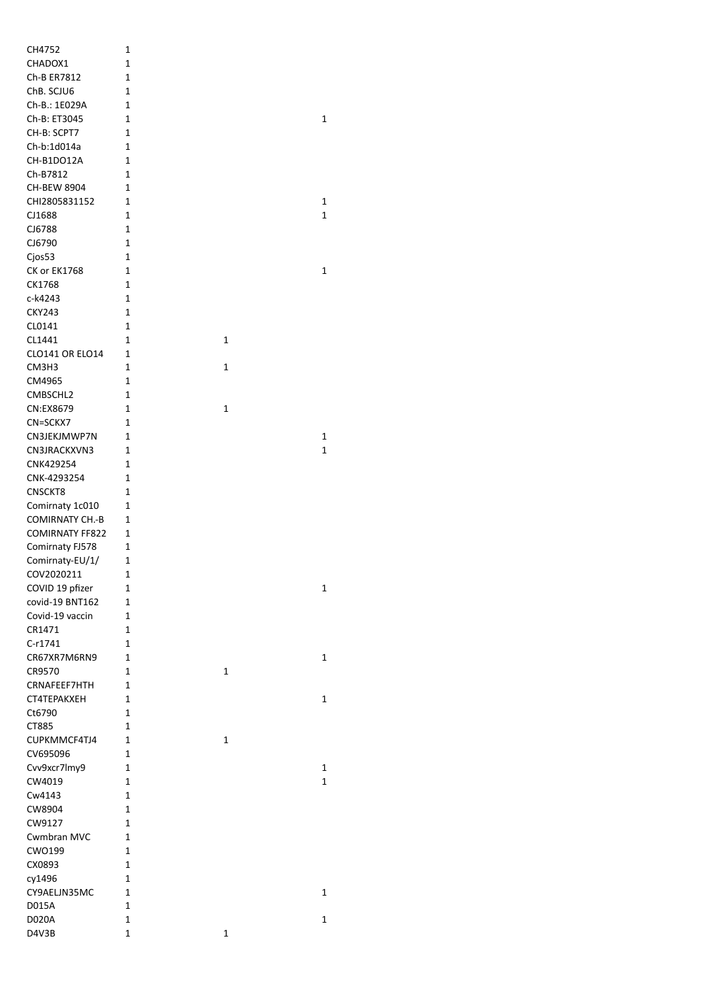| CH4752                 | 1           |   |   |
|------------------------|-------------|---|---|
| CHADOX1                | 1           |   |   |
| Ch-B ER7812            | $\mathbf 1$ |   |   |
| ChB. SCJU6             | 1           |   |   |
| Ch-B.: 1E029A          | 1           |   |   |
| Ch-B: ET3045           | 1           |   | 1 |
| CH-B: SCPT7            | 1           |   |   |
| Ch-b:1d014a            | 1           |   |   |
| CH-B1DO12A             | 1           |   |   |
| Ch-B7812               | 1           |   |   |
| <b>CH-BEW 8904</b>     | 1           |   |   |
| CHI2805831152          | 1           |   | 1 |
| CJ1688                 | 1           |   | 1 |
| CJ6788                 | 1           |   |   |
| CJ6790                 | 1           |   |   |
|                        |             |   |   |
| Cjos53                 | 1           |   |   |
| CK or EK1768           | 1           |   | 1 |
| CK1768                 | 1           |   |   |
| c-k4243                | 1           |   |   |
| <b>CKY243</b>          | 1           |   |   |
| CL0141                 | $\mathbf 1$ |   |   |
| CL1441                 | $\mathbf 1$ | 1 |   |
| <b>CLO141 OR ELO14</b> | 1           |   |   |
| CM3H3                  | 1           | 1 |   |
| CM4965                 | 1           |   |   |
| CMBSCHL2               | 1           |   |   |
| CN:EX8679              | 1           | 1 |   |
| CN=SCKX7               | 1           |   |   |
| CN3JEKJMWP7N           | 1           |   | 1 |
| CN3JRACKXVN3           | 1           |   | 1 |
| CNK429254              | 1           |   |   |
| CNK-4293254            | 1           |   |   |
| CNSCKT8                | 1           |   |   |
|                        |             |   |   |
| Comirnaty 1c010        | 1           |   |   |
| <b>COMIRNATY CH.-B</b> | 1           |   |   |
| <b>COMIRNATY FF822</b> | 1           |   |   |
| Comirnaty FJ578        | 1           |   |   |
| Comirnaty-EU/1/        | 1           |   |   |
| COV2020211             | 1           |   |   |
| COVID 19 pfizer        | 1           |   | 1 |
| covid-19 BNT162        | 1           |   |   |
| Covid-19 vaccin        | 1           |   |   |
| CR1471                 | 1           |   |   |
| C-r1741                | 1           |   |   |
| CR67XR7M6RN9           | 1           |   | 1 |
| CR9570                 | 1           | 1 |   |
| CRNAFEEF7HTH           | 1           |   |   |
| CT4TEPAKXEH            | 1           |   | 1 |
| Ct6790                 | 1           |   |   |
| CT885                  | 1           |   |   |
| CUPKMMCF4TJ4           | 1           | 1 |   |
|                        | 1           |   |   |
| CV695096               |             |   |   |
| Cvv9xcr7lmy9           | 1           |   | 1 |
| CW4019                 | 1           |   | 1 |
| Cw4143                 | 1           |   |   |
| CW8904                 | 1           |   |   |
| CW9127                 | 1           |   |   |
| Cwmbran MVC            | 1           |   |   |
| CWO199                 | 1           |   |   |
| CX0893                 | 1           |   |   |
| cy1496                 | 1           |   |   |
| CY9AELJN35MC           | 1           |   | 1 |
| D015A                  | 1           |   |   |
| D020A                  | 1           |   | 1 |
| D4V3B                  | 1           |   |   |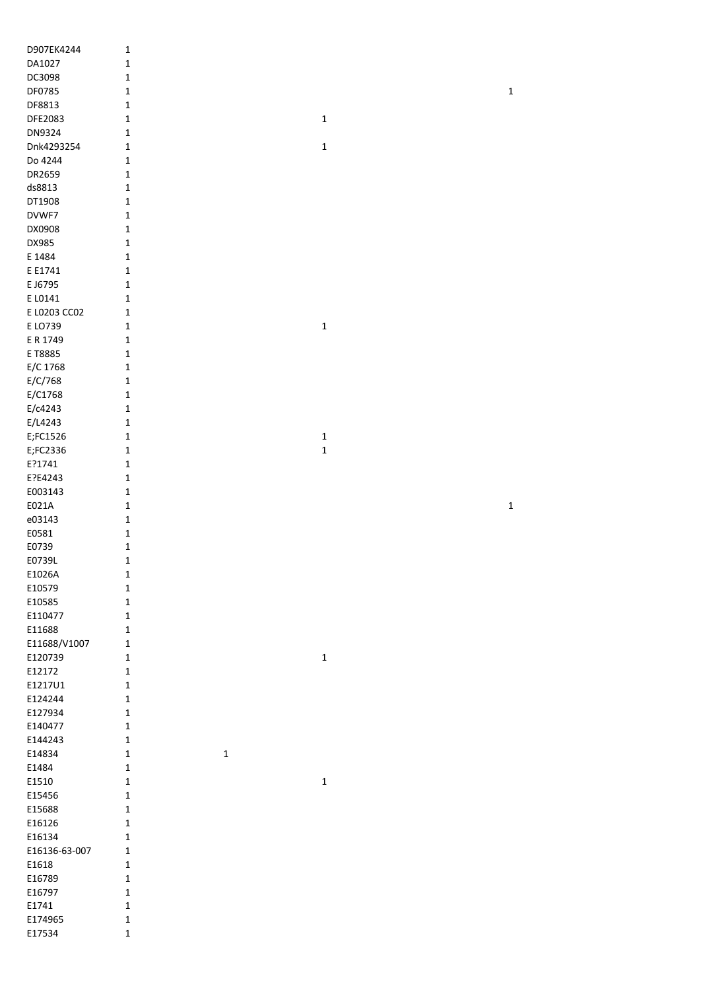| D907EK4244        | $\mathbf 1$                |             |             |
|-------------------|----------------------------|-------------|-------------|
| DA1027            | $\mathbf 1$                |             |             |
| DC3098            | $\mathbf 1$                |             |             |
| DF0785            | $\mathbf 1$                |             | $\mathbf 1$ |
| DF8813            | $\mathbf 1$                |             |             |
| DFE2083           | $\mathbf 1$                | $\mathbf 1$ |             |
| DN9324            | $\mathbf 1$                |             |             |
| Dnk4293254        | $\mathbf 1$                | $\mathbf 1$ |             |
| Do 4244           | $\mathbf 1$                |             |             |
| DR2659            | $\mathbf 1$                |             |             |
| ds8813            | $\mathbf 1$                |             |             |
| DT1908            | $\mathbf 1$                |             |             |
| DVWF7             | $\mathbf 1$                |             |             |
| DX0908            |                            |             |             |
|                   | $\mathbf 1$<br>$\mathbf 1$ |             |             |
| DX985             |                            |             |             |
| E 1484            | $\mathbf 1$                |             |             |
| E E1741           | $\mathbf 1$                |             |             |
| E J6795           | $\mathbf 1$                |             |             |
| E L0141           | $\mathbf 1$                |             |             |
| E L0203 CC02      | $\mathbf 1$                |             |             |
| E LO739           | $\mathbf 1$                | $\mathbf 1$ |             |
| E R 1749          | $\mathbf 1$                |             |             |
| E T8885           | $\mathbf 1$                |             |             |
| E/C 1768          | $\mathbf 1$                |             |             |
| E/C/768           | $\mathbf 1$                |             |             |
| E/C1768           | $\mathbf 1$                |             |             |
| E/c4243           | $\mathbf 1$                |             |             |
| E/L4243           | $\mathbf 1$                |             |             |
| E;FC1526          | $\mathbf 1$                | $\mathbf 1$ |             |
| E;FC2336          | $\mathbf 1$                | $\mathbf 1$ |             |
| E?1741            | $\mathbf 1$                |             |             |
| E?E4243           | $\mathbf 1$                |             |             |
|                   |                            |             |             |
| E003143           | $\mathbf 1$                |             |             |
| E021A             | $\mathbf 1$                |             |             |
| e03143            | $\mathbf 1$                |             | $\mathbf 1$ |
|                   |                            |             |             |
| E0581             | $\mathbf 1$                |             |             |
| E0739             | $\mathbf 1$                |             |             |
| E0739L            | $\mathbf 1$                |             |             |
| E1026A            | 1                          |             |             |
| E10579            | $\mathbf{1}$               |             |             |
| E10585            | $\mathbf 1$                |             |             |
| E110477           | $\mathbf 1$                |             |             |
| E11688            | $\mathbf 1$                |             |             |
| E11688/V1007      | $\mathbf 1$                |             |             |
| E120739           | $\mathbf 1$                | $\mathbf 1$ |             |
| E12172            | $\mathbf 1$                |             |             |
| E1217U1           | $\mathbf 1$                |             |             |
| E124244           | $\mathbf 1$                |             |             |
| E127934           | $\mathbf 1$                |             |             |
| E140477           | $\mathbf{1}$               |             |             |
| E144243           | $\mathbf 1$                |             |             |
| E14834            | $\mathbf 1$<br>$\mathbf 1$ |             |             |
| E1484             | $\mathbf 1$                |             |             |
| E1510             | $\mathbf{1}$               | $\mathbf 1$ |             |
| E15456            | $\mathbf{1}$               |             |             |
| E15688            | $\mathbf 1$                |             |             |
| E16126            | $\mathbf{1}$               |             |             |
| E16134            | $\mathbf 1$                |             |             |
| E16136-63-007     | $\mathbf 1$                |             |             |
| E1618             | $\mathbf{1}$               |             |             |
| E16789            | $\mathbf{1}$               |             |             |
| E16797            | $\mathbf 1$                |             |             |
| E1741             | $\mathbf 1$                |             |             |
| E174965<br>E17534 | $\mathbf 1$<br>$\mathbf 1$ |             |             |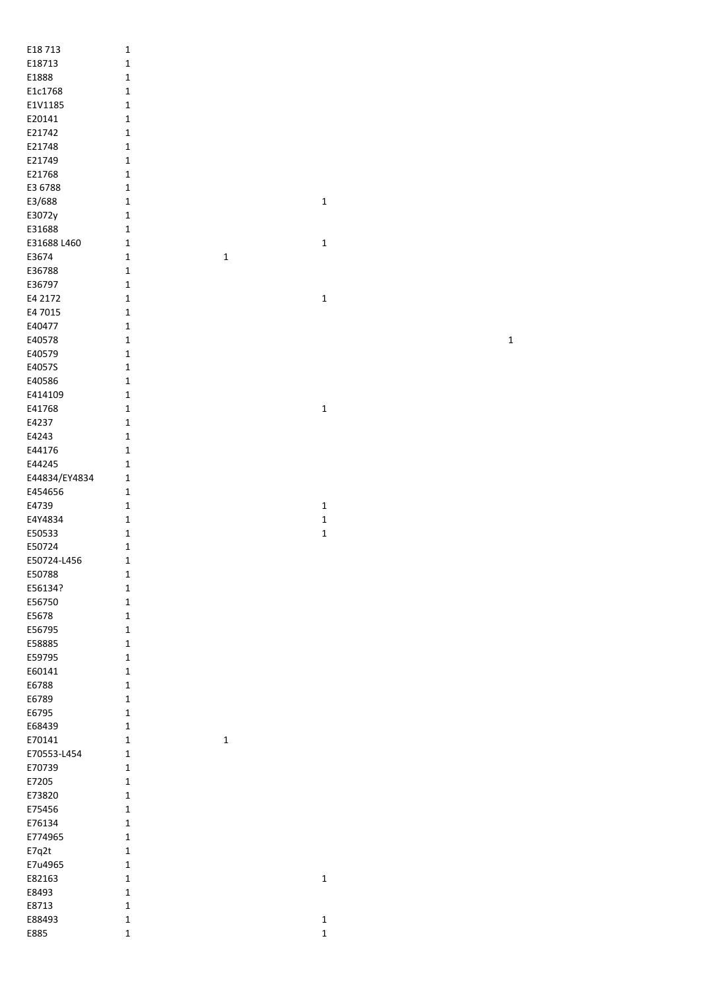| E18713           | $\mathbf 1$                  |              |
|------------------|------------------------------|--------------|
| E18713           | $\mathbf 1$                  |              |
| E1888            | $\mathbf{1}$                 |              |
| E1c1768          | $\mathbf{1}$                 |              |
| E1V1185          | $\mathbf{1}$                 |              |
| E20141           | $\mathbf{1}$                 |              |
| E21742           | $\mathbf 1$                  |              |
| E21748           | $\mathbf 1$                  |              |
| E21749           | $\mathbf 1$                  |              |
| E21768           | $\mathbf 1$                  |              |
| E3 6788          | $\mathbf{1}$                 |              |
| E3/688           | $\mathbf{1}$                 | $\mathbf{1}$ |
| E3072y           | $\mathbf{1}$                 |              |
| E31688           | $\mathbf{1}$                 |              |
| E31688 L460      | $\mathbf 1$                  | $\mathbf 1$  |
| E3674            | $\mathbf{1}$<br>$\mathbf 1$  |              |
| E36788           | $\mathbf{1}$                 |              |
| E36797           | $\mathbf{1}$                 |              |
| E4 2172          | $\mathbf{1}$                 | $\mathbf 1$  |
| E4 7015          | $\mathbf{1}$                 |              |
| E40477           | $\mathbf{1}$                 |              |
| E40578           | $\mathbf{1}$                 |              |
| E40579           | $\mathbf{1}$                 |              |
| E4057S           | $\mathbf{1}$                 |              |
| E40586           | $\mathbf{1}$                 |              |
| E414109          | $\mathbf{1}$                 |              |
| E41768           | $\mathbf{1}$                 | $\mathbf 1$  |
| E4237            | $\mathbf{1}$                 |              |
| E4243            | $\mathbf{1}$                 |              |
| E44176           | $\mathbf 1$                  |              |
| E44245           | $\mathbf 1$                  |              |
|                  |                              |              |
| E44834/EY4834    | $\mathbf 1$                  |              |
| E454656          | $\mathbf{1}$                 |              |
| E4739            | $\mathbf{1}$                 | $\mathbf{1}$ |
| E4Y4834          | $\mathbf{1}$                 | $\mathbf 1$  |
| E50533           | $\mathbf{1}$                 | $\mathbf 1$  |
| E50724           | $\mathbf{1}$                 |              |
| E50724-L456      | $\mathbf 1$                  |              |
| E50788           | $\mathbf 1$                  |              |
| E56134?          | $\mathbf{1}$                 |              |
| E56750           | $\mathbf{1}$                 |              |
| E5678            | $\mathbf{1}$                 |              |
| E56795           | $\mathbf{1}$                 |              |
| E58885           | $\mathbf{1}$                 |              |
| E59795           | $\mathbf{1}$                 |              |
| E60141           | $\mathbf{1}$                 |              |
| E6788            | $\mathbf{1}$                 |              |
| E6789            | $\mathbf{1}$                 |              |
| E6795            | $\mathbf{1}$                 |              |
| E68439           | $\mathbf{1}$                 |              |
| E70141           | $\mathbf{1}$<br>$\mathbf{1}$ |              |
| E70553-L454      | 1                            |              |
| E70739           | $\mathbf{1}$                 |              |
| E7205            | $\mathbf{1}$                 |              |
| E73820           | $\mathbf 1$                  |              |
| E75456           | $\mathbf 1$<br>$\mathbf{1}$  |              |
| E76134           | $\mathbf{1}$                 |              |
| E774965          | $\mathbf{1}$                 |              |
| E7q2t<br>E7u4965 | $\mathbf{1}$                 |              |
|                  | $\mathbf{1}$                 | 1            |
| E82163           | $\mathbf{1}$                 |              |
| E8493            | $\mathbf{1}$                 |              |
| E8713<br>E88493  | $\mathbf{1}$                 | $\mathbf{1}$ |

 $\overline{1}$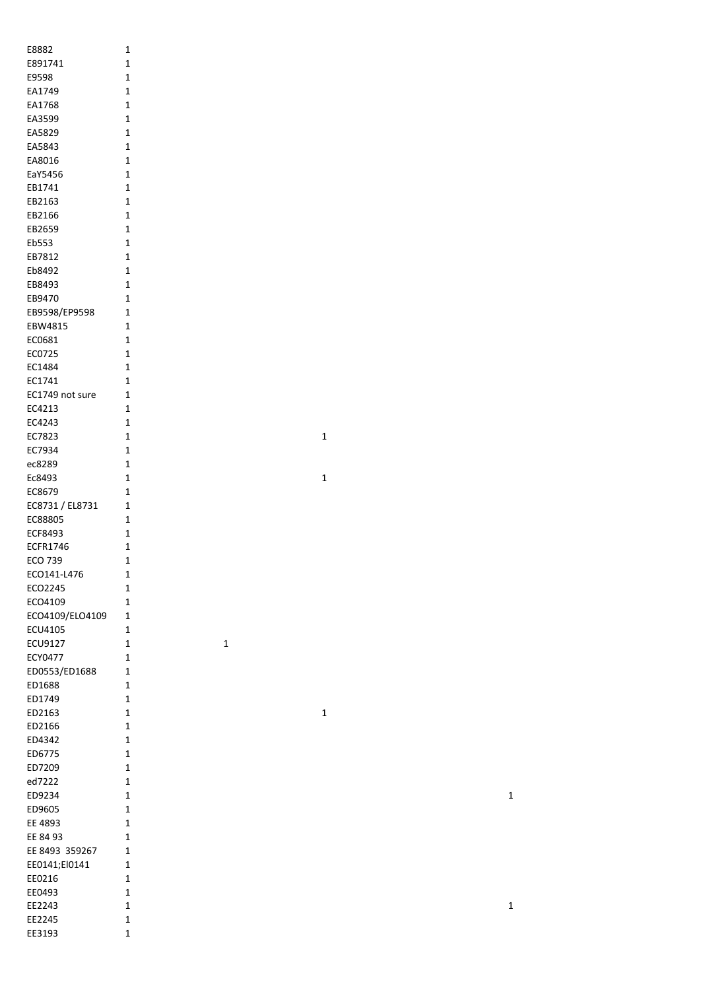| E8882           | 1              |
|-----------------|----------------|
| E891741         | $\mathbf{1}$   |
| E9598           | 1              |
|                 |                |
| EA1749          | 1              |
| EA1768          | 1              |
| EA3599          | 1              |
| EA5829          | 1              |
| EA5843          | 1              |
|                 |                |
| EA8016          | 1              |
| EaY5456         | 1              |
| EB1741          | 1              |
| EB2163          | 1              |
|                 |                |
| EB2166          | 1              |
| EB2659          | 1              |
| Eb553           | 1              |
| EB7812          | 1              |
| Eb8492          | 1              |
|                 |                |
| EB8493          | 1              |
| EB9470          | 1              |
| EB9598/EP9598   | $\overline{1}$ |
| EBW4815         | 1              |
|                 |                |
| EC0681          | 1              |
| EC0725          | 1              |
| EC1484          | 1              |
| EC1741          | 1              |
|                 | 1              |
| EC1749 not sure |                |
| EC4213          | 1              |
| EC4243          | 1              |
| EC7823          | 1              |
| EC7934          | 1              |
|                 |                |
| ec8289          | 1              |
| Ec8493          | 1              |
| EC8679          | 1              |
| EC8731 / EL8731 | 1              |
| EC88805         | 1              |
|                 |                |
| <b>ECF8493</b>  | 1              |
| <b>ECFR1746</b> | 1              |
| ECO 739         | $\mathbf 1$    |
| ECO141-L476     | 1              |
| ECO2245         | 1              |
|                 |                |
| ECO4109         | 1              |
| ECO4109/ELO4109 | 1              |
| ECU4105         | 1              |
| <b>ECU9127</b>  | 1              |
| <b>ECY0477</b>  | 1              |
|                 |                |
| ED0553/ED1688   | 1              |
| ED1688          | $\mathbf 1$    |
| ED1749          | $\mathbf 1$    |
| ED2163          | $\mathbf 1$    |
|                 |                |
| ED2166          | 1              |
| ED4342          | 1              |
| ED6775          | 1              |
| ED7209          | 1              |
| ed7222          | 1              |
|                 |                |
| ED9234          | 1              |
| ED9605          | 1              |
| EE 4893         | 1              |
| EE 84 93        | 1              |
| EE 8493 359267  | 1              |
|                 |                |
| EE0141;El0141   | 1              |
| EE0216          | 1              |
| EE0493          | 1              |
| EE2243          | 1              |
| EE2245          | 1              |
|                 | 1              |
| EE3193          |                |

1

1

1

1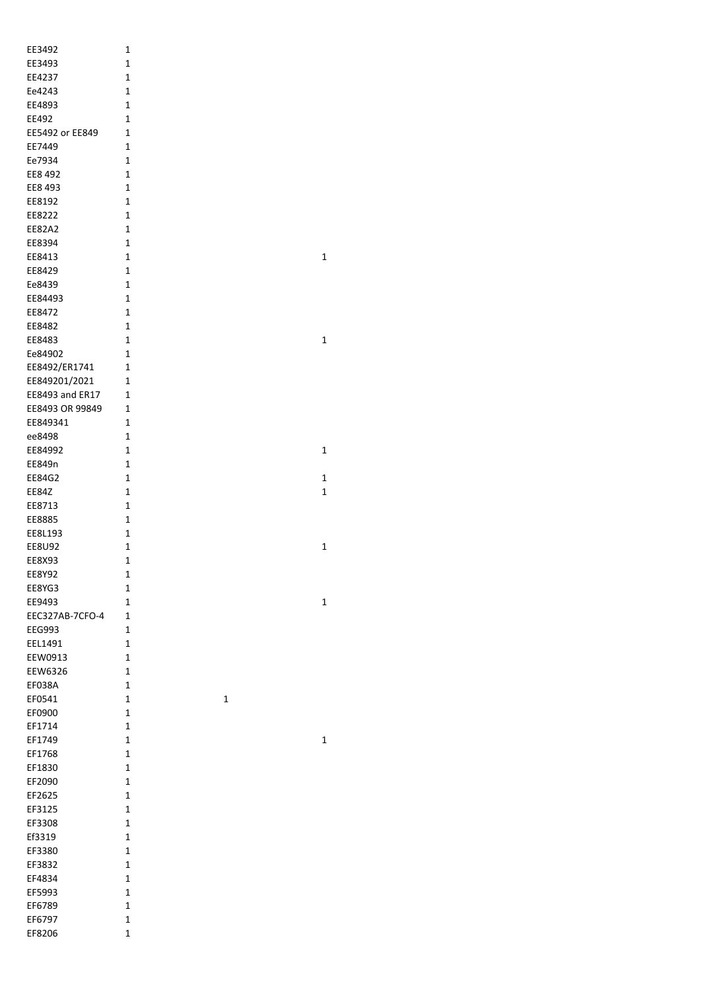|                  | 1                |
|------------------|------------------|
| EE3493           | 1                |
| EE4237           | 1                |
| Ee4243           | 1                |
| EE4893           | 1                |
| EE492            | 1                |
| EE5492 or EE849  | 1                |
| EE7449           | 1                |
| Ee7934           | 1                |
| EE8 492          | 1                |
| EE8 493          | 1                |
| EE8192           | 1                |
| EE8222           | 1                |
| EE82A2           | 1                |
| EE8394           | 1                |
| EE8413           | 1                |
| EE8429           | 1                |
| Ee8439           | 1                |
| EE84493          | 1                |
|                  |                  |
| EE8472           | 1<br>$\mathbf 1$ |
| EE8482           |                  |
| EE8483           | $\mathbf 1$      |
| Ee84902          | 1                |
| EE8492/ER1741    | 1                |
| EE849201/2021    | 1                |
| EE8493 and ER17  | 1                |
| EE8493 OR 99849  | 1                |
| EE849341         | 1                |
| ee8498           | 1                |
| EE84992          | 1                |
| EE849n           | 1                |
| EE84G2           | 1                |
| <b>EE84Z</b>     | 1                |
| EE8713           | 1                |
| EE8885           | 1                |
| EE8L193          | 1                |
| <b>EE8U92</b>    |                  |
|                  | 1                |
| <b>EE8X93</b>    | 1                |
| EE8Y92           | $\mathbf 1$      |
| EE8YG3           | 1                |
| EE9493           | $\mathbf 1$      |
| EEC327AB-7CFO-4  | 1                |
| <b>EEG993</b>    | 1                |
| EEL1491          | 1                |
| EEW0913          | 1                |
| EEW6326          | 1                |
| EF038A           | $\mathbf 1$      |
| EF0541           | 1<br>1           |
| EF0900           | 1                |
| EF1714           | 1                |
| EF1749           | 1                |
|                  | 1                |
| EF1768           | 1                |
| EF1830           | 1                |
| EF2090           |                  |
| EF2625           | 1<br>1           |
| EF3125<br>EF3308 | 1                |
|                  |                  |
| Ef3319           | 1                |
| EF3380           | 1                |
| EF3832           | 1                |
| EF4834           | 1                |
| EF5993           | 1                |
| EF6789           | $\mathbf 1$      |
| EF6797<br>EF8206 | $\mathbf 1$<br>1 |

1

1

1

1

1

1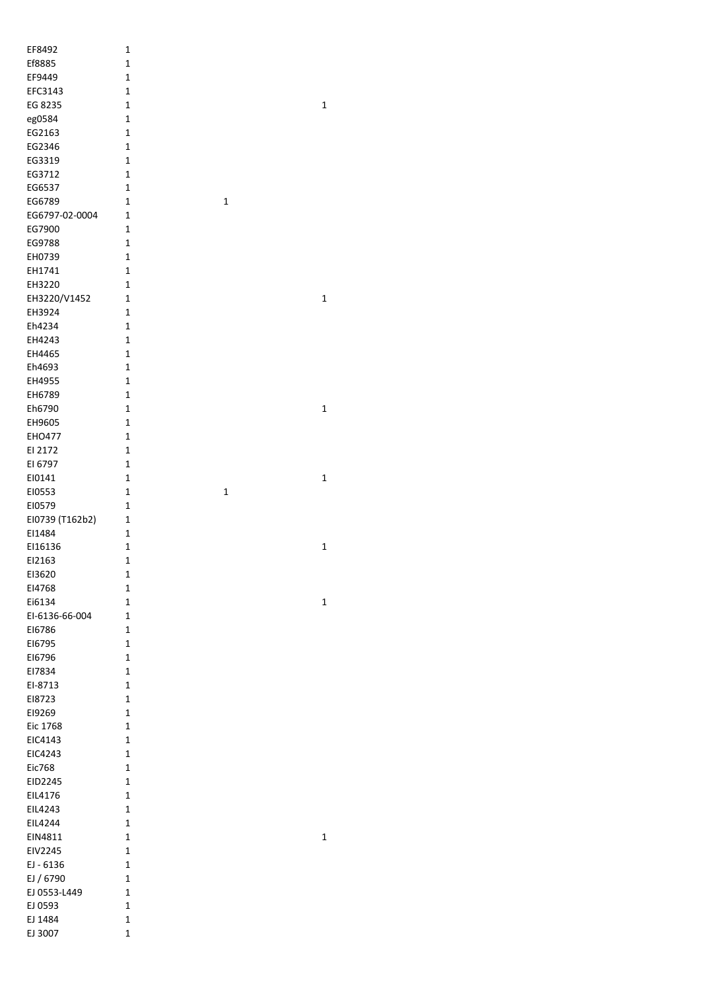| EF8492          | $\mathbf 1$                  |             |
|-----------------|------------------------------|-------------|
| Ef8885          | $\mathbf{1}$                 |             |
| EF9449          | $\mathbf{1}$                 |             |
|                 | $\mathbf{1}$                 |             |
| EFC3143         |                              |             |
| EG 8235         | 1                            | $\mathbf 1$ |
| eg0584          | 1                            |             |
| EG2163          | $\mathbf{1}$                 |             |
| EG2346          | $\mathbf{1}$                 |             |
| EG3319          | $\mathbf{1}$                 |             |
| EG3712          | $\mathbf{1}$                 |             |
| EG6537          | $\mathbf{1}$                 |             |
| EG6789          | $\mathbf{1}$<br>$\mathbf 1$  |             |
| EG6797-02-0004  | $\mathbf 1$                  |             |
| EG7900          | 1                            |             |
| EG9788          | $\mathbf{1}$                 |             |
| EH0739          | $\mathbf{1}$                 |             |
| EH1741          | $\mathbf{1}$                 |             |
| EH3220          | $\mathbf{1}$                 |             |
| EH3220/V1452    | 1                            | $\mathbf 1$ |
| EH3924          | $\mathbf{1}$                 |             |
| Eh4234          | 1                            |             |
| EH4243          | 1                            |             |
| EH4465          | 1                            |             |
| Eh4693          | 1                            |             |
| EH4955          | 1                            |             |
| EH6789          | $\mathbf{1}$                 |             |
| Eh6790          | $\mathbf{1}$                 | $\mathbf 1$ |
| EH9605          | 1                            |             |
| EHO477          | 1                            |             |
| EI 2172         | 1                            |             |
| EI 6797         | 1                            |             |
| EI0141          | $\mathbf 1$                  | $\mathbf 1$ |
| EI0553          | $\mathbf{1}$<br>$\mathbf{1}$ |             |
| EI0579          | $\mathbf{1}$                 |             |
|                 | 1                            |             |
| EI0739 (T162b2) | $\mathbf{1}$                 |             |
| EI1484          |                              |             |
| EI16136         | $\mathbf{1}$                 | $\mathbf 1$ |
| EI2163          | 1                            |             |
| EI3620          | $\mathbf 1$                  |             |
| EI4768          | 1                            |             |
| Ei6134          | $\mathbf{1}$                 | $\mathbf 1$ |
| EI-6136-66-004  | $\mathbf 1$                  |             |
| EI6786          | 1                            |             |
| E16795          | 1                            |             |
| E16796          | $\mathbf{1}$                 |             |
| EI7834          | $\mathbf{1}$                 |             |
| EI-8713         | 1                            |             |
| E18723          | 1                            |             |
| EI9269          | 1                            |             |
| Eic 1768        | 1                            |             |
| EIC4143         | 1                            |             |
| EIC4243         | 1                            |             |
| Eic768          | 1                            |             |
| EID2245         | 1                            |             |
| EIL4176         | 1                            |             |
| EIL4243         | $\mathbf{1}$                 |             |
| EIL4244         | $\mathbf{1}$                 |             |
| EIN4811         | $\mathbf{1}$                 | $\mathbf 1$ |
| EIV2245         | 1                            |             |
| EJ - 6136       | $\mathbf{1}$                 |             |
| EJ / 6790       | $\mathbf{1}$                 |             |
| EJ 0553-L449    | $\mathbf 1$                  |             |
| EJ 0593         | $\mathbf{1}$                 |             |
| EJ 1484         | $\mathbf{1}$                 |             |
| EJ 3007         | $\mathbf{1}$                 |             |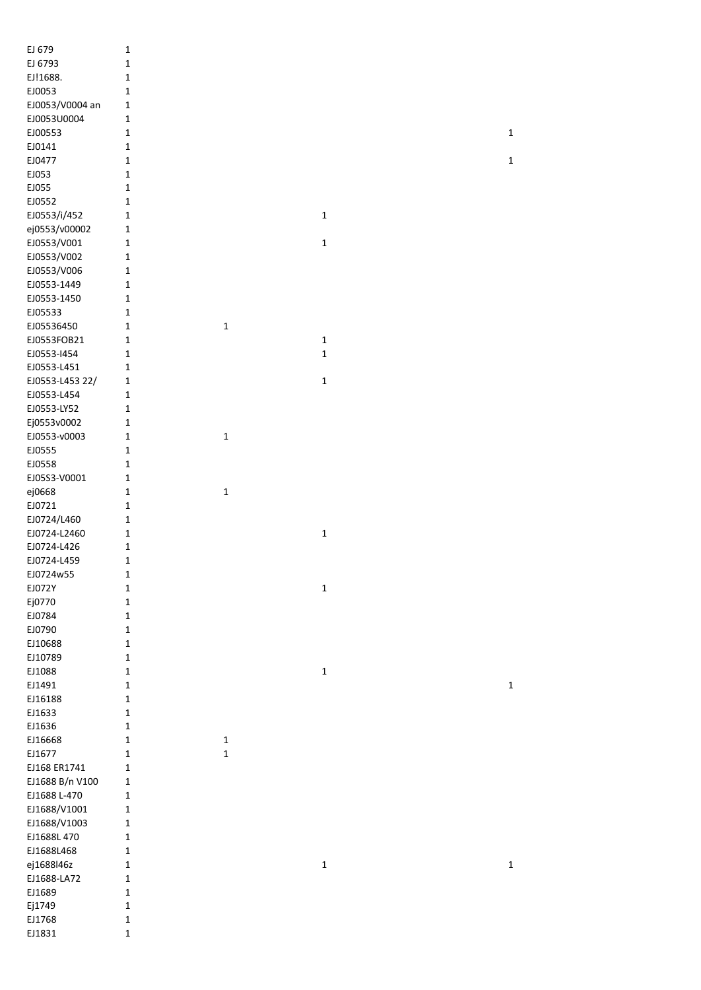| EJ 679              | $\mathbf{1}$                |             |              |             |
|---------------------|-----------------------------|-------------|--------------|-------------|
| EJ 6793             | $\mathbf 1$                 |             |              |             |
| EJ!1688.            | $\mathbf 1$                 |             |              |             |
| EJ0053              | $\mathbf{1}$                |             |              |             |
| EJ0053/V0004 an     | $\mathbf 1$                 |             |              |             |
| EJ0053U0004         | $\mathbf 1$                 |             |              |             |
| EJ00553             | $\mathbf{1}$                |             |              | $\mathbf 1$ |
| EJ0141              | $\mathbf{1}$                |             |              |             |
| EJ0477              | $\mathbf{1}$                |             |              | $\mathbf 1$ |
| EJ053               | $\mathbf{1}$                |             |              |             |
| EJ055               | $\mathbf{1}$                |             |              |             |
| EJ0552              | $\mathbf{1}$                |             |              |             |
| EJ0553/i/452        | $\mathbf 1$                 |             | $\mathbf{1}$ |             |
| ej0553/v00002       | $\mathbf 1$                 |             |              |             |
| EJ0553/V001         | $\mathbf 1$                 |             | $\mathbf{1}$ |             |
| EJ0553/V002         | $\mathbf 1$                 |             |              |             |
| EJ0553/V006         | $\mathbf 1$                 |             |              |             |
| EJ0553-1449         | $\mathbf 1$                 |             |              |             |
| EJ0553-1450         | $\mathbf 1$                 |             |              |             |
| EJ05533             | $\mathbf{1}$                |             |              |             |
| EJ05536450          | $\mathbf 1$                 | $\mathbf 1$ |              |             |
| EJ0553FOB21         | $\mathbf{1}$                |             | $\mathbf{1}$ |             |
| EJ0553-1454         | $\mathbf 1$                 |             | $\mathbf 1$  |             |
| EJ0553-L451         | $\mathbf 1$                 |             |              |             |
| EJ0553-L453 22/     | $\mathbf 1$                 |             | $\mathbf{1}$ |             |
| EJ0553-L454         | $\mathbf 1$                 |             |              |             |
| EJ0553-LY52         | $\mathbf 1$                 |             |              |             |
| Ej0553v0002         | 1                           |             |              |             |
| EJ0553-v0003        | $\mathbf 1$                 | $\mathbf 1$ |              |             |
| EJ0555              | $\mathbf{1}$                |             |              |             |
| EJ0558              | $\mathbf{1}$                |             |              |             |
| EJ05S3-V0001        | $\mathbf 1$                 |             |              |             |
| ej0668              | 1                           | $\mathbf 1$ |              |             |
| EJ0721              | 1                           |             |              |             |
| EJ0724/L460         | $\mathbf 1$                 |             |              |             |
| EJ0724-L2460        | $\mathbf 1$                 |             | $\mathbf{1}$ |             |
| EJ0724-L426         | $\mathbf 1$                 |             |              |             |
| EJ0724-L459         | $\mathbf 1$                 |             |              |             |
| EJ0724w55<br>EJ072Y | 1                           |             |              |             |
| Ej0770              | $\mathbf 1$<br>$\mathbf{1}$ |             | 1            |             |
| EJ0784              | $\mathbf{1}$                |             |              |             |
| EJ0790              | $\mathbf 1$                 |             |              |             |
| EJ10688             | $\mathbf{1}$                |             |              |             |
| EJ10789             | $\mathbf{1}$                |             |              |             |
| EJ1088              | $\mathbf{1}$                |             | $\mathbf 1$  |             |
| EJ1491              | $\mathbf 1$                 |             |              | $\mathbf 1$ |
| EJ16188             | $\mathbf 1$                 |             |              |             |
| EJ1633              | $\mathbf 1$                 |             |              |             |
| EJ1636              | $\mathbf{1}$                |             |              |             |
| EJ16668             | 1                           | $\mathbf 1$ |              |             |
| EJ1677              | $\mathbf{1}$                | $\mathbf 1$ |              |             |
| EJ168 ER1741        | $\mathbf 1$                 |             |              |             |
| EJ1688 B/n V100     | 1                           |             |              |             |
| EJ1688 L-470        | $\mathbf 1$                 |             |              |             |
| EJ1688/V1001        | $\mathbf 1$                 |             |              |             |
| EJ1688/V1003        | 1                           |             |              |             |
| EJ1688L 470         | 1                           |             |              |             |
| EJ1688L468          | $\mathbf 1$                 |             |              |             |
| ej1688l46z          | $\mathbf 1$                 |             | $\mathbf 1$  | $\mathbf 1$ |
| EJ1688-LA72         | $\mathbf 1$                 |             |              |             |
| EJ1689              | $\mathbf{1}$                |             |              |             |
| Ej1749              | 1                           |             |              |             |
| EJ1768              | $\mathbf 1$                 |             |              |             |
| EJ1831              | $\mathbf 1$                 |             |              |             |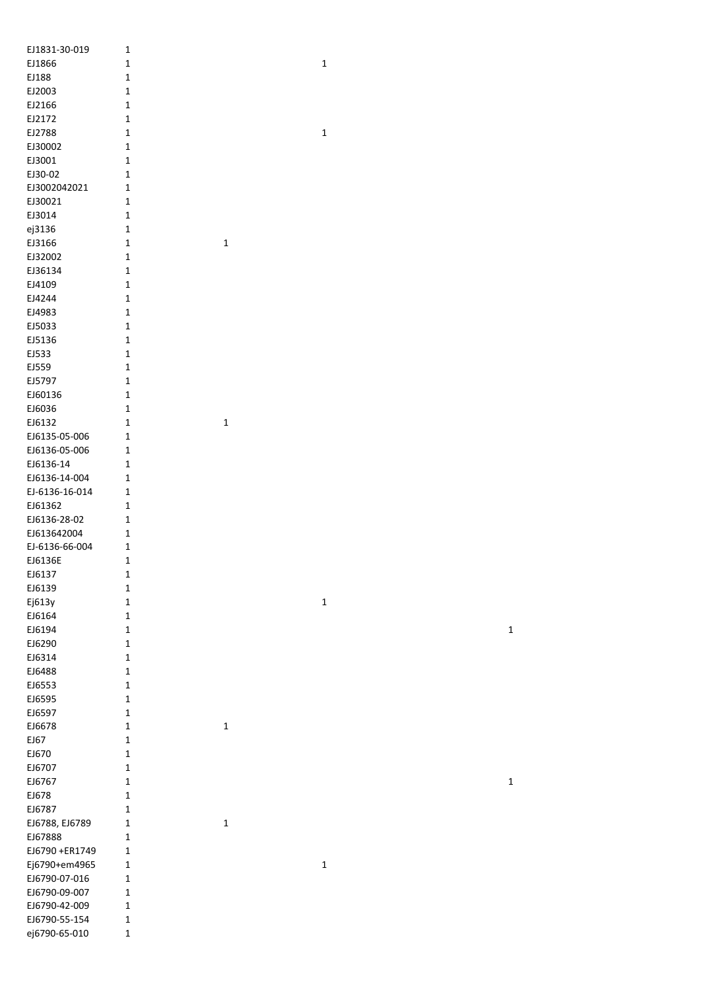| EJ1831-30-019  | $\mathbf 1$  |              |             |             |
|----------------|--------------|--------------|-------------|-------------|
| EJ1866         | $\mathbf 1$  |              | $\mathbf 1$ |             |
| EJ188          | $\mathbf 1$  |              |             |             |
| EJ2003         | $\mathbf 1$  |              |             |             |
| EJ2166         | 1            |              |             |             |
| EJ2172         | $\mathbf 1$  |              |             |             |
| EJ2788         | $\mathbf 1$  |              | $\mathbf 1$ |             |
|                |              |              |             |             |
| EJ30002        | $\mathbf 1$  |              |             |             |
| EJ3001         | $\mathbf 1$  |              |             |             |
| EJ30-02        | $\mathbf 1$  |              |             |             |
| EJ3002042021   | $\mathbf{1}$ |              |             |             |
| EJ30021        | $\mathbf 1$  |              |             |             |
| EJ3014         | $\mathbf 1$  |              |             |             |
| ej3136         | $\mathbf 1$  |              |             |             |
| EJ3166         | $\mathbf 1$  | $\mathbf{1}$ |             |             |
| EJ32002        | $\mathbf 1$  |              |             |             |
| EJ36134        | $\mathbf 1$  |              |             |             |
| EJ4109         | $\mathbf 1$  |              |             |             |
|                |              |              |             |             |
| EJ4244         | $\mathbf 1$  |              |             |             |
| EJ4983         | $\mathbf 1$  |              |             |             |
| EJ5033         | $\mathbf 1$  |              |             |             |
| EJ5136         | $\mathbf 1$  |              |             |             |
| EJ533          | $\mathbf 1$  |              |             |             |
| EJ559          | $\mathbf 1$  |              |             |             |
| EJ5797         | $\mathbf 1$  |              |             |             |
| EJ60136        | $\mathbf 1$  |              |             |             |
| EJ6036         | $\mathbf 1$  |              |             |             |
| EJ6132         | $\mathbf 1$  | $\mathbf 1$  |             |             |
| EJ6135-05-006  | $\mathbf 1$  |              |             |             |
|                |              |              |             |             |
| EJ6136-05-006  | $\mathbf 1$  |              |             |             |
| EJ6136-14      | $\mathbf{1}$ |              |             |             |
| EJ6136-14-004  | $\mathbf{1}$ |              |             |             |
| EJ-6136-16-014 | $\mathbf 1$  |              |             |             |
| EJ61362        | $\mathbf 1$  |              |             |             |
| EJ6136-28-02   | $\mathbf{1}$ |              |             |             |
| EJ613642004    | $\mathbf{1}$ |              |             |             |
| EJ-6136-66-004 | $\mathbf{1}$ |              |             |             |
| EJ6136E        | $\mathbf 1$  |              |             |             |
| EJ6137         | 1            |              |             |             |
| EJ6139         |              |              |             |             |
|                | $\mathbf 1$  |              |             |             |
| Ej613y         | $\mathbf 1$  |              | $\mathbf 1$ |             |
| EJ6164         | $\mathbf 1$  |              |             |             |
| EJ6194         | $\mathbf 1$  |              |             | $\mathbf 1$ |
| EJ6290         | $\mathbf 1$  |              |             |             |
| EJ6314         | $\mathbf 1$  |              |             |             |
| EJ6488         | $\mathbf 1$  |              |             |             |
| EJ6553         | $\mathbf 1$  |              |             |             |
| EJ6595         | $\mathbf 1$  |              |             |             |
| EJ6597         | $\mathbf 1$  |              |             |             |
| EJ6678         | $\mathbf 1$  | $\mathbf 1$  |             |             |
| EJ67           | $\mathbf 1$  |              |             |             |
| EJ670          |              |              |             |             |
|                | $\mathbf 1$  |              |             |             |
| EJ6707         | $\mathbf 1$  |              |             |             |
| EJ6767         | $\mathbf 1$  |              |             | $\mathbf 1$ |
| EJ678          | $\mathbf 1$  |              |             |             |
| EJ6787         | $\mathbf 1$  |              |             |             |
| EJ6788, EJ6789 | $\mathbf 1$  | $\mathbf 1$  |             |             |
| EJ67888        | $\mathbf 1$  |              |             |             |
| EJ6790 +ER1749 | $\mathbf 1$  |              |             |             |
| Ej6790+em4965  | 1            |              | $\mathbf 1$ |             |
| EJ6790-07-016  | 1            |              |             |             |
| EJ6790-09-007  | $\mathbf 1$  |              |             |             |
| EJ6790-42-009  | $\mathbf 1$  |              |             |             |
| EJ6790-55-154  |              |              |             |             |
|                | $\mathbf{1}$ |              |             |             |
| ej6790-65-010  | $\mathbf 1$  |              |             |             |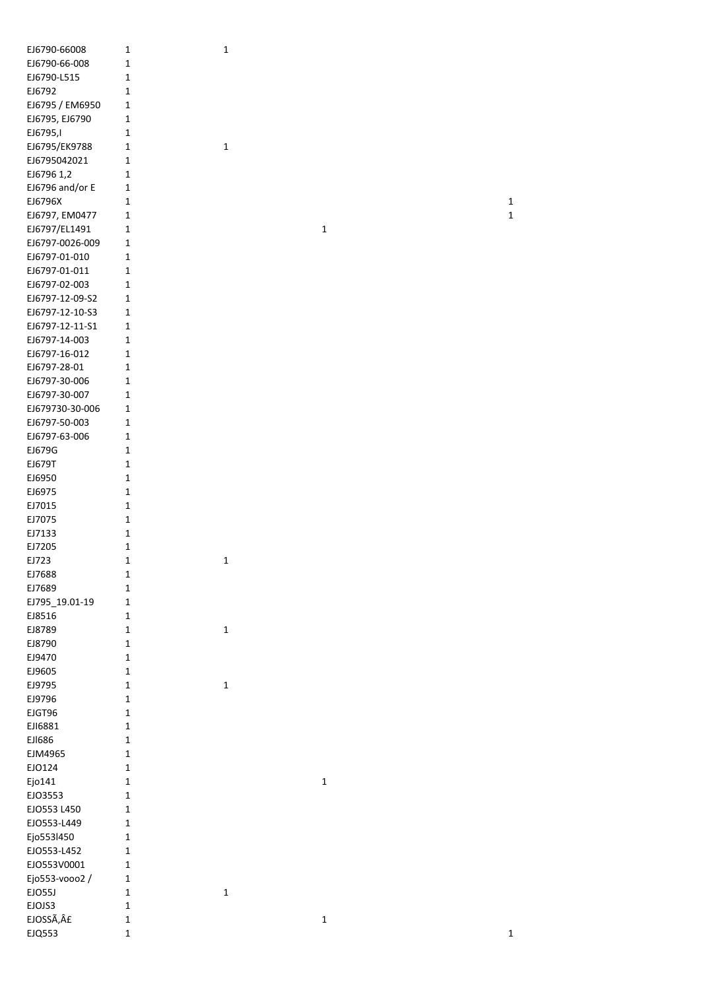| EJ6790-66008    | $\mathbf{1}$ | $\mathbf 1$ |             |             |
|-----------------|--------------|-------------|-------------|-------------|
| EJ6790-66-008   | $\mathbf 1$  |             |             |             |
| EJ6790-L515     | 1            |             |             |             |
| EJ6792          | $\mathbf{1}$ |             |             |             |
| EJ6795 / EM6950 | 1            |             |             |             |
| EJ6795, EJ6790  | $\mathbf{1}$ |             |             |             |
|                 |              |             |             |             |
| EJ6795,I        | 1            |             |             |             |
| EJ6795/EK9788   | 1            | $\mathbf 1$ |             |             |
| EJ6795042021    | 1            |             |             |             |
| EJ6796 1,2      | 1            |             |             |             |
| EJ6796 and/or E | $\mathbf{1}$ |             |             |             |
| EJ6796X         | $\mathbf{1}$ |             |             | $\mathbf 1$ |
| EJ6797, EM0477  | 1            |             |             | $\mathbf 1$ |
| EJ6797/EL1491   | 1            |             | $\mathbf 1$ |             |
| EJ6797-0026-009 | $\mathbf{1}$ |             |             |             |
|                 |              |             |             |             |
| EJ6797-01-010   | $\mathbf{1}$ |             |             |             |
| EJ6797-01-011   | 1            |             |             |             |
| EJ6797-02-003   | 1            |             |             |             |
| EJ6797-12-09-S2 | 1            |             |             |             |
| EJ6797-12-10-S3 | $\mathbf{1}$ |             |             |             |
| EJ6797-12-11-S1 | $\mathbf 1$  |             |             |             |
| EJ6797-14-003   | $\mathbf{1}$ |             |             |             |
| EJ6797-16-012   | $\mathbf 1$  |             |             |             |
| EJ6797-28-01    | 1            |             |             |             |
|                 |              |             |             |             |
| EJ6797-30-006   | 1            |             |             |             |
| EJ6797-30-007   | 1            |             |             |             |
| EJ679730-30-006 | $\mathbf{1}$ |             |             |             |
| EJ6797-50-003   | $\mathbf{1}$ |             |             |             |
| EJ6797-63-006   | 1            |             |             |             |
| EJ679G          | 1            |             |             |             |
| EJ679T          | $\mathbf{1}$ |             |             |             |
| EJ6950          | $\mathbf{1}$ |             |             |             |
| EJ6975          | $\mathbf{1}$ |             |             |             |
| EJ7015          | $\mathbf{1}$ |             |             |             |
|                 |              |             |             |             |
| EJ7075          | $\mathbf{1}$ |             |             |             |
| EJ7133          | $\mathbf{1}$ |             |             |             |
| EJ7205          | $\mathbf 1$  |             |             |             |
| EJ723           | $\mathbf 1$  | $\mathbf 1$ |             |             |
| EJ7688          | 1            |             |             |             |
| EJ7689          | $\mathbf 1$  |             |             |             |
| EJ795_19.01-19  | $\mathbf 1$  |             |             |             |
| EJ8516          | $1\,$        |             |             |             |
| EJ8789          | $1\,$        | $\mathbf 1$ |             |             |
| EJ8790          | $\mathbf 1$  |             |             |             |
|                 |              |             |             |             |
| EJ9470          | $\mathbf 1$  |             |             |             |
| EJ9605          | $\mathbf 1$  |             |             |             |
| EJ9795          | $\mathbf 1$  | $\mathbf 1$ |             |             |
| EJ9796          | $\mathbf 1$  |             |             |             |
| EJGT96          | $\mathbf 1$  |             |             |             |
| EJI6881         | $\mathbf 1$  |             |             |             |
| EJ1686          | $\mathbf 1$  |             |             |             |
| EJM4965         | $\mathbf 1$  |             |             |             |
| EJO124          | $\mathbf 1$  |             |             |             |
| Ejo141          | $\mathbf 1$  |             | $\mathbf 1$ |             |
|                 | $1\,$        |             |             |             |
| EJO3553         |              |             |             |             |
| EJO553 L450     | $\mathbf{1}$ |             |             |             |
| EJO553-L449     | $\mathbf{1}$ |             |             |             |
| Ejo553l450      | $\mathbf 1$  |             |             |             |
| EJO553-L452     | $\mathbf 1$  |             |             |             |
| EJO553V0001     | $\mathbf{1}$ |             |             |             |
| Ejo553-vooo2 /  | $\mathbf 1$  |             |             |             |
| EJO55J          | $\mathbf 1$  | $\mathbf 1$ |             |             |
| EJOJS3          | $\mathbf 1$  |             |             |             |
| EJOSSÃ, £       | $\mathbf 1$  |             | $\mathbf 1$ |             |
|                 |              |             |             |             |
| EJQ553          | $\mathbf 1$  |             |             | $\mathbf 1$ |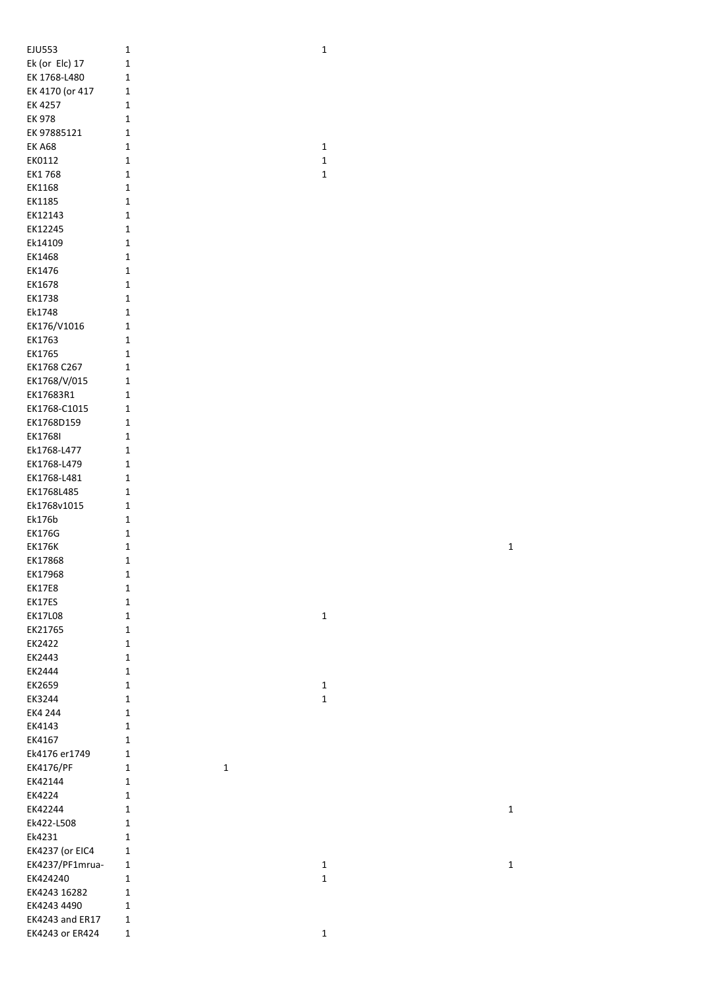| <b>EJU553</b>                      | $\mathbf 1$                 | $\mathbf 1$ |             |
|------------------------------------|-----------------------------|-------------|-------------|
| Ek (or Elc) 17                     | $\mathbf 1$                 |             |             |
| EK 1768-L480                       | $\mathbf 1$                 |             |             |
| EK 4170 (or 417                    | $\mathbf 1$                 |             |             |
| EK 4257                            | $\mathbf 1$                 |             |             |
| <b>EK 978</b>                      | $\mathbf 1$                 |             |             |
| EK 97885121                        | $\mathbf 1$                 |             |             |
| <b>EK A68</b>                      | $\mathbf 1$                 | $\mathbf 1$ |             |
| EK0112                             | $\mathbf 1$                 | $\mathbf 1$ |             |
| EK1768                             |                             | $\mathbf 1$ |             |
|                                    | $\mathbf 1$                 |             |             |
| EK1168                             | $\mathbf 1$                 |             |             |
| EK1185                             | $\mathbf 1$                 |             |             |
| EK12143                            | $\mathbf 1$                 |             |             |
| EK12245                            | $\mathbf{1}$                |             |             |
| Ek14109                            | $\mathbf{1}$                |             |             |
| EK1468                             | $\mathbf{1}$                |             |             |
| EK1476                             | $\mathbf 1$                 |             |             |
| EK1678                             | $\mathbf{1}$                |             |             |
| EK1738                             | $\mathbf 1$                 |             |             |
| Ek1748                             | $\mathbf{1}$                |             |             |
| EK176/V1016                        | $\mathbf 1$                 |             |             |
| EK1763                             | $\mathbf 1$                 |             |             |
| EK1765                             | $\mathbf 1$                 |             |             |
| EK1768 C267                        | $\mathbf 1$                 |             |             |
| EK1768/V/015                       | $\mathbf 1$                 |             |             |
| EK17683R1                          | $\mathbf 1$                 |             |             |
| EK1768-C1015                       | $\mathbf 1$                 |             |             |
| EK1768D159                         | $\mathbf 1$                 |             |             |
| EK1768I                            | $\mathbf 1$                 |             |             |
| Ek1768-L477                        | $\mathbf 1$                 |             |             |
| EK1768-L479                        | $\mathbf 1$                 |             |             |
| EK1768-L481                        | $\mathbf 1$                 |             |             |
| EK1768L485                         | $\mathbf 1$                 |             |             |
| Ek1768v1015                        | $\mathbf 1$                 |             |             |
| Ek176b                             | $\mathbf 1$                 |             |             |
| <b>EK176G</b>                      | $\mathbf 1$                 |             |             |
| <b>EK176K</b>                      | $\mathbf{1}$                |             | $\mathbf 1$ |
| EK17868                            | $\mathbf{1}$                |             |             |
| EK17968                            | $\mathbf 1$                 |             |             |
| <b>EK17E8</b>                      | $\mathbf 1$                 |             |             |
| EK17ES                             | $\mathbf 1$                 |             |             |
| <b>EK17L08</b>                     | $\mathbf 1$                 | $\mathbf 1$ |             |
| EK21765                            | $\mathbf{1}$                |             |             |
| EK2422                             | $\mathbf{1}$                |             |             |
| EK2443                             | $\mathbf{1}$                |             |             |
| EK2444                             | $\mathbf{1}$                |             |             |
| EK2659                             | $\mathbf 1$                 | $\mathbf 1$ |             |
| EK3244                             |                             |             |             |
| EK4 244                            |                             |             |             |
|                                    | $\mathbf 1$                 | $\mathbf 1$ |             |
|                                    | $\mathbf 1$                 |             |             |
| EK4143                             | $\mathbf 1$                 |             |             |
| EK4167                             | $\mathbf 1$                 |             |             |
| Ek4176 er1749                      | $\mathbf 1$                 |             |             |
| EK4176/PF                          | $\mathbf 1$<br>$\mathbf 1$  |             |             |
| EK42144                            | $\mathbf 1$                 |             |             |
| EK4224                             | $\mathbf 1$                 |             |             |
| EK42244                            | $\mathbf 1$                 |             | $\mathbf 1$ |
| Ek422-L508                         | $\mathbf 1$                 |             |             |
| Ek4231                             | $\mathbf 1$                 |             |             |
| <b>EK4237 (or EIC4</b>             | $\mathbf 1$                 |             |             |
| EK4237/PF1mrua-                    | $\mathbf{1}$                | $\mathbf 1$ | $\mathbf 1$ |
| EK424240                           | $\mathbf 1$                 | $\mathbf 1$ |             |
| EK4243 16282                       | $\mathbf 1$                 |             |             |
| EK4243 4490                        | $\mathbf 1$                 |             |             |
| EK4243 and ER17<br>EK4243 or ER424 | $\mathbf{1}$<br>$\mathbf 1$ | $\mathbf 1$ |             |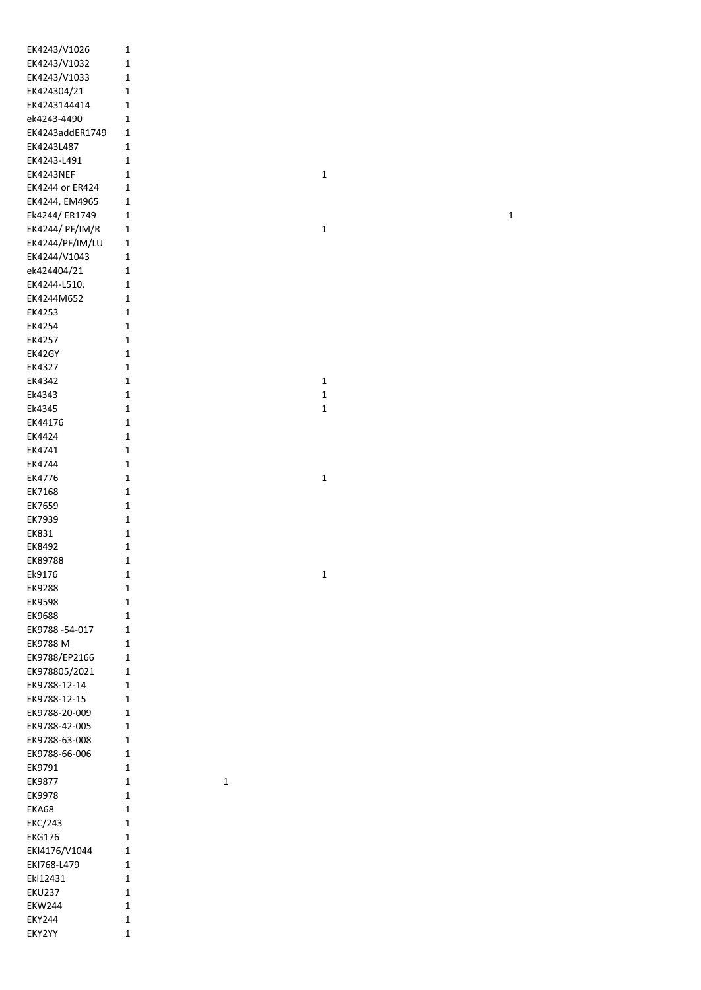| EK4243/V1026    | $\mathbf{1}$ |             |             |  |             |  |
|-----------------|--------------|-------------|-------------|--|-------------|--|
| EK4243/V1032    | $\mathbf 1$  |             |             |  |             |  |
| EK4243/V1033    | $\mathbf 1$  |             |             |  |             |  |
| EK424304/21     | $\mathbf{1}$ |             |             |  |             |  |
| EK4243144414    | $\mathbf 1$  |             |             |  |             |  |
| ek4243-4490     | $\mathbf 1$  |             |             |  |             |  |
| EK4243addER1749 | $\mathbf 1$  |             |             |  |             |  |
| EK4243L487      | $\mathbf 1$  |             |             |  |             |  |
| EK4243-L491     | $\mathbf 1$  |             |             |  |             |  |
| EK4243NEF       | $\mathbf 1$  |             | $\mathbf 1$ |  |             |  |
| EK4244 or ER424 | $\mathbf 1$  |             |             |  |             |  |
| EK4244, EM4965  | $\mathbf 1$  |             |             |  |             |  |
| Ek4244/ER1749   | $\mathbf 1$  |             |             |  | $\mathbf 1$ |  |
| EK4244/ PF/IM/R | $\mathbf 1$  |             | $\mathbf 1$ |  |             |  |
| EK4244/PF/IM/LU | $\mathbf 1$  |             |             |  |             |  |
| EK4244/V1043    | $\mathbf 1$  |             |             |  |             |  |
| ek424404/21     | $\mathbf 1$  |             |             |  |             |  |
| EK4244-L510.    | $\mathbf 1$  |             |             |  |             |  |
| EK4244M652      | $\mathbf 1$  |             |             |  |             |  |
| EK4253          | $\mathbf 1$  |             |             |  |             |  |
| EK4254          | $\mathbf 1$  |             |             |  |             |  |
| EK4257          | $\mathbf 1$  |             |             |  |             |  |
| EK42GY          | $\mathbf 1$  |             |             |  |             |  |
| EK4327          | $\mathbf 1$  |             |             |  |             |  |
| EK4342          | $\mathbf 1$  |             | $\mathbf 1$ |  |             |  |
| Ek4343          | $\mathbf 1$  |             | $\mathbf 1$ |  |             |  |
| Ek4345          | $\mathbf 1$  |             | $\mathbf 1$ |  |             |  |
| EK44176         | $\mathbf 1$  |             |             |  |             |  |
| EK4424          | $\mathbf 1$  |             |             |  |             |  |
| EK4741          | $\mathbf 1$  |             |             |  |             |  |
| EK4744          | $\mathbf 1$  |             |             |  |             |  |
| EK4776          | $\mathbf 1$  |             | $\mathbf 1$ |  |             |  |
| EK7168          | $\mathbf 1$  |             |             |  |             |  |
| EK7659          | $\mathbf 1$  |             |             |  |             |  |
| EK7939          | $\mathbf 1$  |             |             |  |             |  |
| EK831           | $\mathbf 1$  |             |             |  |             |  |
| EK8492          | $\mathbf 1$  |             |             |  |             |  |
| EK89788         | $\mathbf 1$  |             |             |  |             |  |
| Ek9176          | $\mathbf{1}$ |             | $\mathbf 1$ |  |             |  |
| EK9288          | $\mathbf 1$  |             |             |  |             |  |
| EK9598          | $\mathbf 1$  |             |             |  |             |  |
| EK9688          | $\mathbf 1$  |             |             |  |             |  |
| EK9788-54-017   | $\mathbf 1$  |             |             |  |             |  |
| EK9788 M        | $\mathbf 1$  |             |             |  |             |  |
| EK9788/EP2166   | $\mathbf 1$  |             |             |  |             |  |
| EK978805/2021   | $\mathbf 1$  |             |             |  |             |  |
| EK9788-12-14    | $\mathbf{1}$ |             |             |  |             |  |
| EK9788-12-15    | $\mathbf 1$  |             |             |  |             |  |
| EK9788-20-009   | $\mathbf 1$  |             |             |  |             |  |
| EK9788-42-005   | $\mathbf 1$  |             |             |  |             |  |
| EK9788-63-008   | 1            |             |             |  |             |  |
| EK9788-66-006   | $\mathbf 1$  |             |             |  |             |  |
| EK9791          | $\mathbf 1$  |             |             |  |             |  |
| EK9877          | $\mathbf{1}$ | $\mathbf 1$ |             |  |             |  |
| EK9978          | $\mathbf{1}$ |             |             |  |             |  |
| EKA68           | $\mathbf 1$  |             |             |  |             |  |
| <b>EKC/243</b>  | $\mathbf 1$  |             |             |  |             |  |
| <b>EKG176</b>   | $\mathbf 1$  |             |             |  |             |  |
| EKI4176/V1044   | $\mathbf 1$  |             |             |  |             |  |
| EKI768-L479     | $\mathbf 1$  |             |             |  |             |  |
| Ekl12431        | $\mathbf 1$  |             |             |  |             |  |
| <b>EKU237</b>   | $\mathbf 1$  |             |             |  |             |  |
| <b>EKW244</b>   | $\mathbf 1$  |             |             |  |             |  |
| <b>EKY244</b>   | $\mathbf 1$  |             |             |  |             |  |
| EKY2YY          | $\mathbf 1$  |             |             |  |             |  |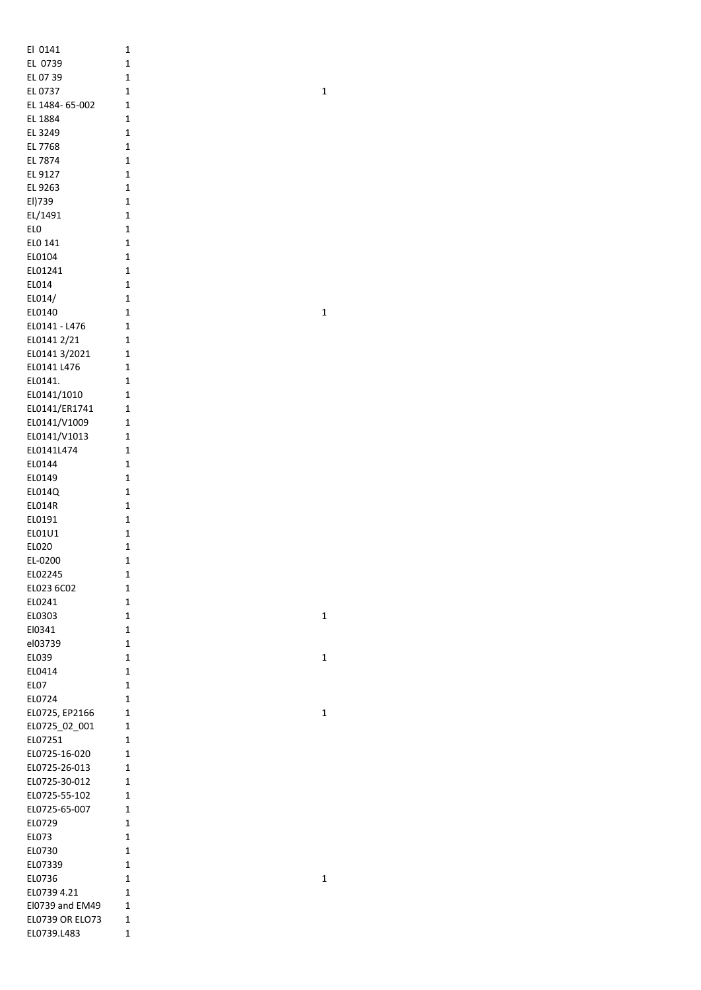| El 0141                | 1              |
|------------------------|----------------|
| EL 0739                | 1              |
| EL 07 39               | 1              |
| EL 0737                | 1              |
| EL 1484- 65-002        |                |
|                        | 1              |
| EL 1884                | 1              |
| EL 3249                | 1              |
| EL 7768                | 1              |
| EL 7874                | 1              |
| EL 9127                | 1              |
| EL 9263                | 1              |
| El)739                 | 1              |
| EL/1491                | 1              |
| ELO                    | 1              |
| ELO 141                | 1              |
|                        | 1              |
| EL0104                 |                |
| EL01241                | 1              |
| EL014                  | 1              |
| EL014/                 | 1              |
| EL0140                 | 1              |
| EL0141 - L476          | $\overline{1}$ |
| EL0141 2/21            | $\overline{1}$ |
| EL0141 3/2021          | 1              |
| EL0141 L476            | 1              |
| EL0141.                | 1              |
|                        |                |
| EL0141/1010            | 1              |
| EL0141/ER1741          | 1              |
| EL0141/V1009           | 1              |
| EL0141/V1013           | 1              |
| EL0141L474             | 1              |
| EL0144                 | 1              |
| EL0149                 | 1              |
| EL014Q                 | 1              |
| ELO14R                 | 1              |
| EL0191                 | 1              |
| EL01U1                 | 1              |
|                        |                |
| EL020                  | $\overline{1}$ |
| EL-0200                | 1              |
| EL02245                | 1              |
| EL023 6C02             | 1              |
| EL0241                 | 1              |
| EL0303                 | 1              |
| El0341                 | 1              |
| el03739                | 1              |
| EL039                  | 1              |
| EL0414                 | 1              |
| ELO7                   | 1              |
|                        |                |
| EL0724                 | 1              |
| EL0725, EP2166         | $\overline{1}$ |
| EL0725_02_001          | 1              |
| EL07251                | 1              |
| EL0725-16-020          | 1              |
| EL0725-26-013          | 1              |
| EL0725-30-012          | 1              |
| EL0725-55-102          | 1              |
| EL0725-65-007          | 1              |
| EL0729                 | 1              |
| ELO73                  | 1              |
|                        |                |
| EL0730                 | 1              |
| EL07339                | 1              |
| EL0736                 | 1              |
| EL0739 4.21            | 1              |
| El0739 and EM49        | 1              |
| <b>EL0739 OR ELO73</b> | 1              |
|                        |                |

 $\mathbf{1}$ 

 $\mathbf{1}$ 

 $\mathbf 1$ 

 $\mathbf 1$ 

 $\mathbf{1}$ 

 $\mathbf 1$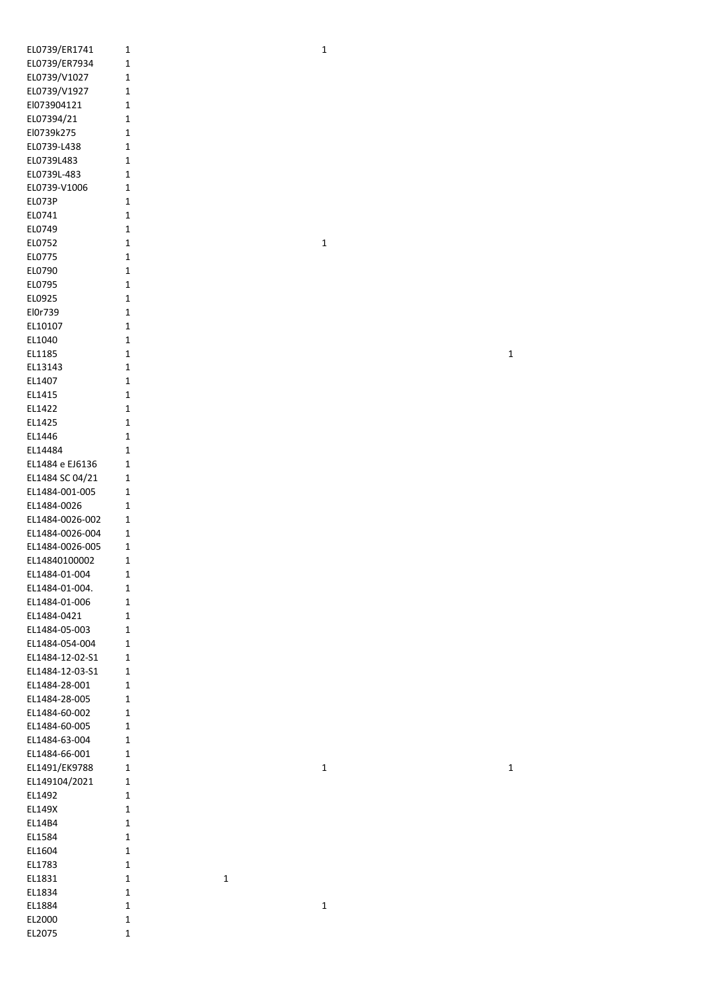| EL0739/ER1741    | 1           |
|------------------|-------------|
| EL0739/ER7934    | 1           |
| EL0739/V1027     | 1           |
| EL0739/V1927     | 1           |
| El073904121      | 1           |
| EL07394/21       | 1           |
| El0739k275       | 1           |
| EL0739-L438      | 1           |
| EL0739L483       | 1           |
| EL0739L-483      | 1           |
| EL0739-V1006     | 1           |
| EL073P           | 1           |
| EL0741           | 1           |
| EL0749           | 1           |
| EL0752           | 1           |
| EL0775           | 1           |
| EL0790           | 1           |
| EL0795           | 1           |
| EL0925           | 1           |
| El0r739          | 1           |
| EL10107          | 1           |
| EL1040           | 1           |
| EL1185           | 1           |
| EL13143          | 1           |
| EL1407           | 1           |
| EL1415           | 1           |
| EL1422           | 1           |
| EL1425           | 1           |
| EL1446           | $\mathbf 1$ |
| EL14484          | 1           |
| EL1484 e EJ6136  | 1           |
| EL1484 SC 04/21  | 1           |
| EL1484-001-005   | 1           |
| EL1484-0026      | 1           |
| EL1484-0026-002  | 1           |
| EL1484-0026-004  | 1           |
| EL1484-0026-005  | 1           |
| EL14840100002    | 1           |
| EL1484-01-004    | 1           |
| EL1484-01-004.   | 1           |
| EL1484-01-006    | 1           |
| EL1484-0421      | 1           |
| EL1484-05-003    | 1           |
| EL1484-054-004   | 1           |
| EL1484-12-02-S1  | 1           |
| EL1484-12-03-S1  | 1           |
| EL1484-28-001    | 1           |
| EL1484-28-005    | 1           |
| EL1484-60-002    | 1           |
| EL1484-60-005    | 1           |
| EL1484-63-004    | 1           |
| EL1484-66-001    | 1           |
| EL1491/EK9788    | 1           |
| EL149104/2021    | 1           |
| EL1492           | 1           |
| EL149X           | 1           |
| EL14B4           | 1           |
| EL1584           | 1           |
| EL1604           | 1           |
| EL1783           | 1           |
| EL1831           | 1           |
|                  |             |
| EL1834           | 1           |
| EL1884           | 1           |
| EL2000<br>EL2075 | 1           |

 $\overline{1}$ 

 $\mathbf{1}$ 

 $\mathbf{1}$ 

 $\mathbf 1$ 

 $\mathbf 1$ 

 $\mathbf{1}$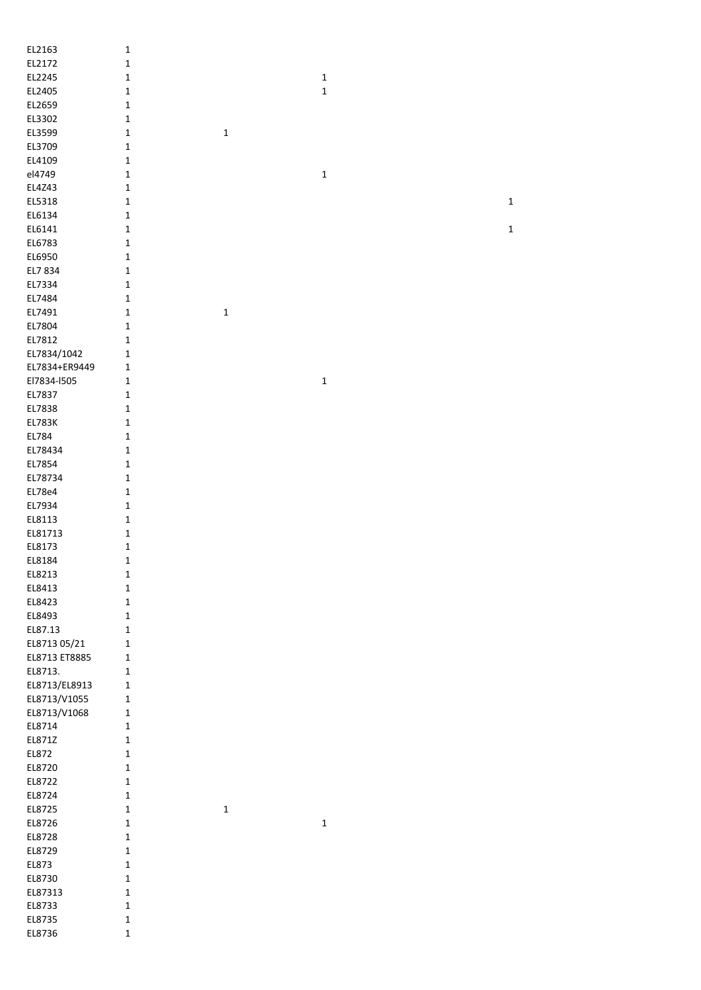| EL2163        | $\mathbf{1}$ |             |             |             |
|---------------|--------------|-------------|-------------|-------------|
| EL2172        | $\mathbf 1$  |             |             |             |
| EL2245        | $\mathbf 1$  |             | $\mathbf 1$ |             |
| EL2405        | $\mathbf 1$  |             | $\mathbf 1$ |             |
| EL2659        | $\mathbf 1$  |             |             |             |
| EL3302        | $\mathbf 1$  |             |             |             |
| EL3599        | $\mathbf 1$  | $\mathbf 1$ |             |             |
|               |              |             |             |             |
| EL3709        | $\mathbf 1$  |             |             |             |
| EL4109        | $\mathbf{1}$ |             |             |             |
| el4749        | $\mathbf 1$  |             | $\mathbf 1$ |             |
| EL4Z43        | $\mathbf 1$  |             |             |             |
| EL5318        | $\mathbf 1$  |             |             | $\mathbf 1$ |
| EL6134        | $\mathbf 1$  |             |             |             |
| EL6141        | $\mathbf 1$  |             |             | $\mathbf 1$ |
| EL6783        | $\mathbf 1$  |             |             |             |
| EL6950        | $\mathbf 1$  |             |             |             |
| EL7 834       | $\mathbf 1$  |             |             |             |
| EL7334        | $\mathbf 1$  |             |             |             |
| EL7484        | $\mathbf 1$  |             |             |             |
| EL7491        | $\mathbf{1}$ | $\mathbf 1$ |             |             |
|               |              |             |             |             |
| EL7804        | $\mathbf{1}$ |             |             |             |
| EL7812        | $\mathbf{1}$ |             |             |             |
| EL7834/1042   | 1            |             |             |             |
| EL7834+ER9449 | $\mathbf 1$  |             |             |             |
| El7834-I505   | $\mathbf 1$  |             | $\mathbf 1$ |             |
| EL7837        | $\mathbf 1$  |             |             |             |
| EL7838        | $\mathbf 1$  |             |             |             |
| <b>EL783K</b> | $\mathbf 1$  |             |             |             |
| EL784         | $\mathbf 1$  |             |             |             |
| EL78434       | $\mathbf 1$  |             |             |             |
| EL7854        | $\mathbf 1$  |             |             |             |
| EL78734       | $\mathbf 1$  |             |             |             |
| EL78e4        | $\mathbf 1$  |             |             |             |
|               |              |             |             |             |
| EL7934        | $\mathbf 1$  |             |             |             |
| EL8113        | $\mathbf 1$  |             |             |             |
| EL81713       | $\mathbf 1$  |             |             |             |
| EL8173        | $\mathbf 1$  |             |             |             |
| EL8184        | $\mathbf 1$  |             |             |             |
| EL8213        | $\mathbf 1$  |             |             |             |
| EL8413        | $\mathbf{1}$ |             |             |             |
| EL8423        | $\mathbf 1$  |             |             |             |
| EL8493        | $\mathbf 1$  |             |             |             |
| EL87.13       | $\mathbf 1$  |             |             |             |
| EL8713 05/21  | $\mathbf 1$  |             |             |             |
| EL8713 ET8885 | $\mathbf 1$  |             |             |             |
| EL8713.       | $\mathbf 1$  |             |             |             |
| EL8713/EL8913 | $\mathbf 1$  |             |             |             |
| EL8713/V1055  | $\mathbf 1$  |             |             |             |
| EL8713/V1068  | $\mathbf 1$  |             |             |             |
| EL8714        |              |             |             |             |
|               | $\mathbf 1$  |             |             |             |
| EL871Z        | $\mathbf 1$  |             |             |             |
| EL872         | $\mathbf 1$  |             |             |             |
| EL8720        | $\mathbf 1$  |             |             |             |
| EL8722        | $\mathbf 1$  |             |             |             |
| EL8724        | $\mathbf 1$  |             |             |             |
| EL8725        | $\mathbf 1$  | $\mathbf 1$ |             |             |
| EL8726        | $\mathbf 1$  |             | $\mathbf 1$ |             |
| EL8728        | $\mathbf 1$  |             |             |             |
| EL8729        | $\mathbf 1$  |             |             |             |
| EL873         | $\mathbf 1$  |             |             |             |
| EL8730        | $\mathbf 1$  |             |             |             |
| EL87313       | $\mathbf 1$  |             |             |             |
| EL8733        | $\mathbf 1$  |             |             |             |
| EL8735        | $\mathbf 1$  |             |             |             |
|               |              |             |             |             |
| EL8736        | $\mathbf{1}$ |             |             |             |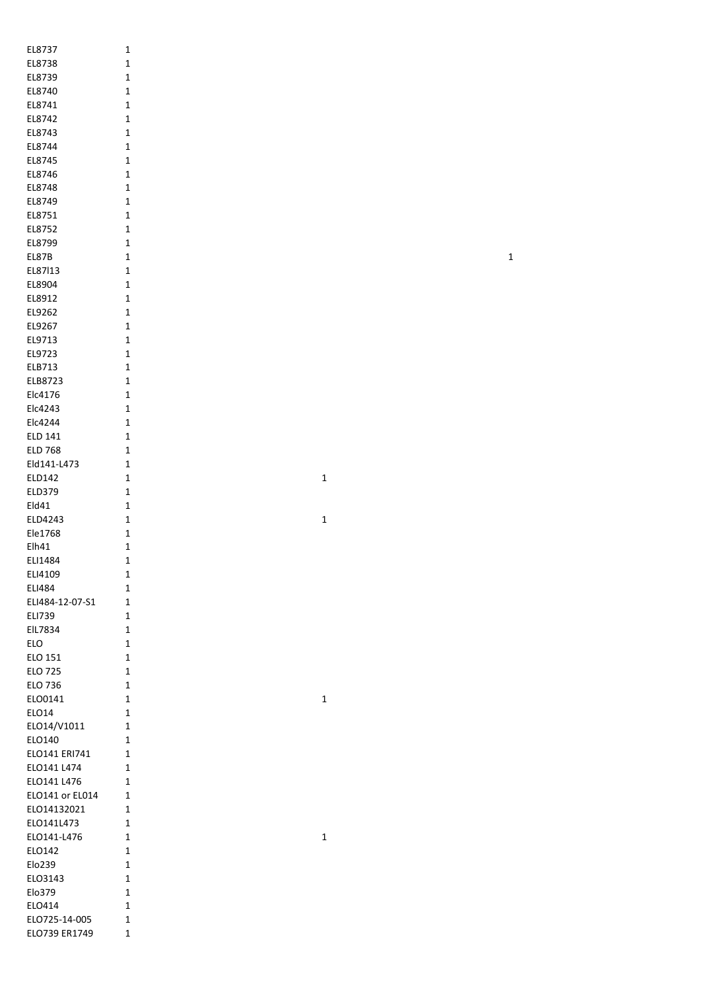| EL8737          | $\mathbf 1$ |             |             |
|-----------------|-------------|-------------|-------------|
| EL8738          | $\mathbf 1$ |             |             |
| EL8739          | $\mathbf 1$ |             |             |
|                 |             |             |             |
| EL8740          | $\mathbf 1$ |             |             |
| EL8741          | $\mathbf 1$ |             |             |
| EL8742          | $\mathbf 1$ |             |             |
| EL8743          | $\mathbf 1$ |             |             |
|                 |             |             |             |
| EL8744          | $\mathbf 1$ |             |             |
| EL8745          | $\mathbf 1$ |             |             |
| EL8746          | $\mathbf 1$ |             |             |
| EL8748          | $\mathbf 1$ |             |             |
|                 |             |             |             |
| EL8749          | $\mathbf 1$ |             |             |
| EL8751          | $\mathbf 1$ |             |             |
| EL8752          | $\mathbf 1$ |             |             |
| EL8799          | $\mathbf 1$ |             |             |
|                 |             |             |             |
| EL87B           | $\mathbf 1$ |             | $\mathbf 1$ |
| EL87113         | $\mathbf 1$ |             |             |
| EL8904          | $\mathbf 1$ |             |             |
| EL8912          | $\mathbf 1$ |             |             |
|                 |             |             |             |
| EL9262          | $\mathbf 1$ |             |             |
| EL9267          | $\mathbf 1$ |             |             |
| EL9713          | $\mathbf 1$ |             |             |
| EL9723          | $\mathbf 1$ |             |             |
|                 |             |             |             |
| ELB713          | $\mathbf 1$ |             |             |
| ELB8723         | $\mathbf 1$ |             |             |
| Elc4176         | $\mathbf 1$ |             |             |
|                 |             |             |             |
| Elc4243         | $\mathbf 1$ |             |             |
| Elc4244         | $\mathbf 1$ |             |             |
| ELD 141         | $\mathbf 1$ |             |             |
| <b>ELD 768</b>  | $\mathbf 1$ |             |             |
|                 |             |             |             |
| Eld141-L473     | $\mathbf 1$ |             |             |
| ELD142          | $\mathbf 1$ | $\mathbf 1$ |             |
| ELD379          | $\mathbf 1$ |             |             |
| Eld41           | $\mathbf 1$ |             |             |
|                 |             |             |             |
| ELD4243         | $\mathbf 1$ | $\mathbf 1$ |             |
| Ele1768         | $\mathbf 1$ |             |             |
| Elh41           | $\mathbf 1$ |             |             |
| ELI1484         | $\mathbf 1$ |             |             |
|                 |             |             |             |
| ELI4109         | $\mathbf 1$ |             |             |
| <b>ELI484</b>   | $\mathbf 1$ |             |             |
| ELI484-12-07-S1 | $\mathbf 1$ |             |             |
| ELI739          | $\mathbf 1$ |             |             |
|                 |             |             |             |
| EIL7834         | $\mathbf 1$ |             |             |
| ELO             | $\mathbf 1$ |             |             |
| ELO 151         | $\mathbf 1$ |             |             |
| <b>ELO 725</b>  | $\mathbf 1$ |             |             |
|                 |             |             |             |
| ELO 736         | $\mathbf 1$ |             |             |
| ELO0141         | $\mathbf 1$ | $\mathbf 1$ |             |
| ELO14           | $\mathbf 1$ |             |             |
| ELO14/V1011     | $\mathbf 1$ |             |             |
|                 |             |             |             |
| ELO140          | $\mathbf 1$ |             |             |
| ELO141 ERI741   | $\mathbf 1$ |             |             |
| ELO141 L474     | $\mathbf 1$ |             |             |
| ELO141 L476     | $\mathbf 1$ |             |             |
|                 |             |             |             |
| ELO141 or EL014 | $\mathbf 1$ |             |             |
| ELO14132021     | $\mathbf 1$ |             |             |
| ELO141L473      | $\mathbf 1$ |             |             |
| ELO141-L476     | $\mathbf 1$ | $\mathbf 1$ |             |
|                 |             |             |             |
| ELO142          | $\mathbf 1$ |             |             |
| Elo239          | $\mathbf 1$ |             |             |
| ELO3143         | $\mathbf 1$ |             |             |
| Elo379          |             |             |             |
|                 | $\mathbf 1$ |             |             |
| ELO414          | $\mathbf 1$ |             |             |
| ELO725-14-005   | $\mathbf 1$ |             |             |
| ELO739 ER1749   | $\mathbf 1$ |             |             |
|                 |             |             |             |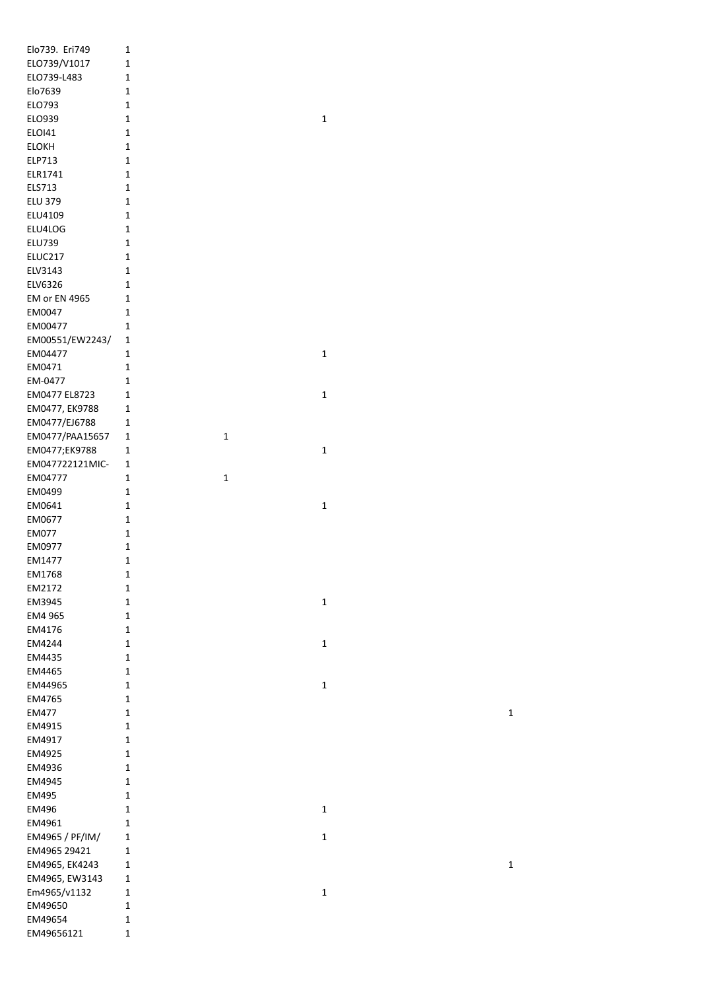| Elo739. Eri749  | 1            |              |
|-----------------|--------------|--------------|
| ELO739/V1017    | 1            |              |
| ELO739-L483     | 1            |              |
| Elo7639         | 1            |              |
| ELO793          | 1            |              |
| ELO939          | $\mathbf{1}$ | 1            |
| <b>ELOI41</b>   | 1            |              |
| <b>ELOKH</b>    | 1            |              |
| ELP713          | 1            |              |
| ELR1741         | $\mathbf{1}$ |              |
| ELS713          | $\mathbf{1}$ |              |
| <b>ELU 379</b>  | $\mathbf{1}$ |              |
| ELU4109         | $\mathbf{1}$ |              |
|                 | $\mathbf{1}$ |              |
| ELU4LOG         |              |              |
| <b>ELU739</b>   | $\mathbf{1}$ |              |
| ELUC217         | $\mathbf{1}$ |              |
| ELV3143         | $\mathbf{1}$ |              |
| ELV6326         | 1            |              |
| EM or EN 4965   | 1            |              |
| EM0047          | 1            |              |
| EM00477         | 1            |              |
| EM00551/EW2243/ | 1            |              |
| EM04477         | 1            | $\mathbf 1$  |
| EM0471          | $\mathbf{1}$ |              |
| EM-0477         | $\mathbf{1}$ |              |
| EM0477 EL8723   | 1            | 1            |
|                 |              |              |
| EM0477, EK9788  | 1            |              |
| EM0477/EJ6788   | 1            |              |
| EM0477/PAA15657 | 1<br>1       |              |
| EM0477;EK9788   | 1            | 1            |
| EM047722121MIC- | 1            |              |
| EM04777         | 1<br>1       |              |
| EM0499          | 1            |              |
| EM0641          | 1            | 1            |
| EM0677          | $\mathbf 1$  |              |
| EM077           | $\mathbf{1}$ |              |
| EM0977          | $\mathbf{1}$ |              |
| EM1477          | $\mathbf{1}$ |              |
| EM1768          | 1            |              |
|                 |              |              |
| EM2172          | $\mathbf{1}$ |              |
| EM3945          | $\mathbf 1$  | $\mathbf 1$  |
| EM4 965         | 1            |              |
| EM4176          | 1            |              |
| EM4244          | 1            | 1            |
| EM4435          | $\mathbf{1}$ |              |
| EM4465          | 1            |              |
| EM44965         | $\mathbf{1}$ | $\mathbf 1$  |
| EM4765          | $\mathbf{1}$ |              |
| <b>EM477</b>    | $\mathbf{1}$ |              |
| EM4915          | 1            |              |
| EM4917          | 1            |              |
| EM4925          | 1            |              |
| EM4936          | $\mathbf{1}$ |              |
| EM4945          | 1            |              |
|                 |              |              |
| EM495           | 1            |              |
| EM496           | 1            | 1            |
| EM4961          | 1            |              |
| EM4965 / PF/IM/ | $\mathbf{1}$ | 1            |
| EM4965 29421    | $\mathbf{1}$ |              |
| EM4965, EK4243  | $\mathbf{1}$ |              |
| EM4965, EW3143  | $\mathbf{1}$ |              |
| Em4965/v1132    | 1            | $\mathbf{1}$ |
| EM49650         | 1            |              |
| EM49654         | 1            |              |
| EM49656121      | $\mathbf{1}$ |              |
|                 |              |              |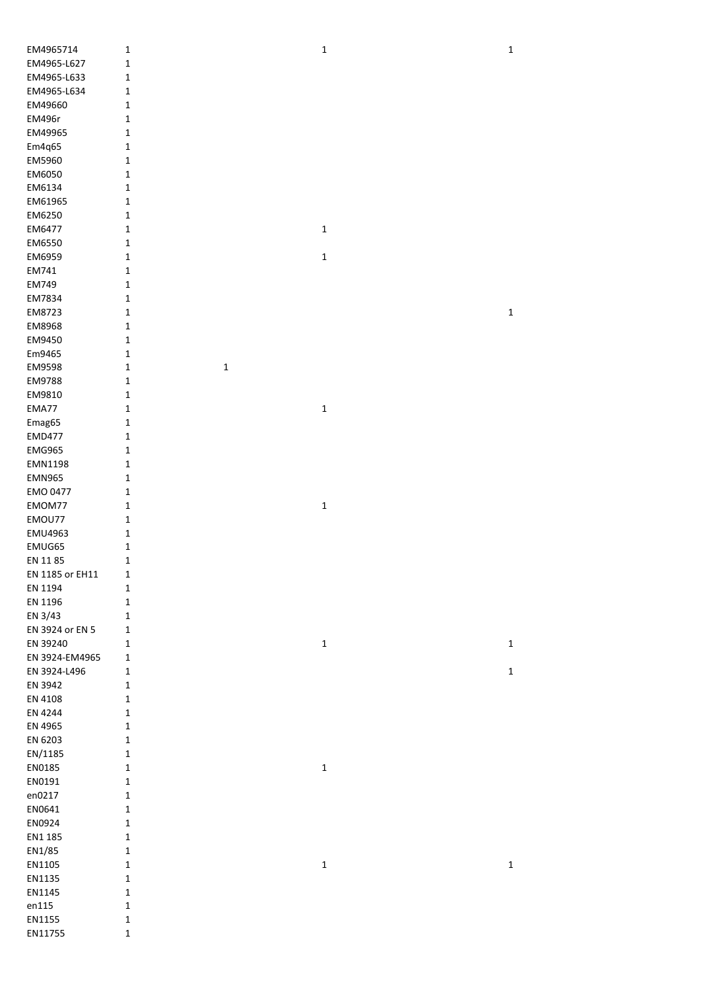| EM4965714       | 1                | $\mathbf 1$ | $\mathbf 1$ |
|-----------------|------------------|-------------|-------------|
| EM4965-L627     | $\mathbf{1}$     |             |             |
| EM4965-L633     | $\mathbf{1}$     |             |             |
| EM4965-L634     | $\mathbf 1$      |             |             |
| EM49660         | $\mathbf{1}$     |             |             |
| EM496r          | $\mathbf{1}$     |             |             |
| EM49965         | $\mathbf 1$      |             |             |
| Em4q65          | $\mathbf 1$      |             |             |
|                 |                  |             |             |
| EM5960          | $\mathbf 1$      |             |             |
| EM6050          | $\mathbf 1$      |             |             |
| EM6134          | $\mathbf 1$      |             |             |
| EM61965         | $\mathbf 1$      |             |             |
| EM6250          | $\mathbf 1$      |             |             |
| EM6477          | $\mathbf 1$      | $\mathbf 1$ |             |
| EM6550          | $\mathbf{1}$     |             |             |
| EM6959          | 1                | $\mathbf 1$ |             |
| EM741           | $\mathbf{1}$     |             |             |
| EM749           | $\mathbf 1$      |             |             |
| EM7834          |                  |             |             |
|                 | $\mathbf{1}$     |             |             |
| EM8723          | 1                |             | $\mathbf 1$ |
| EM8968          | $\mathbf{1}$     |             |             |
| EM9450          | 1                |             |             |
| Em9465          | 1                |             |             |
| EM9598          | $\mathbf 1$<br>1 |             |             |
| EM9788          | 1                |             |             |
| EM9810          | 1                |             |             |
| EMA77           | 1                | $\mathbf 1$ |             |
| Emag65          | 1                |             |             |
| <b>EMD477</b>   | $\mathbf 1$      |             |             |
|                 |                  |             |             |
| <b>EMG965</b>   | $\mathbf{1}$     |             |             |
| EMN1198         | $\mathbf{1}$     |             |             |
| <b>EMN965</b>   | $\mathbf 1$      |             |             |
| <b>EMO 0477</b> | $\mathbf 1$      |             |             |
| EMOM77          | $\mathbf 1$      | $\mathbf 1$ |             |
| EMOU77          | $\mathbf 1$      |             |             |
| <b>EMU4963</b>  | $\mathbf 1$      |             |             |
| EMUG65          | 1                |             |             |
| EN 1185         | 1                |             |             |
| EN 1185 or EH11 | $\mathbf{1}$     |             |             |
| EN 1194         |                  |             |             |
|                 | $\mathbf{1}$     |             |             |
| EN 1196         | $\mathbf 1$      |             |             |
| EN 3/43         | $\mathbf 1$      |             |             |
| EN 3924 or EN 5 | 1                |             |             |
| EN 39240        | $\mathbf 1$      | $\mathbf 1$ | $\mathbf 1$ |
| EN 3924-EM4965  | $\mathbf 1$      |             |             |
| EN 3924-L496    | $\mathbf 1$      |             | $\mathbf 1$ |
| EN 3942         | $\mathbf 1$      |             |             |
| EN 4108         | $\mathbf 1$      |             |             |
| EN 4244         | $\mathbf 1$      |             |             |
| EN 4965         | $\mathbf{1}$     |             |             |
| EN 6203         | $\mathbf 1$      |             |             |
|                 |                  |             |             |
| EN/1185         | $\mathbf 1$      |             |             |
| EN0185          | $\mathbf 1$      | $\mathbf 1$ |             |
| EN0191          | $\mathbf 1$      |             |             |
| en0217          | $\mathbf 1$      |             |             |
| EN0641          | $\mathbf 1$      |             |             |
| EN0924          | $\mathbf 1$      |             |             |
| EN1 185         | $\mathbf 1$      |             |             |
| EN1/85          | $\mathbf 1$      |             |             |
| EN1105          | $\mathbf 1$      | $\mathbf 1$ | $\mathbf 1$ |
| EN1135          | $\mathbf 1$      |             |             |
|                 |                  |             |             |
| EN1145          | $\mathbf{1}$     |             |             |
| en115           | $\mathbf 1$      |             |             |
| EN1155          | $\mathbf 1$      |             |             |
| EN11755         | $\mathbf 1$      |             |             |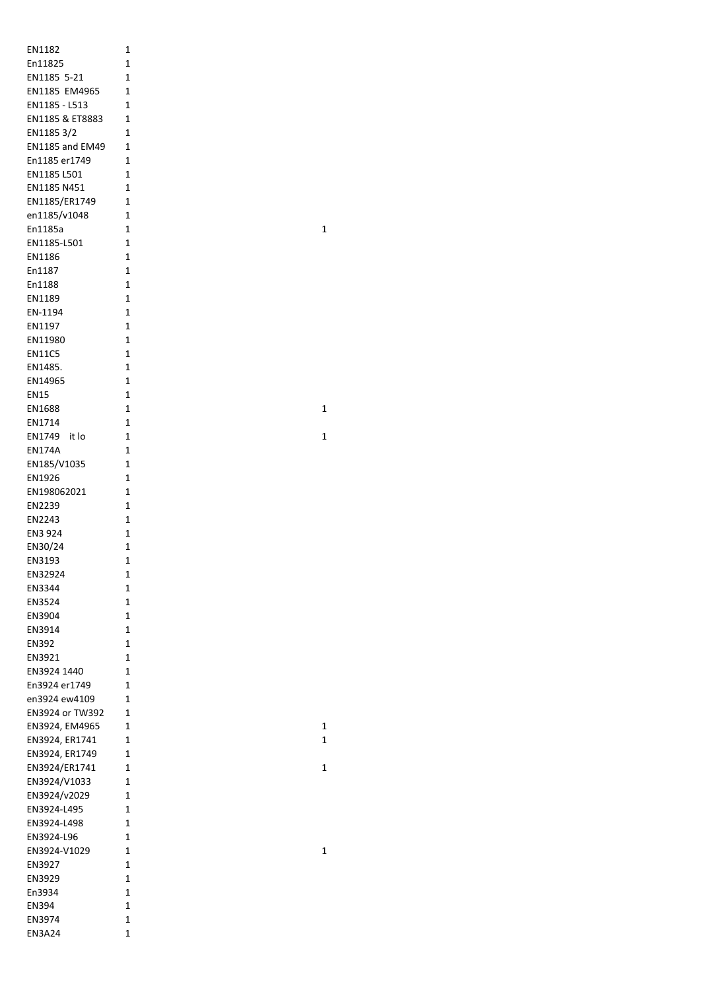| EN1182                 | 1              |
|------------------------|----------------|
|                        |                |
| En11825                | 1              |
| EN1185 5-21            | 1              |
|                        |                |
| EN1185 EM4965          | $\overline{1}$ |
| EN1185 - L513          | 1              |
|                        |                |
| EN1185 & ET8883        | 1              |
| EN11853/2              | 1              |
|                        |                |
| <b>EN1185 and EM49</b> | 1              |
| En1185 er1749          | 1              |
|                        |                |
| EN1185 L501            | 1              |
| EN1185 N451            | 1              |
|                        |                |
| EN1185/ER1749          | $\overline{1}$ |
| en1185/v1048           | $\overline{1}$ |
|                        |                |
| En1185a                | 1              |
| EN1185-L501            | 1              |
|                        |                |
| EN1186                 | 1              |
| En1187                 | 1              |
|                        |                |
| En1188                 | 1              |
| EN1189                 | 1              |
|                        |                |
| EN-1194                | 1              |
| EN1197                 | 1              |
|                        |                |
| EN11980                | 1              |
| <b>EN11C5</b>          | 1              |
|                        |                |
| EN1485.                | 1              |
|                        | $\overline{1}$ |
| EN14965                |                |
| <b>EN15</b>            | 1              |
|                        | 1              |
| EN1688                 |                |
| EN1714                 | 1              |
|                        | 1              |
| EN1749<br>it lo        |                |
| <b>EN174A</b>          | $\mathbf 1$    |
|                        | 1              |
| EN185/V1035            |                |
| EN1926                 | 1              |
| EN198062021            | 1              |
|                        |                |
| EN2239                 | $\mathbf{1}$   |
|                        | 1              |
| EN2243                 |                |
| EN3 924                | 1              |
| EN30/24                | 1              |
|                        |                |
| EN3193                 | 1              |
|                        |                |
| EN32924                | 1              |
| EN3344                 | 1              |
|                        |                |
| EN3524                 | 1              |
| EN3904                 | 1              |
|                        |                |
| EN3914                 | 1              |
| EN392                  | 1              |
|                        | 1              |
| EN3921                 |                |
| EN3924 1440            | 1              |
| En3924 er1749          | 1              |
|                        |                |
| en3924 ew4109          | 1              |
|                        | 1              |
| EN3924 or TW392        |                |
| EN3924, EM4965         | 1              |
| EN3924, ER1741         | 1              |
|                        |                |
| EN3924, ER1749         | 1              |
| EN3924/ER1741          | 1              |
|                        |                |
| EN3924/V1033           | 1              |
| EN3924/v2029           | 1              |
|                        |                |
| EN3924-L495            | 1              |
|                        | 1              |
| EN3924-L498            |                |
| EN3924-L96             |                |
|                        | 1              |
|                        |                |
| EN3924-V1029           | 1              |
| EN3927                 | 1              |
|                        |                |
| EN3929                 | 1              |
| En3934                 | 1              |
|                        |                |
| EN394                  | 1              |
| EN3974                 | 1              |
| EN3A24                 | 1              |

 $\overline{\mathbf{1}}$ 

 $\mathbf{1}$ 

 $\mathbf{1}$ 

 $\mathbf{1}$ 

 $\mathbf{1}$  $\mathbf{1}$ 

 $\mathbf{1}$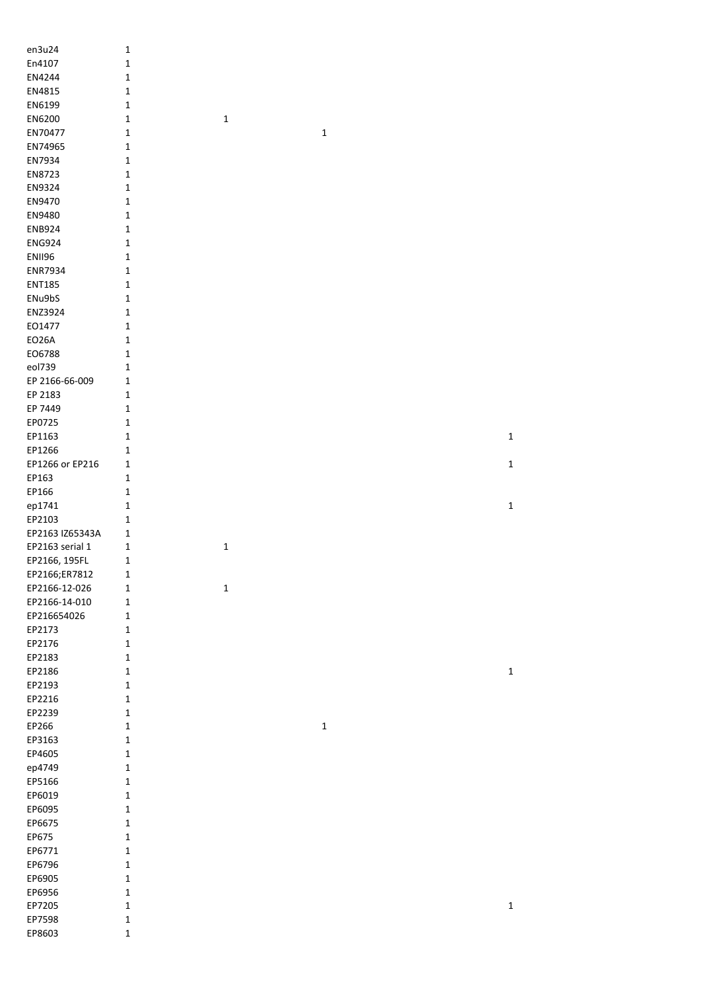| en3u24           | $\mathbf 1$                |             |             |             |
|------------------|----------------------------|-------------|-------------|-------------|
| En4107           | $\mathbf 1$                |             |             |             |
| EN4244           | $\mathbf 1$                |             |             |             |
| EN4815           | $\mathbf 1$                |             |             |             |
| EN6199           | $\mathbf 1$                |             |             |             |
| EN6200           | $\mathbf 1$                | $\mathbf 1$ |             |             |
| EN70477          | $1\,$                      |             | $\mathbf 1$ |             |
| EN74965          | $\mathbf{1}$               |             |             |             |
| EN7934           | $\mathbf{1}$               |             |             |             |
| EN8723           | $\mathbf 1$                |             |             |             |
| EN9324           | $\mathbf 1$                |             |             |             |
| EN9470           | 1                          |             |             |             |
| EN9480           | 1                          |             |             |             |
| <b>ENB924</b>    | $\mathbf{1}$               |             |             |             |
| <b>ENG924</b>    | $\mathbf 1$                |             |             |             |
| <b>ENII96</b>    | $\mathbf 1$                |             |             |             |
| ENR7934          | $\mathbf 1$                |             |             |             |
| <b>ENT185</b>    | $\mathbf{1}$               |             |             |             |
| ENu9bS           | $\mathbf{1}$               |             |             |             |
| ENZ3924          | $\mathbf{1}$               |             |             |             |
| EO1477           | $\mathbf 1$                |             |             |             |
| <b>EO26A</b>     | $\mathbf 1$                |             |             |             |
| EO6788           | $\mathbf 1$                |             |             |             |
| eol739           | $1\,$                      |             |             |             |
| EP 2166-66-009   | $\mathbf 1$                |             |             |             |
| EP 2183          | $\mathbf{1}$               |             |             |             |
| EP 7449          | $\mathbf 1$                |             |             |             |
| EP0725           | $\mathbf 1$                |             |             |             |
| EP1163           | $\mathbf 1$                |             |             | $\mathbf 1$ |
| EP1266           | 1                          |             |             |             |
| EP1266 or EP216  | 1                          |             |             | $\mathbf 1$ |
| EP163            | $\mathbf{1}$               |             |             |             |
|                  |                            |             |             |             |
|                  |                            |             |             |             |
| EP166            | $\mathbf{1}$               |             |             |             |
| ep1741           | $\mathbf{1}$               |             |             | $\mathbf 1$ |
| EP2103           | $\mathbf{1}$               |             |             |             |
| EP2163 IZ65343A  | $\mathbf{1}$               |             |             |             |
| EP2163 serial 1  | $\mathbf{1}$               | $\mathbf 1$ |             |             |
| EP2166, 195FL    | $\mathbf 1$                |             |             |             |
| EP2166;ER7812    | $\mathbf 1$                |             |             |             |
| EP2166-12-026    | $\mathbf 1$                | $\mathbf 1$ |             |             |
| EP2166-14-010    | $\mathbf 1$                |             |             |             |
| EP216654026      | $\mathbf{1}$               |             |             |             |
| EP2173           | $1\,$                      |             |             |             |
| EP2176           | $\mathbf{1}$               |             |             |             |
| EP2183           | $\mathbf 1$                |             |             |             |
| EP2186           | $\mathbf 1$                |             |             | $\mathbf 1$ |
| EP2193           | $\mathbf 1$                |             |             |             |
| EP2216           | $\mathbf 1$                |             |             |             |
| EP2239           | $\mathbf 1$<br>$\mathbf 1$ |             |             |             |
| EP266            | $\mathbf 1$                |             | $\mathbf 1$ |             |
| EP3163<br>EP4605 | $\mathbf 1$                |             |             |             |
|                  | $\mathbf 1$                |             |             |             |
| ep4749<br>EP5166 | $\mathbf{1}$               |             |             |             |
| EP6019           | $\mathbf 1$                |             |             |             |
| EP6095           | $\mathbf 1$                |             |             |             |
| EP6675           | $\mathbf 1$                |             |             |             |
| EP675            | $\mathbf 1$                |             |             |             |
| EP6771           | $\mathbf 1$                |             |             |             |
| EP6796           | $\mathbf{1}$               |             |             |             |
| EP6905           | $\mathbf{1}$               |             |             |             |
| EP6956           | $\mathbf 1$                |             |             |             |
| EP7205           | $\mathbf 1$                |             |             | $\mathbf 1$ |
| EP7598           | $\mathbf 1$                |             |             |             |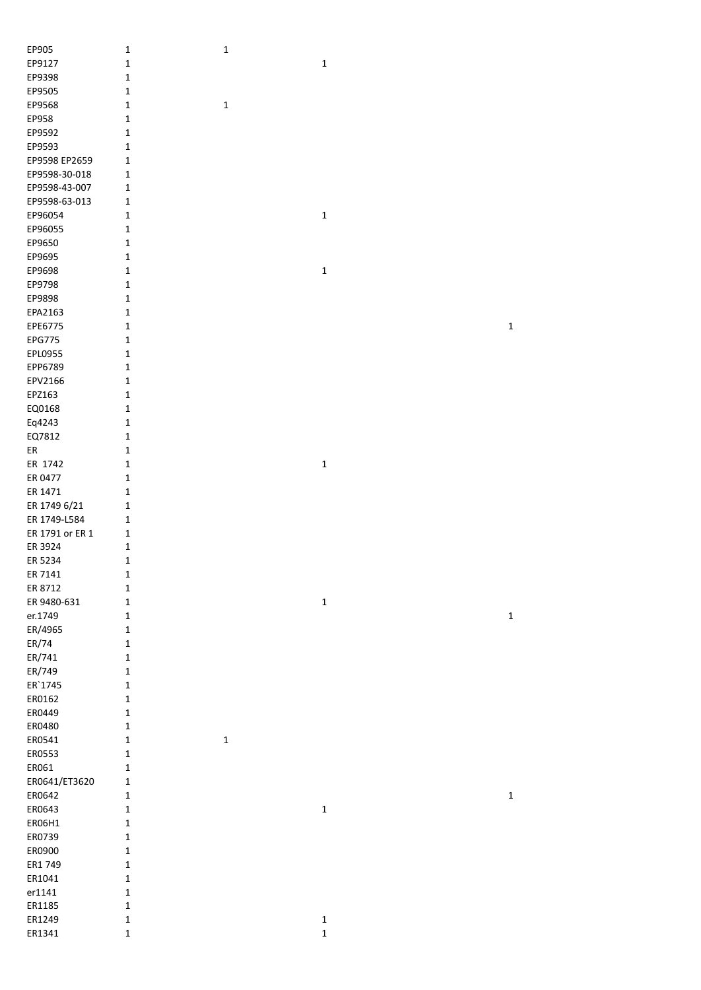| EP905           | $\mathbf 1$  | 1           |                            |             |
|-----------------|--------------|-------------|----------------------------|-------------|
| EP9127          | $\mathbf 1$  |             | $\mathbf 1$                |             |
| EP9398          | $\mathbf 1$  |             |                            |             |
| EP9505          | $\mathbf 1$  |             |                            |             |
| EP9568          | $\mathbf 1$  | $\mathbf 1$ |                            |             |
| EP958           | $\mathbf 1$  |             |                            |             |
| EP9592          | $\mathbf 1$  |             |                            |             |
|                 |              |             |                            |             |
| EP9593          | $\mathbf 1$  |             |                            |             |
| EP9598 EP2659   | $\mathbf 1$  |             |                            |             |
| EP9598-30-018   | $\mathbf{1}$ |             |                            |             |
| EP9598-43-007   | $\mathbf{1}$ |             |                            |             |
| EP9598-63-013   | $\mathbf 1$  |             |                            |             |
| EP96054         | $\mathbf 1$  |             | $\mathbf 1$                |             |
| EP96055         | $\mathbf 1$  |             |                            |             |
| EP9650          | $\mathbf 1$  |             |                            |             |
| EP9695          | $\mathbf 1$  |             |                            |             |
| EP9698          | $\mathbf 1$  |             | $\mathbf{1}$               |             |
| EP9798          | $\mathbf 1$  |             |                            |             |
| EP9898          | $\mathbf 1$  |             |                            |             |
| EPA2163         | $\mathbf 1$  |             |                            |             |
| EPE6775         | $\mathbf 1$  |             |                            | $\mathbf 1$ |
| <b>EPG775</b>   | $\mathbf 1$  |             |                            |             |
| EPL0955         | $\mathbf 1$  |             |                            |             |
| EPP6789         | $\mathbf 1$  |             |                            |             |
| EPV2166         | $\mathbf 1$  |             |                            |             |
| EPZ163          | $\mathbf 1$  |             |                            |             |
| EQ0168          | $\mathbf 1$  |             |                            |             |
| Eq4243          | $\mathbf 1$  |             |                            |             |
| EQ7812          | $\mathbf 1$  |             |                            |             |
| ER              | $\mathbf 1$  |             |                            |             |
| ER 1742         | $\mathbf 1$  |             | $\mathbf 1$                |             |
| ER 0477         | $\mathbf 1$  |             |                            |             |
| ER 1471         | $\mathbf 1$  |             |                            |             |
| ER 1749 6/21    | $\mathbf 1$  |             |                            |             |
| ER 1749-L584    | $\mathbf 1$  |             |                            |             |
| ER 1791 or ER 1 | $\mathbf{1}$ |             |                            |             |
| ER 3924         | $\mathbf 1$  |             |                            |             |
| ER 5234         | $\mathbf 1$  |             |                            |             |
| ER 7141         | $\mathbf 1$  |             |                            |             |
| ER 8712         |              |             |                            |             |
| ER 9480-631     | $\mathbf 1$  |             |                            |             |
|                 | $\mathbf 1$  |             | $\mathbf 1$                |             |
| er.1749         | $\mathbf 1$  |             |                            | $\mathbf 1$ |
| ER/4965         | $\mathbf 1$  |             |                            |             |
| ER/74           | $\mathbf 1$  |             |                            |             |
| ER/741          | $\mathbf 1$  |             |                            |             |
| ER/749          | $\mathbf 1$  |             |                            |             |
| ER'1745         | $\mathbf 1$  |             |                            |             |
| ER0162          | $\mathbf 1$  |             |                            |             |
| ER0449          | $\mathbf 1$  |             |                            |             |
| ER0480          | $\mathbf 1$  |             |                            |             |
| ER0541          | $\mathbf 1$  | $\mathbf 1$ |                            |             |
| ER0553          | $\mathbf 1$  |             |                            |             |
| ER061           | $\mathbf 1$  |             |                            |             |
| ER0641/ET3620   | $\mathbf 1$  |             |                            |             |
| ER0642          | $\mathbf 1$  |             |                            | $\mathbf 1$ |
| ER0643          | $\mathbf 1$  |             | $\mathbf 1$                |             |
| ER06H1          | $\mathbf 1$  |             |                            |             |
| ER0739          | $\mathbf 1$  |             |                            |             |
| ER0900          | $\mathbf 1$  |             |                            |             |
| ER1 749         | $\mathbf 1$  |             |                            |             |
| ER1041          | $\mathbf 1$  |             |                            |             |
| er1141          | $\mathbf 1$  |             |                            |             |
| ER1185          | $\mathbf 1$  |             |                            |             |
| ER1249          | $\mathbf 1$  |             | $\mathbf 1$<br>$\mathbf 1$ |             |
| ER1341          | $\mathbf 1$  |             |                            |             |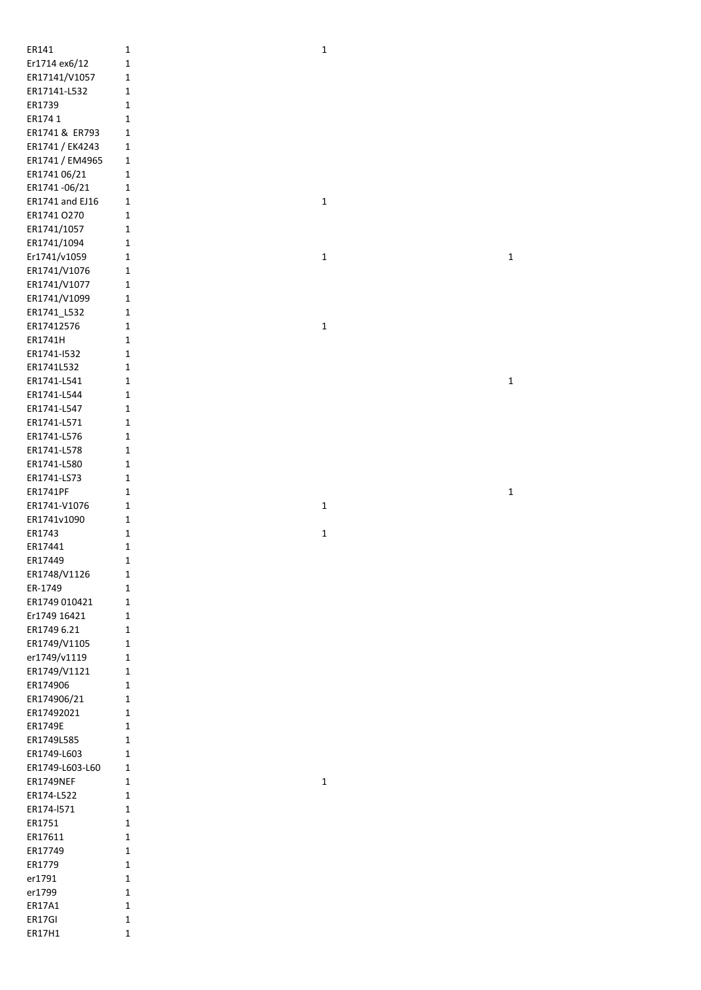| ER141            | 1                           | $\mathbf{1}$ |              |
|------------------|-----------------------------|--------------|--------------|
| Er1714 ex6/12    | $\mathbf 1$                 |              |              |
| ER17141/V1057    | $\mathbf 1$                 |              |              |
| ER17141-L532     | $\mathbf 1$                 |              |              |
| ER1739           | $\mathbf{1}$                |              |              |
| ER174 1          | $\mathbf 1$                 |              |              |
| ER1741 & ER793   | $\mathbf 1$                 |              |              |
|                  |                             |              |              |
| ER1741 / EK4243  | $\mathbf 1$                 |              |              |
| ER1741 / EM4965  | $\mathbf 1$                 |              |              |
| ER1741 06/21     | $\mathbf 1$                 |              |              |
| ER1741-06/21     | $\mathbf 1$                 |              |              |
| ER1741 and EJ16  | 1                           | $\mathbf 1$  |              |
| ER1741 O270      | $\mathbf 1$                 |              |              |
| ER1741/1057      | $\mathbf 1$                 |              |              |
| ER1741/1094      | $\mathbf 1$                 |              |              |
| Er1741/v1059     | $\mathbf 1$                 | $\mathbf 1$  | $\mathbf{1}$ |
|                  | $\mathbf 1$                 |              |              |
| ER1741/V1076     |                             |              |              |
| ER1741/V1077     | $\mathbf 1$                 |              |              |
| ER1741/V1099     | 1                           |              |              |
| ER1741_L532      | 1                           |              |              |
| ER17412576       | $\mathbf 1$                 | $\mathbf 1$  |              |
| ER1741H          | $\mathbf{1}$                |              |              |
| ER1741-1532      | $\mathbf 1$                 |              |              |
| ER1741L532       | 1                           |              |              |
| ER1741-L541      | $\mathbf 1$                 |              | $\mathbf{1}$ |
| ER1741-L544      | $\mathbf 1$                 |              |              |
| ER1741-L547      | $\mathbf 1$                 |              |              |
|                  |                             |              |              |
| ER1741-L571      | $\mathbf 1$                 |              |              |
| ER1741-L576      | $\mathbf 1$                 |              |              |
| ER1741-L578      | $\mathbf 1$                 |              |              |
| ER1741-L580      | $\mathbf 1$                 |              |              |
| ER1741-LS73      | $\mathbf 1$                 |              |              |
|                  |                             |              |              |
| ER1741PF         | $\mathbf 1$                 |              | $\mathbf 1$  |
| ER1741-V1076     | $\mathbf 1$                 | $\mathbf 1$  |              |
| ER1741v1090      | $\mathbf 1$                 |              |              |
| ER1743           | $\mathbf 1$                 |              |              |
|                  |                             | $\mathbf 1$  |              |
| ER17441          | $\mathbf{1}$                |              |              |
| ER17449          | $\mathbf{1}$                |              |              |
| ER1748/V1126     | $\mathbf 1$                 |              |              |
| ER-1749          | $\mathbf{1}$                |              |              |
| ER1749 010421    | $\mathbf 1$                 |              |              |
| Er1749 16421     | $\mathbf 1$                 |              |              |
| ER1749 6.21      | $\mathbf{1}$                |              |              |
| ER1749/V1105     | $\mathbf 1$                 |              |              |
| er1749/v1119     | $\mathbf 1$                 |              |              |
| ER1749/V1121     | $\mathbf 1$                 |              |              |
| ER174906         | $\mathbf 1$                 |              |              |
|                  | $\mathbf{1}$                |              |              |
| ER174906/21      | 1                           |              |              |
| ER17492021       |                             |              |              |
| ER1749E          | $\mathbf{1}$                |              |              |
| ER1749L585       | $\mathbf 1$                 |              |              |
| ER1749-L603      | $\mathbf{1}$                |              |              |
| ER1749-L603-L60  | $\mathbf 1$                 |              |              |
| ER1749NEF        | $\mathbf 1$                 | $\mathbf 1$  |              |
| ER174-L522       | $\mathbf{1}$                |              |              |
| ER174-1571       | $\mathbf 1$                 |              |              |
| ER1751           | $\mathbf 1$                 |              |              |
| ER17611          | $\mathbf 1$                 |              |              |
| ER17749          | $\mathbf 1$                 |              |              |
| ER1779           | $\mathbf 1$                 |              |              |
|                  |                             |              |              |
| er1791           | $\mathbf 1$                 |              |              |
| er1799           | $\mathbf 1$                 |              |              |
| ER17A1           | $\mathbf 1$                 |              |              |
| ER17GI<br>ER17H1 | $\mathbf 1$<br>$\mathbf{1}$ |              |              |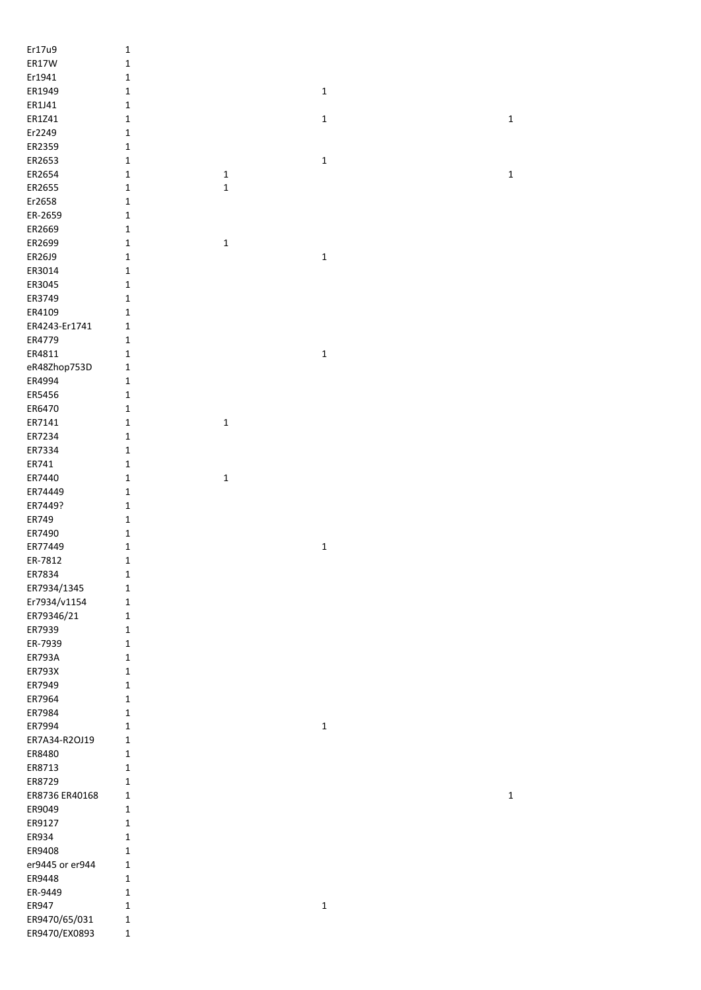| Er17u9          | $\mathbf 1$  |             |              |             |
|-----------------|--------------|-------------|--------------|-------------|
| ER17W           | $\mathbf 1$  |             |              |             |
| Er1941          | $\mathbf 1$  |             |              |             |
| ER1949          | $\mathbf 1$  |             | $\mathbf 1$  |             |
| ER1J41          | $\mathbf 1$  |             |              |             |
| ER1Z41          | $\mathbf 1$  |             | $\mathbf 1$  | $\mathbf 1$ |
| Er2249          | $\mathbf 1$  |             |              |             |
| ER2359          | $\mathbf 1$  |             |              |             |
| ER2653          | 1            |             | $\mathbf 1$  |             |
| ER2654          | $\mathbf 1$  | $\mathbf 1$ |              | $\mathbf 1$ |
| ER2655          | $\mathbf 1$  | $\mathbf 1$ |              |             |
| Er2658          | $\mathbf 1$  |             |              |             |
| ER-2659         | $\mathbf 1$  |             |              |             |
| ER2669          | $\mathbf 1$  |             |              |             |
| ER2699          | $\mathbf 1$  | $\mathbf 1$ |              |             |
| ER26J9          | $\mathbf 1$  |             | 1            |             |
| ER3014          | $\mathbf 1$  |             |              |             |
| ER3045          | $\mathbf 1$  |             |              |             |
| ER3749          | $\mathbf 1$  |             |              |             |
| ER4109          | $\mathbf 1$  |             |              |             |
| ER4243-Er1741   | $\mathbf 1$  |             |              |             |
| ER4779          | $\mathbf 1$  |             |              |             |
| ER4811          | $\mathbf 1$  |             | $\mathbf{1}$ |             |
| eR48Zhop753D    | $\mathbf 1$  |             |              |             |
| ER4994          | $\mathbf 1$  |             |              |             |
| ER5456          | $\mathbf 1$  |             |              |             |
| ER6470          | $\mathbf 1$  |             |              |             |
| ER7141          | $\mathbf 1$  | $\mathbf 1$ |              |             |
| ER7234          | $\mathbf 1$  |             |              |             |
| ER7334          | $\mathbf 1$  |             |              |             |
| ER741           | $\mathbf 1$  |             |              |             |
| ER7440          | $\mathbf 1$  | $\mathbf 1$ |              |             |
| ER74449         | $\mathbf 1$  |             |              |             |
| ER7449?         | $\mathbf 1$  |             |              |             |
| ER749           | $\mathbf 1$  |             |              |             |
| ER7490          | $\mathbf 1$  |             |              |             |
| ER77449         | $\mathbf{1}$ |             | $\mathbf 1$  |             |
| ER-7812         | $\mathbf 1$  |             |              |             |
| ER7834          | 1            |             |              |             |
| ER7934/1345     | $\mathbf 1$  |             |              |             |
| Er7934/v1154    | 1            |             |              |             |
| ER79346/21      | $\mathbf 1$  |             |              |             |
| ER7939          | $\mathbf 1$  |             |              |             |
| ER-7939         | $\mathbf 1$  |             |              |             |
| <b>ER793A</b>   | $\mathbf 1$  |             |              |             |
| ER793X          | $\mathbf 1$  |             |              |             |
| ER7949          | $\mathbf 1$  |             |              |             |
| ER7964          | $\mathbf 1$  |             |              |             |
| ER7984          | $\mathbf 1$  |             |              |             |
| ER7994          | 1            |             | $\mathbf 1$  |             |
| ER7A34-R2OJ19   | $\mathbf{1}$ |             |              |             |
| ER8480          | 1            |             |              |             |
| ER8713          | 1            |             |              |             |
| ER8729          | 1            |             |              |             |
| ER8736 ER40168  | $\mathbf 1$  |             |              | $\mathbf 1$ |
| ER9049          | 1            |             |              |             |
| ER9127          | 1            |             |              |             |
| ER934           | 1            |             |              |             |
| ER9408          | $\mathbf 1$  |             |              |             |
| er9445 or er944 | 1            |             |              |             |
| ER9448          | $\mathbf 1$  |             |              |             |
| ER-9449         | $\mathbf 1$  |             |              |             |
| ER947           | 1            |             | $\mathbf 1$  |             |
| ER9470/65/031   | $\mathbf 1$  |             |              |             |
| ER9470/EX0893   | $\mathbf 1$  |             |              |             |
|                 |              |             |              |             |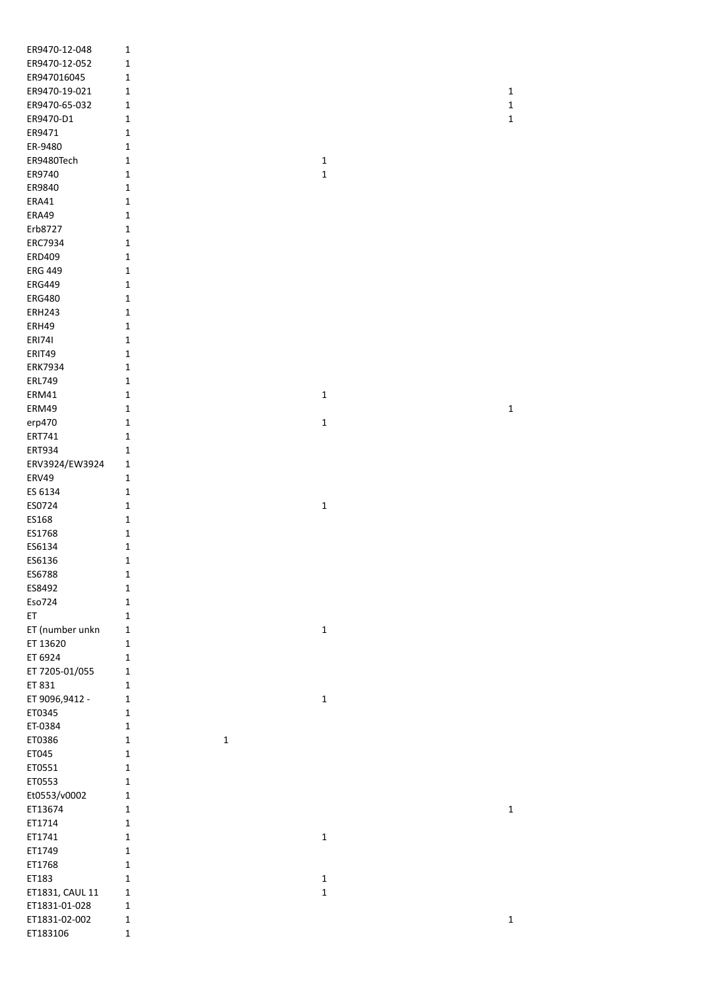| ER9470-12-048   | $\mathbf 1$  |             |              |              |
|-----------------|--------------|-------------|--------------|--------------|
| ER9470-12-052   | $\mathbf 1$  |             |              |              |
| ER947016045     | $\mathbf 1$  |             |              |              |
| ER9470-19-021   | $\mathbf{1}$ |             |              | $\mathbf{1}$ |
|                 |              |             |              |              |
| ER9470-65-032   | 1            |             |              | $\mathbf 1$  |
| ER9470-D1       | 1            |             |              | $\mathbf 1$  |
| ER9471          | $\mathbf 1$  |             |              |              |
| ER-9480         | $\mathbf 1$  |             |              |              |
| ER9480Tech      | $\mathbf 1$  |             | $\mathbf{1}$ |              |
| ER9740          | $\mathbf 1$  |             | $\mathbf 1$  |              |
| ER9840          | 1            |             |              |              |
| ERA41           | $\mathbf 1$  |             |              |              |
| ERA49           | $\mathbf 1$  |             |              |              |
|                 |              |             |              |              |
| Erb8727         | $\mathbf 1$  |             |              |              |
| ERC7934         | $\mathbf 1$  |             |              |              |
| ERD409          | $\mathbf 1$  |             |              |              |
| <b>ERG 449</b>  | $1\,$        |             |              |              |
| <b>ERG449</b>   | $\mathbf 1$  |             |              |              |
| <b>ERG480</b>   | $\mathbf 1$  |             |              |              |
| <b>ERH243</b>   | $\mathbf 1$  |             |              |              |
| ERH49           | $\mathbf{1}$ |             |              |              |
| <b>ERI741</b>   | $\mathbf{1}$ |             |              |              |
| ERIT49          | $\mathbf 1$  |             |              |              |
|                 |              |             |              |              |
| <b>ERK7934</b>  | $\mathbf 1$  |             |              |              |
| <b>ERL749</b>   | $\mathbf 1$  |             |              |              |
| ERM41           | $\mathbf{1}$ |             | $\mathbf 1$  |              |
| ERM49           | $\mathbf{1}$ |             |              | $\mathbf 1$  |
| erp470          | $\mathbf{1}$ |             | $\mathbf 1$  |              |
| ERT741          | 1            |             |              |              |
| ERT934          | $\mathbf{1}$ |             |              |              |
| ERV3924/EW3924  | $\mathbf{1}$ |             |              |              |
| <b>ERV49</b>    | $\mathbf{1}$ |             |              |              |
| ES 6134         | $\mathbf{1}$ |             |              |              |
|                 |              |             |              |              |
| ES0724          | $\mathbf{1}$ |             | $\mathbf{1}$ |              |
| ES168           | $1\,$        |             |              |              |
| ES1768          | $\mathbf 1$  |             |              |              |
| ES6134          | $\mathbf 1$  |             |              |              |
| ES6136          | $\mathbf 1$  |             |              |              |
| ES6788          | 1            |             |              |              |
| ES8492          | $\mathbf 1$  |             |              |              |
| Eso724          | $\mathbf 1$  |             |              |              |
| ET              | $\mathbf 1$  |             |              |              |
|                 |              |             |              |              |
| ET (number unkn | $\mathbf 1$  |             | $\mathbf 1$  |              |
| ET 13620        | $\mathbf 1$  |             |              |              |
| ET 6924         | $\mathbf{1}$ |             |              |              |
| ET 7205-01/055  | $\mathbf 1$  |             |              |              |
| ET 831          | $\mathbf{1}$ |             |              |              |
| ET 9096,9412 -  | $\mathbf 1$  |             | $\mathbf 1$  |              |
| ET0345          | $\mathbf{1}$ |             |              |              |
| ET-0384         | $\mathbf 1$  |             |              |              |
| ET0386          | $\mathbf 1$  | $\mathbf 1$ |              |              |
| ET045           | $\mathbf{1}$ |             |              |              |
| ET0551          | $\mathbf{1}$ |             |              |              |
|                 |              |             |              |              |
| ET0553          | $\mathbf 1$  |             |              |              |
| Et0553/v0002    | $\mathbf 1$  |             |              |              |
| ET13674         | $\mathbf{1}$ |             |              | $\mathbf 1$  |
| ET1714          | $\mathbf{1}$ |             |              |              |
| ET1741          | $\mathbf{1}$ |             | $\mathbf 1$  |              |
| ET1749          | $\mathbf 1$  |             |              |              |
| ET1768          | $\mathbf 1$  |             |              |              |
| ET183           | $\mathbf 1$  |             | $\mathbf 1$  |              |
|                 |              |             |              |              |
| ET1831, CAUL 11 | $\mathbf 1$  |             | $\mathbf 1$  |              |
| ET1831-01-028   | $\mathbf 1$  |             |              |              |
| ET1831-02-002   | $\mathbf 1$  |             |              | $\mathbf 1$  |
| ET183106        | $\mathbf 1$  |             |              |              |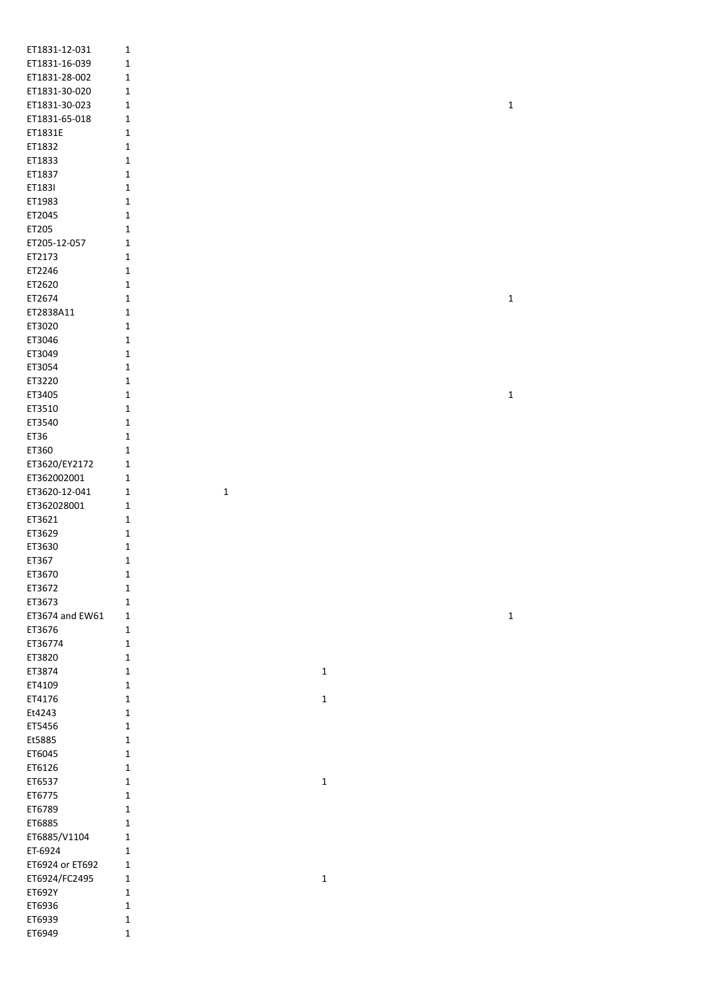| ET1831-12-031   | 1                          |             |             |
|-----------------|----------------------------|-------------|-------------|
| ET1831-16-039   | 1                          |             |             |
| ET1831-28-002   | 1                          |             |             |
|                 |                            |             |             |
| ET1831-30-020   | $\mathbf 1$                |             |             |
| ET1831-30-023   | 1                          |             | $\mathbf 1$ |
| ET1831-65-018   | 1                          |             |             |
| ET1831E         | $\mathbf 1$                |             |             |
| ET1832          | $\mathbf 1$                |             |             |
| ET1833          | $\mathbf 1$                |             |             |
| ET1837          | $\mathbf 1$                |             |             |
| ET1831          | $\mathbf 1$                |             |             |
| ET1983          | $\mathbf 1$                |             |             |
| ET2045          |                            |             |             |
|                 | $\mathbf 1$                |             |             |
| ET205           | $\mathbf 1$                |             |             |
| ET205-12-057    | $\mathbf 1$                |             |             |
| ET2173          | $\mathbf 1$                |             |             |
| ET2246          | 1                          |             |             |
| ET2620          | 1                          |             |             |
| ET2674          | 1                          |             | $\mathbf 1$ |
| ET2838A11       | $\mathbf 1$                |             |             |
| ET3020          | $\mathbf 1$                |             |             |
| ET3046          | $\mathbf 1$                |             |             |
|                 |                            |             |             |
| ET3049          | 1                          |             |             |
| ET3054          | $\mathbf 1$                |             |             |
| ET3220          | $\mathbf 1$                |             |             |
| ET3405          | $\mathbf 1$                |             | $\mathbf 1$ |
| ET3510          | $\mathbf 1$                |             |             |
| ET3540          | $\mathbf 1$                |             |             |
| ET36            | $\mathbf 1$                |             |             |
| ET360           | $\mathbf 1$                |             |             |
|                 |                            |             |             |
| ET3620/EY2172   | 1                          |             |             |
| ET362002001     | $\mathbf 1$                |             |             |
| ET3620-12-041   | $\mathbf 1$<br>$\mathbf 1$ |             |             |
| ET362028001     | 1                          |             |             |
| ET3621          | 1                          |             |             |
| ET3629          | 1                          |             |             |
| ET3630          | 1                          |             |             |
| ET367           | $\mathbf 1$                |             |             |
| ET3670          |                            |             |             |
|                 | 1                          |             |             |
| ET3672          | $\mathbf 1$                |             |             |
| ET3673          | 1                          |             |             |
| ET3674 and EW61 | 1                          |             | $\mathbf 1$ |
| ET3676          | 1                          |             |             |
| ET36774         | $\mathbf 1$                |             |             |
| ET3820          | $\mathbf 1$                |             |             |
| ET3874          | $\mathbf 1$                | $\mathbf 1$ |             |
| ET4109          | 1                          |             |             |
| ET4176          |                            |             |             |
|                 | 1                          | $\mathbf 1$ |             |
| Et4243          | $\mathbf 1$                |             |             |
| ET5456          | $\mathbf 1$                |             |             |
| Et5885          | $\mathbf 1$                |             |             |
| ET6045          | $\mathbf 1$                |             |             |
| ET6126          | $\mathbf 1$                |             |             |
| ET6537          | 1                          | $\mathbf 1$ |             |
| ET6775          | $\mathbf 1$                |             |             |
| ET6789          | $\mathbf 1$                |             |             |
|                 |                            |             |             |
| ET6885          | $\mathbf 1$                |             |             |
| ET6885/V1104    | $\mathbf 1$                |             |             |
| ET-6924         | 1                          |             |             |
| ET6924 or ET692 | 1                          |             |             |
| ET6924/FC2495   | 1                          | $\mathbf 1$ |             |
| ET692Y          | 1                          |             |             |
| ET6936          | $\mathbf 1$                |             |             |
| ET6939          | 1                          |             |             |
|                 |                            |             |             |
| ET6949          | $\mathbf 1$                |             |             |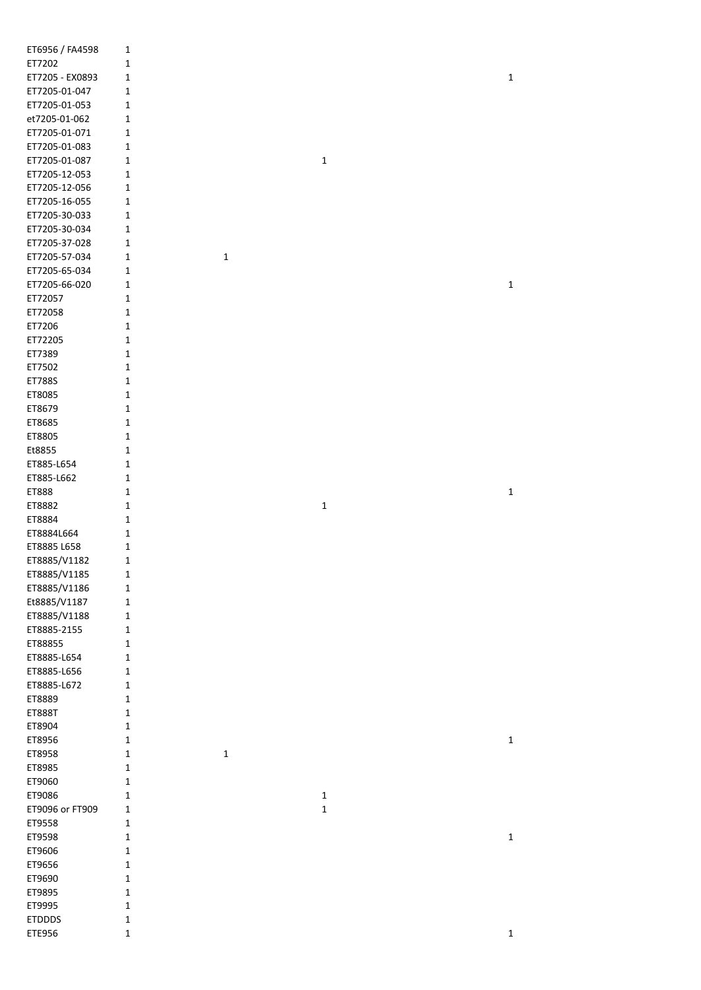| ET6956 / FA4598         | 1                          |             |             |             |
|-------------------------|----------------------------|-------------|-------------|-------------|
| ET7202                  | 1                          |             |             |             |
| ET7205 - EX0893         | 1                          |             |             | $\mathbf 1$ |
| ET7205-01-047           | 1                          |             |             |             |
| ET7205-01-053           | 1                          |             |             |             |
| et7205-01-062           | 1                          |             |             |             |
| ET7205-01-071           | 1                          |             |             |             |
| ET7205-01-083           |                            |             |             |             |
|                         | 1                          |             |             |             |
| ET7205-01-087           | 1                          |             | $\mathbf 1$ |             |
| ET7205-12-053           | 1                          |             |             |             |
| ET7205-12-056           | 1                          |             |             |             |
| ET7205-16-055           | 1                          |             |             |             |
| ET7205-30-033           | 1                          |             |             |             |
| ET7205-30-034           | 1                          |             |             |             |
| ET7205-37-028           | 1                          |             |             |             |
| ET7205-57-034           | 1                          | $\mathbf 1$ |             |             |
| ET7205-65-034           | 1                          |             |             |             |
| ET7205-66-020           | 1                          |             |             | $\mathbf 1$ |
| ET72057                 | 1                          |             |             |             |
| ET72058                 | 1                          |             |             |             |
| ET7206                  | 1                          |             |             |             |
|                         |                            |             |             |             |
| ET72205                 | 1                          |             |             |             |
| ET7389                  | 1                          |             |             |             |
| ET7502                  | 1                          |             |             |             |
| ET788S                  | 1                          |             |             |             |
| ET8085                  | 1                          |             |             |             |
| ET8679                  | 1                          |             |             |             |
| ET8685                  | 1                          |             |             |             |
| ET8805                  | 1                          |             |             |             |
| Et8855                  | 1                          |             |             |             |
| ET885-L654              | 1                          |             |             |             |
| ET885-L662              | 1                          |             |             |             |
|                         |                            |             |             |             |
|                         |                            |             |             |             |
| ET888                   | 1                          |             |             | $\mathbf 1$ |
| ET8882                  | 1                          |             | $\mathbf 1$ |             |
| ET8884                  | 1                          |             |             |             |
| ET8884L664              | 1                          |             |             |             |
| ET8885 L658             | 1                          |             |             |             |
| ET8885/V1182            | 1                          |             |             |             |
| ET8885/V1185            | $\mathbf 1$                |             |             |             |
|                         | 1                          |             |             |             |
| ET8885/V1186            |                            |             |             |             |
| Et8885/V1187            | $\mathbf 1$                |             |             |             |
| ET8885/V1188            | 1                          |             |             |             |
| ET8885-2155             | $\mathbf 1$                |             |             |             |
| ET88855                 | $\mathbf 1$                |             |             |             |
| ET8885-L654             | 1                          |             |             |             |
| ET8885-L656             | $\mathbf 1$                |             |             |             |
| ET8885-L672             | 1                          |             |             |             |
| ET8889                  | 1                          |             |             |             |
| ET888T                  | 1                          |             |             |             |
| ET8904                  | $\mathbf 1$                |             |             |             |
| ET8956                  | $\mathbf 1$                |             |             | $\mathbf 1$ |
| ET8958                  | $\mathbf 1$                | $\mathbf 1$ |             |             |
| ET8985                  | 1                          |             |             |             |
| ET9060                  | 1                          |             |             |             |
|                         | 1                          |             |             |             |
| ET9086                  |                            |             | $\mathbf 1$ |             |
| ET9096 or FT909         | 1                          |             | $\mathbf 1$ |             |
| ET9558                  | $\mathbf 1$                |             |             |             |
| ET9598                  | $\mathbf 1$                |             |             | $\mathbf 1$ |
| ET9606                  | $\mathbf 1$                |             |             |             |
| ET9656                  | $\mathbf 1$                |             |             |             |
| ET9690                  | $\mathbf 1$                |             |             |             |
| ET9895                  | $\mathbf 1$                |             |             |             |
| ET9995                  | $\mathbf 1$                |             |             |             |
| <b>ETDDDS</b><br>ETE956 | $\mathbf 1$<br>$\mathbf 1$ |             |             | $\mathbf 1$ |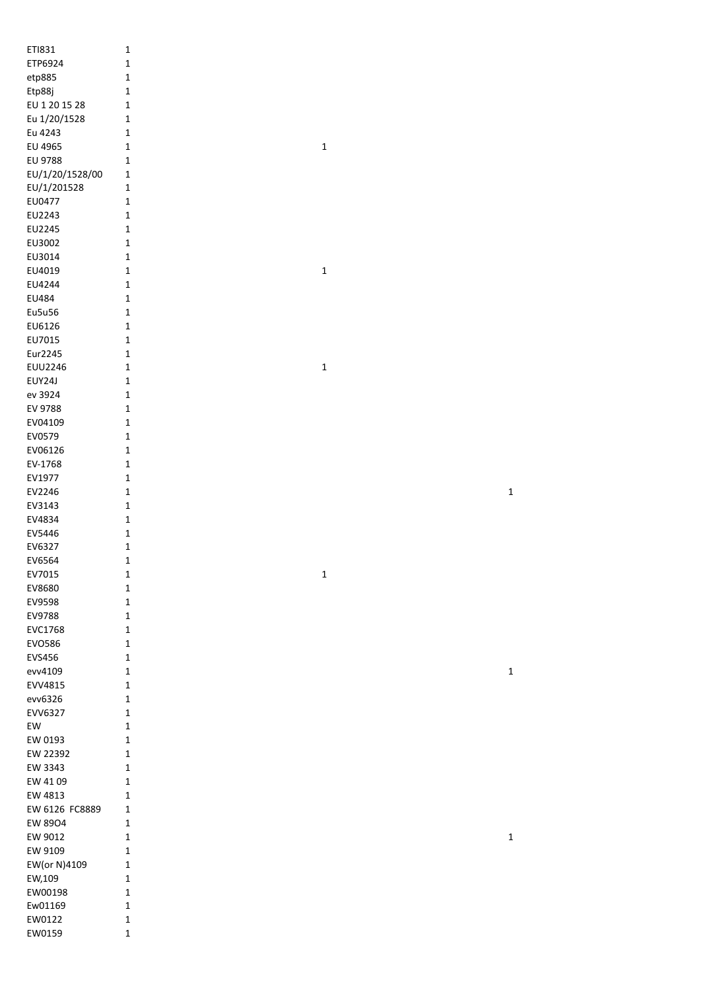| ET1831          | $\mathbf 1$  |  |             |              |
|-----------------|--------------|--|-------------|--------------|
| ETP6924         | $\mathbf 1$  |  |             |              |
| etp885          | $\mathbf 1$  |  |             |              |
| Etp88j          | 1            |  |             |              |
| EU 1 20 15 28   | $\mathbf 1$  |  |             |              |
|                 |              |  |             |              |
| Eu 1/20/1528    | $\mathbf 1$  |  |             |              |
| Eu 4243         | $\mathbf 1$  |  |             |              |
| EU 4965         | $\mathbf{1}$ |  | $\mathbf 1$ |              |
| EU 9788         | $\mathbf{1}$ |  |             |              |
| EU/1/20/1528/00 | $\mathbf 1$  |  |             |              |
| EU/1/201528     | $\mathbf 1$  |  |             |              |
| EU0477          | $\mathbf 1$  |  |             |              |
| EU2243          | $\mathbf 1$  |  |             |              |
| EU2245          | $\mathbf{1}$ |  |             |              |
| EU3002          | $\mathbf 1$  |  |             |              |
|                 |              |  |             |              |
| EU3014          | $\mathbf 1$  |  |             |              |
| EU4019          | $\mathbf 1$  |  | $\mathbf 1$ |              |
| EU4244          | $\mathbf 1$  |  |             |              |
| EU484           | $\mathbf 1$  |  |             |              |
| Eu5u56          | $\mathbf 1$  |  |             |              |
| EU6126          | $\mathbf{1}$ |  |             |              |
| EU7015          | $\mathbf{1}$ |  |             |              |
| Eur2245         | $\mathbf 1$  |  |             |              |
| <b>EUU2246</b>  | $\mathbf 1$  |  | $\mathbf 1$ |              |
| EUY24J          | $\mathbf 1$  |  |             |              |
|                 |              |  |             |              |
| ev 3924         | $\mathbf{1}$ |  |             |              |
| EV 9788         | $\mathbf 1$  |  |             |              |
| EV04109         | 1            |  |             |              |
| EV0579          | $\mathbf{1}$ |  |             |              |
| EV06126         | $\mathbf 1$  |  |             |              |
| EV-1768         | $\mathbf 1$  |  |             |              |
| EV1977          | $\mathbf{1}$ |  |             |              |
| EV2246          | $\mathbf 1$  |  |             | $\mathbf 1$  |
| EV3143          | $\mathbf 1$  |  |             |              |
| EV4834          | $\mathbf 1$  |  |             |              |
| EV5446          | $\mathbf 1$  |  |             |              |
|                 |              |  |             |              |
| EV6327          | $\mathbf 1$  |  |             |              |
| EV6564          | $\mathbf 1$  |  |             |              |
| EV7015          | 1            |  | 1           |              |
| EV8680          | $\mathbf{1}$ |  |             |              |
| EV9598          | $\mathbf 1$  |  |             |              |
| EV9788          | $\mathbf{1}$ |  |             |              |
| EVC1768         | $\mathbf{1}$ |  |             |              |
| EV0586          | $\mathbf{1}$ |  |             |              |
| EVS456          | $\mathbf{1}$ |  |             |              |
| evv4109         | $\mathbf{1}$ |  |             | $\mathbf{1}$ |
|                 |              |  |             |              |
| EVV4815         | $\mathbf 1$  |  |             |              |
| evv6326         | $\mathbf{1}$ |  |             |              |
| EVV6327         | $\mathbf{1}$ |  |             |              |
| EW              | $\mathbf{1}$ |  |             |              |
| EW 0193         | $\mathbf{1}$ |  |             |              |
| EW 22392        | 1            |  |             |              |
| EW 3343         | $\mathbf{1}$ |  |             |              |
| EW 41 09        | 1            |  |             |              |
| EW 4813         | 1            |  |             |              |
| EW 6126 FC8889  | 1            |  |             |              |
|                 |              |  |             |              |
| EW 8904         | 1            |  |             |              |
| EW 9012         | $\mathbf{1}$ |  |             | $\mathbf 1$  |
| EW 9109         | $\mathbf{1}$ |  |             |              |
| EW(or N)4109    | $\mathbf{1}$ |  |             |              |
| EW,109          | $\mathbf{1}$ |  |             |              |
| EW00198         | $\mathbf{1}$ |  |             |              |
| Ew01169         | $\mathbf{1}$ |  |             |              |
| EW0122          | $\mathbf{1}$ |  |             |              |
| EW0159          | $\mathbf 1$  |  |             |              |
|                 |              |  |             |              |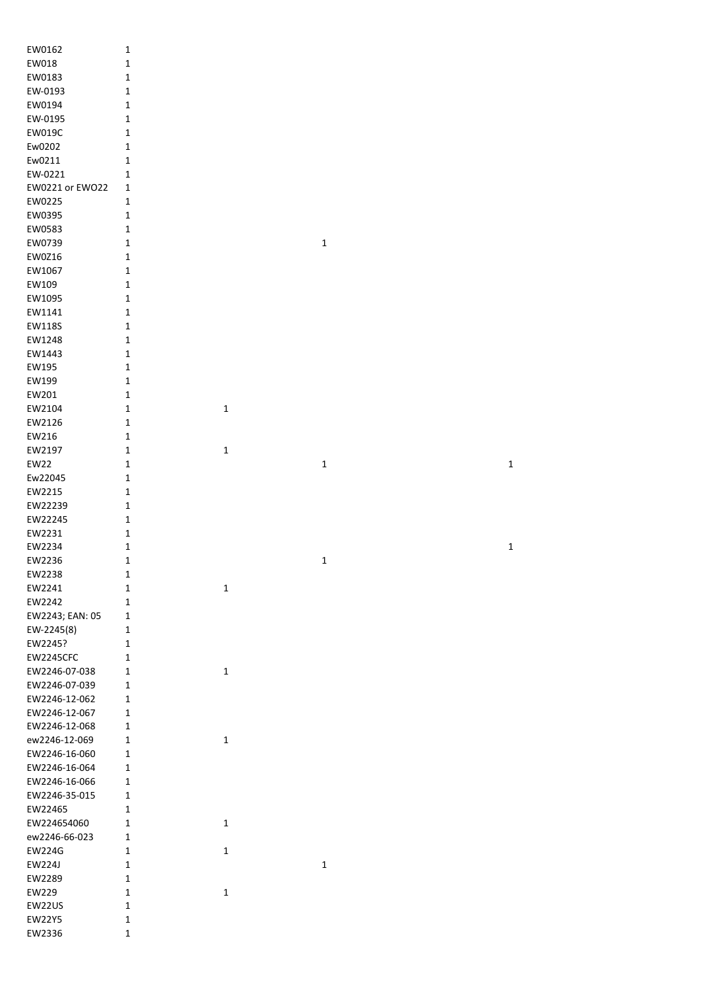| EW0162           | $\mathbf 1$      |             |             |             |
|------------------|------------------|-------------|-------------|-------------|
| EW018            | $\mathbf 1$      |             |             |             |
| EW0183           | $\mathbf 1$      |             |             |             |
| EW-0193          | $\mathbf 1$      |             |             |             |
|                  |                  |             |             |             |
| EW0194           | $\mathbf 1$      |             |             |             |
| EW-0195          | $\mathbf 1$      |             |             |             |
| EW019C           | $\mathbf 1$      |             |             |             |
| Ew0202           | $\mathbf 1$      |             |             |             |
| Ew0211           | $\mathbf 1$      |             |             |             |
| EW-0221          | $\mathbf{1}$     |             |             |             |
| EW0221 or EW022  | $\mathbf{1}$     |             |             |             |
| EW0225           | $\mathbf{1}$     |             |             |             |
| EW0395           | $\mathbf 1$      |             |             |             |
| EW0583           | $\mathbf 1$      |             |             |             |
| EW0739           | $\mathbf 1$      |             | $\mathbf 1$ |             |
| EW0Z16           | $\mathbf 1$      |             |             |             |
| EW1067           | $\mathbf 1$      |             |             |             |
| EW109            | $\mathbf 1$      |             |             |             |
|                  |                  |             |             |             |
| EW1095           | $\mathbf 1$      |             |             |             |
| EW1141           | $\mathbf 1$      |             |             |             |
| EW118S           | $\mathbf 1$      |             |             |             |
| EW1248           | $\mathbf 1$      |             |             |             |
| EW1443           | $\mathbf 1$      |             |             |             |
| EW195            | $\mathbf 1$      |             |             |             |
| EW199            | $\mathbf 1$      |             |             |             |
| EW201            | $\mathbf 1$      |             |             |             |
| EW2104           | $\mathbf 1$      | $\mathbf 1$ |             |             |
| EW2126           | $\mathbf 1$      |             |             |             |
| EW216            | $\mathbf 1$      |             |             |             |
| EW2197           | $\mathbf 1$      | $\mathbf 1$ |             |             |
| <b>EW22</b>      | $\mathbf 1$      |             | $\mathbf 1$ | $\mathbf 1$ |
|                  |                  |             |             |             |
| Ew22045          | $\mathbf 1$      |             |             |             |
| EW2215           | $\mathbf 1$      |             |             |             |
| EW22239          | $\mathbf 1$      |             |             |             |
| EW22245          | $\mathbf 1$      |             |             |             |
| EW2231           | $\mathbf 1$      |             |             |             |
| EW2234           | $\mathbf 1$      |             |             | $\mathbf 1$ |
| EW2236           | 1                |             | 1           |             |
| EW2238           | $\mathbf 1$      |             |             |             |
| EW2241           | 1                | $\mathbf 1$ |             |             |
| EW2242           | 1                |             |             |             |
| EW2243; EAN: 05  | $\mathbf{1}$     |             |             |             |
| EW-2245(8)       | $\mathbf{1}$     |             |             |             |
| EW2245?          | $\mathbf 1$      |             |             |             |
| EW2245CFC        | $\mathbf{1}$     |             |             |             |
| EW2246-07-038    | $\mathbf 1$      | $\mathbf 1$ |             |             |
| EW2246-07-039    | $\mathbf{1}$     |             |             |             |
|                  |                  |             |             |             |
| EW2246-12-062    | $\mathbf 1$      |             |             |             |
| EW2246-12-067    | $\mathbf 1$      |             |             |             |
| EW2246-12-068    | $\mathbf 1$      |             |             |             |
| ew2246-12-069    | $\mathbf 1$      | $\mathbf 1$ |             |             |
| EW2246-16-060    | $\mathbf 1$      |             |             |             |
| EW2246-16-064    | $\mathbf 1$      |             |             |             |
| EW2246-16-066    |                  |             |             |             |
|                  | $\mathbf{1}$     |             |             |             |
| EW2246-35-015    | $\mathbf 1$      |             |             |             |
| EW22465          | $\mathbf 1$      |             |             |             |
| EW224654060      | $\mathbf 1$      | $\mathbf 1$ |             |             |
| ew2246-66-023    | $\mathbf 1$      |             |             |             |
|                  | 1                |             |             |             |
| <b>EW224G</b>    |                  | $\mathbf 1$ |             |             |
| EW224J           | 1                |             | $\mathbf 1$ |             |
| EW2289           | $\mathbf{1}$     |             |             |             |
| EW229            | 1                | $\mathbf 1$ |             |             |
| EW22US           | 1                |             |             |             |
| EW22Y5<br>EW2336 | 1<br>$\mathbf 1$ |             |             |             |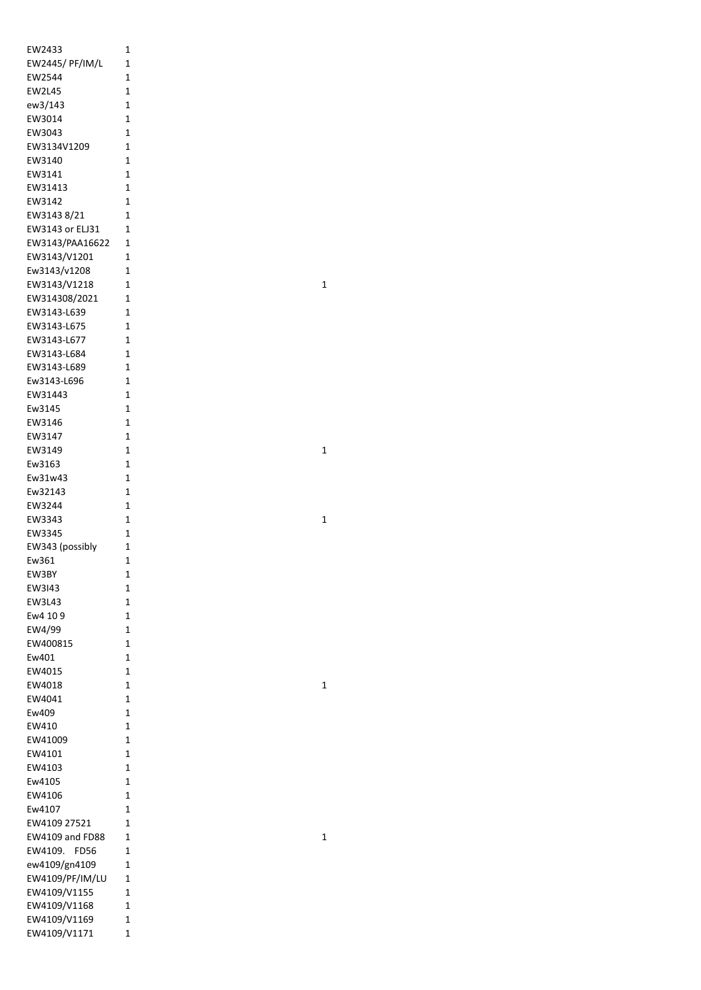| EW2433                       | 1              |
|------------------------------|----------------|
| EW2445/ PF/IM/L              | 1              |
| EW2544                       | 1              |
| EW2L45                       | 1              |
| ew3/143                      | 1              |
| EW3014                       | 1              |
| EW3043                       | 1              |
| EW3134V1209                  | 1              |
| EW3140                       | 1              |
| EW3141                       | $\overline{1}$ |
| EW31413                      | 1              |
| EW3142                       | 1              |
| EW3143 8/21                  | 1              |
| EW3143 or ELJ31              | 1              |
| EW3143/PAA16622              | 1              |
| EW3143/V1201<br>Ew3143/v1208 | 1<br>1         |
| EW3143/V1218                 | 1              |
| EW314308/2021                | 1              |
| EW3143-L639                  | 1              |
| EW3143-L675                  | 1              |
| EW3143-L677                  | 1              |
| EW3143-L684                  | $\overline{1}$ |
| EW3143-L689                  | $\overline{1}$ |
| Ew3143-L696                  | 1              |
| EW31443                      | 1              |
| Ew3145                       | 1              |
| EW3146                       | 1              |
| EW3147                       | 1              |
| EW3149                       | 1              |
| Ew3163                       | 1              |
| Ew31w43                      | 1              |
| Ew32143                      | $\overline{1}$ |
| EW3244                       | 1              |
| EW3343                       | 1              |
| EW3345                       | 1              |
| EW343 (possibly              | 1              |
| Ew361                        | 1              |
| EW3BY                        | 1              |
| EW3143                       | 1              |
| EW3L43                       | $\overline{1}$ |
| Ew4 10 9                     | 1              |
| EW4/99                       | 1              |
| EW400815<br>Ew401            | 1<br>1         |
| EW4015                       | $\overline{1}$ |
| EW4018                       | 1              |
| EW4041                       | 1              |
| Ew409                        | 1              |
| EW410                        | 1              |
| EW41009                      | 1              |
| EW4101                       | 1              |
| EW4103                       | 1              |
| Ew4105                       | 1              |
| EW4106                       | 1              |
| Ew4107                       | 1              |
| EW4109 27521                 | 1              |
| <b>EW4109 and FD88</b>       | 1              |
| EW4109. FD56                 | 1              |
| ew4109/gn4109                | 1              |
| EW4109/PF/IM/LU              | 1              |
| EW4109/V1155                 | 1              |
| EW4109/V1168                 | 1              |
| EW4109/V1169                 | 1              |
| EW4109/V1171                 | 1              |

1

1

1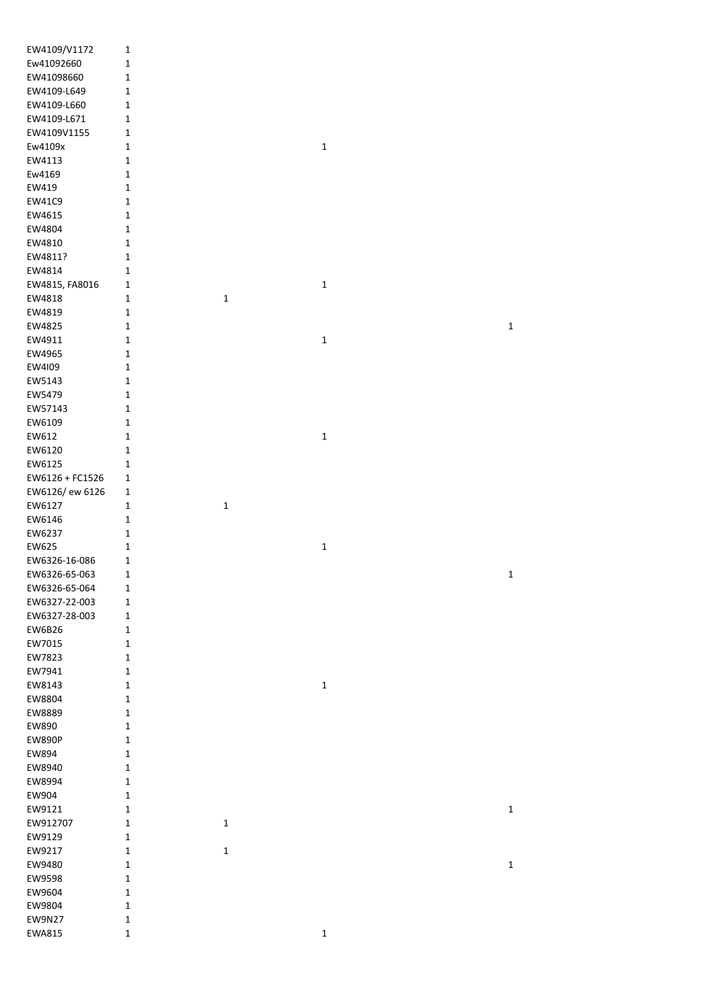| EW4109/V1172    | $\mathbf 1$                 |             |             |             |
|-----------------|-----------------------------|-------------|-------------|-------------|
| Ew41092660      | $\mathbf 1$                 |             |             |             |
| EW41098660      | $\mathbf 1$                 |             |             |             |
| EW4109-L649     | $\mathbf 1$                 |             |             |             |
| EW4109-L660     | $\mathbf 1$                 |             |             |             |
| EW4109-L671     | $\mathbf 1$                 |             |             |             |
| EW4109V1155     | $\mathbf 1$                 |             |             |             |
| Ew4109x         | $\mathbf{1}$                |             | $\mathbf 1$ |             |
| EW4113          |                             |             |             |             |
| Ew4169          | $\mathbf{1}$<br>$\mathbf 1$ |             |             |             |
|                 |                             |             |             |             |
| EW419           | $\mathbf 1$                 |             |             |             |
| EW41C9          | $\mathbf 1$                 |             |             |             |
| EW4615          | $\mathbf 1$                 |             |             |             |
| EW4804          | $\mathbf 1$                 |             |             |             |
| EW4810          | $\mathbf 1$                 |             |             |             |
| EW4811?         | 1                           |             |             |             |
| EW4814          | $\mathbf 1$                 |             |             |             |
| EW4815, FA8016  | $\mathbf{1}$                |             | $\mathbf 1$ |             |
| EW4818          | $\mathbf 1$                 | $\mathbf 1$ |             |             |
| EW4819          | $\mathbf 1$                 |             |             |             |
| EW4825          | 1                           |             |             | 1           |
| EW4911          | $\mathbf 1$                 |             | $\mathbf 1$ |             |
| EW4965          | $\mathbf 1$                 |             |             |             |
| EW4109          | $\mathbf 1$                 |             |             |             |
| EW5143          | $\mathbf 1$                 |             |             |             |
| EW5479          | $\mathbf 1$                 |             |             |             |
| EW57143         | $\mathbf 1$                 |             |             |             |
| EW6109          | $\mathbf 1$                 |             |             |             |
| EW612           | $\mathbf 1$                 |             | $\mathbf 1$ |             |
| EW6120          | $\mathbf 1$                 |             |             |             |
|                 |                             |             |             |             |
| EW6125          | $\mathbf 1$                 |             |             |             |
| EW6126 + FC1526 | $\mathbf{1}$                |             |             |             |
| EW6126/ ew 6126 | $\mathbf{1}$                |             |             |             |
| EW6127          | $\mathbf 1$                 | $\mathbf 1$ |             |             |
| EW6146          | $\mathbf 1$                 |             |             |             |
| EW6237          | $\mathbf 1$                 |             |             |             |
| EW625           | $\mathbf 1$                 |             | $\mathbf 1$ |             |
| EW6326-16-086   | $\mathbf{1}$                |             |             |             |
| EW6326-65-063   | 1                           |             |             | 1           |
| EW6326-65-064   | $\mathbf{1}$                |             |             |             |
| EW6327-22-003   | $\mathbf{1}$                |             |             |             |
| EW6327-28-003   | $\mathbf{1}$                |             |             |             |
| EW6B26          | $\mathbf{1}$                |             |             |             |
| EW7015          | $\mathbf{1}$                |             |             |             |
| EW7823          | 1                           |             |             |             |
| EW7941          | 1                           |             |             |             |
| EW8143          | $\mathbf{1}$                |             | $\mathbf 1$ |             |
| EW8804          | $\mathbf 1$                 |             |             |             |
| EW8889          | $\mathbf{1}$                |             |             |             |
| EW890           | $\mathbf 1$                 |             |             |             |
| <b>EW890P</b>   | $\mathbf{1}$                |             |             |             |
| EW894           | $\mathbf 1$                 |             |             |             |
| EW8940          | $\mathbf 1$                 |             |             |             |
| EW8994          | $\mathbf 1$                 |             |             |             |
|                 |                             |             |             |             |
| EW904           | $\mathbf 1$                 |             |             |             |
| EW9121          | $\mathbf{1}$                |             |             | $\mathbf 1$ |
| EW912707        | 1                           | $\mathbf 1$ |             |             |
| EW9129          | $\mathbf 1$                 |             |             |             |
| EW9217          | $\mathbf{1}$                | $\mathbf 1$ |             |             |
| EW9480          | $\mathbf 1$                 |             |             | 1           |
| EW9598          | $\mathbf{1}$                |             |             |             |
| EW9604          | $\mathbf{1}$                |             |             |             |
| EW9804          | $\mathbf 1$                 |             |             |             |
| <b>EW9N27</b>   | 1                           |             |             |             |
| EWA815          | $\mathbf 1$                 |             | 1           |             |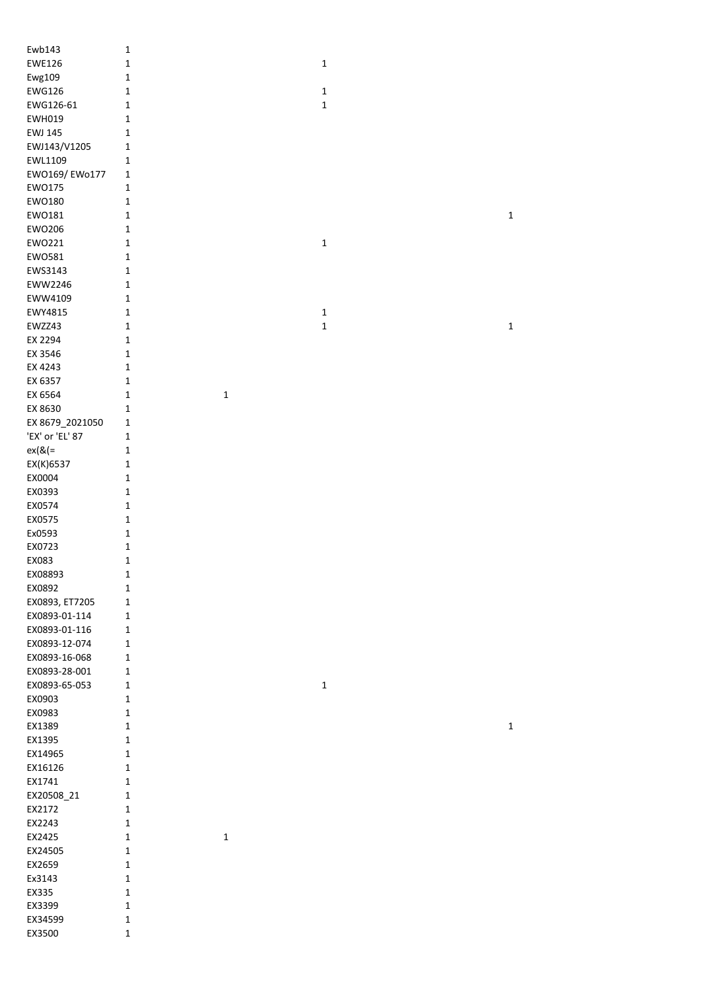| Ewb143          | $\mathbf 1$  |             |             |  |             |
|-----------------|--------------|-------------|-------------|--|-------------|
| <b>EWE126</b>   | $\mathbf 1$  |             | $\mathbf 1$ |  |             |
| Ewg109          | $\mathbf 1$  |             |             |  |             |
|                 |              |             |             |  |             |
| <b>EWG126</b>   | $\mathbf 1$  |             | $\mathbf 1$ |  |             |
| EWG126-61       | $\mathbf 1$  |             | $\mathbf 1$ |  |             |
| <b>EWH019</b>   | $\mathbf 1$  |             |             |  |             |
| <b>EWJ 145</b>  | $\mathbf 1$  |             |             |  |             |
| EWJ143/V1205    | $\mathbf 1$  |             |             |  |             |
| EWL1109         | $\mathbf 1$  |             |             |  |             |
| EW0169/EW0177   | $\mathbf 1$  |             |             |  |             |
|                 |              |             |             |  |             |
| EW0175          | $\mathbf 1$  |             |             |  |             |
| EW0180          | $\mathbf 1$  |             |             |  |             |
| EW0181          | $\mathbf 1$  |             |             |  | $\mathbf 1$ |
| EW0206          | $\mathbf 1$  |             |             |  |             |
| EW0221          | $\mathbf 1$  |             | $\mathbf 1$ |  |             |
| EW0581          | $\mathbf 1$  |             |             |  |             |
|                 |              |             |             |  |             |
| EWS3143         | $\mathbf 1$  |             |             |  |             |
| EWW2246         | $\mathbf 1$  |             |             |  |             |
| EWW4109         | $\mathbf 1$  |             |             |  |             |
| EWY4815         | $\mathbf 1$  |             | $\mathbf 1$ |  |             |
| EWZZ43          | $\mathbf 1$  |             | $\mathbf 1$ |  | $\mathbf 1$ |
| EX 2294         | $\mathbf 1$  |             |             |  |             |
|                 |              |             |             |  |             |
| EX 3546         | $\mathbf 1$  |             |             |  |             |
| EX 4243         | $\mathbf 1$  |             |             |  |             |
| EX 6357         | $\mathbf 1$  |             |             |  |             |
| EX 6564         | $\mathbf 1$  | $\mathbf 1$ |             |  |             |
| EX 8630         | $\mathbf 1$  |             |             |  |             |
| EX 8679_2021050 | $\mathbf 1$  |             |             |  |             |
| 'EX' or 'EL' 87 | $\mathbf 1$  |             |             |  |             |
|                 | $\mathbf 1$  |             |             |  |             |
| $ex(& =$        |              |             |             |  |             |
| EX(K)6537       | $\mathbf 1$  |             |             |  |             |
| EX0004          | $\mathbf 1$  |             |             |  |             |
| EX0393          | $\mathbf 1$  |             |             |  |             |
| EX0574          | $\mathbf 1$  |             |             |  |             |
| EX0575          | $\mathbf 1$  |             |             |  |             |
| Ex0593          | $\mathbf 1$  |             |             |  |             |
|                 |              |             |             |  |             |
| EX0723          | $\mathbf 1$  |             |             |  |             |
| EX083           | $\mathbf{1}$ |             |             |  |             |
| EX08893         | 1            |             |             |  |             |
| EX0892          | $\mathbf 1$  |             |             |  |             |
| EX0893, ET7205  | $\mathbf 1$  |             |             |  |             |
| EX0893-01-114   | $\mathbf 1$  |             |             |  |             |
| EX0893-01-116   | $\mathbf 1$  |             |             |  |             |
|                 |              |             |             |  |             |
| EX0893-12-074   | $\mathbf 1$  |             |             |  |             |
| EX0893-16-068   | $\mathbf 1$  |             |             |  |             |
| EX0893-28-001   | $\mathbf 1$  |             |             |  |             |
| EX0893-65-053   | $\mathbf 1$  |             | $\mathbf 1$ |  |             |
| EX0903          | 1            |             |             |  |             |
| EX0983          | $\mathbf 1$  |             |             |  |             |
| EX1389          | $\mathbf 1$  |             |             |  | $\mathbf 1$ |
| EX1395          | $\mathbf 1$  |             |             |  |             |
|                 |              |             |             |  |             |
| EX14965         | $\mathbf 1$  |             |             |  |             |
| EX16126         | $\mathbf 1$  |             |             |  |             |
| EX1741          | $\mathbf 1$  |             |             |  |             |
| EX20508_21      | $\mathbf 1$  |             |             |  |             |
| EX2172          | $\mathbf 1$  |             |             |  |             |
| EX2243          | $\mathbf 1$  |             |             |  |             |
| EX2425          | $\mathbf 1$  | $\mathbf 1$ |             |  |             |
|                 |              |             |             |  |             |
| EX24505         | $\mathbf 1$  |             |             |  |             |
| EX2659          | $\mathbf 1$  |             |             |  |             |
| Ex3143          | $\mathbf 1$  |             |             |  |             |
| EX335           | $\mathbf 1$  |             |             |  |             |
| EX3399          | $\mathbf 1$  |             |             |  |             |
| EX34599         | $\mathbf 1$  |             |             |  |             |
| EX3500          | $\mathbf 1$  |             |             |  |             |
|                 |              |             |             |  |             |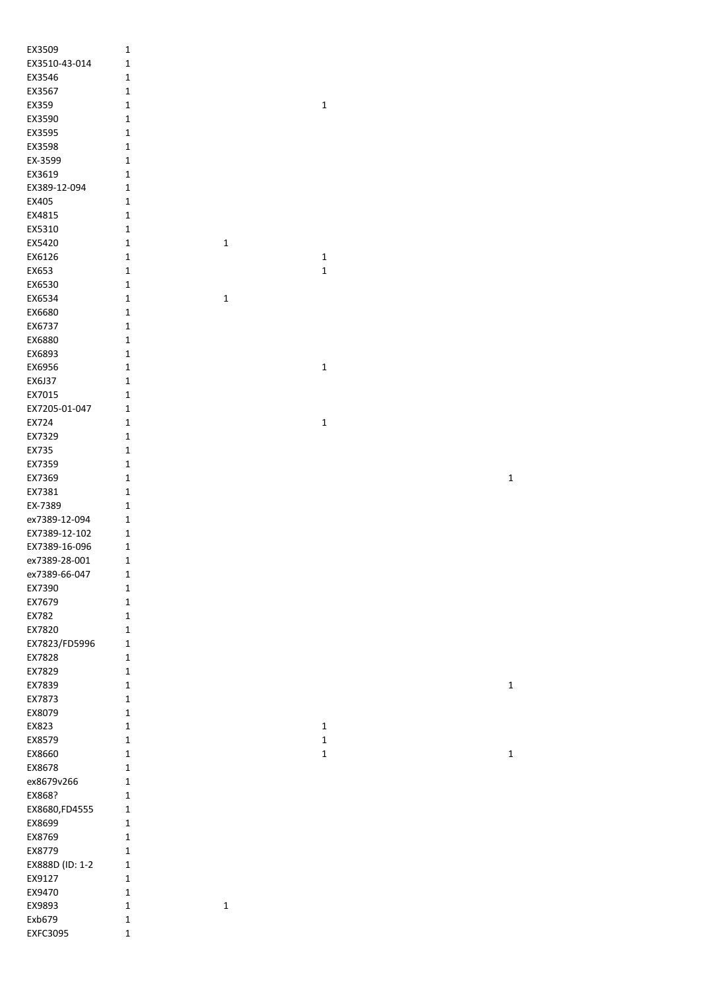| EX3509          | $\mathbf 1$                |             |              |              |
|-----------------|----------------------------|-------------|--------------|--------------|
| EX3510-43-014   | $\mathbf{1}$               |             |              |              |
| EX3546          | $\mathbf{1}$               |             |              |              |
| EX3567          | $\mathbf{1}$               |             |              |              |
| EX359           | $\mathbf 1$                |             | $\mathbf 1$  |              |
| EX3590          | $\mathbf 1$                |             |              |              |
| EX3595          | $\mathbf 1$                |             |              |              |
| EX3598          | $\mathbf 1$                |             |              |              |
| EX-3599         | $\mathbf 1$                |             |              |              |
| EX3619          | $\mathbf 1$                |             |              |              |
| EX389-12-094    | $\mathbf{1}$               |             |              |              |
| EX405           | $\mathbf{1}$               |             |              |              |
| EX4815          | $\mathbf{1}$               |             |              |              |
| EX5310          | $\mathbf{1}$               |             |              |              |
| EX5420          | 1                          | $\mathbf 1$ |              |              |
| EX6126          | 1                          |             | $\mathbf 1$  |              |
| EX653           | 1                          |             | $\mathbf 1$  |              |
| EX6530          | 1                          |             |              |              |
| EX6534          | 1                          | $\mathbf 1$ |              |              |
| EX6680          | 1                          |             |              |              |
| EX6737          | 1                          |             |              |              |
| EX6880          | 1                          |             |              |              |
| EX6893          | 1                          |             |              |              |
| EX6956          | $\mathbf 1$                |             | $\mathbf 1$  |              |
| EX6J37          | $\mathbf 1$                |             |              |              |
| EX7015          | $\mathbf 1$                |             |              |              |
| EX7205-01-047   | $\mathbf{1}$               |             |              |              |
| EX724           | $\mathbf 1$                |             | $\mathbf 1$  |              |
| EX7329          | $\mathbf 1$                |             |              |              |
| EX735<br>EX7359 | $\mathbf 1$                |             |              |              |
| EX7369          | $\mathbf{1}$               |             |              | $\mathbf 1$  |
| EX7381          | $\mathbf 1$<br>$\mathbf 1$ |             |              |              |
| EX-7389         | $\mathbf 1$                |             |              |              |
| ex7389-12-094   | $\mathbf{1}$               |             |              |              |
| EX7389-12-102   | $\mathbf{1}$               |             |              |              |
| EX7389-16-096   | $\mathbf{1}$               |             |              |              |
| ex7389-28-001   | $\mathbf{1}$               |             |              |              |
| ex7389-66-047   | $\mathbf{1}$               |             |              |              |
| EX7390          | 1                          |             |              |              |
| EX7679          | 1                          |             |              |              |
| EX782           | 1                          |             |              |              |
| EX7820          | 1                          |             |              |              |
| EX7823/FD5996   | $\mathbf{1}$               |             |              |              |
| EX7828          | 1                          |             |              |              |
| EX7829          | $\mathbf{1}$               |             |              |              |
| EX7839          | $\mathbf{1}$               |             |              | $\mathbf{1}$ |
| EX7873          | $\mathbf{1}$               |             |              |              |
| EX8079          | $\mathbf{1}$               |             |              |              |
| EX823           | $\mathbf{1}$               |             | $\mathbf 1$  |              |
| EX8579          | $\mathbf{1}$               |             | $\mathbf 1$  |              |
| EX8660          | $\mathbf{1}$               |             | $\mathbf{1}$ | $\mathbf 1$  |
| EX8678          | $\mathbf 1$                |             |              |              |
| ex8679v266      | $\mathbf 1$                |             |              |              |
| EX868?          | $\mathbf{1}$               |             |              |              |
| EX8680, FD4555  | $\mathbf{1}$               |             |              |              |
| EX8699          | $\mathbf{1}$               |             |              |              |
| EX8769          | $\mathbf 1$                |             |              |              |
| EX8779          | $\mathbf{1}$               |             |              |              |
| EX888D (ID: 1-2 | $\mathbf 1$                |             |              |              |
| EX9127          | $\mathbf{1}$               |             |              |              |
| EX9470          | $\mathbf{1}$               |             |              |              |
| EX9893          | $\mathbf{1}$               | $\mathbf 1$ |              |              |
| Exb679          | 1                          |             |              |              |
| EXFC3095        | $\mathbf 1$                |             |              |              |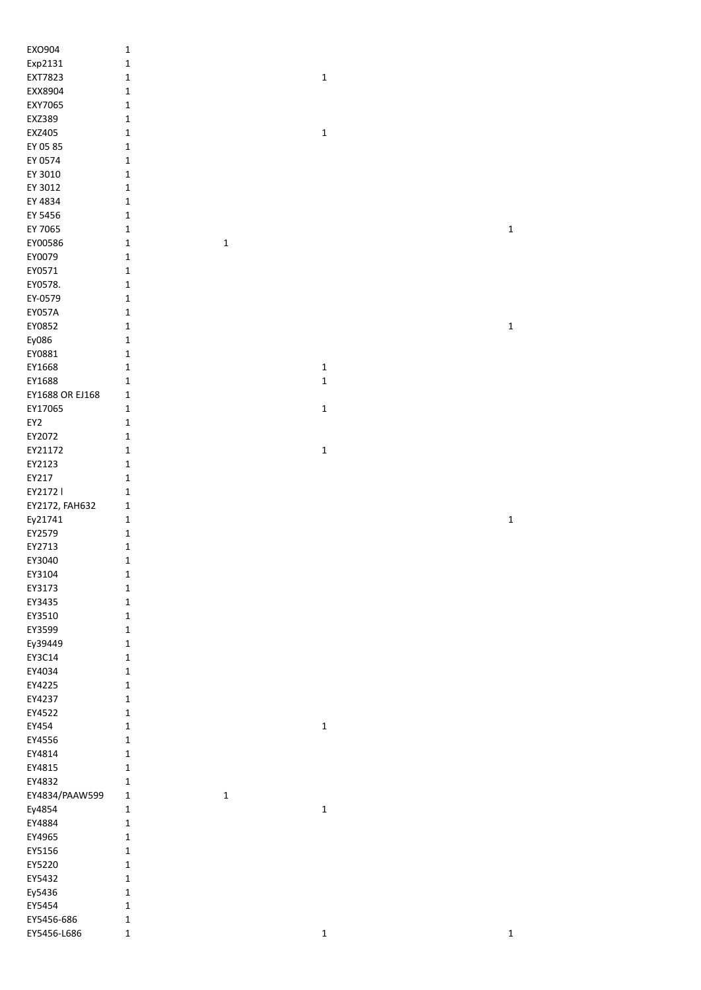| EXO904                    | $\mathbf 1$                 |              |             |
|---------------------------|-----------------------------|--------------|-------------|
| Exp2131                   | $\mathbf 1$                 |              |             |
| EXT7823                   | $\mathbf 1$                 | $\mathbf 1$  |             |
| EXX8904                   | $\mathbf 1$                 |              |             |
| EXY7065                   | $\mathbf 1$                 |              |             |
| EXZ389                    | $\mathbf 1$                 |              |             |
| EXZ405                    | $\mathbf 1$                 | $\mathbf 1$  |             |
| EY 05 85                  | $\mathbf 1$                 |              |             |
| EY 0574                   | $\mathbf 1$                 |              |             |
| EY 3010                   | 1                           |              |             |
| EY 3012                   | 1                           |              |             |
| EY 4834                   | $\mathbf{1}$                |              |             |
| EY 5456                   | 1                           |              |             |
| EY 7065                   | $\mathbf 1$                 |              | $\mathbf 1$ |
| EY00586                   | $\mathbf 1$<br>$\mathbf 1$  |              |             |
| EY0079                    | $\mathbf 1$                 |              |             |
| EY0571                    | $\mathbf 1$                 |              |             |
| EY0578.                   | $\mathbf 1$                 |              |             |
| EY-0579                   | $\mathbf 1$                 |              |             |
| <b>EY057A</b><br>EY0852   | $\mathbf 1$<br>$\mathbf 1$  |              | $\mathbf 1$ |
|                           |                             |              |             |
| Ey086<br>EY0881           | $\mathbf 1$<br>$\mathbf 1$  |              |             |
| EY1668                    | $\mathbf 1$                 | $\mathbf 1$  |             |
| EY1688                    | $\mathbf 1$                 | $\mathbf 1$  |             |
| EY1688 OR EJ168           | $\mathbf 1$                 |              |             |
| EY17065                   | $\mathbf 1$                 | $\mathbf 1$  |             |
| EY2                       | $\mathbf 1$                 |              |             |
| EY2072                    | $\mathbf 1$                 |              |             |
| EY21172                   | $\mathbf 1$                 | $\mathbf 1$  |             |
| EY2123                    | $\mathbf 1$                 |              |             |
| EY217                     | $\mathbf 1$                 |              |             |
| EY2172                    | $\mathbf 1$                 |              |             |
| EY2172, FAH632            |                             |              |             |
|                           |                             |              |             |
|                           | 1<br>$\mathbf 1$            |              | $\mathbf 1$ |
| Ey21741<br>EY2579         | $\mathbf 1$                 |              |             |
| EY2713                    | 1                           |              |             |
| EY3040                    | $\mathbf 1$                 |              |             |
| EY3104                    | 1                           |              |             |
| EY3173                    | $\mathbf 1$                 |              |             |
| EY3435                    | $\mathbf 1$                 |              |             |
| EY3510                    | $\mathbf 1$                 |              |             |
| EY3599                    | $\mathbf 1$                 |              |             |
| Ey39449                   | $\mathbf 1$                 |              |             |
| EY3C14                    | $\mathbf 1$                 |              |             |
| EY4034                    | $\mathbf 1$                 |              |             |
| EY4225                    | $\mathbf 1$                 |              |             |
| EY4237                    | $\mathbf 1$                 |              |             |
| EY4522                    | $\mathbf{1}$                |              |             |
| EY454                     | $\mathbf 1$                 | $\mathbf 1$  |             |
| EY4556                    | $\mathbf 1$                 |              |             |
| EY4814                    | $\mathbf 1$                 |              |             |
| EY4815                    | $\mathbf 1$                 |              |             |
| EY4832                    | 1                           |              |             |
| EY4834/PAAW599            | 1<br>$\mathbf 1$            |              |             |
| Ey4854                    | $\mathbf 1$                 | $\mathbf{1}$ |             |
| EY4884                    | $\mathbf 1$                 |              |             |
| EY4965<br>EY5156          | $\mathbf 1$<br>$\mathbf{1}$ |              |             |
| EY5220                    | $\mathbf{1}$                |              |             |
| EY5432                    | $\mathbf{1}$                |              |             |
| Ey5436                    | $\mathbf 1$                 |              |             |
| EY5454                    | $\mathbf 1$                 |              |             |
| EY5456-686<br>EY5456-L686 | $\mathbf 1$<br>$\mathbf 1$  | $\mathbf 1$  | $\mathbf 1$ |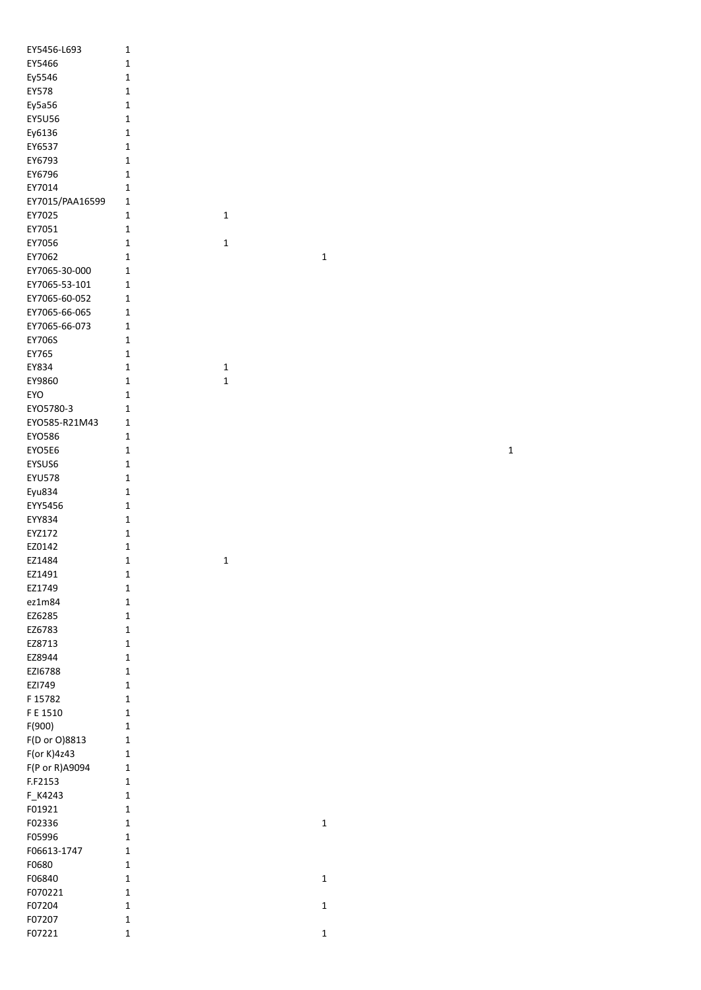| EY5456-L693                  | 1           |   |
|------------------------------|-------------|---|
| EY5466                       | 1           |   |
| Ey5546                       | 1           |   |
| EY578                        | 1           |   |
| Ey5a56                       | 1           |   |
| <b>EY5U56</b>                | 1           |   |
| Ey6136                       | 1           |   |
| EY6537                       | 1           |   |
| EY6793                       | 1           |   |
| EY6796                       | 1           |   |
| EY7014                       | 1           |   |
| EY7015/PAA16599              | 1           |   |
| EY7025                       | 1           | 1 |
| EY7051                       | 1           |   |
| EY7056                       | 1           | 1 |
| EY7062                       | 1           |   |
| EY7065-30-000                | 1           |   |
| EY7065-53-101                | $\mathbf 1$ |   |
| EY7065-60-052                | 1           |   |
| EY7065-66-065                | 1           |   |
| EY7065-66-073                | 1           |   |
| <b>EY706S</b>                | 1           |   |
| EY765                        | 1           |   |
| EY834                        | 1           | 1 |
| EY9860                       | 1           | 1 |
| <b>EYO</b>                   | 1           |   |
| EYO5780-3                    | 1           |   |
| EYO585-R21M43                | 1           |   |
| EYO586                       | 1           |   |
| EYO5E6                       | 1           |   |
| EYSUS6                       | 1           |   |
| <b>EYU578</b>                | 1           |   |
| Eyu834                       | 1           |   |
| EYY5456                      | 1           |   |
| EYY834                       | 1           |   |
| EYZ172                       | 1           |   |
| EZ0142                       | 1           |   |
| EZ1484                       | 1           | 1 |
| EZ1491                       | 1           |   |
| EZ1749                       | 1           |   |
| ez1m84                       | 1           |   |
| EZ6285                       | 1           |   |
| EZ6783                       | 1           |   |
| EZ8713                       | 1           |   |
| EZ8944                       | 1           |   |
| EZI6788                      | 1           |   |
| EZI749                       | 1           |   |
| F 15782                      | 1           |   |
| F E 1510                     | 1           |   |
| F(900)                       | 1<br>1      |   |
| F(D or O)8813<br>F(or K)4z43 | 1           |   |
| F(P or R)A9094               | 1           |   |
| F.F2153                      | 1           |   |
| F_K4243                      | 1           |   |
| F01921                       | 1           |   |
| F02336                       | 1           |   |
| F05996                       | 1           |   |
| F06613-1747                  | $\mathbf 1$ |   |
| F0680                        | 1           |   |
| F06840                       | 1           |   |
| F070221                      | 1           |   |
| F07204                       | 1           |   |
| F07207                       | 1           |   |
| F07221                       | 1           |   |
|                              |             |   |

 $\overline{\mathbf{1}}$ 

 $\mathbf{1}$ 

 $\mathbf{1}$ 

 $\mathbf 1$ 

 $\mathbf{1}$ 

 $\mathbf{1}$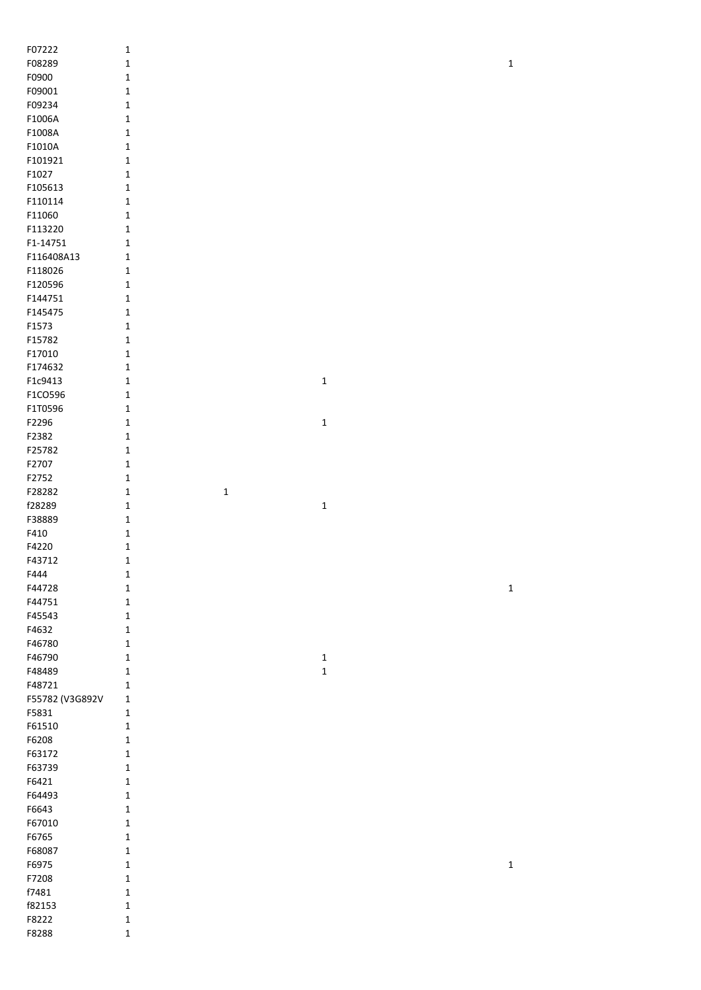| F07222          | $\mathbf{1}$                |             |             |
|-----------------|-----------------------------|-------------|-------------|
| F08289          | $\mathbf 1$                 |             | $\mathbf 1$ |
| F0900           | 1                           |             |             |
| F09001          | 1                           |             |             |
| F09234          | 1                           |             |             |
| F1006A          | 1                           |             |             |
| F1008A          | 1                           |             |             |
| F1010A          | $\mathbf{1}$                |             |             |
| F101921         | $\mathbf{1}$                |             |             |
| F1027           | $\mathbf{1}$                |             |             |
| F105613         | 1                           |             |             |
| F110114         | $\mathbf{1}$                |             |             |
| F11060          | $\mathbf{1}$                |             |             |
| F113220         | 1                           |             |             |
| F1-14751        |                             |             |             |
|                 | 1                           |             |             |
| F116408A13      | 1                           |             |             |
| F118026         | $\mathbf{1}$                |             |             |
| F120596         | $\mathbf{1}$                |             |             |
| F144751         | $\mathbf{1}$                |             |             |
| F145475         | $\mathbf{1}$                |             |             |
| F1573           | $\mathbf{1}$                |             |             |
| F15782          | $\mathbf{1}$                |             |             |
| F17010          | 1                           |             |             |
| F174632         | 1                           |             |             |
| F1c9413         | 1                           | $\mathbf 1$ |             |
| F1CO596         | 1                           |             |             |
| F1T0596         | 1                           |             |             |
| F2296           | 1                           | $\mathbf 1$ |             |
| F2382           | $\mathbf{1}$                |             |             |
| F25782          | 1                           |             |             |
| F2707           | 1                           |             |             |
| F2752           | $\mathbf{1}$                |             |             |
| F28282          | $\mathbf{1}$<br>$\mathbf 1$ |             |             |
| f28289          | $\mathbf{1}$                | $\mathbf 1$ |             |
| F38889          | $\mathbf 1$                 |             |             |
| F410            | $\mathbf{1}$                |             |             |
| F4220           | $\mathbf 1$                 |             |             |
| F43712          | 1                           |             |             |
| F444            | 1                           |             |             |
| F44728          | 1                           |             | $\mathbf 1$ |
| F44751          | 1                           |             |             |
| F45543          | $\mathbf{1}$                |             |             |
| F4632           | $\mathbf{1}$                |             |             |
| F46780          | $\mathbf{1}$                |             |             |
| F46790          | $\mathbf{1}$                | $\mathbf 1$ |             |
| F48489          | 1                           | $\mathbf 1$ |             |
| F48721          | 1                           |             |             |
| F55782 (V3G892V | $\mathbf 1$                 |             |             |
| F5831           | 1                           |             |             |
| F61510          |                             |             |             |
|                 | 1                           |             |             |
| F6208           | 1                           |             |             |
| F63172          | 1                           |             |             |
| F63739          | 1                           |             |             |
| F6421           | $\mathbf{1}$                |             |             |
| F64493          | 1                           |             |             |
| F6643           | $\mathbf{1}$                |             |             |
| F67010          | $\mathbf{1}$                |             |             |
| F6765           | $\mathbf{1}$                |             |             |
| F68087          | 1                           |             |             |
| F6975           | $\mathbf{1}$                |             | $\mathbf 1$ |
| F7208           | 1                           |             |             |
| f7481           | 1                           |             |             |
| f82153          | 1                           |             |             |
| F8222           | 1                           |             |             |
| F8288           | $\mathbf 1$                 |             |             |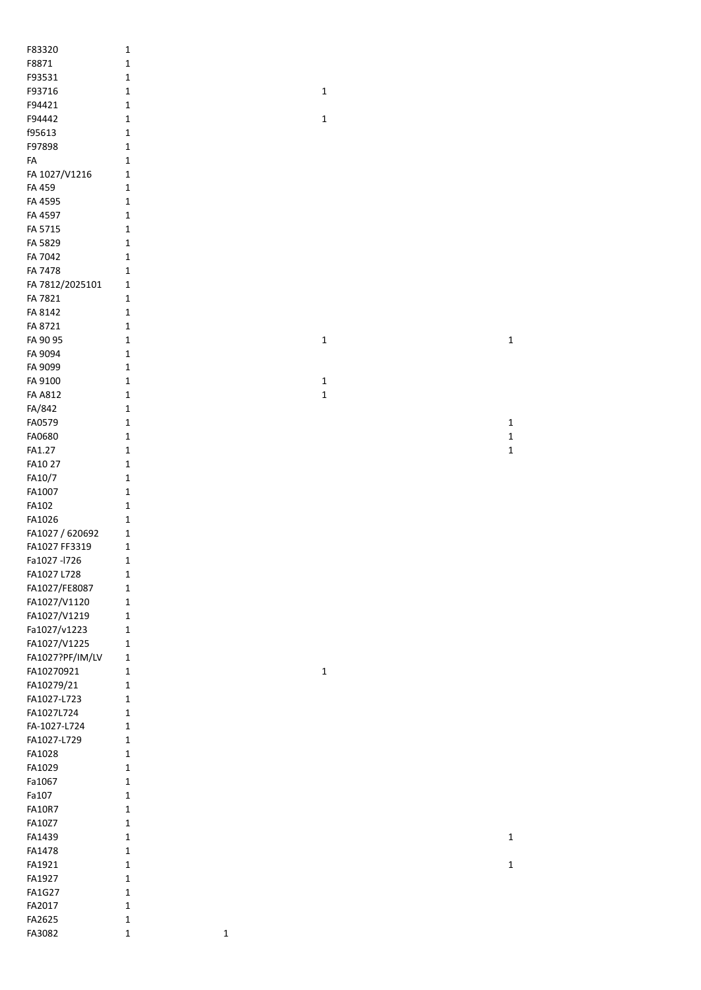| F83320                           | $\mathbf{1}$                |             |             |  |             |
|----------------------------------|-----------------------------|-------------|-------------|--|-------------|
| F8871                            | $\mathbf{1}$                |             |             |  |             |
| F93531                           | $\mathbf{1}$                |             |             |  |             |
| F93716                           | $\mathbf{1}$                |             | $\mathbf 1$ |  |             |
| F94421                           | $\mathbf 1$                 |             |             |  |             |
| F94442                           | $\mathbf 1$                 |             | 1           |  |             |
| f95613                           | $\mathbf 1$                 |             |             |  |             |
| F97898                           | $\mathbf 1$                 |             |             |  |             |
| FA                               | $1\,$                       |             |             |  |             |
| FA 1027/V1216                    | $\mathbf 1$                 |             |             |  |             |
| FA 459                           | $\mathbf 1$                 |             |             |  |             |
| FA 4595                          | $\mathbf 1$                 |             |             |  |             |
| FA 4597                          | $\mathbf 1$                 |             |             |  |             |
| FA 5715                          | $1\,$                       |             |             |  |             |
| FA 5829                          | $\mathbf{1}$                |             |             |  |             |
| FA 7042                          | $\mathbf{1}$                |             |             |  |             |
| FA 7478                          | $\mathbf{1}$                |             |             |  |             |
| FA 7812/2025101                  | $\mathbf{1}$                |             |             |  |             |
| FA 7821                          | $\mathbf{1}$                |             |             |  |             |
| FA 8142                          | 1                           |             |             |  |             |
| FA 8721                          | $\mathbf{1}$                |             |             |  |             |
| FA 90 95                         | $\mathbf{1}$                |             | 1           |  | $\mathbf 1$ |
| FA 9094                          | $\mathbf 1$                 |             |             |  |             |
| FA 9099                          | $\mathbf 1$                 |             |             |  |             |
| FA 9100                          | $\mathbf 1$                 |             | 1           |  |             |
| <b>FA A812</b>                   | $\mathbf{1}$                |             | 1           |  |             |
| FA/842                           | $\mathbf{1}$                |             |             |  |             |
| FA0579                           | $\mathbf{1}$                |             |             |  | $\mathbf 1$ |
| FA0680                           | $\mathbf 1$                 |             |             |  | $\mathbf 1$ |
| FA1.27                           | $\mathbf 1$                 |             |             |  | $\mathbf 1$ |
| FA10 27                          | $\mathbf 1$                 |             |             |  |             |
| FA10/7                           | $\mathbf 1$                 |             |             |  |             |
| FA1007                           | $\mathbf 1$                 |             |             |  |             |
| FA102<br>FA1026                  | $\mathbf 1$                 |             |             |  |             |
|                                  | $\mathbf 1$<br>$\mathbf{1}$ |             |             |  |             |
| FA1027 / 620692<br>FA1027 FF3319 | $\mathbf{1}$                |             |             |  |             |
| Fa1027-l726                      | $\mathbf{1}$                |             |             |  |             |
| FA1027 L728                      | $\mathbf{1}$                |             |             |  |             |
| FA1027/FE8087                    | $\mathbf 1$                 |             |             |  |             |
| FA1027/V1120                     | $\mathbf 1$                 |             |             |  |             |
| FA1027/V1219                     | $\mathbf 1$                 |             |             |  |             |
| Fa1027/v1223                     | $\mathbf 1$                 |             |             |  |             |
| FA1027/V1225                     | $\mathbf{1}$                |             |             |  |             |
| FA1027?PF/IM/LV                  | $\mathbf 1$                 |             |             |  |             |
| FA10270921                       | $\mathbf 1$                 |             | $\mathbf 1$ |  |             |
| FA10279/21                       | $\mathbf 1$                 |             |             |  |             |
| FA1027-L723                      | $\mathbf 1$                 |             |             |  |             |
| FA1027L724                       | $\mathbf 1$                 |             |             |  |             |
| FA-1027-L724                     | $\mathbf{1}$                |             |             |  |             |
| FA1027-L729                      | $\mathbf{1}$                |             |             |  |             |
| FA1028                           | $\mathbf{1}$                |             |             |  |             |
| FA1029                           | $\mathbf 1$                 |             |             |  |             |
| Fa1067                           | $\mathbf 1$                 |             |             |  |             |
| Fa107                            | $\mathbf 1$                 |             |             |  |             |
| <b>FA10R7</b>                    | $\mathbf{1}$                |             |             |  |             |
| FA10Z7                           | $\mathbf 1$                 |             |             |  |             |
| FA1439                           | $\mathbf{1}$                |             |             |  | $\mathbf 1$ |
| FA1478                           | $\mathbf 1$                 |             |             |  |             |
| FA1921                           | $\mathbf 1$                 |             |             |  | $\mathbf 1$ |
| FA1927                           | $\mathbf 1$                 |             |             |  |             |
| <b>FA1G27</b>                    | $\mathbf{1}$                |             |             |  |             |
| FA2017                           | $\mathbf{1}$                |             |             |  |             |
| FA2625                           | $\mathbf{1}$                |             |             |  |             |
| FA3082                           | $\mathbf 1$                 | $\mathbf 1$ |             |  |             |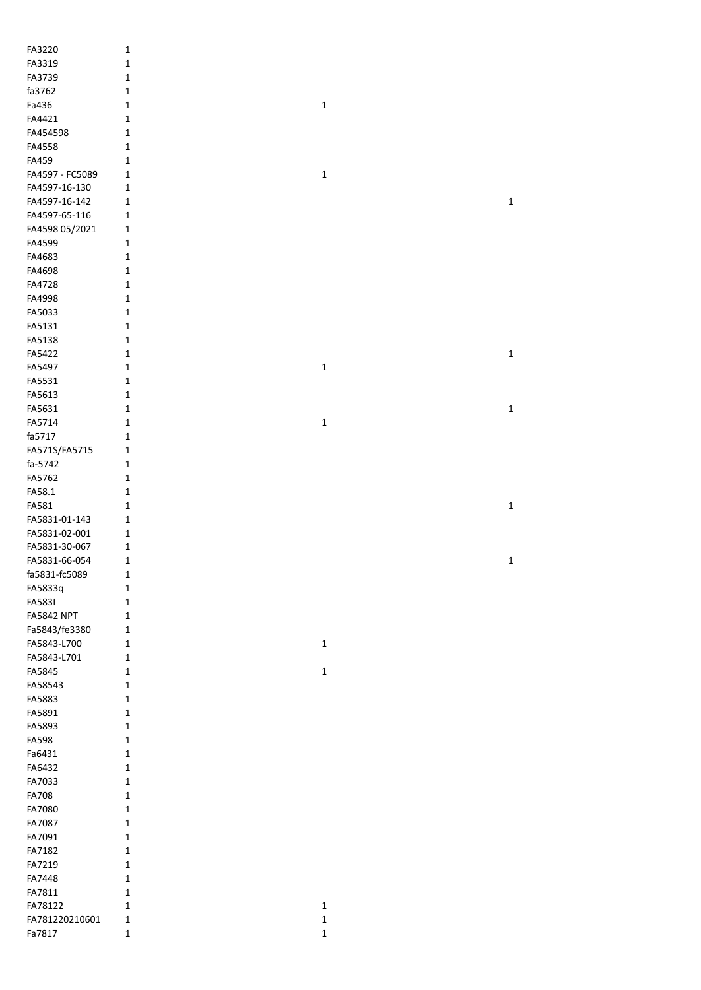| FA3220                   | $\mathbf 1$                |                            |             |
|--------------------------|----------------------------|----------------------------|-------------|
| FA3319                   | $\mathbf 1$                |                            |             |
| FA3739                   | $\mathbf 1$                |                            |             |
| fa3762                   | $\mathbf 1$                |                            |             |
| Fa436                    | $\mathbf 1$                | $\mathbf 1$                |             |
| FA4421                   | $\mathbf 1$                |                            |             |
| FA454598                 | $\mathbf 1$                |                            |             |
| FA4558                   | $\mathbf 1$                |                            |             |
| FA459                    | $\mathbf 1$                |                            |             |
| FA4597 - FC5089          | $\mathbf 1$                | $\mathbf 1$                |             |
| FA4597-16-130            | $\mathbf 1$                |                            |             |
| FA4597-16-142            | 1                          |                            | $\mathbf 1$ |
| FA4597-65-116            | $\mathbf 1$                |                            |             |
| FA4598 05/2021           | $\mathbf 1$                |                            |             |
| FA4599                   | $\mathbf 1$                |                            |             |
| FA4683                   | $\mathbf 1$                |                            |             |
| FA4698                   | 1                          |                            |             |
| FA4728                   | 1                          |                            |             |
| FA4998                   | $\mathbf{1}$               |                            |             |
| FA5033                   | 1                          |                            |             |
| FA5131                   | $\mathbf{1}$               |                            |             |
| FA5138                   | $\mathbf{1}$               |                            |             |
| FA5422                   | $\mathbf 1$                |                            | $\mathbf 1$ |
| FA5497                   | $\mathbf 1$                | $\mathbf 1$                |             |
| FA5531                   | $\mathbf 1$                |                            |             |
| FA5613                   | $\mathbf 1$                |                            |             |
| FA5631                   | $\mathbf 1$                |                            | $\mathbf 1$ |
| FA5714                   | $\mathbf 1$                | $\mathbf 1$                |             |
| fa5717                   | $\mathbf 1$                |                            |             |
| FA571S/FA5715            | 1                          |                            |             |
| fa-5742<br>FA5762        | $\mathbf 1$                |                            |             |
| FA58.1                   | 1<br>$\mathbf 1$           |                            |             |
|                          |                            |                            |             |
|                          |                            |                            |             |
| FA581                    | $\mathbf{1}$               |                            | $\mathbf 1$ |
| FA5831-01-143            | $\mathbf 1$                |                            |             |
| FA5831-02-001            | 1                          |                            |             |
| FA5831-30-067            | 1                          |                            |             |
| FA5831-66-054            | $\mathbf 1$                |                            | 1           |
| fa5831-fc5089            | 1                          |                            |             |
| FA5833q                  | 1                          |                            |             |
| <b>FA583I</b>            | 1                          |                            |             |
| <b>FA5842 NPT</b>        | $\mathbf{1}$               |                            |             |
| Fa5843/fe3380            | $\mathbf 1$                |                            |             |
| FA5843-L700              | 1                          | $\mathbf{1}$               |             |
| FA5843-L701              | $\mathbf{1}$               |                            |             |
| FA5845                   | $\mathbf{1}$               | $\mathbf 1$                |             |
| FA58543                  | $\mathbf{1}$               |                            |             |
| FA5883                   | $\mathbf{1}$               |                            |             |
| FA5891                   | $\mathbf{1}$               |                            |             |
| FA5893                   | $\mathbf 1$<br>$\mathbf 1$ |                            |             |
| <b>FA598</b>             | $\mathbf 1$                |                            |             |
| Fa6431<br>FA6432         | $\mathbf 1$                |                            |             |
| FA7033                   | $\mathbf 1$                |                            |             |
| <b>FA708</b>             | $\mathbf 1$                |                            |             |
| FA7080                   | $\mathbf{1}$               |                            |             |
| FA7087                   | $\mathbf 1$                |                            |             |
| FA7091                   | $\mathbf{1}$               |                            |             |
| FA7182                   | $\mathbf{1}$               |                            |             |
| FA7219                   | $\mathbf{1}$               |                            |             |
| FA7448                   | $\mathbf{1}$               |                            |             |
| FA7811                   | 1                          |                            |             |
| FA78122                  | $\mathbf{1}$               | $\mathbf 1$                |             |
| FA781220210601<br>Fa7817 | $\mathbf 1$<br>$\mathbf 1$ | $\mathbf 1$<br>$\mathbf 1$ |             |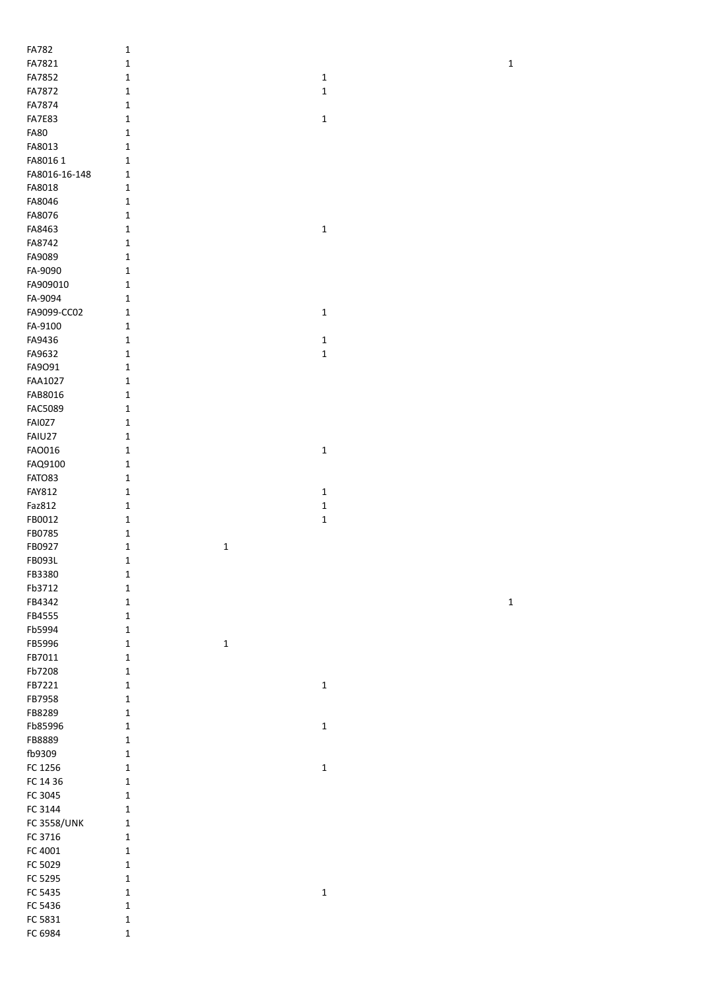| FA782              | $\mathbf 1$  |             |                            |  |             |
|--------------------|--------------|-------------|----------------------------|--|-------------|
| FA7821             | $\mathbf 1$  |             |                            |  | $\mathbf 1$ |
| FA7852             | $\mathbf 1$  |             | $\mathbf 1$                |  |             |
| FA7872             | $\mathbf 1$  |             | $\mathbf 1$                |  |             |
|                    | $\mathbf 1$  |             |                            |  |             |
| FA7874             |              |             |                            |  |             |
| <b>FA7E83</b>      | $\mathbf 1$  |             | $\mathbf 1$                |  |             |
| <b>FA80</b>        | $\mathbf 1$  |             |                            |  |             |
| FA8013             | $\mathbf 1$  |             |                            |  |             |
| FA8016 1           | $\mathbf 1$  |             |                            |  |             |
| FA8016-16-148      | $\mathbf 1$  |             |                            |  |             |
| FA8018             | $\mathbf 1$  |             |                            |  |             |
| FA8046             | $\mathbf 1$  |             |                            |  |             |
| FA8076             | $\mathbf 1$  |             |                            |  |             |
| FA8463             | $\mathbf 1$  |             | $\mathbf 1$                |  |             |
| FA8742             | $\mathbf 1$  |             |                            |  |             |
| FA9089             | $\mathbf 1$  |             |                            |  |             |
| FA-9090            | $\mathbf 1$  |             |                            |  |             |
| FA909010           | $\mathbf{1}$ |             |                            |  |             |
| FA-9094            | $\mathbf 1$  |             |                            |  |             |
| FA9099-CC02        | $\mathbf 1$  |             | $\mathbf 1$                |  |             |
| FA-9100            | $\mathbf 1$  |             |                            |  |             |
| FA9436             | $\mathbf 1$  |             | $\mathbf 1$                |  |             |
| FA9632             | $\mathbf 1$  |             | $\mathbf 1$                |  |             |
| FA9091             | $\mathbf 1$  |             |                            |  |             |
| FAA1027            | $\mathbf 1$  |             |                            |  |             |
| FAB8016            | $\mathbf 1$  |             |                            |  |             |
| FAC5089            | $\mathbf 1$  |             |                            |  |             |
| FAI0Z7             | $\mathbf 1$  |             |                            |  |             |
| FAIU27             | $\mathbf 1$  |             |                            |  |             |
| FAO016             | $\mathbf 1$  |             | $\mathbf 1$                |  |             |
| FAQ9100            | $\mathbf 1$  |             |                            |  |             |
| FATO83             | $\mathbf 1$  |             |                            |  |             |
| <b>FAY812</b>      | $\mathbf 1$  |             | $\mathbf{1}$               |  |             |
|                    | $\mathbf 1$  |             |                            |  |             |
| Faz812             | $\mathbf 1$  |             | $\mathbf 1$<br>$\mathbf 1$ |  |             |
| FB0012             | $\mathbf 1$  |             |                            |  |             |
| FB0785             |              |             |                            |  |             |
| FB0927             | $\mathbf 1$  | $\mathbf 1$ |                            |  |             |
| FB093L             | $\mathbf 1$  |             |                            |  |             |
| FB3380             | $\mathbf 1$  |             |                            |  |             |
| Fb3712             | $\mathbf 1$  |             |                            |  |             |
| FB4342             | $\mathbf 1$  |             |                            |  | $\mathbf 1$ |
| FB4555             | $\mathbf 1$  |             |                            |  |             |
| Fb5994             | $\mathbf 1$  |             |                            |  |             |
| FB5996             | $\mathbf 1$  | $\mathbf 1$ |                            |  |             |
| FB7011             | $\mathbf 1$  |             |                            |  |             |
| Fb7208             | $\mathbf 1$  |             |                            |  |             |
| FB7221             | $\mathbf 1$  |             | $\mathbf 1$                |  |             |
| FB7958             | $\mathbf 1$  |             |                            |  |             |
| FB8289             | $\mathbf 1$  |             |                            |  |             |
| Fb85996            | $\mathbf 1$  |             | $\mathbf 1$                |  |             |
| FB8889             | $\mathbf 1$  |             |                            |  |             |
| fb9309             | $\mathbf 1$  |             |                            |  |             |
| FC 1256            | $\mathbf 1$  |             | $\mathbf 1$                |  |             |
| FC 14 36           | $\mathbf 1$  |             |                            |  |             |
| FC 3045            | $\mathbf 1$  |             |                            |  |             |
| FC 3144            | $\mathbf 1$  |             |                            |  |             |
| <b>FC 3558/UNK</b> | $\mathbf 1$  |             |                            |  |             |
| FC 3716            | $\mathbf 1$  |             |                            |  |             |
| FC 4001            | $\mathbf 1$  |             |                            |  |             |
| FC 5029            | $\mathbf 1$  |             |                            |  |             |
| FC 5295            | $\mathbf 1$  |             |                            |  |             |
| FC 5435            | $\mathbf 1$  |             | $\mathbf 1$                |  |             |
| FC 5436            | $\mathbf 1$  |             |                            |  |             |
| FC 5831            | $\mathbf 1$  |             |                            |  |             |
| FC 6984            | $\mathbf 1$  |             |                            |  |             |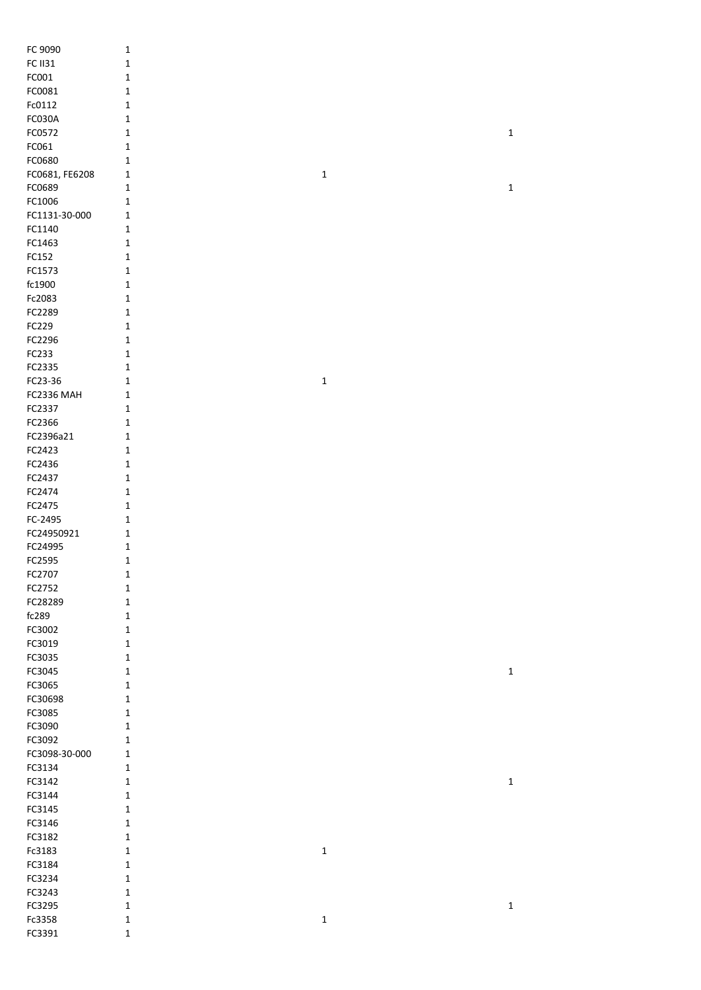| FC 9090           | $\mathbf 1$  |             |             |
|-------------------|--------------|-------------|-------------|
| <b>FC II31</b>    | $\mathbf 1$  |             |             |
| FC001             | $\mathbf 1$  |             |             |
| FC0081            | $\mathbf 1$  |             |             |
| Fc0112            | 1            |             |             |
| <b>FC030A</b>     |              |             |             |
|                   | 1            |             |             |
| FC0572            | 1            |             | $\mathbf 1$ |
| FC061             | $\mathbf 1$  |             |             |
| FC0680            | 1            |             |             |
| FC0681, FE6208    | 1            | $\mathbf 1$ |             |
| FC0689            | 1            |             | $\mathbf 1$ |
| FC1006            | 1            |             |             |
| FC1131-30-000     | $\mathbf 1$  |             |             |
| FC1140            | $\mathbf 1$  |             |             |
| FC1463            | $\mathbf 1$  |             |             |
| FC152             | $\mathbf 1$  |             |             |
| FC1573            | $\mathbf 1$  |             |             |
|                   |              |             |             |
| fc1900            | $\mathbf 1$  |             |             |
| Fc2083            | $\mathbf 1$  |             |             |
| FC2289            | $\mathbf 1$  |             |             |
| FC229             | $\mathbf 1$  |             |             |
| FC2296            | $\mathbf 1$  |             |             |
| FC233             | $\mathbf 1$  |             |             |
| FC2335            | 1            |             |             |
| FC23-36           | 1            | $\mathbf 1$ |             |
| <b>FC2336 MAH</b> | $\mathbf{1}$ |             |             |
| FC2337            | 1            |             |             |
| FC2366            |              |             |             |
|                   | 1            |             |             |
| FC2396a21         | $\mathbf{1}$ |             |             |
| FC2423            | 1            |             |             |
| FC2436            | 1            |             |             |
| FC2437            | $\mathbf 1$  |             |             |
| FC2474            | $\mathbf 1$  |             |             |
| FC2475            | $\mathbf 1$  |             |             |
| FC-2495           | 1            |             |             |
| FC24950921        | 1            |             |             |
| FC24995           | $\mathbf 1$  |             |             |
| FC2595            | $\mathbf 1$  |             |             |
|                   | 1            |             |             |
| FC2707            |              |             |             |
| FC2752            | $\mathbf 1$  |             |             |
| FC28289           | $\mathbf 1$  |             |             |
| fc289             | $\mathbf 1$  |             |             |
| FC3002            | $\mathbf 1$  |             |             |
| FC3019            | $\mathbf 1$  |             |             |
| FC3035            | $\mathbf 1$  |             |             |
| FC3045            | $\mathbf 1$  |             | $\mathbf 1$ |
| FC3065            | $\mathbf 1$  |             |             |
| FC30698           | $\mathbf 1$  |             |             |
| FC3085            | $\mathbf 1$  |             |             |
| FC3090            | $\mathbf 1$  |             |             |
| FC3092            | $\mathbf 1$  |             |             |
|                   |              |             |             |
| FC3098-30-000     | $\mathbf 1$  |             |             |
| FC3134            | $\mathbf 1$  |             |             |
| FC3142            | $\mathbf 1$  |             | $\mathbf 1$ |
| FC3144            | $\mathbf 1$  |             |             |
| FC3145            | $\mathbf 1$  |             |             |
| FC3146            | $\mathbf 1$  |             |             |
| FC3182            | $\mathbf 1$  |             |             |
| Fc3183            | $\mathbf 1$  | $\mathbf 1$ |             |
| FC3184            | $\mathbf 1$  |             |             |
| FC3234            | $\mathbf 1$  |             |             |
| FC3243            | $\mathbf 1$  |             |             |
|                   | $\mathbf 1$  |             |             |
| FC3295            |              |             | $\mathbf 1$ |
| Fc3358            | $\mathbf 1$  | $\mathbf 1$ |             |
| FC3391            | $\mathbf 1$  |             |             |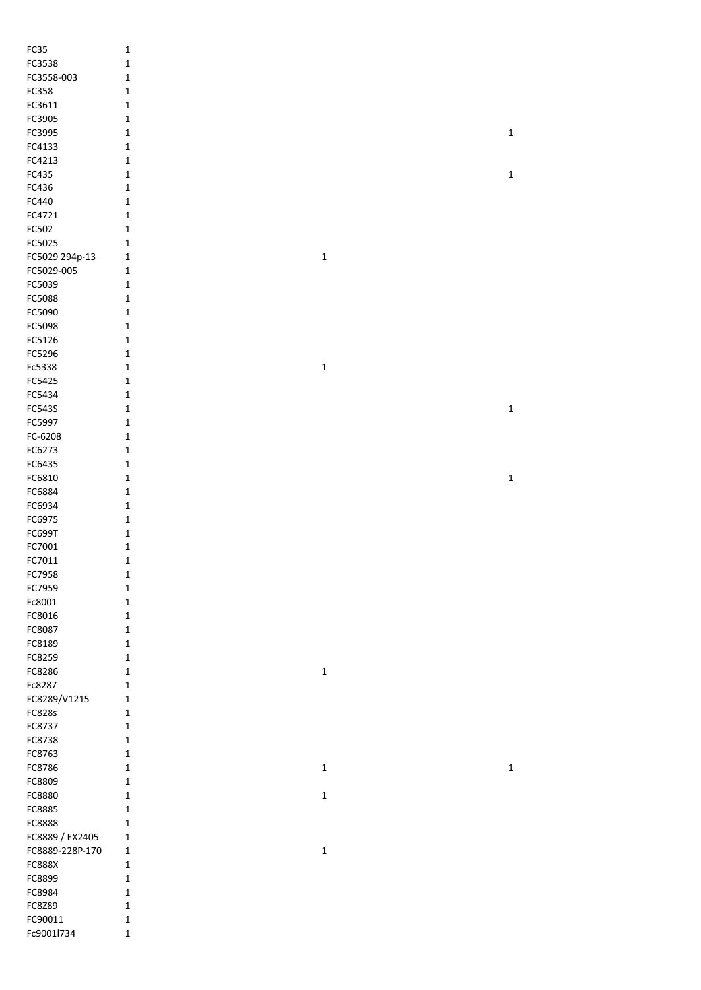| FC35                  | $\mathbf{1}$                |             |  |
|-----------------------|-----------------------------|-------------|--|
| FC3538                | $\mathbf 1$                 |             |  |
| FC3558-003            | $\mathbf{1}$                |             |  |
| FC358                 | $\mathbf{1}$                |             |  |
| FC3611                | $\mathbf{1}$                |             |  |
| FC3905                | $\mathbf 1$                 |             |  |
| FC3995                | $\mathbf 1$                 | $\mathbf 1$ |  |
| FC4133                | $\mathbf{1}$                |             |  |
| FC4213                | $\mathbf 1$                 |             |  |
| FC435                 | $\mathbf 1$                 | $\mathbf 1$ |  |
|                       |                             |             |  |
| FC436                 | $\mathbf 1$                 |             |  |
| FC440                 | $\mathbf 1$                 |             |  |
| FC4721                | $\mathbf 1$                 |             |  |
| FC502                 | $\mathbf 1$                 |             |  |
| FC5025                | $\mathbf 1$                 |             |  |
| FC5029 294p-13        | $\mathbf 1$<br>$\mathbf{1}$ |             |  |
| FC5029-005            | $\mathbf{1}$                |             |  |
| FC5039                | $\mathbf 1$                 |             |  |
| FC5088                | $\mathbf 1$                 |             |  |
| FC5090                | $\mathbf 1$                 |             |  |
| FC5098                | $\mathbf 1$                 |             |  |
| FC5126                | $\mathbf 1$                 |             |  |
| FC5296                | $\mathbf 1$                 |             |  |
| Fc5338                | $\mathbf 1$<br>$\mathbf 1$  |             |  |
| FC5425                | $\mathbf 1$                 |             |  |
| FC5434                | $\mathbf{1}$                |             |  |
| FC543S                | $\mathbf{1}$                | $\mathbf 1$ |  |
| FC5997                | $\mathbf{1}$                |             |  |
| FC-6208               | $\mathbf{1}$                |             |  |
| FC6273                | 1                           |             |  |
| FC6435                | $\mathbf 1$                 |             |  |
| FC6810                | $\mathbf{1}$                | $\mathbf 1$ |  |
| FC6884                | $\mathbf 1$                 |             |  |
| FC6934                | $\mathbf 1$                 |             |  |
| FC6975                | $\mathbf 1$                 |             |  |
| FC699T                | $\mathbf 1$                 |             |  |
| FC7001                | $\mathbf 1$                 |             |  |
| FC7011                | $\mathbf 1$                 |             |  |
| FC7958                |                             |             |  |
|                       |                             |             |  |
|                       | $\mathbf 1$                 |             |  |
| FC7959                | $\mathbf 1$                 |             |  |
| Fc8001                | $\mathbf 1$                 |             |  |
| FC8016                | $\mathbf 1$                 |             |  |
| FC8087                | $\mathbf 1$                 |             |  |
| FC8189                | $\mathbf 1$                 |             |  |
| FC8259                | $\mathbf{1}$                |             |  |
| FC8286                | $\mathbf{1}$<br>$\mathbf 1$ |             |  |
| Fc8287                | $\mathbf{1}$                |             |  |
| FC8289/V1215          | 1                           |             |  |
| FC828s                | 1                           |             |  |
| FC8737                | $\mathbf{1}$                |             |  |
| FC8738                | $\mathbf{1}$                |             |  |
| FC8763                | $\mathbf{1}$                |             |  |
| FC8786                | $\mathbf{1}$<br>$\mathbf 1$ | $\mathbf 1$ |  |
| FC8809                | 1                           |             |  |
| FC8880                | $\mathbf 1$<br>1            |             |  |
| FC8885                | $\mathbf{1}$                |             |  |
| FC8888                | $\mathbf{1}$                |             |  |
| FC8889 / EX2405       | $\mathbf{1}$                |             |  |
| FC8889-228P-170       | $\mathbf{1}$<br>$\mathbf 1$ |             |  |
| <b>FC888X</b>         | $\mathbf{1}$                |             |  |
| FC8899                | $\mathbf 1$                 |             |  |
| FC8984                | $\mathbf 1$                 |             |  |
| FC8Z89                | $\mathbf 1$                 |             |  |
| FC90011<br>Fc9001l734 | $\mathbf 1$                 |             |  |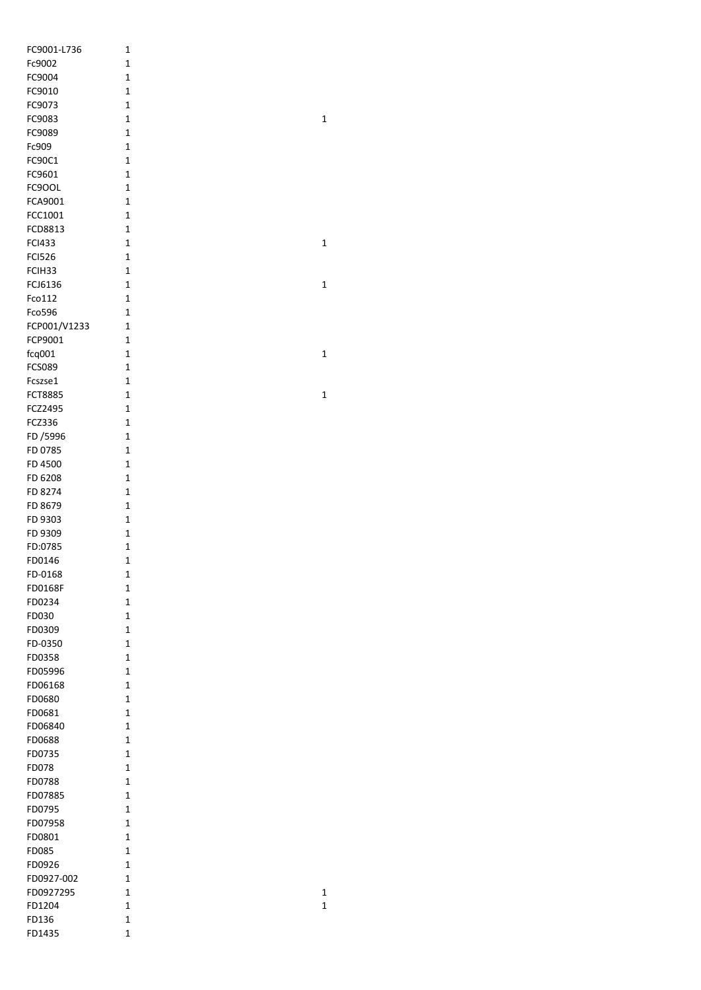| FC9001-L736    | 1            |  |
|----------------|--------------|--|
| Fc9002         | 1            |  |
| FC9004         | 1            |  |
| FC9010         | $\mathbf 1$  |  |
| FC9073         | $\mathbf 1$  |  |
|                |              |  |
| FC9083         | $\mathbf 1$  |  |
| FC9089         | 1            |  |
| Fc909          | 1            |  |
| FC90C1         | 1            |  |
| FC9601         | $\mathbf{1}$ |  |
| FC9OOL         | $\mathbf{1}$ |  |
| FCA9001        | 1            |  |
|                |              |  |
| FCC1001        | 1            |  |
| FCD8813        | 1            |  |
| <b>FCI433</b>  | 1            |  |
| <b>FCI526</b>  | $\mathbf{1}$ |  |
| FCIH33         | $\mathbf 1$  |  |
| FCJ6136        | 1            |  |
| Fco112         | 1            |  |
|                |              |  |
| Fco596         | 1            |  |
| FCP001/V1233   | 1            |  |
| FCP9001        | 1            |  |
| fcq001         | $\mathbf 1$  |  |
| <b>FCS089</b>  | 1            |  |
| Fcszse1        | 1            |  |
| <b>FCT8885</b> | 1            |  |
|                | 1            |  |
| FCZ2495        |              |  |
| FCZ336         | $\mathbf 1$  |  |
| FD /5996       | $\mathbf 1$  |  |
| FD 0785        | 1            |  |
| FD 4500        | 1            |  |
| FD 6208        | 1            |  |
| FD 8274        | 1            |  |
|                | 1            |  |
| FD 8679        |              |  |
| FD 9303        | $\mathbf 1$  |  |
| FD 9309        | 1            |  |
| FD:0785        | 1            |  |
| FD0146         | 1            |  |
| FD-0168        | 1            |  |
| <b>FD0168F</b> | $\mathbf 1$  |  |
| FD0234         | $\mathbf 1$  |  |
| FD030          | 1            |  |
|                |              |  |
| FD0309         | 1            |  |
| FD-0350        | 1            |  |
| FD0358         | 1            |  |
| FD05996        | 1            |  |
| FD06168        | $\mathbf 1$  |  |
| FD0680         | 1            |  |
| FD0681         | 1            |  |
| FD06840        | 1            |  |
|                |              |  |
| FD0688         | 1            |  |
| FD0735         | 1            |  |
| FD078          | 1            |  |
| FD0788         | 1            |  |
| FD07885        | 1            |  |
| FD0795         | 1            |  |
| FD07958        | 1            |  |
| FD0801         | 1            |  |
|                | 1            |  |
| <b>FD085</b>   |              |  |
| FD0926         | 1            |  |
| FD0927-002     | 1            |  |
| FD0927295      | 1            |  |
| FD1204         | $\mathbf 1$  |  |
| FD136          | $\mathbf 1$  |  |
| FD1435         | $\mathbf 1$  |  |
|                |              |  |

1

1

1

1

1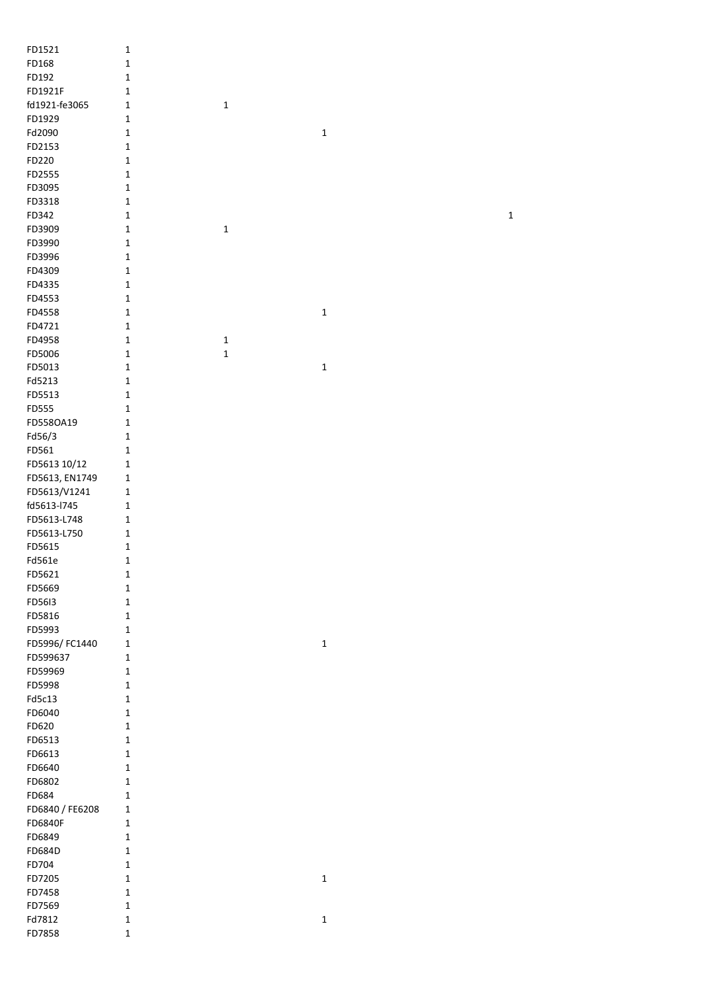| FD1521          | $\mathbf 1$  |             |             |  |             |
|-----------------|--------------|-------------|-------------|--|-------------|
| FD168           | $\mathbf 1$  |             |             |  |             |
| FD192           | $\mathbf 1$  |             |             |  |             |
| FD1921F         | $\mathbf 1$  |             |             |  |             |
| fd1921-fe3065   | $\mathbf 1$  | $\mathbf 1$ |             |  |             |
| FD1929          | $\mathbf 1$  |             |             |  |             |
| Fd2090          | $\mathbf 1$  |             | $\mathbf 1$ |  |             |
| FD2153          |              |             |             |  |             |
|                 | $\mathbf 1$  |             |             |  |             |
| FD220           | $\mathbf 1$  |             |             |  |             |
| FD2555          | $\mathbf 1$  |             |             |  |             |
| FD3095          | $\mathbf 1$  |             |             |  |             |
| FD3318          | $\mathbf 1$  |             |             |  |             |
| FD342           | $\mathbf 1$  |             |             |  | $\mathbf 1$ |
| FD3909          | $\mathbf{1}$ | $\mathbf 1$ |             |  |             |
| FD3990          | $\mathbf 1$  |             |             |  |             |
| FD3996          | $\mathbf 1$  |             |             |  |             |
| FD4309          | $\mathbf 1$  |             |             |  |             |
| FD4335          | $\mathbf{1}$ |             |             |  |             |
| FD4553          | $\mathbf 1$  |             |             |  |             |
| FD4558          | $\mathbf{1}$ |             | $\mathbf 1$ |  |             |
| FD4721          | $\mathbf 1$  |             |             |  |             |
| FD4958          | $\mathbf 1$  | $\mathbf 1$ |             |  |             |
| FD5006          | $\mathbf 1$  | $\mathbf 1$ |             |  |             |
| FD5013          | $\mathbf 1$  |             | $\mathbf 1$ |  |             |
| Fd5213          | $\mathbf 1$  |             |             |  |             |
| FD5513          | $\mathbf 1$  |             |             |  |             |
| FD555           | $\mathbf 1$  |             |             |  |             |
| FD558OA19       | $\mathbf 1$  |             |             |  |             |
| Fd56/3          | $\mathbf 1$  |             |             |  |             |
| FD561           | $\mathbf 1$  |             |             |  |             |
| FD5613 10/12    | $\mathbf 1$  |             |             |  |             |
| FD5613, EN1749  | $\mathbf 1$  |             |             |  |             |
| FD5613/V1241    | $\mathbf 1$  |             |             |  |             |
| fd5613-l745     | $\mathbf 1$  |             |             |  |             |
| FD5613-L748     | $\mathbf 1$  |             |             |  |             |
| FD5613-L750     | $\mathbf 1$  |             |             |  |             |
| FD5615          | $\mathbf 1$  |             |             |  |             |
| Fd561e          | $\mathbf{1}$ |             |             |  |             |
| FD5621          | $\mathbf{1}$ |             |             |  |             |
| FD5669          | $\mathbf 1$  |             |             |  |             |
| FD5613          | $\mathbf 1$  |             |             |  |             |
| FD5816          | $\mathbf 1$  |             |             |  |             |
| FD5993          | $\mathbf 1$  |             |             |  |             |
| FD5996/FC1440   | $\mathbf 1$  |             | $\mathbf 1$ |  |             |
| FD599637        | $\mathbf 1$  |             |             |  |             |
| FD59969         | $\mathbf 1$  |             |             |  |             |
| FD5998          | $\mathbf 1$  |             |             |  |             |
| Fd5c13          | $\mathbf 1$  |             |             |  |             |
| FD6040          | $\mathbf 1$  |             |             |  |             |
| FD620           | $\mathbf 1$  |             |             |  |             |
| FD6513          | $\mathbf 1$  |             |             |  |             |
| FD6613          | $\mathbf 1$  |             |             |  |             |
| FD6640          | $\mathbf 1$  |             |             |  |             |
| FD6802          | $\mathbf 1$  |             |             |  |             |
| FD684           | $\mathbf 1$  |             |             |  |             |
| FD6840 / FE6208 | $\mathbf 1$  |             |             |  |             |
| FD6840F         | $\mathbf 1$  |             |             |  |             |
| FD6849          | $\mathbf 1$  |             |             |  |             |
| FD684D          | $\mathbf 1$  |             |             |  |             |
| FD704           | $\mathbf 1$  |             |             |  |             |
| FD7205          | $\mathbf 1$  |             | $\mathbf 1$ |  |             |
| FD7458          | $\mathbf 1$  |             |             |  |             |
| FD7569          | $\mathbf{1}$ |             |             |  |             |
| Fd7812          | $\mathbf{1}$ |             | $\mathbf 1$ |  |             |
| FD7858          | $\mathbf 1$  |             |             |  |             |
|                 |              |             |             |  |             |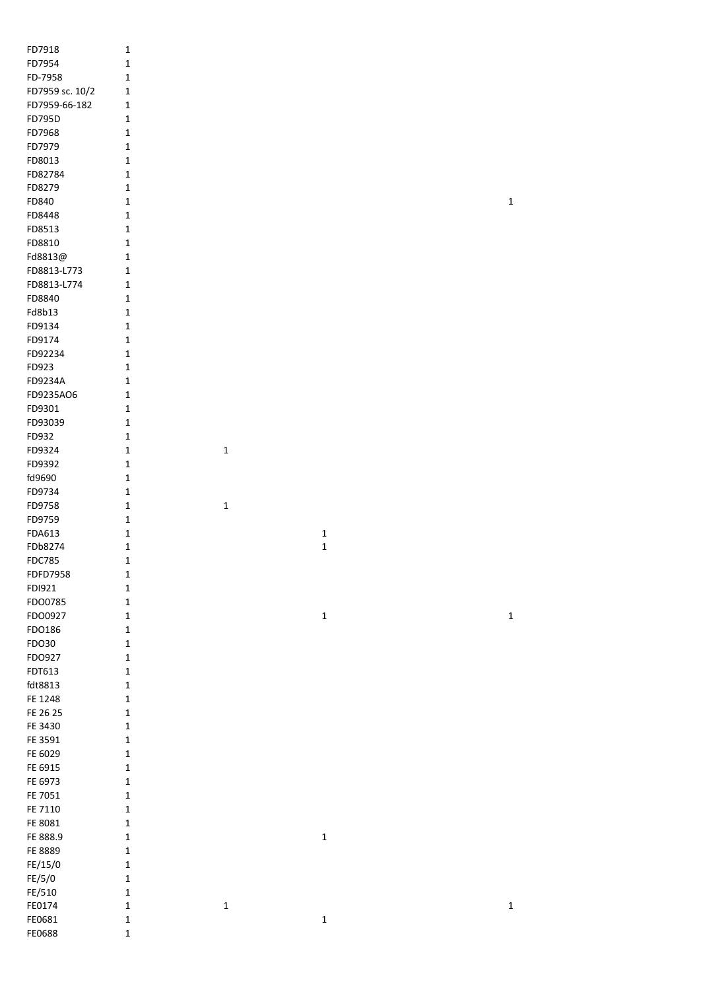| FD7918          | $\mathbf{1}$ |              |             |             |
|-----------------|--------------|--------------|-------------|-------------|
| FD7954          | 1            |              |             |             |
| FD-7958         | 1            |              |             |             |
| FD7959 sc. 10/2 | 1            |              |             |             |
| FD7959-66-182   | 1            |              |             |             |
| FD795D          | $\mathbf{1}$ |              |             |             |
| FD7968          | $\mathbf{1}$ |              |             |             |
| FD7979          |              |              |             |             |
|                 | $\mathbf{1}$ |              |             |             |
| FD8013          | $\mathbf{1}$ |              |             |             |
| FD82784         | $\mathbf{1}$ |              |             |             |
| FD8279          | $\mathbf{1}$ |              |             |             |
| FD840           | $\mathbf{1}$ |              |             | $\mathbf 1$ |
| FD8448          | $\mathbf{1}$ |              |             |             |
| FD8513          | $\mathbf{1}$ |              |             |             |
| FD8810          | $\mathbf 1$  |              |             |             |
| Fd8813@         | 1            |              |             |             |
| FD8813-L773     | 1            |              |             |             |
| FD8813-L774     | 1            |              |             |             |
| FD8840          | $\mathbf{1}$ |              |             |             |
| Fd8b13          | $\mathbf{1}$ |              |             |             |
| FD9134          | 1            |              |             |             |
| FD9174          | 1            |              |             |             |
| FD92234         | 1            |              |             |             |
| FD923           | 1            |              |             |             |
| FD9234A         | 1            |              |             |             |
| FD9235AO6       | 1            |              |             |             |
| FD9301          | 1            |              |             |             |
| FD93039         | 1            |              |             |             |
| FD932           | 1            |              |             |             |
| FD9324          | $\mathbf{1}$ | $\mathbf 1$  |             |             |
| FD9392          | $\mathbf{1}$ |              |             |             |
| fd9690          | $\mathbf{1}$ |              |             |             |
| FD9734          | $\mathbf{1}$ |              |             |             |
|                 |              |              |             |             |
| FD9758          | $\mathbf{1}$ | $\mathbf{1}$ |             |             |
| FD9759          | $\mathbf{1}$ |              |             |             |
| FDA613          | $\mathbf{1}$ |              | $\mathbf 1$ |             |
| FDb8274         | $\mathbf{1}$ |              | $\mathbf 1$ |             |
| <b>FDC785</b>   | $\mathbf{1}$ |              |             |             |
| FDFD7958        | $\mathbf 1$  |              |             |             |
| FDI921          | $\mathbf{1}$ |              |             |             |
| FDO0785         | $\mathbf 1$  |              |             |             |
| FDO0927         | $\mathbf 1$  |              | $\mathbf 1$ | $\mathbf 1$ |
| FDO186          | $\mathbf 1$  |              |             |             |
| FDO30           | $\mathbf 1$  |              |             |             |
| FDO927          | $\mathbf 1$  |              |             |             |
| FDT613          | $\mathbf 1$  |              |             |             |
| fdt8813         | $\mathbf 1$  |              |             |             |
| FE 1248         | $\mathbf{1}$ |              |             |             |
| FE 26 25        | $\mathbf{1}$ |              |             |             |
| FE 3430         | $\mathbf{1}$ |              |             |             |
| FE 3591         | $\mathbf 1$  |              |             |             |
| FE 6029         | $\mathbf 1$  |              |             |             |
| FE 6915         | $\mathbf 1$  |              |             |             |
| FE 6973         | $\mathbf 1$  |              |             |             |
| FE 7051         | $\mathbf 1$  |              |             |             |
| FE 7110         | $\mathbf 1$  |              |             |             |
| FE 8081         | $\mathbf 1$  |              |             |             |
| FE 888.9        | $\mathbf 1$  |              | $\mathbf 1$ |             |
| FE 8889         | $\mathbf 1$  |              |             |             |
| FE/15/0         | $\mathbf 1$  |              |             |             |
| FE/5/0          | $\mathbf 1$  |              |             |             |
| FE/510          | $\mathbf 1$  |              |             |             |
| FE0174          | $\mathbf 1$  | $\mathbf 1$  |             | $\mathbf 1$ |
| FE0681          | $\mathbf 1$  |              | $\mathbf 1$ |             |
| FE0688          | $\mathbf 1$  |              |             |             |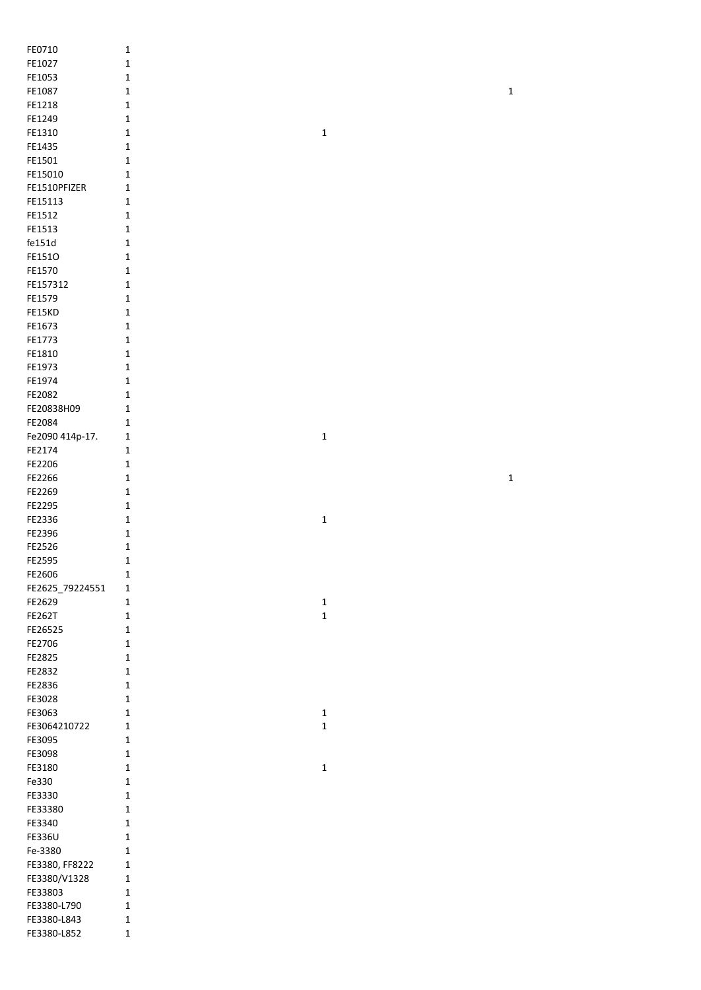| FE0710          | $\mathbf{1}$ |             |             |
|-----------------|--------------|-------------|-------------|
| FE1027          | $\mathbf{1}$ |             |             |
| FE1053          | $\mathbf{1}$ |             |             |
| FE1087          | 1            |             | $\mathbf 1$ |
| FE1218          | 1            |             |             |
| FE1249          | 1            |             |             |
| FE1310          |              |             |             |
|                 | 1            | $\mathbf 1$ |             |
| FE1435          | 1            |             |             |
| FE1501          | 1            |             |             |
| FE15010         | 1            |             |             |
| FE1510PFIZER    | 1            |             |             |
| FE15113         | $\mathbf 1$  |             |             |
| FE1512          | $\mathbf 1$  |             |             |
| FE1513          | $\mathbf 1$  |             |             |
| fe151d          | $\mathbf 1$  |             |             |
| FE1510          | $\mathbf 1$  |             |             |
| FE1570          | $\mathbf{1}$ |             |             |
| FE157312        | $\mathbf 1$  |             |             |
| FE1579          | $\mathbf 1$  |             |             |
|                 |              |             |             |
| FE15KD          | $\mathbf 1$  |             |             |
| FE1673          | $\mathbf{1}$ |             |             |
| FE1773          | 1            |             |             |
| FE1810          | $\mathbf 1$  |             |             |
| FE1973          | 1            |             |             |
| FE1974          | 1            |             |             |
| FE2082          | $\mathbf{1}$ |             |             |
| FE20838H09      | 1            |             |             |
| FE2084          | 1            |             |             |
| Fe2090 414p-17. | 1            | $\mathbf 1$ |             |
| FE2174          | 1            |             |             |
| FE2206          |              |             |             |
|                 | $\mathbf 1$  |             |             |
| FE2266          | $\mathbf 1$  |             | $\mathbf 1$ |
|                 |              |             |             |
| FE2269          | 1            |             |             |
| FE2295          | $\mathbf{1}$ |             |             |
| FE2336          | $\mathbf{1}$ | $\mathbf 1$ |             |
| FE2396          | $\mathbf 1$  |             |             |
| FE2526          | $\mathbf 1$  |             |             |
| FE2595          | $\mathbf 1$  |             |             |
|                 | 1            |             |             |
| FE2606          |              |             |             |
| FE2625_79224551 | 1            |             |             |
| FE2629          | $\mathbf{1}$ | $\mathbf 1$ |             |
| <b>FE262T</b>   | $\mathbf 1$  | $\mathbf 1$ |             |
| FE26525         | $\mathbf 1$  |             |             |
| FE2706          | $\mathbf{1}$ |             |             |
| FE2825          | 1            |             |             |
| FE2832          | 1            |             |             |
| FE2836          | 1            |             |             |
| FE3028          | 1            |             |             |
| FE3063          | 1            | $\mathbf 1$ |             |
| FE3064210722    | $\mathbf 1$  | $\mathbf 1$ |             |
| FE3095          | 1            |             |             |
| FE3098          | $\mathbf{1}$ |             |             |
|                 | 1            |             |             |
| FE3180          |              | $\mathbf 1$ |             |
| Fe330           | 1            |             |             |
| FE3330          | 1            |             |             |
| FE33380         | $\mathbf{1}$ |             |             |
| FE3340          | $\mathbf{1}$ |             |             |
| FE336U          | $\mathbf{1}$ |             |             |
| Fe-3380         | $\mathbf{1}$ |             |             |
| FE3380, FF8222  | $\mathbf 1$  |             |             |
| FE3380/V1328    | $\mathbf 1$  |             |             |
| FE33803         | $\mathbf{1}$ |             |             |
| FE3380-L790     | $\mathbf 1$  |             |             |
| FE3380-L843     | $\mathbf 1$  |             |             |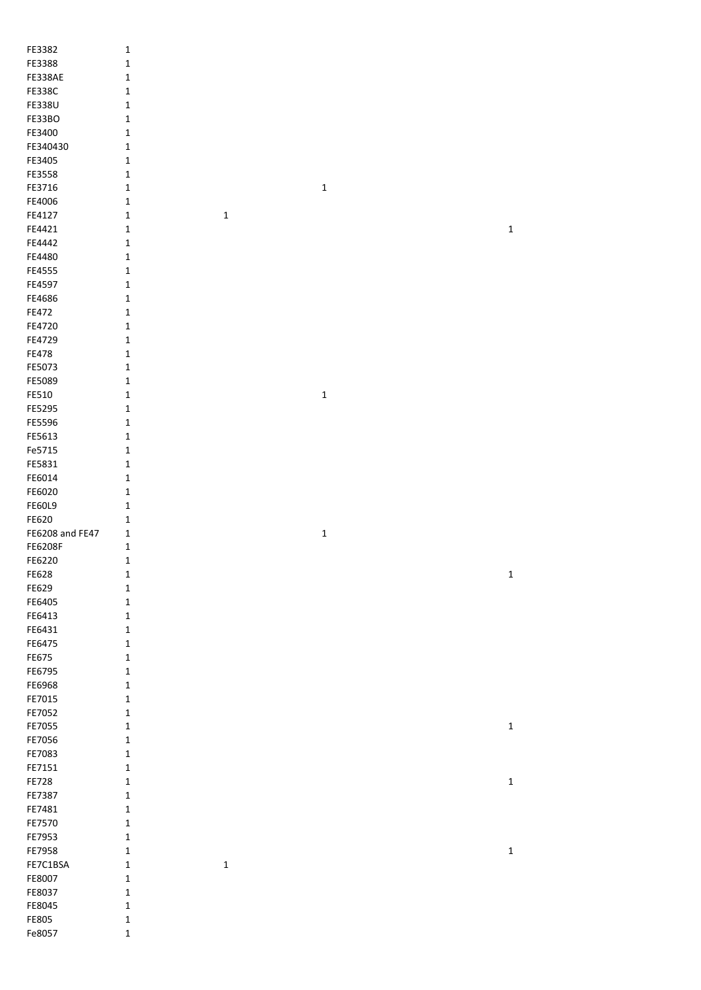| FE3382          | $\mathbf 1$                |             |             |             |
|-----------------|----------------------------|-------------|-------------|-------------|
| FE3388          | $\mathbf 1$                |             |             |             |
| FE338AE         | 1                          |             |             |             |
| <b>FE338C</b>   | $\mathbf 1$                |             |             |             |
| <b>FE338U</b>   | $\mathbf 1$                |             |             |             |
| FE33BO          | $\mathbf 1$                |             |             |             |
| FE3400          | $\mathbf 1$                |             |             |             |
| FE340430        | $\mathbf 1$                |             |             |             |
| FE3405          | $\mathbf 1$                |             |             |             |
| FE3558          | $\mathbf 1$                |             |             |             |
| FE3716          | $\mathbf 1$                |             | $\mathbf 1$ |             |
| FE4006          | $\mathbf 1$                |             |             |             |
| FE4127          | $\mathbf 1$                | $\mathbf 1$ |             |             |
| FE4421          | $\mathbf 1$                |             |             | $\mathbf 1$ |
| FE4442          | $\mathbf 1$                |             |             |             |
| FE4480          | $\mathbf 1$                |             |             |             |
| FE4555          | $\mathbf 1$                |             |             |             |
| FE4597          | $\mathbf 1$                |             |             |             |
| FE4686          | $\mathbf 1$                |             |             |             |
| FE472           | $\mathbf 1$                |             |             |             |
| FE4720          | $\mathbf 1$                |             |             |             |
| FE4729          |                            |             |             |             |
| FE478           | $\mathbf 1$<br>$\mathbf 1$ |             |             |             |
|                 |                            |             |             |             |
| FE5073          | $\mathbf 1$                |             |             |             |
| FE5089          | $\mathbf 1$                |             |             |             |
| FE510           | $\mathbf 1$                |             | $\mathbf 1$ |             |
| FE5295          | $1\,$                      |             |             |             |
| FE5596          | $\mathbf 1$                |             |             |             |
| FE5613          | $\mathbf 1$                |             |             |             |
| Fe5715          | $\mathbf 1$                |             |             |             |
| FE5831          | $\mathbf 1$                |             |             |             |
| FE6014          | $\mathbf 1$                |             |             |             |
| FE6020          | $1\,$                      |             |             |             |
| <b>FE60L9</b>   | $\mathbf 1$                |             |             |             |
| FE620           | $1\,$                      |             |             |             |
| FE6208 and FE47 | $\mathbf{1}$               |             | $\mathbf 1$ |             |
| <b>FE6208F</b>  | $\mathbf 1$                |             |             |             |
| FE6220          | $\mathbf 1$                |             |             |             |
| FE628           | $\mathbf 1$                |             |             | $\mathbf 1$ |
| FE629           | $\mathbf 1$                |             |             |             |
| FE6405          | $\mathbf 1$                |             |             |             |
| FE6413          | $\mathbf 1$                |             |             |             |
| FE6431          | $\mathbf{1}$               |             |             |             |
| FE6475          | $\mathbf 1$                |             |             |             |
| FE675           | $\mathbf 1$                |             |             |             |
| FE6795          | $\mathbf 1$                |             |             |             |
| FE6968          | $\mathbf 1$                |             |             |             |
| FE7015          | $\mathbf 1$                |             |             |             |
| FE7052          | $\mathbf 1$                |             |             |             |
| FE7055          | $\mathbf 1$                |             |             | $\mathbf 1$ |
| FE7056          | $\mathbf 1$                |             |             |             |
| FE7083          | $1\,$                      |             |             |             |
| FE7151          | $\mathbf 1$                |             |             |             |
| FE728           | $\mathbf{1}$               |             |             | $\mathbf 1$ |
| FE7387          | $\mathbf 1$                |             |             |             |
| FE7481          | $\mathbf 1$                |             |             |             |
| FE7570          | $\mathbf 1$                |             |             |             |
| FE7953          | $1\,$                      |             |             |             |
| FE7958          | $\mathbf 1$                |             |             | $\mathbf 1$ |
| FE7C1BSA        | $\mathbf 1$                | $\mathbf 1$ |             |             |
| FE8007          | $\mathbf 1$                |             |             |             |
| FE8037          | $\mathbf 1$                |             |             |             |
| FE8045          | $\mathbf 1$                |             |             |             |
| FE805           | $\mathbf 1$                |             |             |             |

Fe8057 1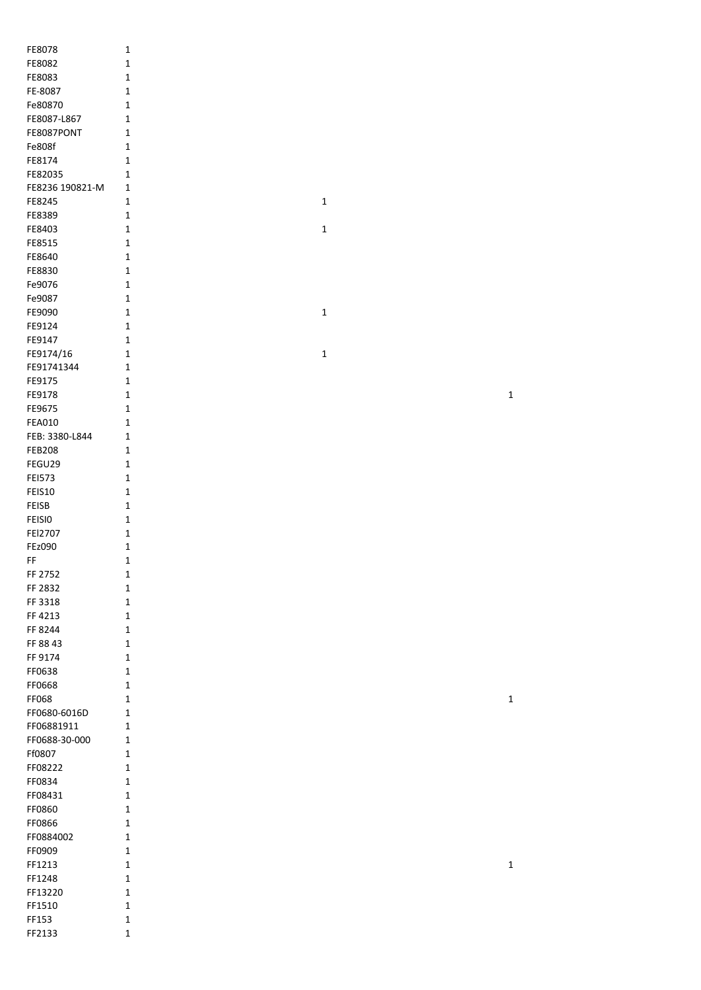| FE8078                        | 1              |
|-------------------------------|----------------|
| FE8082                        | 1              |
| FE8083                        | 1              |
| FE-8087<br>Fe80870            | 1<br>1         |
| FE8087-L867                   | 1              |
| FE8087PONT                    | 1              |
| Fe808f                        | 1              |
| FE8174                        | 1              |
| FE82035                       | 1              |
| FE8236 190821-M               | 1              |
| FE8245                        | 1              |
| FE8389                        | 1              |
| FE8403<br>FE8515              | 1<br>1         |
| FE8640                        | 1              |
| FE8830                        | 1              |
| Fe9076                        | 1              |
| Fe9087                        | 1              |
| FE9090                        | 1              |
| FE9124                        | 1              |
| FE9147                        | 1              |
| FE9174/16<br>FE91741344       | 1<br>1         |
| FE9175                        | 1              |
| FE9178                        | 1              |
| FE9675                        | 1              |
| <b>FEA010</b>                 | 1              |
| FEB: 3380-L844                | 1              |
| <b>FEB208</b>                 | 1              |
| FEGU29                        | 1              |
| <b>FEI573</b>                 | 1              |
| <b>FEIS10</b>                 | 1              |
| <b>FEISB</b><br><b>FEISIO</b> | 1<br>1         |
| FEI2707                       | 1              |
| <b>FEz090</b>                 | 1              |
| FF                            | 1              |
| FF 2752                       | 1              |
| FF 2832                       | 1              |
| FF 3318                       | 1              |
| FF 4213                       | 1              |
| FF 8244<br>FF 88 43           | 1<br>1         |
| FF 9174                       | 1              |
| FF0638                        | 1              |
| FF0668                        | 1              |
| FF068                         | $\overline{1}$ |
| FF0680-6016D                  | 1              |
| FF06881911                    | 1              |
| FF0688-30-000                 | 1              |
| Ff0807                        | 1              |
| FF08222<br>FF0834             | 1<br>1         |
| FF08431                       | 1              |
| FF0860                        | 1              |
| <b>FF0866</b>                 | 1              |
| FF0884002                     | 1              |
| FF0909                        | 1              |
| FF1213                        | 1              |
| FF1248                        | 1              |
| FF13220<br>FF1510             | 1<br>1         |
| FF153                         | 1              |
| FF2133                        | 1              |

 $\mathbf 1$ 

 $\mathbf{1}$ 

 $\mathbf 1$ 

 $\mathbf{1}$ 

 $\mathbf{1}$ 

 $\mathbf 1$ 

 $\mathbf{1}$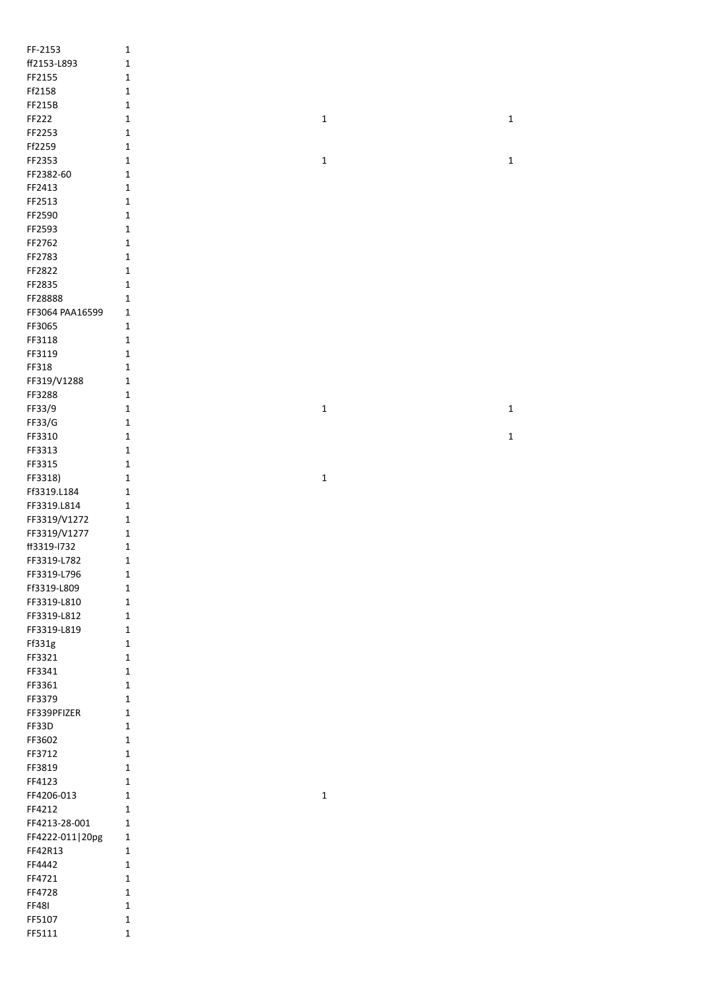| FF-2153           | $\mathbf 1$  |             |             |
|-------------------|--------------|-------------|-------------|
| ff2153-L893       | $\mathbf 1$  |             |             |
| FF2155            | $\mathbf 1$  |             |             |
| Ff2158            | $\mathbf 1$  |             |             |
| FF215B            | $\mathbf 1$  |             |             |
| FF222             | $\mathbf 1$  | $\mathbf 1$ | $\mathbf 1$ |
|                   |              |             |             |
| FF2253            | $\mathbf 1$  |             |             |
| Ff2259            | $\mathbf 1$  |             |             |
| FF2353            | $\mathbf 1$  | $\mathbf 1$ | $\mathbf 1$ |
| FF2382-60         | $\mathbf 1$  |             |             |
| FF2413            | $\mathbf 1$  |             |             |
| FF2513            | $\mathbf 1$  |             |             |
| FF2590            | $\mathbf 1$  |             |             |
| FF2593            | $\mathbf 1$  |             |             |
| FF2762            | $\mathbf 1$  |             |             |
| FF2783            | $\mathbf 1$  |             |             |
| FF2822            | $\mathbf 1$  |             |             |
| FF2835            | $\mathbf 1$  |             |             |
| FF28888           | $\mathbf{1}$ |             |             |
| FF3064 PAA16599   | $\mathbf 1$  |             |             |
| FF3065            | $\mathbf 1$  |             |             |
| FF3118            | $\mathbf 1$  |             |             |
| FF3119            | $\mathbf 1$  |             |             |
| FF318             | $\mathbf{1}$ |             |             |
| FF319/V1288       | $\mathbf 1$  |             |             |
| FF3288            | $\mathbf 1$  |             |             |
| FF33/9            | $\mathbf 1$  | $\mathbf 1$ | $\mathbf 1$ |
| FF33/G            | $\mathbf 1$  |             |             |
| FF3310            | $\mathbf 1$  |             | $\mathbf 1$ |
| FF3313            | $\mathbf{1}$ |             |             |
| FF3315            | $\mathbf{1}$ |             |             |
| FF3318)           | $\mathbf 1$  | $\mathbf 1$ |             |
| Ff3319.L184       | $\mathbf 1$  |             |             |
| FF3319.L814       | $\mathbf 1$  |             |             |
| FF3319/V1272      | $\mathbf 1$  |             |             |
| FF3319/V1277      | $\mathbf 1$  |             |             |
| ff3319-l732       | $\mathbf 1$  |             |             |
| FF3319-L782       | $\mathbf 1$  |             |             |
|                   |              |             |             |
| FF3319-L796       | 1            |             |             |
| Ff3319-L809       | $\mathbf 1$  |             |             |
| FF3319-L810       | $\mathbf{1}$ |             |             |
| FF3319-L812       | $\mathbf{1}$ |             |             |
| FF3319-L819       | $\mathbf{1}$ |             |             |
| Ff331g            | $\mathbf 1$  |             |             |
| FF3321            | $\mathbf 1$  |             |             |
| FF3341            | $\mathbf 1$  |             |             |
| FF3361            | $\mathbf 1$  |             |             |
| FF3379            | $\mathbf{1}$ |             |             |
| FF339PFIZER       | $\mathbf{1}$ |             |             |
| FF33D             | $\mathbf{1}$ |             |             |
| FF3602            | $\mathbf{1}$ |             |             |
| FF3712            | $\mathbf{1}$ |             |             |
| FF3819            |              |             |             |
|                   | $\mathbf{1}$ |             |             |
| FF4123            | $\mathbf{1}$ |             |             |
| FF4206-013        | $\mathbf{1}$ | $\mathbf 1$ |             |
| FF4212            | $\mathbf{1}$ |             |             |
| FF4213-28-001     | $\mathbf{1}$ |             |             |
| FF4222-011   20pg | $\mathbf{1}$ |             |             |
| FF42R13           | $\mathbf{1}$ |             |             |
| FF4442            | $\mathbf{1}$ |             |             |
| FF4721            | $\mathbf{1}$ |             |             |
| FF4728            | $\mathbf{1}$ |             |             |
| <b>FF481</b>      | $\mathbf 1$  |             |             |
| FF5107            | $\mathbf 1$  |             |             |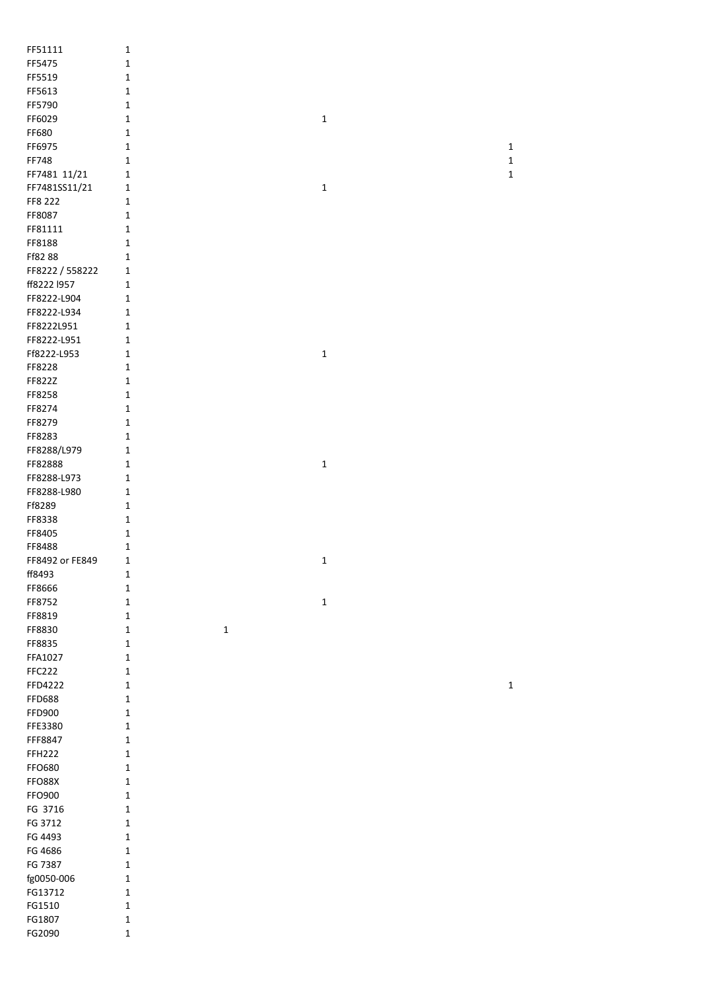| FF51111         | $\mathbf 1$  |             |             |             |
|-----------------|--------------|-------------|-------------|-------------|
| FF5475          | $\mathbf 1$  |             |             |             |
| FF5519          | $\mathbf 1$  |             |             |             |
| FF5613          | 1            |             |             |             |
| FF5790          | 1            |             |             |             |
| FF6029          | $\mathbf 1$  |             | $\mathbf 1$ |             |
| FF680           | $\mathbf{1}$ |             |             |             |
| FF6975          | $\mathbf{1}$ |             |             | $\mathbf 1$ |
|                 |              |             |             |             |
| FF748           | $\mathbf{1}$ |             |             | $\mathbf 1$ |
| FF7481 11/21    | $\mathbf{1}$ |             |             | $\mathbf 1$ |
| FF7481SS11/21   | $\mathbf{1}$ |             | $\mathbf 1$ |             |
| FF8 222         | $\mathbf{1}$ |             |             |             |
| FF8087          | $\mathbf{1}$ |             |             |             |
| FF81111         | $\mathbf{1}$ |             |             |             |
| FF8188          | $\mathbf{1}$ |             |             |             |
| Ff8288          | $\mathbf{1}$ |             |             |             |
| FF8222 / 558222 | $\mathbf 1$  |             |             |             |
| ff8222 I957     | $\mathbf{1}$ |             |             |             |
| FF8222-L904     | $\mathbf 1$  |             |             |             |
| FF8222-L934     | $\mathbf 1$  |             |             |             |
| FF8222L951      | $\mathbf{1}$ |             |             |             |
| FF8222-L951     | $\mathbf{1}$ |             |             |             |
| Ff8222-L953     | $\mathbf 1$  |             | $\mathbf 1$ |             |
| FF8228          | $\mathbf 1$  |             |             |             |
| FF822Z          | $\mathbf 1$  |             |             |             |
|                 |              |             |             |             |
| FF8258          | $\mathbf{1}$ |             |             |             |
| FF8274          | $\mathbf{1}$ |             |             |             |
| FF8279          | $\mathbf{1}$ |             |             |             |
| FF8283          | 1            |             |             |             |
| FF8288/L979     | $\mathbf{1}$ |             |             |             |
| FF82888         | $\mathbf{1}$ |             | $\mathbf 1$ |             |
| FF8288-L973     | $\mathbf{1}$ |             |             |             |
| FF8288-L980     | $\mathbf{1}$ |             |             |             |
| Ff8289          | $\mathbf{1}$ |             |             |             |
| FF8338          | $\mathbf 1$  |             |             |             |
| FF8405          | $\mathbf 1$  |             |             |             |
| FF8488          | $\mathbf{1}$ |             |             |             |
| FF8492 or FE849 | 1            |             | $\mathbf 1$ |             |
| ff8493          | 1            |             |             |             |
| FF8666          | $\mathbf{1}$ |             |             |             |
| FF8752          | $\mathbf 1$  |             | $\mathbf 1$ |             |
| FF8819          | $\mathbf 1$  |             |             |             |
| FF8830          | $\mathbf 1$  | $\mathbf 1$ |             |             |
| FF8835          | $\mathbf 1$  |             |             |             |
| FFA1027         | $\mathbf 1$  |             |             |             |
| <b>FFC222</b>   | $\mathbf 1$  |             |             |             |
| FFD4222         | $\mathbf 1$  |             |             | $\mathbf 1$ |
|                 |              |             |             |             |
| <b>FFD688</b>   | $\mathbf 1$  |             |             |             |
| FFD900          | $\mathbf 1$  |             |             |             |
| FFE3380         | $\mathbf{1}$ |             |             |             |
| FFF8847         | $\mathbf{1}$ |             |             |             |
| <b>FFH222</b>   | $\mathbf{1}$ |             |             |             |
| FFO680          | 1            |             |             |             |
| FFO88X          | $\mathbf 1$  |             |             |             |
| FFO900          | $\mathbf 1$  |             |             |             |
| FG 3716         | $\mathbf{1}$ |             |             |             |
| FG 3712         | $\mathbf{1}$ |             |             |             |
| FG 4493         | $\mathbf{1}$ |             |             |             |
| FG 4686         | $\mathbf 1$  |             |             |             |
| FG 7387         | $\mathbf 1$  |             |             |             |
| fg0050-006      | $\mathbf 1$  |             |             |             |
| FG13712         | $\mathbf{1}$ |             |             |             |
| FG1510          | $\mathbf 1$  |             |             |             |
| FG1807          | $\mathbf 1$  |             |             |             |
| FG2090          | $\mathbf 1$  |             |             |             |
|                 |              |             |             |             |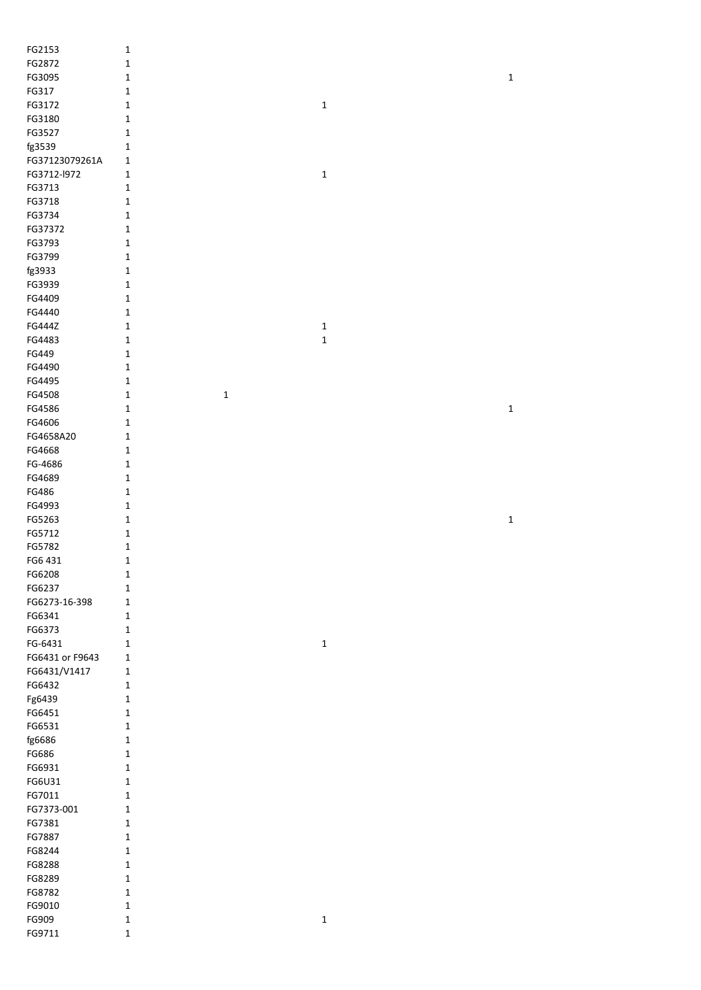| FG2153          | $\mathbf 1$                 |             |             |
|-----------------|-----------------------------|-------------|-------------|
| FG2872          | $\mathbf 1$                 |             |             |
| FG3095          | $\mathbf 1$                 |             | $\mathbf 1$ |
| FG317           | $\mathbf 1$                 |             |             |
| FG3172          | $\mathbf 1$                 | $\mathbf 1$ |             |
| FG3180          | $\mathbf 1$                 |             |             |
| FG3527          | $\mathbf 1$                 |             |             |
| fg3539          | $\mathbf 1$                 |             |             |
|                 |                             |             |             |
| FG37123079261A  | $\mathbf 1$                 |             |             |
| FG3712-l972     | $\mathbf 1$                 | $\mathbf 1$ |             |
| FG3713          | $\mathbf 1$                 |             |             |
| FG3718          | $\mathbf 1$                 |             |             |
| FG3734          | $\mathbf 1$                 |             |             |
| FG37372         | $\mathbf 1$                 |             |             |
| FG3793          | $\mathbf 1$                 |             |             |
| FG3799          | $\mathbf 1$                 |             |             |
| fg3933          | $\mathbf 1$                 |             |             |
| FG3939          | $\mathbf 1$                 |             |             |
| FG4409          | $\mathbf 1$                 |             |             |
| FG4440          | $\mathbf 1$                 |             |             |
| FG444Z          | $\mathbf 1$                 | $\mathbf 1$ |             |
| FG4483          | $\mathbf 1$                 | $\mathbf 1$ |             |
| FG449           | $\mathbf 1$                 |             |             |
| FG4490          | $\mathbf 1$                 |             |             |
| FG4495          | $\mathbf 1$                 |             |             |
| FG4508          | $\mathbf 1$<br>$\mathbf 1$  |             |             |
| FG4586          | $\mathbf 1$                 |             | $\mathbf 1$ |
| FG4606          | $\mathbf 1$                 |             |             |
| FG4658A20       | $\mathbf 1$                 |             |             |
| FG4668          | $\mathbf 1$                 |             |             |
| FG-4686         | $\mathbf 1$                 |             |             |
| FG4689          | $\mathbf 1$                 |             |             |
| FG486           | $\mathbf 1$                 |             |             |
| FG4993          | $\mathbf 1$                 |             |             |
| FG5263          | $\mathbf 1$                 |             | $\mathbf 1$ |
| FG5712          | $\mathbf 1$                 |             |             |
|                 |                             |             |             |
|                 |                             |             |             |
| FG5782          | $\mathbf 1$                 |             |             |
| FG6 431         | $\mathbf 1$                 |             |             |
| FG6208          | $\mathbf 1$                 |             |             |
| FG6237          | $\mathbf 1$                 |             |             |
| FG6273-16-398   | $\mathbf{1}$                |             |             |
| FG6341          | $\mathbf 1$                 |             |             |
| FG6373          | $\mathbf 1$                 |             |             |
| FG-6431         | $\mathbf{1}$                | $\mathbf 1$ |             |
| FG6431 or F9643 | $\mathbf 1$                 |             |             |
| FG6431/V1417    | $\mathbf 1$                 |             |             |
| FG6432          | $\mathbf 1$                 |             |             |
| Fg6439          | $\mathbf 1$                 |             |             |
| FG6451          | $\mathbf 1$                 |             |             |
| FG6531          | $\mathbf 1$                 |             |             |
| fg6686          | $\mathbf 1$                 |             |             |
| FG686           | $\mathbf 1$                 |             |             |
| FG6931          | $\mathbf 1$                 |             |             |
| FG6U31          | $\mathbf 1$                 |             |             |
| FG7011          | $\mathbf 1$                 |             |             |
| FG7373-001      | $\mathbf 1$                 |             |             |
| FG7381          | $\mathbf 1$                 |             |             |
| FG7887          | $\mathbf 1$                 |             |             |
| FG8244          | $\mathbf 1$                 |             |             |
| FG8288          | $\mathbf 1$                 |             |             |
| FG8289          | $\mathbf 1$                 |             |             |
| FG8782          | $\mathbf 1$                 |             |             |
| FG9010          | $\mathbf 1$                 |             |             |
| FG909<br>FG9711 | $\mathbf 1$<br>$\mathbf{1}$ | $\mathbf 1$ |             |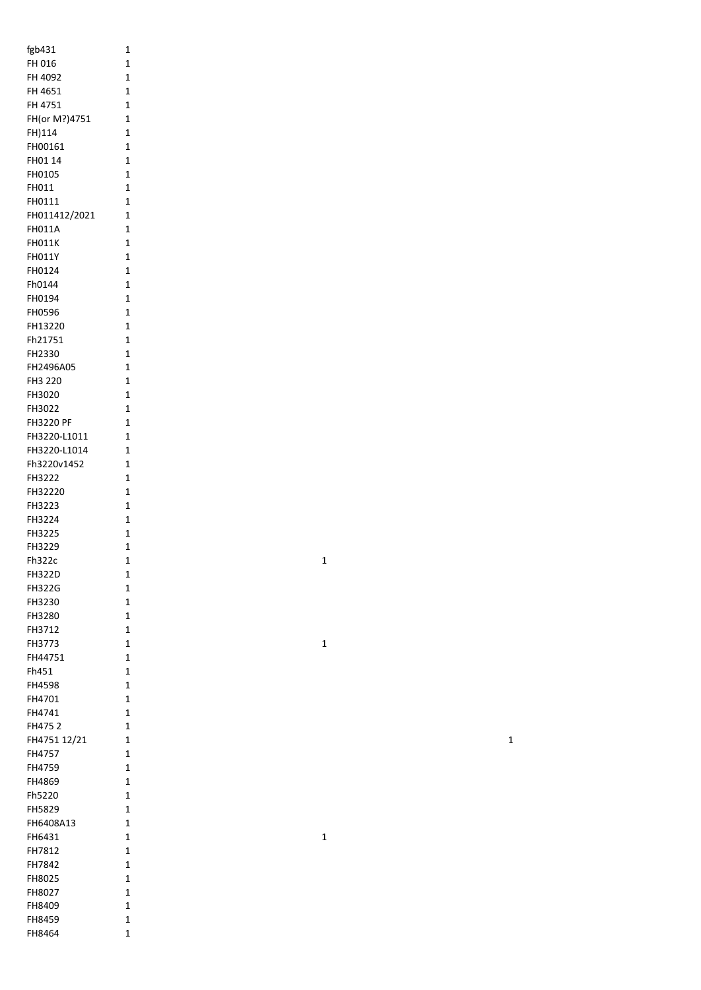| fgb431                | 1                   |
|-----------------------|---------------------|
| FH 016                | 1                   |
| FH 4092               | 1                   |
| FH 4651               | $\overline{1}$      |
| FH 4751               | $\overline{1}$      |
| FH(or M?)4751         | 1                   |
| FH)114<br>FH00161     | 1<br>1              |
| FH01 14               | 1                   |
| FH0105                | 1                   |
| FH011                 | 1                   |
| FH0111                | 1                   |
| FH011412/2021         | 1                   |
| <b>FH011A</b>         | 1                   |
| <b>FH011K</b>         | 1                   |
| <b>FH011Y</b>         | $\overline{1}$      |
| FH0124<br>Fh0144      | $\overline{1}$<br>1 |
| FH0194                | $\overline{1}$      |
| <b>FH0596</b>         | 1                   |
| FH13220               | 1                   |
| Fh21751               | 1                   |
| FH2330                | 1                   |
| FH2496A05             | 1                   |
| FH3 220               | 1                   |
| FH3020                | 1                   |
| FH3022                | 1                   |
| <b>FH3220 PF</b>      | $\overline{1}$      |
| FH3220-L1011          | 1                   |
| FH3220-L1014          | 1                   |
| Fh3220v1452<br>FH3222 | 1<br>1              |
| FH32220               | 1                   |
| FH3223                | 1                   |
| FH3224                | 1                   |
| FH3225                | 1                   |
| FH3229                | 1                   |
| Fh322c                | $\overline{1}$      |
| <b>FH322D</b>         | 1                   |
| <b>FH322G</b>         | 1                   |
| FH3230                | 1                   |
| FH3280                | 1                   |
| FH3712                | 1                   |
| FH3773<br>FH44751     | 1<br>1              |
| Fh451                 | 1                   |
| <b>FH4598</b>         | $\overline{1}$      |
| FH4701                | 1                   |
| FH4741                | 1                   |
| FH4752                | 1                   |
| FH4751 12/21          | 1                   |
| FH4757                | 1                   |
| FH4759                | 1                   |
| FH4869                | 1                   |
| Fh5220                | 1                   |
| FH5829                | 1                   |
| FH6408A13             | 1                   |
| FH6431<br>FH7812      | 1<br>1              |
| FH7842                | 1                   |
| FH8025                | 1                   |
| FH8027                | 1                   |
| FH8409                | 1                   |
| <b>FH8459</b>         | 1                   |
| FH8464                | 1                   |

1

1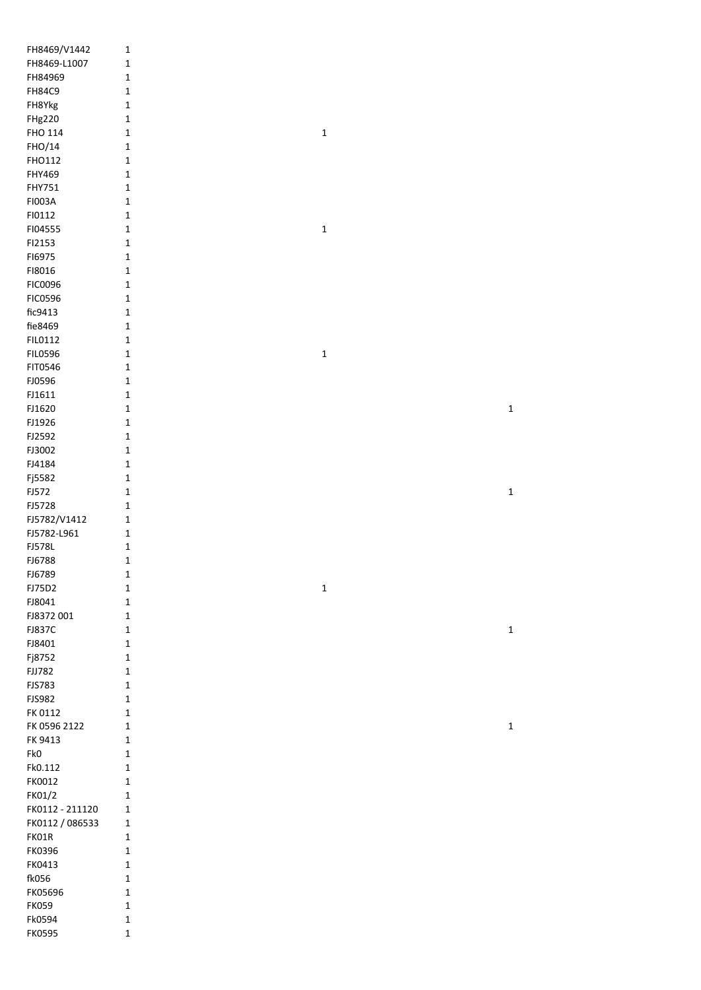| FH8469/V1442            | $\mathbf{1}$               |             |             |
|-------------------------|----------------------------|-------------|-------------|
| FH8469-L1007            | $\mathbf{1}$               |             |             |
| FH84969                 | $\mathbf 1$                |             |             |
| <b>FH84C9</b>           | $\mathbf 1$                |             |             |
| FH8Ykg                  | $\mathbf 1$                |             |             |
| <b>FHg220</b>           | $\mathbf 1$                |             |             |
| FHO 114                 | $\mathbf 1$                | $\mathbf 1$ |             |
| FHO/14                  | $\mathbf 1$                |             |             |
| FHO112                  | $\mathbf 1$                |             |             |
| FHY469                  | $\mathbf 1$                |             |             |
| FHY751                  |                            |             |             |
| FI003A                  | $\mathbf 1$                |             |             |
|                         | $\mathbf 1$                |             |             |
| FI0112                  | $\mathbf 1$                |             |             |
| FI04555                 | $\mathbf{1}$               | $\mathbf 1$ |             |
| FI2153                  | $\mathbf 1$                |             |             |
| F16975                  | $\mathbf 1$                |             |             |
| FI8016                  | $\mathbf 1$                |             |             |
| FIC0096                 | $\mathbf 1$                |             |             |
| <b>FIC0596</b>          | $\mathbf 1$                |             |             |
| fic9413                 | $\mathbf 1$                |             |             |
| fie8469                 | $\mathbf 1$                |             |             |
| FIL0112                 | $\mathbf 1$                |             |             |
| <b>FIL0596</b>          | $\mathbf 1$                | $\mathbf 1$ |             |
| FIT0546                 | $\mathbf 1$                |             |             |
| FJ0596                  | $\mathbf 1$                |             |             |
| FJ1611                  | $\mathbf 1$                |             |             |
| FJ1620                  | $\mathbf 1$                |             | $\mathbf 1$ |
| FJ1926                  | $\mathbf 1$                |             |             |
| FJ2592                  | $\mathbf 1$                |             |             |
| FJ3002                  | $\mathbf 1$                |             |             |
| FJ4184                  | $\mathbf 1$                |             |             |
| Fj5582                  | $\mathbf 1$                |             |             |
| FJ572                   | $\mathbf 1$                |             | $\mathbf 1$ |
| FJ5728                  | $\mathbf 1$                |             |             |
| FJ5782/V1412            | $\mathbf 1$                |             |             |
| FJ5782-L961             | $\mathbf 1$                |             |             |
| <b>FJ578L</b>           | $\mathbf 1$                |             |             |
| FJ6788                  | $\mathbf 1$                |             |             |
| FJ6789                  | 1                          |             |             |
| FJ75D2                  | $\mathbf 1$                | $\mathbf 1$ |             |
| FJ8041                  | $\mathbf 1$                |             |             |
| FJ8372001               | $\mathbf 1$                |             |             |
| <b>FJ837C</b>           | $\mathbf 1$                |             | $\mathbf 1$ |
| FJ8401                  | $\mathbf 1$                |             |             |
| Fj8752                  | $\mathbf 1$                |             |             |
| <b>FJJ782</b>           | $\mathbf 1$                |             |             |
| <b>FJS783</b>           | $\mathbf 1$                |             |             |
| <b>FJS982</b>           | $\mathbf 1$                |             |             |
| FK 0112                 | $\mathbf 1$                |             |             |
| FK 0596 2122            | $\mathbf 1$                |             | $\mathbf 1$ |
| FK 9413                 | $\mathbf 1$                |             |             |
| Fk0                     | $\mathbf 1$                |             |             |
| Fk0.112                 | $\mathbf{1}$               |             |             |
| FK0012                  | $\mathbf{1}$               |             |             |
| FK01/2                  | $\mathbf{1}$               |             |             |
| FK0112 - 211120         | $\mathbf{1}$               |             |             |
| FK0112 / 086533         | $\mathbf{1}$               |             |             |
| FK01R                   | $\mathbf{1}$               |             |             |
|                         |                            |             |             |
|                         |                            |             |             |
| FK0396                  | $\mathbf 1$                |             |             |
| FK0413                  | $\mathbf 1$                |             |             |
| fk056                   | $\mathbf 1$                |             |             |
| FK05696                 | $\mathbf{1}$               |             |             |
| <b>FK059</b>            | $\mathbf 1$                |             |             |
| Fk0594<br><b>FK0595</b> | $\mathbf 1$<br>$\mathbf 1$ |             |             |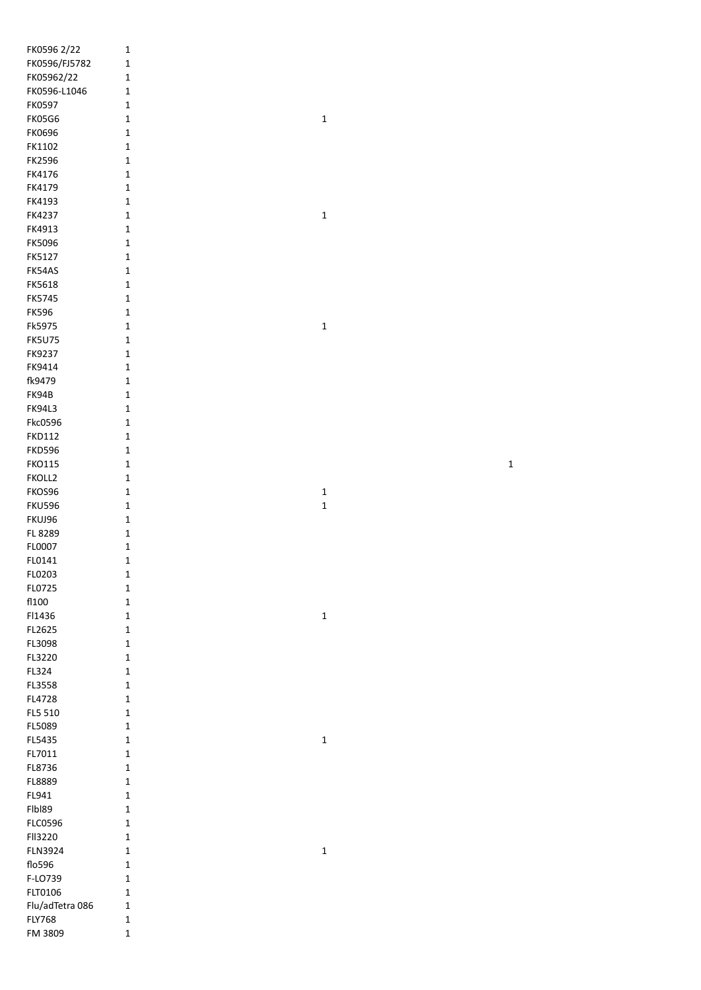| FK0596 2/22     | $\mathbf{1}$ |             |  |
|-----------------|--------------|-------------|--|
| FK0596/FJ5782   | $\mathbf 1$  |             |  |
| FK05962/22      | $\mathbf 1$  |             |  |
| FK0596-L1046    | $\mathbf 1$  |             |  |
| FK0597          | $\mathbf 1$  |             |  |
| <b>FK05G6</b>   | $\mathbf 1$  | $\mathbf 1$ |  |
| <b>FK0696</b>   | $\mathbf 1$  |             |  |
| FK1102          | $\mathbf 1$  |             |  |
|                 |              |             |  |
| FK2596          | $\mathbf 1$  |             |  |
| FK4176          | $\mathbf 1$  |             |  |
| FK4179          | $\mathbf 1$  |             |  |
| FK4193          | $\mathbf 1$  |             |  |
| FK4237          | $\mathbf 1$  | $\mathbf 1$ |  |
| FK4913          | $\mathbf 1$  |             |  |
| <b>FK5096</b>   | $\mathbf 1$  |             |  |
| FK5127          | $\mathbf 1$  |             |  |
| FK54AS          | $\mathbf 1$  |             |  |
| FK5618          | $\mathbf 1$  |             |  |
| <b>FK5745</b>   | $\mathbf 1$  |             |  |
| <b>FK596</b>    | $\mathbf 1$  |             |  |
| Fk5975          | $\mathbf 1$  | $\mathbf 1$ |  |
| <b>FK5U75</b>   | $\mathbf 1$  |             |  |
| FK9237          | $\mathbf 1$  |             |  |
| FK9414          | $\mathbf 1$  |             |  |
|                 |              |             |  |
| fk9479          | $\mathbf 1$  |             |  |
| FK94B           | $\mathbf 1$  |             |  |
| <b>FK94L3</b>   | $\mathbf 1$  |             |  |
| Fkc0596         | $\mathbf 1$  |             |  |
| <b>FKD112</b>   | $\mathbf 1$  |             |  |
| <b>FKD596</b>   | $\mathbf 1$  |             |  |
| <b>FKO115</b>   | $\mathbf 1$  | $\mathbf 1$ |  |
| FKOLL2          | $\mathbf 1$  |             |  |
| FKOS96          | $\mathbf 1$  | $\mathbf 1$ |  |
| <b>FKU596</b>   | $\mathbf 1$  | $\mathbf 1$ |  |
| FKUJ96          | $\mathbf 1$  |             |  |
| FL 8289         | $\mathbf 1$  |             |  |
| FL0007          | $\mathbf 1$  |             |  |
| FL0141          | $\mathbf{1}$ |             |  |
| FL0203          | $\mathbf{1}$ |             |  |
| FL0725          | $\mathbf{1}$ |             |  |
| fl100           | $\mathbf 1$  |             |  |
| FI1436          | $\mathbf 1$  | $\mathbf 1$ |  |
| FL2625          | $\mathbf 1$  |             |  |
| FL3098          | $\mathbf 1$  |             |  |
| FL3220          | $\mathbf 1$  |             |  |
| FL324           | $\mathbf 1$  |             |  |
|                 |              |             |  |
| FL3558          | $\mathbf 1$  |             |  |
| FL4728          | $\mathbf 1$  |             |  |
| FL5 510         | $\mathbf 1$  |             |  |
| FL5089          | $\mathbf 1$  |             |  |
| FL5435          | $\mathbf 1$  | $\mathbf 1$ |  |
| FL7011          | $\mathbf 1$  |             |  |
| FL8736          | $\mathbf 1$  |             |  |
| FL8889          | $\mathbf 1$  |             |  |
| FL941           | $\mathbf 1$  |             |  |
| FIbI89          | $\mathbf 1$  |             |  |
| <b>FLC0596</b>  | $\mathbf 1$  |             |  |
| FII3220         | $\mathbf 1$  |             |  |
| <b>FLN3924</b>  | $\mathbf 1$  | $\mathbf 1$ |  |
| flo596          | $\mathbf 1$  |             |  |
| F-LO739         | $\mathbf 1$  |             |  |
| FLT0106         | $\mathbf 1$  |             |  |
| Flu/adTetra 086 | $\mathbf 1$  |             |  |
| <b>FLY768</b>   | $\mathbf 1$  |             |  |
| FM 3809         | $\mathbf 1$  |             |  |
|                 |              |             |  |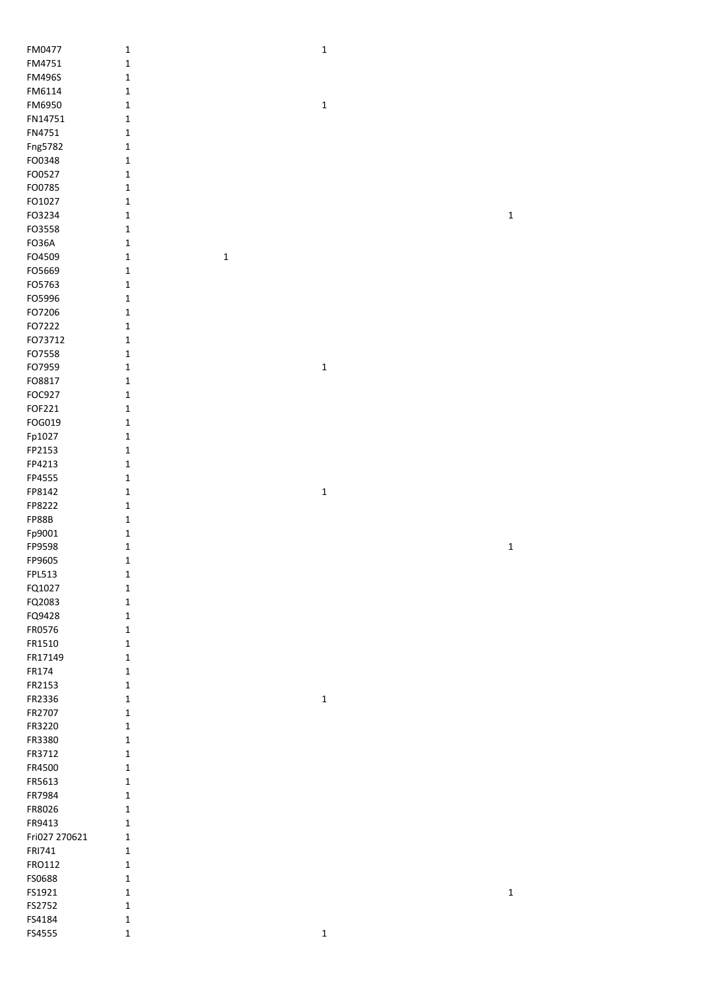| FM0477           | $\mathbf 1$                 | $\mathbf 1$ |             |
|------------------|-----------------------------|-------------|-------------|
| FM4751           | $\mathbf 1$                 |             |             |
| <b>FM496S</b>    | $\mathbf 1$                 |             |             |
| FM6114           | $\mathbf 1$                 |             |             |
| FM6950           | $\mathbf 1$                 | $\mathbf 1$ |             |
| FN14751          | $\mathbf 1$                 |             |             |
| FN4751           | $\mathbf 1$                 |             |             |
| Fng5782          | $\mathbf 1$                 |             |             |
| FO0348           | $\mathbf 1$                 |             |             |
| FO0527           | $\mathbf 1$                 |             |             |
| FO0785           | $\mathbf 1$                 |             |             |
| FO1027           | $\mathbf 1$                 |             |             |
| FO3234           | $\mathbf 1$                 |             | $\mathbf 1$ |
| FO3558           | $\mathbf 1$                 |             |             |
| FO36A            | $\mathbf 1$                 |             |             |
| FO4509           | $\mathbf 1$<br>$\mathbf{1}$ |             |             |
| FO5669           | $\mathbf 1$                 |             |             |
| FO5763           | $\mathbf 1$                 |             |             |
| FO5996           | $\mathbf 1$                 |             |             |
| FO7206           | $\mathbf 1$                 |             |             |
| FO7222           | $\mathbf 1$                 |             |             |
| FO73712          | $\mathbf 1$                 |             |             |
| FO7558           | $\mathbf 1$                 |             |             |
| FO7959<br>FO8817 | $\mathbf 1$                 | $\mathbf 1$ |             |
| FOC927           | $\mathbf 1$<br>$\mathbf 1$  |             |             |
| FOF221           | $\mathbf 1$                 |             |             |
| FOG019           | $\mathbf 1$                 |             |             |
| Fp1027           | $\mathbf 1$                 |             |             |
| FP2153           | $\mathbf 1$                 |             |             |
| FP4213           | $\mathbf 1$                 |             |             |
| FP4555           | $\mathbf 1$                 |             |             |
| FP8142           | $\mathbf 1$                 | $\mathbf 1$ |             |
| FP8222           | $\mathbf 1$                 |             |             |
| <b>FP88B</b>     | $\mathbf 1$                 |             |             |
| Fp9001           | $\mathbf 1$                 |             |             |
| FP9598           | $\mathbf 1$                 |             | $\mathbf 1$ |
| FP9605           | $\mathbf 1$                 |             |             |
| FPL513           | 1                           |             |             |
| FQ1027           | $\mathbf{1}$                |             |             |
| FQ2083           | $\mathbf 1$                 |             |             |
| FQ9428           | $\mathbf 1$                 |             |             |
| FR0576           | $\mathbf 1$                 |             |             |
| FR1510           | 1                           |             |             |
| FR17149          | $\mathbf{1}$                |             |             |
| FR174            | $\mathbf 1$                 |             |             |
| FR2153           | $\mathbf 1$                 |             |             |
| FR2336           | $\mathbf 1$                 | $\mathbf 1$ |             |
| FR2707           | $\mathbf 1$                 |             |             |
| FR3220<br>FR3380 | $\mathbf 1$                 |             |             |
| FR3712           | $\mathbf 1$<br>$\mathbf{1}$ |             |             |
| FR4500           | $\mathbf 1$                 |             |             |
| FR5613           | $\mathbf 1$                 |             |             |
| FR7984           | $\mathbf 1$                 |             |             |
| FR8026           | 1                           |             |             |
| FR9413           | 1                           |             |             |
| Fri027 270621    | 1                           |             |             |
| FRI741           | $\mathbf 1$                 |             |             |
| FRO112           | $\mathbf 1$                 |             |             |
| FS0688           | 1                           |             |             |
| FS1921           | $\mathbf 1$                 |             | $\mathbf 1$ |
| FS2752           | $\mathbf 1$                 |             |             |
| FS4184           | 1                           |             |             |
| FS4555           | $\mathbf 1$                 | $\mathbf 1$ |             |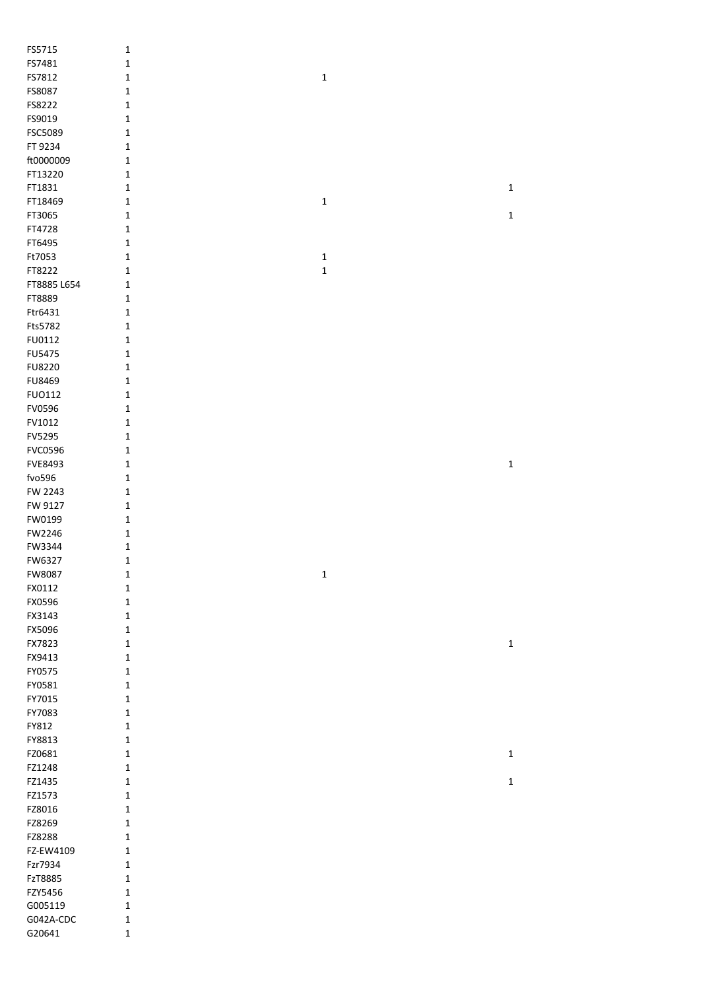| FS5715         | $\mathbf 1$  |              |             |
|----------------|--------------|--------------|-------------|
| FS7481         | $\mathbf 1$  |              |             |
| FS7812         | $\mathbf 1$  | $\mathbf 1$  |             |
| FS8087         | $\mathbf 1$  |              |             |
| FS8222         | $\mathbf 1$  |              |             |
| FS9019         | $\mathbf 1$  |              |             |
| FSC5089        | $\mathbf 1$  |              |             |
| FT 9234        | $\mathbf 1$  |              |             |
| ft0000009      | $\mathbf 1$  |              |             |
| FT13220        | $\mathbf 1$  |              |             |
| FT1831         | $\mathbf 1$  |              | $\mathbf 1$ |
| FT18469        | $\mathbf 1$  | $\mathbf 1$  |             |
| FT3065         | $\mathbf 1$  |              | $\mathbf 1$ |
| FT4728         | $\mathbf 1$  |              |             |
| FT6495         | $\mathbf 1$  |              |             |
| Ft7053         | $\mathbf 1$  | $\mathbf 1$  |             |
| FT8222         | $\mathbf{1}$ | $\mathbf 1$  |             |
| FT8885 L654    | $\mathbf 1$  |              |             |
| FT8889         | $\mathbf 1$  |              |             |
|                |              |              |             |
| Ftr6431        | $\mathbf 1$  |              |             |
| Fts5782        | $\mathbf 1$  |              |             |
| FU0112         | $\mathbf 1$  |              |             |
| FU5475         | $\mathbf 1$  |              |             |
| FU8220         | $\mathbf 1$  |              |             |
| FU8469         | $\mathbf 1$  |              |             |
| <b>FUO112</b>  | $\mathbf 1$  |              |             |
| FV0596         | $\mathbf 1$  |              |             |
| FV1012         | $\mathbf 1$  |              |             |
| FV5295         | $\mathbf 1$  |              |             |
| <b>FVC0596</b> | $\mathbf 1$  |              |             |
| FVE8493        | $\mathbf 1$  |              | $\mathbf 1$ |
| fvo596         | $\mathbf{1}$ |              |             |
| FW 2243        | 1            |              |             |
| FW 9127        | 1            |              |             |
| FW0199         | $\mathbf 1$  |              |             |
| FW2246         | $\mathbf{1}$ |              |             |
| FW3344         | $\mathbf 1$  |              |             |
| FW6327         | 1            |              |             |
| FW8087         | 1            | $\mathbf{1}$ |             |
| FX0112         | $\mathbf 1$  |              |             |
| FX0596         | $\mathbf 1$  |              |             |
| FX3143         | $\mathbf 1$  |              |             |
| FX5096         | $\mathbf 1$  |              |             |
| FX7823         | $\mathbf 1$  |              | $\mathbf 1$ |
| FX9413         | $\mathbf 1$  |              |             |
| FY0575         | $\mathbf 1$  |              |             |
| FY0581         | $\mathbf 1$  |              |             |
| FY7015         | $\mathbf 1$  |              |             |
| FY7083         | $\mathbf 1$  |              |             |
| FY812          | $\mathbf 1$  |              |             |
| FY8813         | $\mathbf 1$  |              |             |
| FZ0681         | $\mathbf 1$  |              | $\mathbf 1$ |
| FZ1248         | $\mathbf 1$  |              |             |
| FZ1435         | $\mathbf 1$  |              | $\mathbf 1$ |
|                |              |              |             |
| FZ1573         | $\mathbf 1$  |              |             |
| FZ8016         | $\mathbf 1$  |              |             |
| FZ8269         | $\mathbf{1}$ |              |             |
| FZ8288         | $\mathbf{1}$ |              |             |
| FZ-EW4109      | $\mathbf 1$  |              |             |
| Fzr7934        | $\mathbf 1$  |              |             |
| FzT8885        | $\mathbf 1$  |              |             |
| FZY5456        | $\mathbf 1$  |              |             |
| G005119        | $\mathbf 1$  |              |             |
| G042A-CDC      | $\mathbf 1$  |              |             |
| G20641         | $\mathbf 1$  |              |             |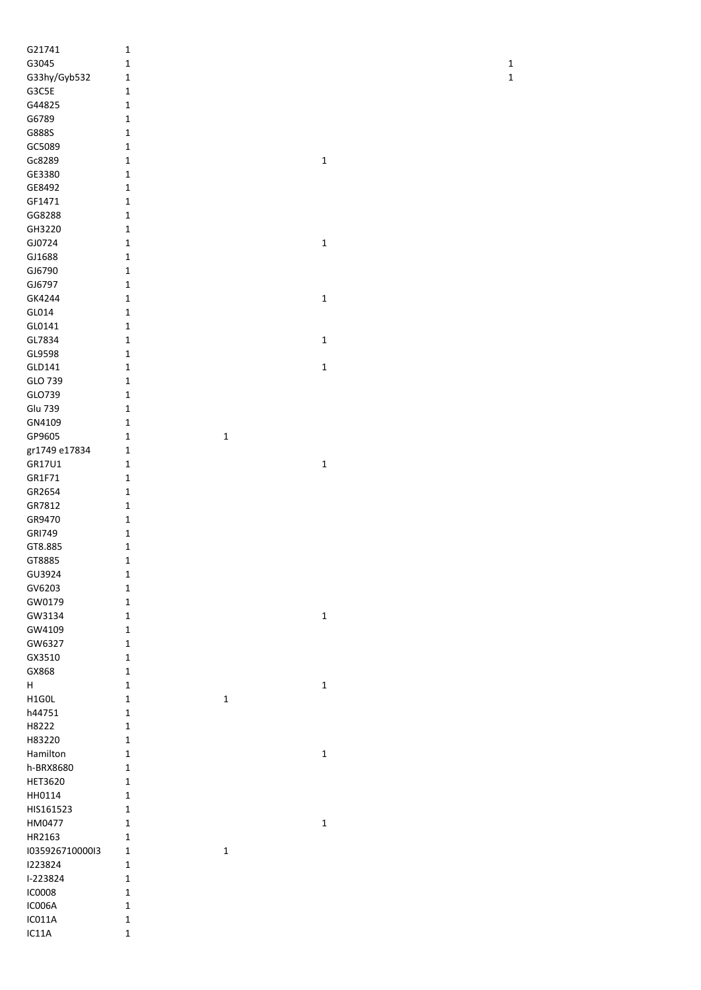| G21741          | $\mathbf 1$  |             |             |              |
|-----------------|--------------|-------------|-------------|--------------|
| G3045           | 1            |             |             | $\mathbf{1}$ |
|                 |              |             |             | $\mathbf 1$  |
| G33hy/Gyb532    | $\mathbf 1$  |             |             |              |
| G3C5E           | $\mathbf 1$  |             |             |              |
| G44825          | $\mathbf{1}$ |             |             |              |
| G6789           | $\mathbf 1$  |             |             |              |
| G888S           | $\mathbf 1$  |             |             |              |
| GC5089          | $\mathbf 1$  |             |             |              |
| Gc8289          | $\mathbf 1$  |             | $\mathbf 1$ |              |
| GE3380          | $\mathbf 1$  |             |             |              |
| GE8492          | $\mathbf 1$  |             |             |              |
| GF1471          | $\mathbf{1}$ |             |             |              |
| GG8288          | $\mathbf 1$  |             |             |              |
| GH3220          | $\mathbf 1$  |             |             |              |
| GJ0724          | $\mathbf 1$  |             | $\mathbf 1$ |              |
| GJ1688          | $\mathbf 1$  |             |             |              |
| GJ6790          | $\mathbf{1}$ |             |             |              |
| GJ6797          | $\mathbf{1}$ |             |             |              |
| GK4244          | $\mathbf 1$  |             | $\mathbf 1$ |              |
| GL014           | $\mathbf 1$  |             |             |              |
| GL0141          | $\mathbf 1$  |             |             |              |
| GL7834          | $\mathbf 1$  |             | $\mathbf 1$ |              |
| GL9598          | $\mathbf 1$  |             |             |              |
| GLD141          | $\mathbf 1$  |             | $\mathbf 1$ |              |
| GLO 739         | $\mathbf 1$  |             |             |              |
| GLO739          | 1            |             |             |              |
| <b>Glu 739</b>  | $\mathbf 1$  |             |             |              |
| GN4109          | $\mathbf 1$  |             |             |              |
| GP9605          | $\mathbf 1$  | $\mathbf 1$ |             |              |
| gr1749 e17834   | $\mathbf 1$  |             |             |              |
| GR17U1          | $\mathbf 1$  |             | $\mathbf 1$ |              |
| GR1F71          | $\mathbf 1$  |             |             |              |
| GR2654          | $\mathbf 1$  |             |             |              |
| GR7812          | $\mathbf 1$  |             |             |              |
| GR9470          | $\mathbf 1$  |             |             |              |
| <b>GRI749</b>   | $\mathbf 1$  |             |             |              |
| GT8.885         | $\mathbf 1$  |             |             |              |
| GT8885          | 1            |             |             |              |
| GU3924          | $\mathbf 1$  |             |             |              |
| GV6203          | $\mathbf 1$  |             |             |              |
| GW0179          | $\mathbf 1$  |             |             |              |
| GW3134          | $\mathbf{1}$ |             | $\mathbf 1$ |              |
| GW4109          | $\mathbf{1}$ |             |             |              |
| GW6327          | $\mathbf 1$  |             |             |              |
| GX3510          | $\mathbf{1}$ |             |             |              |
| GX868           | $\mathbf{1}$ |             |             |              |
| H               | $\mathbf{1}$ |             | $\mathbf 1$ |              |
| H1GOL           | $\mathbf 1$  | $\mathbf 1$ |             |              |
| h44751          | $\mathbf{1}$ |             |             |              |
| H8222           | $\mathbf 1$  |             |             |              |
| H83220          | $\mathbf 1$  |             |             |              |
| Hamilton        | $\mathbf 1$  |             | $\mathbf 1$ |              |
| h-BRX8680       | $\mathbf{1}$ |             |             |              |
| <b>HET3620</b>  | $\mathbf{1}$ |             |             |              |
| HH0114          | $\mathbf{1}$ |             |             |              |
| HIS161523       | $\mathbf 1$  |             |             |              |
| HM0477          | $\mathbf 1$  |             | $\mathbf 1$ |              |
| HR2163          | $\mathbf{1}$ |             |             |              |
| 103592671000013 | $\mathbf{1}$ | $\mathbf 1$ |             |              |
| 1223824         | $\mathbf 1$  |             |             |              |
| I-223824        | $\mathbf 1$  |             |             |              |
| <b>IC0008</b>   | $\mathbf 1$  |             |             |              |
| IC006A          | $\mathbf 1$  |             |             |              |
| IC011A          | $\mathbf 1$  |             |             |              |
| IC11A           | $\mathbf 1$  |             |             |              |
|                 |              |             |             |              |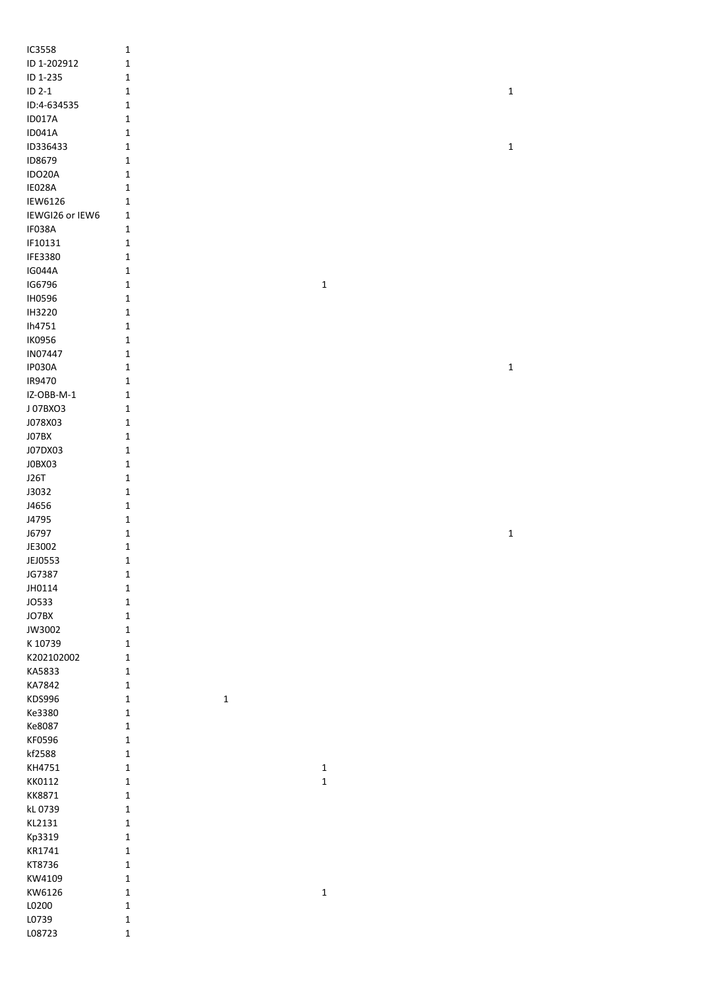| IC3558          | $\mathbf 1$                |             |             |
|-----------------|----------------------------|-------------|-------------|
| ID 1-202912     | $\mathbf 1$                |             |             |
| ID 1-235        | $\mathbf 1$                |             |             |
| $ID 2-1$        | $\mathbf 1$                |             | $\mathbf 1$ |
| ID:4-634535     | $\mathbf{1}$               |             |             |
| ID017A          | $\mathbf 1$                |             |             |
| <b>ID041A</b>   | $\mathbf 1$                |             |             |
| ID336433        | $\mathbf 1$                |             | $\mathbf 1$ |
| ID8679          | $\mathbf 1$                |             |             |
| IDO20A          | $\mathbf 1$                |             |             |
| IE028A          |                            |             |             |
|                 | $\mathbf 1$                |             |             |
| <b>IEW6126</b>  | $\mathbf 1$                |             |             |
| IEWGI26 or IEW6 | $\mathbf 1$                |             |             |
| IF038A          | $\mathbf 1$                |             |             |
| IF10131         | $\mathbf 1$                |             |             |
| IFE3380         | $\mathbf 1$                |             |             |
| <b>IG044A</b>   | $\mathbf 1$                |             |             |
| IG6796          | $\mathbf 1$                | $\mathbf 1$ |             |
| <b>IH0596</b>   | $\mathbf 1$                |             |             |
| IH3220          | $\mathbf 1$                |             |             |
| Ih4751          | $\mathbf 1$                |             |             |
| <b>IK0956</b>   | $\mathbf 1$                |             |             |
| IN07447         | $\mathbf 1$                |             |             |
| IP030A          | $\mathbf 1$                |             | $\mathbf 1$ |
| IR9470          | $\mathbf 1$                |             |             |
| IZ-OBB-M-1      | $\mathbf 1$                |             |             |
| J07BXO3         | $\mathbf 1$                |             |             |
| J078X03         | $\mathbf 1$                |             |             |
| J07BX           | $\mathbf 1$                |             |             |
| J07DX03         | $\mathbf 1$                |             |             |
| JOBX03          | $\mathbf 1$                |             |             |
| J26T            | $\mathbf 1$                |             |             |
| J3032           | $\mathbf 1$                |             |             |
|                 |                            |             |             |
|                 |                            |             |             |
| J4656           | $\mathbf 1$                |             |             |
| J4795           | $\mathbf 1$                |             |             |
| J6797           | $\mathbf 1$                |             | $\mathbf 1$ |
| JE3002          | $\mathbf 1$                |             |             |
| JEJ0553         | $\mathbf 1$                |             |             |
| JG7387          | $\mathbf 1$                |             |             |
| JH0114          | $\mathbf 1$                |             |             |
| <b>JO533</b>    | $\mathbf 1$                |             |             |
| JO7BX           | $\mathbf 1$                |             |             |
| JW3002          | $\mathbf 1$                |             |             |
| K 10739         | $\mathbf 1$                |             |             |
| K202102002      | $\mathbf 1$                |             |             |
| KA5833          | $\mathbf 1$                |             |             |
| KA7842          | $\mathbf 1$                |             |             |
| KDS996          | $\mathbf 1$<br>$\mathbf 1$ |             |             |
| Ke3380          | $\mathbf 1$                |             |             |
| Ke8087          | $\mathbf 1$                |             |             |
| KF0596          | $\mathbf 1$                |             |             |
| kf2588          | $\mathbf 1$                |             |             |
| KH4751          | $\mathbf 1$                | $\mathbf 1$ |             |
| KK0112          | $\mathbf 1$                | $\mathbf 1$ |             |
| KK8871          | $\mathbf 1$                |             |             |
| kL 0739         | $\mathbf 1$                |             |             |
| KL2131          | $\mathbf 1$                |             |             |
| Kp3319          | $\mathbf 1$                |             |             |
| KR1741          | $\mathbf 1$                |             |             |
| KT8736          | $\mathbf 1$                |             |             |
| KW4109          | $\mathbf 1$                |             |             |
| KW6126          | $\mathbf 1$                | $\mathbf 1$ |             |
| L0200           | $\mathbf 1$                |             |             |
| L0739<br>L08723 | $\mathbf 1$                |             |             |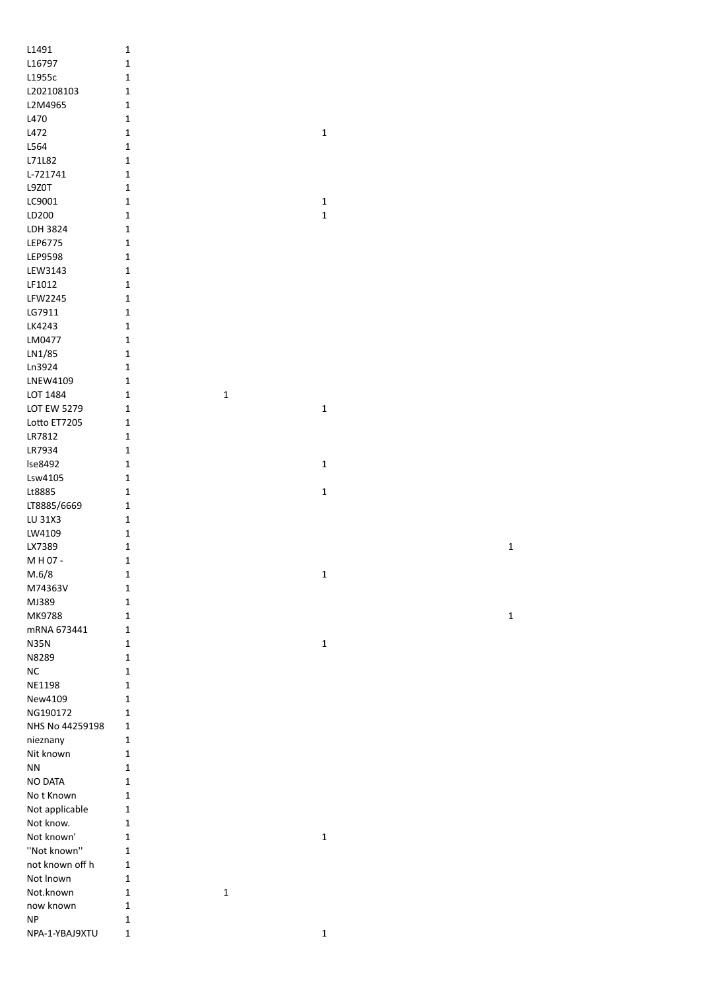| L1491                     | $\mathbf 1$                 |              |              |  |
|---------------------------|-----------------------------|--------------|--------------|--|
| L16797                    | $\mathbf 1$                 |              |              |  |
| L1955c                    | $\mathbf 1$                 |              |              |  |
| L202108103                | $\mathbf 1$                 |              |              |  |
| L2M4965                   | $\mathbf 1$                 |              |              |  |
| L470                      | $\mathbf 1$                 |              |              |  |
| L472                      | $\mathbf 1$                 |              | $\mathbf 1$  |  |
| L564                      | $\mathbf 1$                 |              |              |  |
| L71L82                    | $\mathbf 1$                 |              |              |  |
| L-721741                  | $\mathbf 1$                 |              |              |  |
| L9Z0T                     | $\mathbf 1$                 |              |              |  |
| LC9001                    | $\mathbf 1$                 |              | $\mathbf 1$  |  |
| LD200                     | $\mathbf 1$                 |              | $\mathbf 1$  |  |
| LDH 3824                  | $\mathbf 1$                 |              |              |  |
| LEP6775                   | $\mathbf 1$                 |              |              |  |
| LEP9598                   | $\mathbf 1$                 |              |              |  |
| LEW3143                   | $\mathbf 1$                 |              |              |  |
| LF1012                    | $\mathbf 1$                 |              |              |  |
| LFW2245                   | $\mathbf 1$                 |              |              |  |
| LG7911                    | $\mathbf 1$                 |              |              |  |
| LK4243                    | $\mathbf 1$                 |              |              |  |
| LM0477                    | $\mathbf 1$                 |              |              |  |
| LN1/85                    | $\mathbf 1$                 |              |              |  |
| Ln3924                    | $\mathbf 1$                 |              |              |  |
| LNEW4109                  | $\mathbf 1$                 |              |              |  |
| LOT 1484                  | $\mathbf 1$                 | $\mathbf 1$  |              |  |
| <b>LOT EW 5279</b>        | $1\,$                       |              | $\mathbf 1$  |  |
| Lotto ET7205              | $\mathbf 1$                 |              |              |  |
| LR7812                    | $\mathbf 1$                 |              |              |  |
| LR7934                    | $\mathbf 1$                 |              |              |  |
| Ise8492                   | $\mathbf 1$                 |              | $\mathbf 1$  |  |
| Lsw4105                   | $\mathbf 1$                 |              |              |  |
| Lt8885                    | $\mathbf 1$                 |              | $\mathbf 1$  |  |
| LT8885/6669               | $\mathbf 1$                 |              |              |  |
| LU 31X3                   | $\mathbf 1$                 |              |              |  |
| LW4109                    | $\mathbf 1$                 |              |              |  |
| LX7389                    | $\mathbf 1$                 |              |              |  |
| M H 07 -                  | $\mathbf 1$                 |              |              |  |
| M.6/8                     | $\mathbf{1}$                |              | $\mathbf 1$  |  |
| M74363V                   | $\mathbf 1$                 |              |              |  |
| MJ389                     | $\mathbf 1$                 |              |              |  |
| MK9788                    | $\mathbf 1$                 |              |              |  |
| mRNA 673441               | $\mathbf 1$                 |              |              |  |
| <b>N35N</b>               | $\mathbf{1}$                |              | $\mathbf 1$  |  |
| N8289                     | $\mathbf 1$                 |              |              |  |
| ${\sf NC}$                | $\mathbf 1$                 |              |              |  |
| NE1198                    | $\mathbf 1$                 |              |              |  |
| New4109                   | $\mathbf 1$                 |              |              |  |
| NG190172                  | $\mathbf 1$                 |              |              |  |
| NHS No 44259198           | $\mathbf{1}$                |              |              |  |
| nieznany                  | 1                           |              |              |  |
| Nit known                 | $\mathbf 1$                 |              |              |  |
| ${\sf NN}$                | $\mathbf 1$                 |              |              |  |
| NO DATA                   | $\mathbf 1$                 |              |              |  |
| No t Known                | $\mathbf 1$                 |              |              |  |
| Not applicable            | $\mathbf 1$<br>$\mathbf 1$  |              |              |  |
| Not know.                 |                             |              |              |  |
| Not known'<br>"Not known" | $\mathbf 1$<br>$\mathbf 1$  |              | $\mathbf 1$  |  |
| not known off h           | $\mathbf 1$                 |              |              |  |
|                           |                             |              |              |  |
| Not Inown<br>Not.known    | $\mathbf 1$<br>$\mathbf{1}$ | $\mathbf{1}$ |              |  |
| now known                 | $\mathbf 1$                 |              |              |  |
| <b>NP</b>                 | $\mathbf 1$                 |              |              |  |
| NPA-1-YBAJ9XTU            | $\mathbf 1$                 |              | $\mathbf{1}$ |  |
|                           |                             |              |              |  |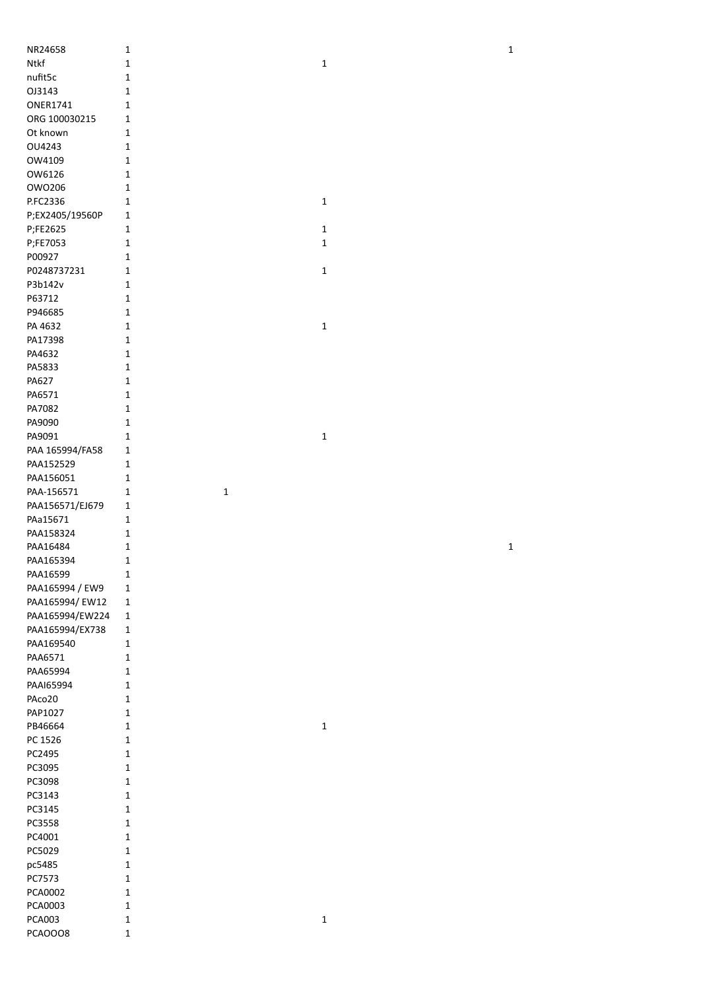| NR24658                         | $\mathbf 1$      |             | $\mathbf 1$ |
|---------------------------------|------------------|-------------|-------------|
| Ntkf                            | 1                | $\mathbf 1$ |             |
| nufit5c                         | 1                |             |             |
| OJ3143                          | 1                |             |             |
| <b>ONER1741</b>                 | 1                |             |             |
| ORG 100030215                   | 1                |             |             |
| Ot known                        | 1                |             |             |
| OU4243                          | 1                |             |             |
|                                 |                  |             |             |
| OW4109                          | 1                |             |             |
| OW6126                          | 1                |             |             |
| OW0206                          | 1                |             |             |
| P.FC2336                        | 1                | $\mathbf 1$ |             |
| P;EX2405/19560P                 | 1                |             |             |
| P;FE2625                        | 1                | $\mathbf 1$ |             |
| P;FE7053                        | 1                | $\mathbf 1$ |             |
| P00927                          | 1                |             |             |
| P0248737231                     | $\mathbf 1$      | $\mathbf 1$ |             |
| P3b142v                         | 1                |             |             |
| P63712                          | 1                |             |             |
| P946685                         | $\mathbf{1}$     |             |             |
| PA 4632                         | 1                | $\mathbf 1$ |             |
| PA17398                         | 1                |             |             |
| PA4632                          | $\mathbf 1$      |             |             |
| PA5833                          | $\mathbf 1$      |             |             |
| PA627                           | $\mathbf 1$      |             |             |
| PA6571                          | 1                |             |             |
| PA7082                          | 1                |             |             |
| PA9090                          | 1                |             |             |
| PA9091                          | 1                | $\mathbf 1$ |             |
| PAA 165994/FA58                 | $\mathbf 1$      |             |             |
| PAA152529                       | $\mathbf 1$      |             |             |
| PAA156051                       | $\mathbf{1}$     |             |             |
| PAA-156571                      | $\mathbf 1$<br>1 |             |             |
|                                 |                  |             |             |
|                                 |                  |             |             |
| PAA156571/EJ679                 | 1                |             |             |
| PAa15671                        | 1                |             |             |
| PAA158324                       | 1                |             |             |
| PAA16484                        | 1                |             | $\mathbf 1$ |
| PAA165394                       | 1                |             |             |
| PAA16599                        | 1                |             |             |
| PAA165994 / EW9                 | $\mathbf 1$      |             |             |
| PAA165994/ EW12                 | $\mathbf 1$      |             |             |
| PAA165994/EW224                 | $\mathbf 1$      |             |             |
| PAA165994/EX738                 | $\mathbf 1$      |             |             |
| PAA169540                       | $\mathbf 1$      |             |             |
| PAA6571                         | 1                |             |             |
| PAA65994                        | $\mathbf{1}$     |             |             |
| PAAI65994                       | 1                |             |             |
| PAco20                          | $\mathbf 1$      |             |             |
| PAP1027                         | 1                |             |             |
| PB46664                         | $\mathbf 1$      | $\mathbf 1$ |             |
| PC 1526                         | 1                |             |             |
| PC2495                          | 1                |             |             |
| PC3095                          | 1                |             |             |
| PC3098                          | 1                |             |             |
| PC3143                          | 1                |             |             |
| PC3145                          | 1                |             |             |
| PC3558                          | 1                |             |             |
| PC4001                          | 1                |             |             |
| PC5029                          | 1                |             |             |
| pc5485                          | 1                |             |             |
| PC7573                          | 1                |             |             |
| PCA0002                         | 1                |             |             |
| PCA0003                         | 1                |             |             |
| <b>PCA003</b><br><b>PCAOOO8</b> | 1<br>1           | $\mathbf 1$ |             |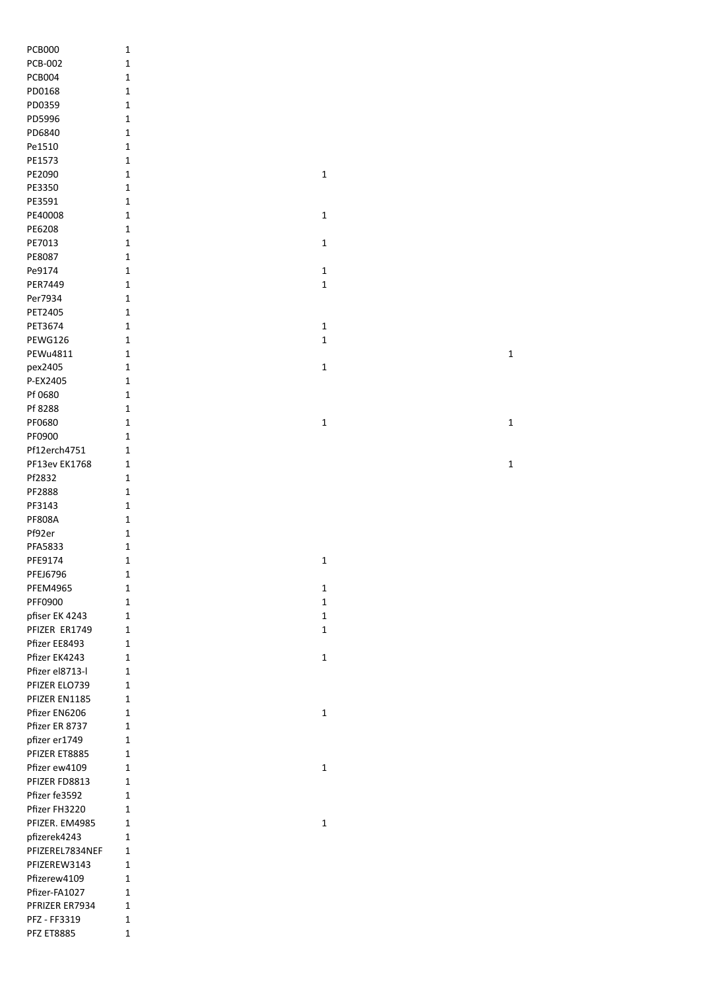| <b>PCB000</b>                    | $\mathbf 1$  |              |
|----------------------------------|--------------|--------------|
| <b>PCB-002</b>                   | 1            |              |
| <b>PCB004</b>                    | $\mathbf{1}$ |              |
| PD0168                           | $\mathbf{1}$ |              |
| PD0359                           | $\mathbf{1}$ |              |
| PD5996                           | $\mathbf{1}$ |              |
| PD6840                           | $\mathbf{1}$ |              |
| Pe1510                           | $\mathbf{1}$ |              |
| PE1573                           | $\mathbf{1}$ |              |
| PE2090                           | $\mathbf{1}$ | $\mathbf 1$  |
| PE3350                           | $\mathbf{1}$ |              |
| PE3591                           | $\mathbf{1}$ |              |
| PE40008                          | $\mathbf{1}$ | $\mathbf 1$  |
| PE6208                           | 1            |              |
| PE7013                           | 1            | 1            |
| PE8087                           | 1            |              |
| Pe9174                           | $\mathbf{1}$ | $\mathbf 1$  |
| PER7449                          | $\mathbf{1}$ | $\mathbf 1$  |
| Per7934                          | $\mathbf{1}$ |              |
| PET2405                          | 1            |              |
| PET3674                          | 1            | 1            |
| PEWG126                          | 1            | $\mathbf{1}$ |
| PEWu4811                         | $\mathbf{1}$ |              |
| pex2405                          | $\mathbf{1}$ | $\mathbf 1$  |
| P-EX2405                         | $\mathbf{1}$ |              |
| Pf 0680                          | $\mathbf{1}$ |              |
| Pf 8288                          | $\mathbf{1}$ |              |
| PF0680                           | $\mathbf{1}$ | $\mathbf 1$  |
| PF0900                           | $\mathbf{1}$ |              |
| Pf12erch4751                     | $\mathbf 1$  |              |
| PF13ev EK1768                    | $\mathbf{1}$ |              |
| Pf2832                           | $\mathbf{1}$ |              |
| PF2888                           | $\mathbf{1}$ |              |
| PF3143                           | $\mathbf{1}$ |              |
| <b>PF808A</b>                    | $\mathbf{1}$ |              |
| Pf92er                           | $\mathbf{1}$ |              |
| PFA5833                          | $\mathbf 1$  |              |
| PFE9174                          | $\mathbf{1}$ | $\mathbf 1$  |
| PFEJ6796                         | 1            |              |
| <b>PFEM4965</b>                  | 1            | 1            |
| PFF0900                          | 1            | 1            |
| pfiser EK 4243                   | 1            | $\mathbf{1}$ |
| PFIZER ER1749                    | 1            | $\mathbf{1}$ |
| Pfizer EE8493                    | 1            |              |
| Pfizer EK4243<br>Pfizer el8713-l | 1            | 1            |
| PFIZER ELO739                    | 1<br>1       |              |
| PFIZER EN1185                    | 1            |              |
| Pfizer EN6206                    | 1            | 1            |
| Pfizer ER 8737                   | $\mathbf 1$  |              |
| pfizer er1749                    | 1            |              |
| PFIZER ET8885                    | 1            |              |
| Pfizer ew4109                    | $\mathbf 1$  | $\mathbf{1}$ |
| PFIZER FD8813                    | 1            |              |
| Pfizer fe3592                    | 1            |              |
| Pfizer FH3220                    | 1            |              |
| PFIZER. EM4985                   | 1            | 1            |
| pfizerek4243                     | 1            |              |
| PFIZEREL7834NEF                  | 1            |              |
| PFIZEREW3143                     | 1            |              |
| Pfizerew4109                     | 1            |              |
| Pfizer-FA1027                    | 1            |              |
| PFRIZER ER7934                   | 1            |              |
| PFZ - FF3319                     | 1            |              |
| <b>PFZ ET8885</b>                | 1            |              |
|                                  |              |              |

 $\mathbf{1}$  $\mathbf{1}$ 

 $\mathbf{1}$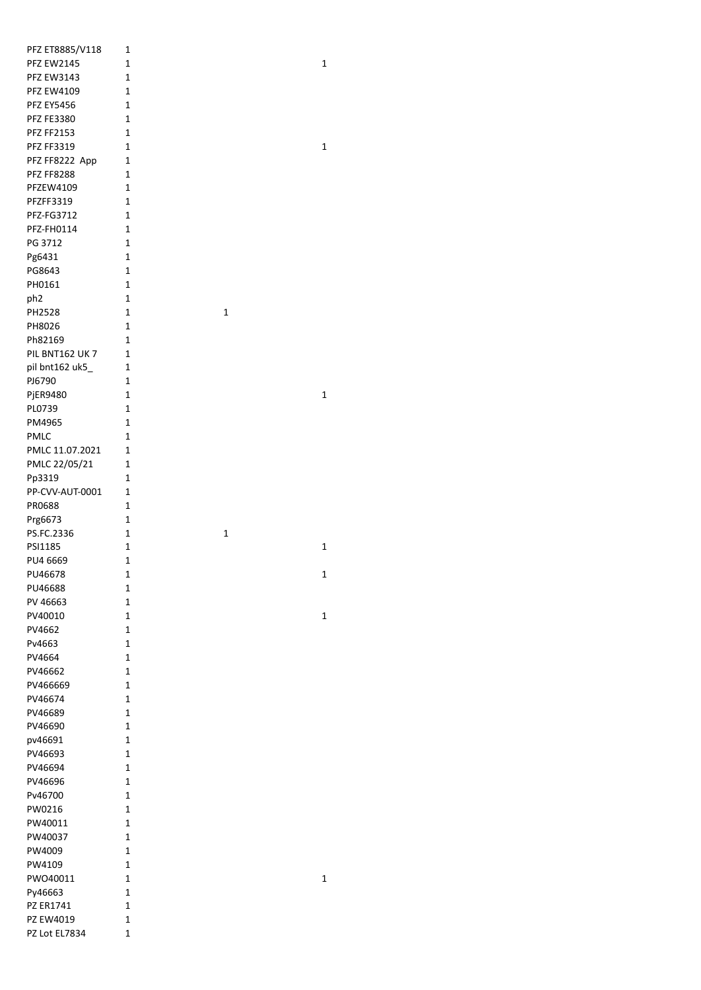| PFZ ET8885/V118       | 1                           |              |              |
|-----------------------|-----------------------------|--------------|--------------|
| <b>PFZ EW2145</b>     | $\mathbf 1$                 |              | 1            |
| <b>PFZ EW3143</b>     | $\mathbf 1$                 |              |              |
| <b>PFZ EW4109</b>     | $\mathbf{1}$                |              |              |
| <b>PFZ EY5456</b>     | 1                           |              |              |
| <b>PFZ FE3380</b>     | 1                           |              |              |
| <b>PFZ FF2153</b>     | $\mathbf 1$                 |              |              |
| <b>PFZ FF3319</b>     | $\mathbf 1$                 |              | $\mathbf{1}$ |
| PFZ FF8222 App        | $\mathbf 1$                 |              |              |
| <b>PFZ FF8288</b>     | $\mathbf{1}$                |              |              |
| PFZEW4109             | $\mathbf{1}$                |              |              |
| PFZFF3319             | 1                           |              |              |
| PFZ-FG3712            | 1<br>$\mathbf 1$            |              |              |
| PFZ-FH0114<br>PG 3712 | 1                           |              |              |
| Pg6431                | 1                           |              |              |
| PG8643                | 1                           |              |              |
| PH0161                | 1                           |              |              |
| ph <sub>2</sub>       | 1                           |              |              |
| PH2528                | 1                           | $\mathbf{1}$ |              |
| PH8026                | 1                           |              |              |
| Ph82169               | 1                           |              |              |
| PIL BNT162 UK7        | 1                           |              |              |
| pil bnt162 uk5_       | 1                           |              |              |
| PJ6790                | 1                           |              |              |
| PjER9480              | $\mathbf 1$                 |              | 1            |
| PL0739                | $\mathbf{1}$                |              |              |
| PM4965                | $\mathbf{1}$                |              |              |
| <b>PMLC</b>           | $\mathbf{1}$                |              |              |
| PMLC 11.07.2021       | $\mathbf 1$                 |              |              |
| PMLC 22/05/21         | $\mathbf 1$                 |              |              |
| Pp3319                | $\mathbf 1$                 |              |              |
| PP-CVV-AUT-0001       | $\mathbf{1}$                |              |              |
| PR0688                | $\mathbf{1}$                |              |              |
| Prg6673               | 1                           |              |              |
| PS.FC.2336<br>PSI1185 | 1<br>$\mathbf{1}$           | 1            | 1            |
| PU4 6669              | $\mathbf 1$                 |              |              |
| PU46678               | $\mathbf 1$                 |              | $\mathbf 1$  |
| PU46688               | $\mathbf{1}$                |              |              |
| PV 46663              | 1                           |              |              |
| PV40010               | 1                           |              | $\mathbf 1$  |
| PV4662                | 1                           |              |              |
| Pv4663                | $\mathbf 1$                 |              |              |
| PV4664                | $\mathbf 1$                 |              |              |
| PV46662               | 1                           |              |              |
| PV466669              | 1                           |              |              |
| PV46674               | 1                           |              |              |
| PV46689               | 1                           |              |              |
| PV46690               | $\mathbf 1$                 |              |              |
| pv46691               | $\mathbf{1}$                |              |              |
| PV46693               | $\mathbf 1$                 |              |              |
| PV46694               | $\mathbf{1}$                |              |              |
| PV46696               | $\mathbf{1}$                |              |              |
| Pv46700               | $\mathbf{1}$                |              |              |
| PW0216<br>PW40011     | $\mathbf 1$<br>$\mathbf{1}$ |              |              |
| PW40037               | $\mathbf 1$                 |              |              |
| PW4009                | $\mathbf 1$                 |              |              |
| PW4109                | $\mathbf{1}$                |              |              |
| PWO40011              | $\mathbf{1}$                |              | $\mathbf 1$  |
| Py46663               | $\mathbf 1$                 |              |              |
| PZ ER1741             | $\mathbf 1$                 |              |              |
| PZ EW4019             | $\mathbf 1$                 |              |              |
| PZ Lot EL7834         | 1                           |              |              |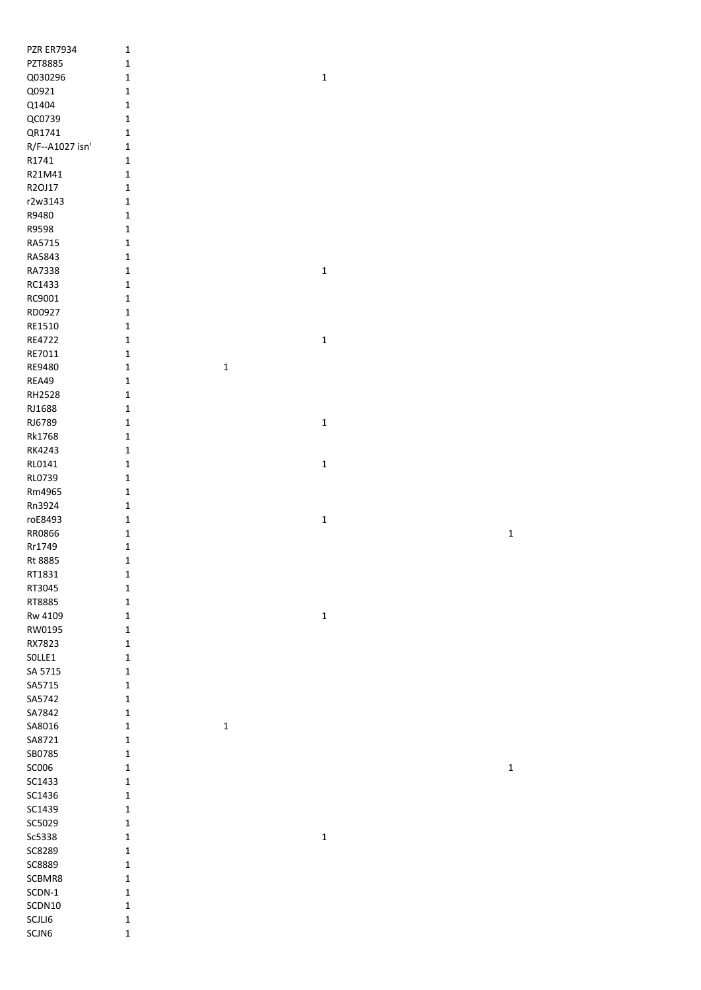| <b>PZR ER7934</b> | $\mathbf{1}$               |             |             |
|-------------------|----------------------------|-------------|-------------|
| PZT8885           | $\mathbf 1$                |             |             |
| Q030296           | $\mathbf 1$                | $\mathbf 1$ |             |
| Q0921             | $\mathbf 1$                |             |             |
| Q1404             | $\mathbf 1$                |             |             |
| QC0739            | $\mathbf 1$                |             |             |
| QR1741            | $\mathbf 1$                |             |             |
| R/F--A1027 isn'   | $\mathbf{1}$               |             |             |
| R1741             | $\mathbf 1$                |             |             |
| R21M41            | $\mathbf 1$                |             |             |
| R2OJ17            | $\mathbf 1$                |             |             |
| r2w3143           | $\mathbf 1$                |             |             |
| R9480             | $\mathbf 1$                |             |             |
| R9598             | $\mathbf 1$                |             |             |
| RA5715            | $\mathbf 1$                |             |             |
| RA5843            | $\mathbf 1$                |             |             |
| RA7338            | $\mathbf 1$                | $\mathbf 1$ |             |
| RC1433            | $\mathbf 1$                |             |             |
| RC9001            | $\mathbf 1$                |             |             |
| RD0927            | $\mathbf 1$                |             |             |
|                   |                            |             |             |
| RE1510            | $\mathbf 1$                |             |             |
| RE4722            | $\mathbf 1$                | $\mathbf 1$ |             |
| RE7011            | $\mathbf 1$                |             |             |
| RE9480            | $\mathbf 1$<br>$\mathbf 1$ |             |             |
| REA49             | $\mathbf 1$                |             |             |
| RH2528            | $\mathbf 1$                |             |             |
| RJ1688            | $\mathbf 1$                |             |             |
| RJ6789            | $\mathbf 1$                | $\mathbf 1$ |             |
| Rk1768            | $\mathbf 1$                |             |             |
| RK4243            | $\mathbf 1$                |             |             |
| RL0141            | $\mathbf 1$                | $\mathbf 1$ |             |
| RL0739            | $\mathbf 1$                |             |             |
| Rm4965            | $\mathbf 1$                |             |             |
|                   |                            |             |             |
| Rn3924            | $\mathbf 1$                |             |             |
| roE8493           | $\mathbf 1$                | $\mathbf 1$ |             |
| RR0866            | $\mathbf 1$                |             |             |
|                   |                            |             | $\mathbf 1$ |
| Rr1749            | $\mathbf 1$                |             |             |
| Rt 8885           | $\mathbf 1$                |             |             |
| RT1831            | $\mathbf 1$                |             |             |
| RT3045            | $\mathbf 1$                |             |             |
| RT8885            | $\mathbf 1$                |             |             |
| Rw 4109           | $\mathbf 1$                | $\mathbf 1$ |             |
| RW0195            | $\mathbf 1$                |             |             |
| RX7823            | $\mathbf 1$                |             |             |
| SOLLE1            | $\mathbf 1$                |             |             |
| SA 5715           | $\mathbf 1$                |             |             |
| SA5715            | $\mathbf 1$                |             |             |
| SA5742            | $\mathbf 1$                |             |             |
| SA7842            | $\mathbf 1$                |             |             |
| SA8016            | $\mathbf 1$<br>$\mathbf 1$ |             |             |
| SA8721            | $\mathbf 1$                |             |             |
| SB0785            | $\mathbf 1$                |             |             |
| SC006             | $\mathbf 1$                |             | $\mathbf 1$ |
| SC1433            | $\mathbf 1$                |             |             |
| SC1436            | $\mathbf 1$                |             |             |
| SC1439            | $\mathbf 1$                |             |             |
| SC5029            | $\mathbf 1$                |             |             |
| Sc5338            | $\mathbf 1$                | $\mathbf 1$ |             |
| SC8289            | $\mathbf 1$                |             |             |
| SC8889            | $\mathbf 1$                |             |             |
| SCBMR8            | $\mathbf 1$                |             |             |
| $SCDN-1$          | $\mathbf 1$                |             |             |
| SCDN10            | $\mathbf 1$                |             |             |
| SCJLI6<br>SCJN6   | $\mathbf 1$                |             |             |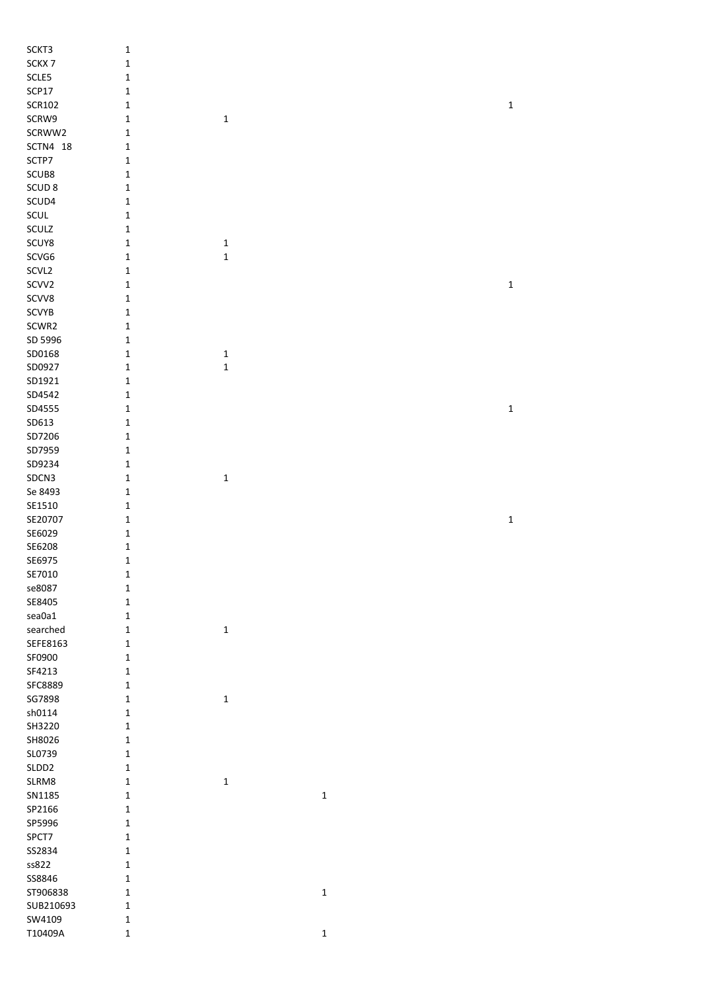| SCKT3             | $\mathbf 1$  |              |             |              |
|-------------------|--------------|--------------|-------------|--------------|
| SCKX7             | $\mathbf 1$  |              |             |              |
| SCLE5             | $\mathbf 1$  |              |             |              |
| SCP17             | $\mathbf 1$  |              |             |              |
| <b>SCR102</b>     | $\mathbf 1$  |              |             | $\mathbf 1$  |
| SCRW9             | $\mathbf 1$  | $\mathbf 1$  |             |              |
| SCRWW2            | $\mathbf 1$  |              |             |              |
| SCTN4 18          | $\mathbf 1$  |              |             |              |
| SCTP7             | $\mathbf 1$  |              |             |              |
| SCUB8             | $\mathbf 1$  |              |             |              |
| SCUD <sub>8</sub> | $\mathbf 1$  |              |             |              |
| SCUD4             | $\mathbf 1$  |              |             |              |
| SCUL              | $\mathbf 1$  |              |             |              |
| SCULZ             | $\mathbf 1$  |              |             |              |
| SCUY8             | $\mathbf 1$  | $\mathbf 1$  |             |              |
| SCVG6             | $\mathbf 1$  | $\mathbf 1$  |             |              |
| SCVL2             | $\mathbf 1$  |              |             |              |
| SCVV2             | $\mathbf 1$  |              |             | $\mathbf{1}$ |
| SCVV8             | $\mathbf 1$  |              |             |              |
| SCVYB             | $\mathbf 1$  |              |             |              |
| SCWR2             | $\mathbf 1$  |              |             |              |
| SD 5996           | $\mathbf 1$  |              |             |              |
| SD0168            | $\mathbf 1$  | 1            |             |              |
| SD0927            | $\mathbf 1$  | $\mathbf 1$  |             |              |
| SD1921            | $\mathbf 1$  |              |             |              |
| SD4542            | $\mathbf 1$  |              |             |              |
| SD4555            | $\mathbf 1$  |              |             | $\mathbf 1$  |
| SD613             | $\mathbf 1$  |              |             |              |
| SD7206            | $\mathbf 1$  |              |             |              |
| SD7959            | $\mathbf 1$  |              |             |              |
| SD9234            | $\mathbf 1$  |              |             |              |
| SDCN3             | $\mathbf 1$  | $\mathbf{1}$ |             |              |
| Se 8493           | $\mathbf 1$  |              |             |              |
| SE1510            | $\mathbf 1$  |              |             |              |
| SE20707           | $\mathbf 1$  |              |             | $\mathbf 1$  |
| SE6029            | $\mathbf 1$  |              |             |              |
| SE6208            | $\mathbf 1$  |              |             |              |
| SE6975            | $\mathbf 1$  |              |             |              |
| SE7010            | $\mathbf 1$  |              |             |              |
| se8087            | $\mathbf 1$  |              |             |              |
| SE8405            | $\mathbf 1$  |              |             |              |
| sea0a1            | $\mathbf 1$  |              |             |              |
| searched          | $\mathbf 1$  | $\mathbf{1}$ |             |              |
| SEFE8163          | $\mathbf 1$  |              |             |              |
| SF0900            | $\mathbf 1$  |              |             |              |
| SF4213            | $\mathbf 1$  |              |             |              |
| SFC8889           | $\mathbf 1$  |              |             |              |
| SG7898            | $\mathbf 1$  | 1            |             |              |
| sh0114            | $\mathbf 1$  |              |             |              |
| SH3220            | $\mathbf 1$  |              |             |              |
| SH8026            | $\mathbf 1$  |              |             |              |
| SL0739            | $\mathbf 1$  |              |             |              |
| SLDD2             | $\mathbf 1$  |              |             |              |
| SLRM8             | $\mathbf 1$  | $\mathbf{1}$ |             |              |
| SN1185            | $\mathbf 1$  |              | $\mathbf 1$ |              |
| SP2166            | $\mathbf 1$  |              |             |              |
| SP5996            | $\mathbf 1$  |              |             |              |
| SPCT7             | $\mathbf 1$  |              |             |              |
| SS2834            | $\mathbf 1$  |              |             |              |
| ss822             | $\mathbf 1$  |              |             |              |
| SS8846            | $\mathbf 1$  |              |             |              |
| ST906838          | $\mathbf{1}$ |              | $\mathbf 1$ |              |
| SUB210693         | $\mathbf 1$  |              |             |              |
| SW4109            | $\mathbf 1$  |              |             |              |
| T10409A           | $\mathbf 1$  |              | $\mathbf 1$ |              |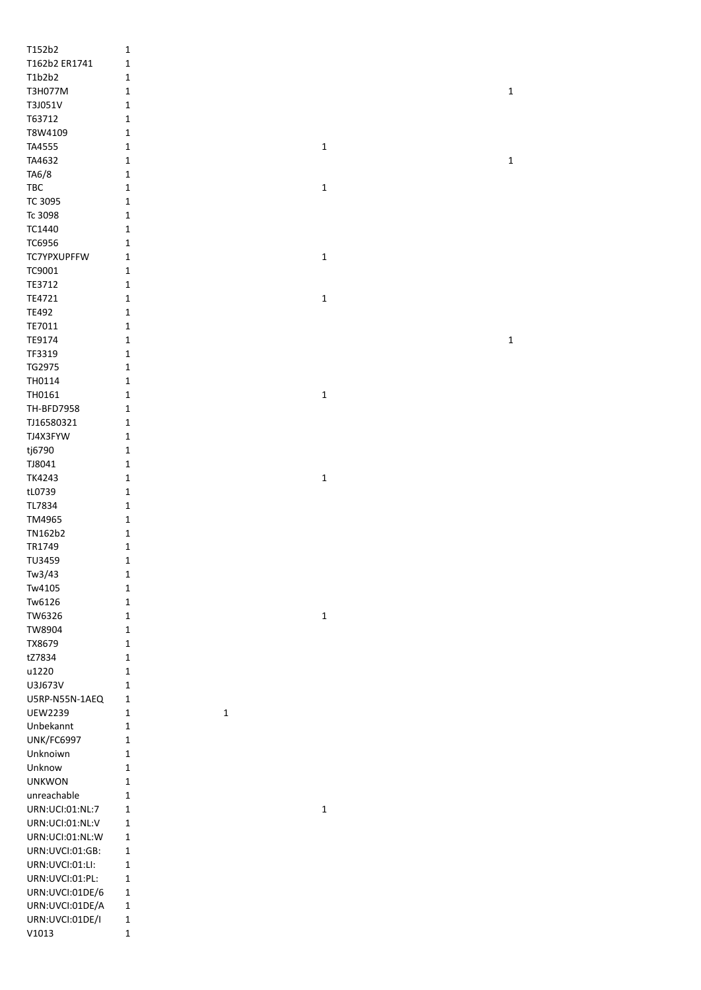| T152b2             | 1            |             |             |             |
|--------------------|--------------|-------------|-------------|-------------|
| T162b2 ER1741      | $\mathbf 1$  |             |             |             |
| T1b2b2             | $\mathbf 1$  |             |             |             |
| T3H077M            | $\mathbf 1$  |             |             | $\mathbf 1$ |
| T3J051V            | 1            |             |             |             |
| T63712             | 1            |             |             |             |
|                    |              |             |             |             |
| T8W4109            | $\mathbf 1$  |             |             |             |
| TA4555             | $\mathbf 1$  |             | $\mathbf 1$ |             |
| TA4632             | $\mathbf 1$  |             |             | $\mathbf 1$ |
| TA6/8              | $\mathbf 1$  |             |             |             |
| TBC                | $\mathbf 1$  |             | $\mathbf 1$ |             |
| TC 3095            | $\mathbf 1$  |             |             |             |
| Tc 3098            | $\mathbf 1$  |             |             |             |
| TC1440             | $\mathbf 1$  |             |             |             |
| TC6956             | $\mathbf 1$  |             |             |             |
|                    |              |             |             |             |
| <b>TC7YPXUPFFW</b> | $\mathbf 1$  |             | $\mathbf 1$ |             |
| TC9001             | 1            |             |             |             |
| TE3712             | $\mathbf 1$  |             |             |             |
| TE4721             | $\mathbf 1$  |             | $\mathbf 1$ |             |
| TE492              | $\mathbf 1$  |             |             |             |
| TE7011             | $\mathbf 1$  |             |             |             |
| TE9174             | 1            |             |             | $\mathbf 1$ |
| TF3319             | 1            |             |             |             |
|                    |              |             |             |             |
| TG2975             | 1            |             |             |             |
| TH0114             | 1            |             |             |             |
| TH0161             | $\mathbf 1$  |             | $\mathbf 1$ |             |
| TH-BFD7958         | $\mathbf 1$  |             |             |             |
| TJ16580321         | $\mathbf 1$  |             |             |             |
| TJ4X3FYW           | 1            |             |             |             |
| tj6790             | $\mathbf 1$  |             |             |             |
|                    |              |             |             |             |
| TJ8041             | $\mathbf 1$  |             |             |             |
| TK4243             | $\mathbf 1$  |             | $\mathbf 1$ |             |
| tL0739             | $\mathbf 1$  |             |             |             |
| TL7834             | $\mathbf 1$  |             |             |             |
| TM4965             | $\mathbf 1$  |             |             |             |
| TN162b2            | $\mathbf 1$  |             |             |             |
| TR1749             | $\mathbf 1$  |             |             |             |
| TU3459             | $\mathbf 1$  |             |             |             |
| Tw3/43             | $\mathbf{1}$ |             |             |             |
|                    |              |             |             |             |
| Tw4105             | $\mathbf 1$  |             |             |             |
| Tw6126             | $\mathbf 1$  |             |             |             |
| TW6326             | $\mathbf 1$  |             | $\mathbf 1$ |             |
| TW8904             | $\mathbf 1$  |             |             |             |
| TX8679             | $\mathbf 1$  |             |             |             |
| tZ7834             | $\mathbf 1$  |             |             |             |
| u1220              | $\mathbf 1$  |             |             |             |
| U3J673V            |              |             |             |             |
|                    | 1            |             |             |             |
| U5RP-N55N-1AEQ     | 1            |             |             |             |
| <b>UEW2239</b>     | 1            | $\mathbf 1$ |             |             |
| Unbekannt          | $\mathbf 1$  |             |             |             |
| UNK/FC6997         | $\mathbf 1$  |             |             |             |
| Unknoiwn           | $\mathbf 1$  |             |             |             |
| Unknow             | $\mathbf 1$  |             |             |             |
| <b>UNKWON</b>      | $\mathbf 1$  |             |             |             |
|                    |              |             |             |             |
| unreachable        | $\mathbf 1$  |             |             |             |
| URN:UCI:01:NL:7    | $\mathbf 1$  |             | $\mathbf 1$ |             |
| URN:UCI:01:NL:V    | $\mathbf 1$  |             |             |             |
| URN:UCI:01:NL:W    | $\mathbf 1$  |             |             |             |
| URN:UVCI:01:GB:    | $\mathbf 1$  |             |             |             |
| URN:UVCI:01:LI:    | $\mathbf 1$  |             |             |             |
| URN:UVCI:01:PL:    | $\mathbf 1$  |             |             |             |
| URN:UVCI:01DE/6    | $\mathbf 1$  |             |             |             |
|                    |              |             |             |             |
| URN:UVCI:01DE/A    | $\mathbf 1$  |             |             |             |
| URN:UVCI:01DE/I    | $\mathbf 1$  |             |             |             |
| V1013              | $\mathbf 1$  |             |             |             |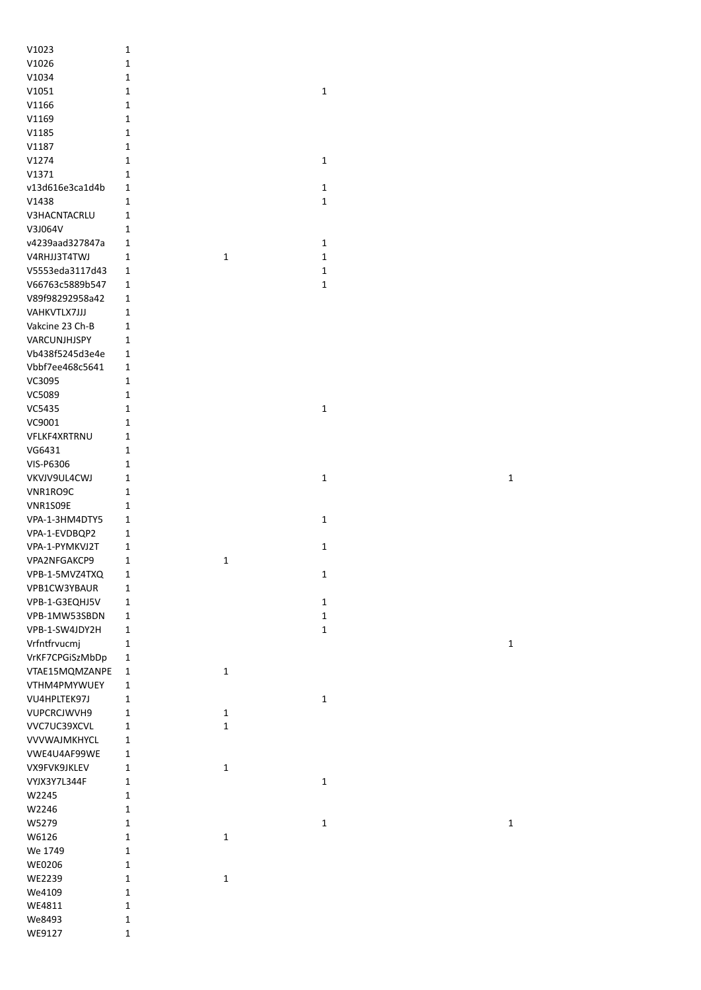| V1023               | 1            |   |   |
|---------------------|--------------|---|---|
| V1026               | $\mathbf 1$  |   |   |
| V1034               | $\mathbf 1$  |   |   |
| V1051               | $\mathbf{1}$ |   | 1 |
| V1166               | 1            |   |   |
| V1169               | 1            |   |   |
| V1185               | 1            |   |   |
| V1187               | 1            |   |   |
| V1274               | 1            |   | 1 |
| V1371               | 1            |   |   |
| v13d616e3ca1d4b     | 1            |   | 1 |
| V1438               | 1            |   | 1 |
| <b>V3HACNTACRLU</b> | 1            |   |   |
| V3J064V             | 1            |   |   |
| v4239aad327847a     | 1            |   | 1 |
| V4RHJJ3T4TWJ        | 1            | 1 | 1 |
| V5553eda3117d43     | 1            |   | 1 |
| V66763c5889b547     | 1            |   | 1 |
| V89f98292958a42     | 1            |   |   |
| VAHKVTLX7JJJ        | 1            |   |   |
| Vakcine 23 Ch-B     | 1            |   |   |
| VARCUNJHJSPY        | $\mathbf{1}$ |   |   |
| Vb438f5245d3e4e     | 1            |   |   |
| Vbbf7ee468c5641     | 1            |   |   |
| VC3095              | 1            |   |   |
| VC5089              | $\mathbf{1}$ |   |   |
|                     | 1            |   | 1 |
| VC5435              |              |   |   |
| VC9001              | 1            |   |   |
| <b>VFLKF4XRTRNU</b> | 1            |   |   |
| VG6431              | 1            |   |   |
| VIS-P6306           | 1            |   |   |
| VKVJV9UL4CWJ        | 1            |   | 1 |
| VNR1RO9C            | 1            |   |   |
| VNR1S09E            | 1            |   |   |
| VPA-1-3HM4DTY5      | 1            |   | 1 |
| VPA-1-EVDBQP2       | 1            |   |   |
| VPA-1-PYMKVJ2T      | 1            |   | 1 |
| VPA2NFGAKCP9        | 1            | 1 |   |
| VPB-1-5MVZ4TXQ      | 1            |   | 1 |
| VPB1CW3YBAUR        | 1            |   |   |
| VPB-1-G3EQHJ5V      | 1            |   | 1 |
| VPB-1MW53SBDN       | 1            |   | 1 |
| VPB-1-SW4JDY2H      | 1            |   | 1 |
| Vrfntfrvucmj        | $\mathbf{1}$ |   |   |
| VrKF7CPGiSzMbDp     | 1            |   |   |
| VTAE15MQMZANPE      | 1            | 1 |   |
| VTHM4PMYWUEY        | 1            |   |   |
| VU4HPLTEK97J        | 1            |   | 1 |
| <b>VUPCRCJWVH9</b>  | 1            | 1 |   |
| VVC7UC39XCVL        | 1            | 1 |   |
| <b>VVVWAJMKHYCL</b> | 1            |   |   |
| VWE4U4AF99WE        | 1            |   |   |
| VX9FVK9JKLEV        | 1            | 1 |   |
| VYJX3Y7L344F        | 1            |   | 1 |
| W2245               | 1            |   |   |
| W2246               | 1            |   |   |
| W5279               | 1            |   | 1 |
| W6126               | 1            | 1 |   |
| We 1749             | 1            |   |   |
| <b>WE0206</b>       | 1            |   |   |
| <b>WE2239</b>       | 1            | 1 |   |
| We4109              | 1            |   |   |
| WE4811              | 1            |   |   |
| We8493              | 1            |   |   |
| WE9127              | 1            |   |   |

 $\overline{\mathbf{1}}$ 

 $\overline{1}$ 

 $\mathbf 1$